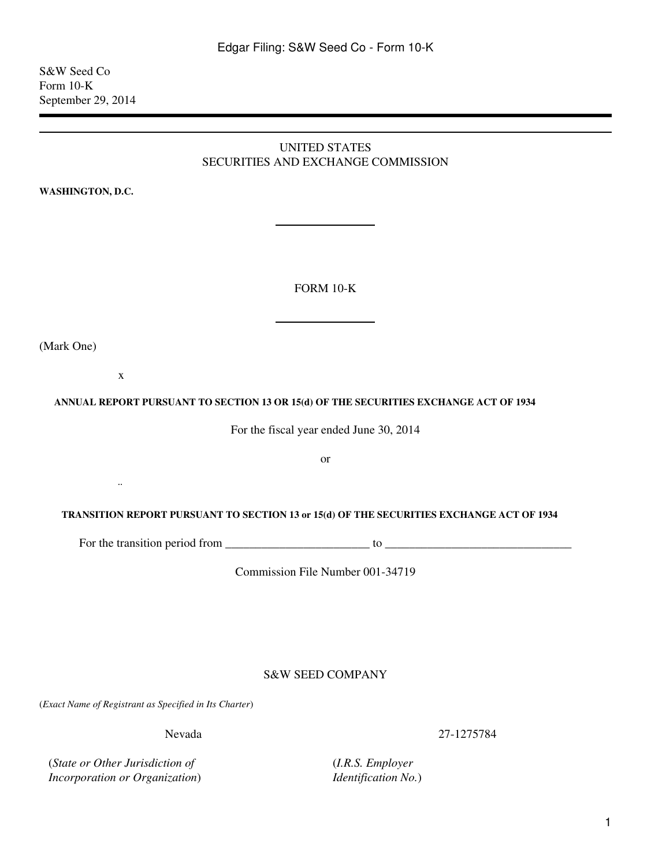UNITED STATES

(Mark One)

# SECURITIES AND EXCHANGE COMMISSION **WASHINGTON, D.C.** FORM 10-K x

#### **ANNUAL REPORT PURSUANT TO SECTION 13 OR 15(d) OF THE SECURITIES EXCHANGE ACT OF 1934**

For the fiscal year ended June 30, 2014

or

#### **TRANSITION REPORT PURSUANT TO SECTION 13 or 15(d) OF THE SECURITIES EXCHANGE ACT OF 1934**

For the transition period from  $\frac{1}{\sqrt{1-\frac{1}{2}}}\$  to  $\frac{1}{\sqrt{1-\frac{1}{2}}}\$ 

Commission File Number 001-34719

S&W SEED COMPANY

(*Exact Name of Registrant as Specified in Its Charter*)

Nevada

(*State or Other Jurisdiction of Incorporation or Organization*)

 $\ddotsc$ 

(*I.R.S. Employer Identification No.*) 27-1275784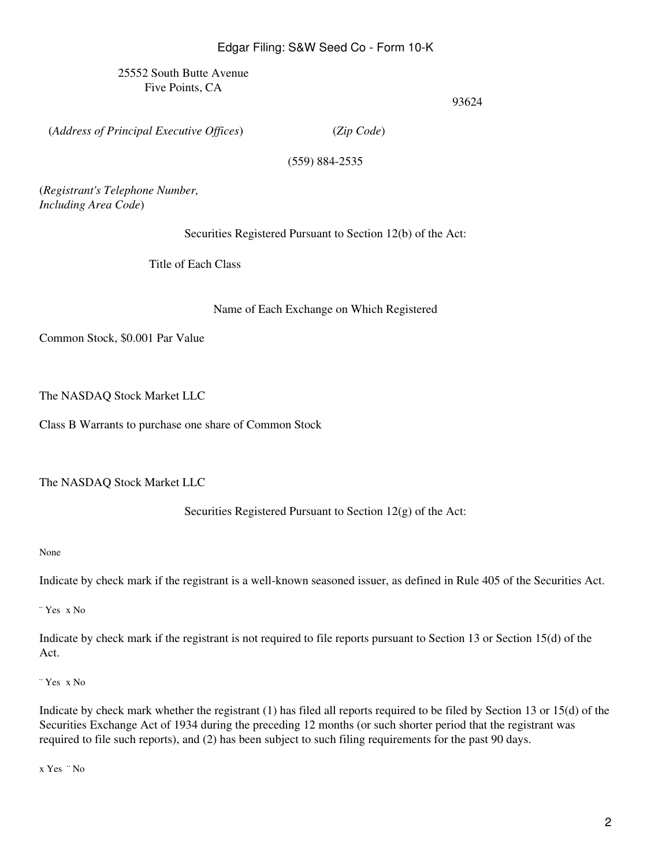25552 South Butte Avenue Five Points, CA

93624

(*Address of Principal Executive Offices*)

(*Zip Code*)

(559) 884-2535

(*Registrant's Telephone Number, Including Area Code*)

Securities Registered Pursuant to Section 12(b) of the Act:

Title of Each Class

Name of Each Exchange on Which Registered

Common Stock, \$0.001 Par Value

The NASDAQ Stock Market LLC

Class B Warrants to purchase one share of Common Stock

The NASDAQ Stock Market LLC

Securities Registered Pursuant to Section 12(g) of the Act:

None

Indicate by check mark if the registrant is a well-known seasoned issuer, as defined in Rule 405 of the Securities Act.

¨ Yes x No

Indicate by check mark if the registrant is not required to file reports pursuant to Section 13 or Section 15(d) of the Act.

¨ Yes x No

Indicate by check mark whether the registrant (1) has filed all reports required to be filed by Section 13 or 15(d) of the Securities Exchange Act of 1934 during the preceding 12 months (or such shorter period that the registrant was required to file such reports), and (2) has been subject to such filing requirements for the past 90 days.

x Yes ¨ No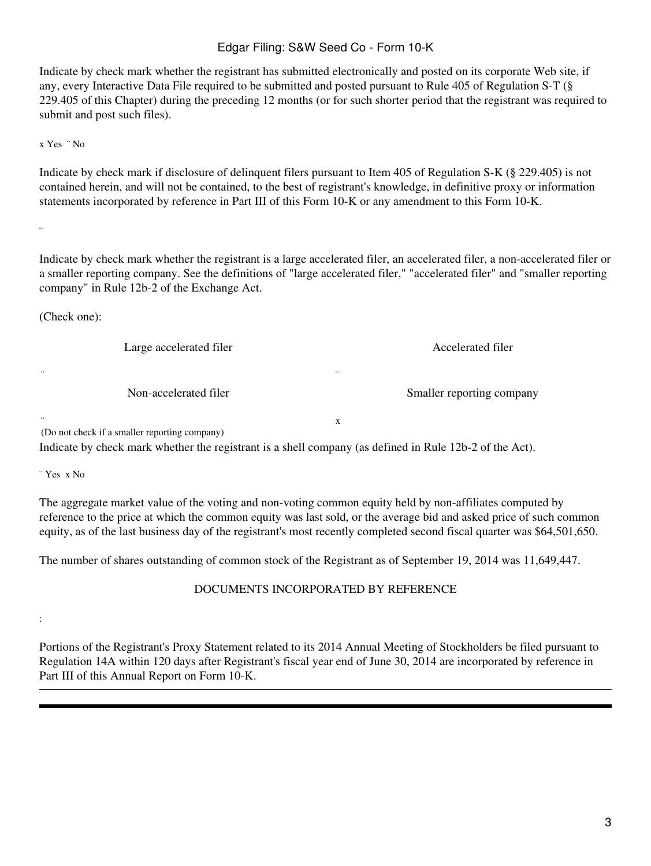Indicate by check mark whether the registrant has submitted electronically and posted on its corporate Web site, if any, every Interactive Data File required to be submitted and posted pursuant to Rule 405 of Regulation S-T (§ 229.405 of this Chapter) during the preceding 12 months (or for such shorter period that the registrant was required to submit and post such files).

x Yes ¨ No

Indicate by check mark if disclosure of delinquent filers pursuant to Item 405 of Regulation S-K (§ 229.405) is not contained herein, and will not be contained, to the best of registrant's knowledge, in definitive proxy or information statements incorporated by reference in Part III of this Form 10-K or any amendment to this Form 10-K.

¨

¨

:

Indicate by check mark whether the registrant is a large accelerated filer, an accelerated filer, a non-accelerated filer or a smaller reporting company. See the definitions of "large accelerated filer," "accelerated filer" and "smaller reporting company" in Rule 12b-2 of the Exchange Act.

(Check one):

Large accelerated filer

Non-accelerated filer

Accelerated filer

Smaller reporting company

x

¨

¨ (Do not check if a smaller reporting company)

Indicate by check mark whether the registrant is a shell company (as defined in Rule 12b-2 of the Act).

¨ Yes x No

The aggregate market value of the voting and non-voting common equity held by non-affiliates computed by reference to the price at which the common equity was last sold, or the average bid and asked price of such common equity, as of the last business day of the registrant's most recently completed second fiscal quarter was \$64,501,650.

The number of shares outstanding of common stock of the Registrant as of September 19, 2014 was 11,649,447.

# DOCUMENTS INCORPORATED BY REFERENCE

Portions of the Registrant's Proxy Statement related to its 2014 Annual Meeting of Stockholders be filed pursuant to Regulation 14A within 120 days after Registrant's fiscal year end of June 30, 2014 are incorporated by reference in Part III of this Annual Report on Form 10-K.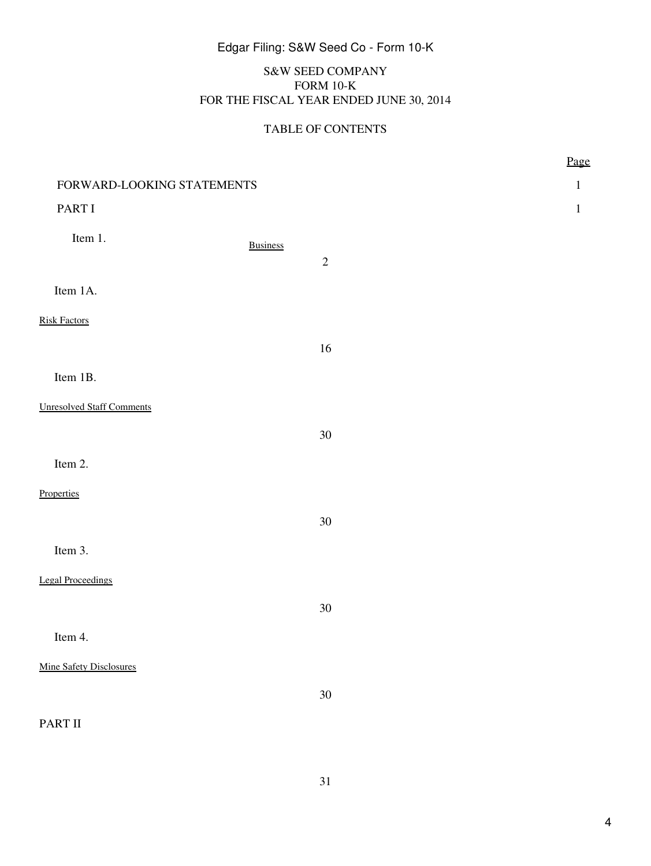# S&W SEED COMPANY FORM 10-K FOR THE FISCAL YEAR ENDED JUNE 30, 2014

# TABLE OF CONTENTS

|                                  |                 |            | Page         |
|----------------------------------|-----------------|------------|--------------|
| FORWARD-LOOKING STATEMENTS       |                 |            | $\mathbf{1}$ |
| PART I                           |                 |            | $\mathbf{1}$ |
| Item 1.                          | <b>Business</b> | $\sqrt{2}$ |              |
|                                  |                 |            |              |
| Item 1A.                         |                 |            |              |
| <b>Risk Factors</b>              |                 |            |              |
|                                  |                 | 16         |              |
| Item 1B.                         |                 |            |              |
| <b>Unresolved Staff Comments</b> |                 |            |              |
|                                  |                 | $30\,$     |              |
| Item 2.                          |                 |            |              |
| Properties                       |                 |            |              |
|                                  |                 | $30\,$     |              |
| Item 3.                          |                 |            |              |
| <b>Legal Proceedings</b>         |                 |            |              |
|                                  |                 | $30\,$     |              |
| Item 4.                          |                 |            |              |
| <b>Mine Safety Disclosures</b>   |                 |            |              |
|                                  |                 | $30\,$     |              |
| PART II                          |                 |            |              |

31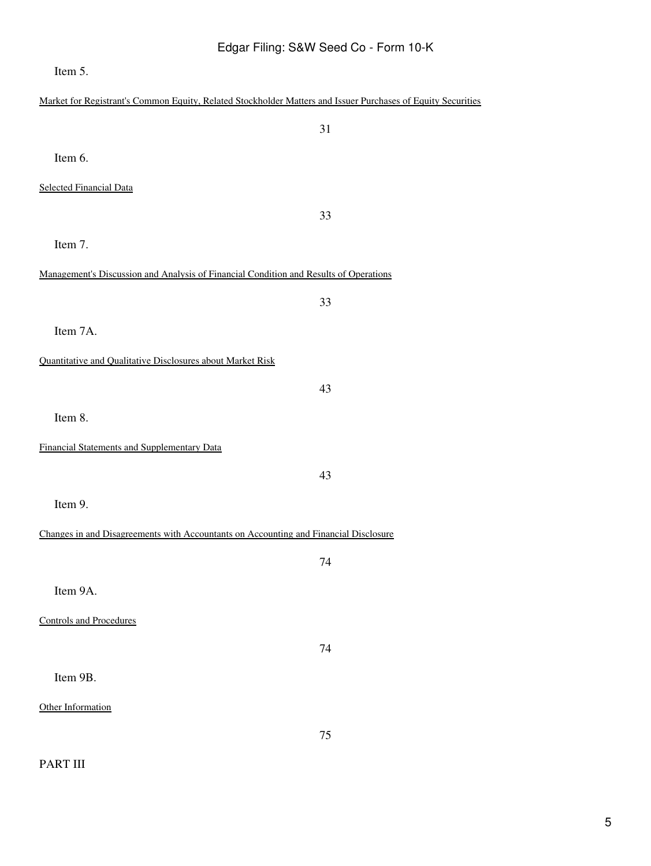Item 5.

| Market for Registrant's Common Equity, Related Stockholder Matters and Issuer Purchases of Equity Securities |  |  |  |
|--------------------------------------------------------------------------------------------------------------|--|--|--|
| 31                                                                                                           |  |  |  |
| Item 6.                                                                                                      |  |  |  |
| <b>Selected Financial Data</b>                                                                               |  |  |  |
| 33                                                                                                           |  |  |  |
| Item 7.                                                                                                      |  |  |  |
|                                                                                                              |  |  |  |
| Management's Discussion and Analysis of Financial Condition and Results of Operations                        |  |  |  |
| 33                                                                                                           |  |  |  |
| Item 7A.                                                                                                     |  |  |  |
| Quantitative and Qualitative Disclosures about Market Risk                                                   |  |  |  |
| 43                                                                                                           |  |  |  |
| Item 8.                                                                                                      |  |  |  |
| Financial Statements and Supplementary Data                                                                  |  |  |  |
|                                                                                                              |  |  |  |
| 43                                                                                                           |  |  |  |
| Item 9.                                                                                                      |  |  |  |
| Changes in and Disagreements with Accountants on Accounting and Financial Disclosure                         |  |  |  |
| 74                                                                                                           |  |  |  |
| Item 9A.                                                                                                     |  |  |  |
| <b>Controls and Procedures</b>                                                                               |  |  |  |
| 74                                                                                                           |  |  |  |
|                                                                                                              |  |  |  |
| Item 9B.                                                                                                     |  |  |  |
| Other Information                                                                                            |  |  |  |
| 75                                                                                                           |  |  |  |

# PART III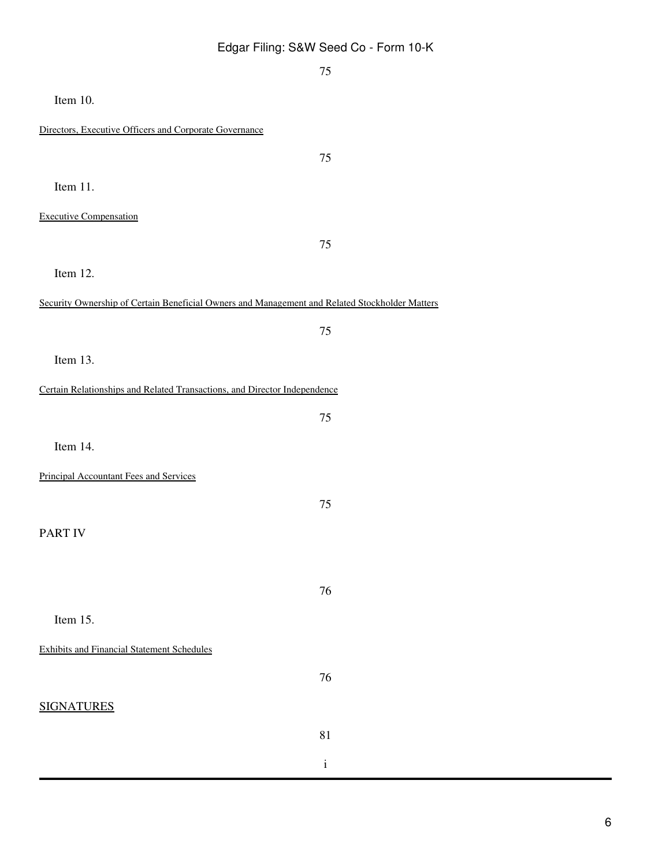|                                                                                                | 75           |
|------------------------------------------------------------------------------------------------|--------------|
| Item 10.                                                                                       |              |
| Directors, Executive Officers and Corporate Governance                                         |              |
|                                                                                                | 75           |
| Item 11.                                                                                       |              |
| <b>Executive Compensation</b>                                                                  |              |
|                                                                                                | 75           |
| Item 12.                                                                                       |              |
| Security Ownership of Certain Beneficial Owners and Management and Related Stockholder Matters |              |
|                                                                                                | 75           |
| Item 13.                                                                                       |              |
| Certain Relationships and Related Transactions, and Director Independence                      |              |
|                                                                                                | 75           |
| Item 14.                                                                                       |              |
| <b>Principal Accountant Fees and Services</b>                                                  |              |
|                                                                                                | 75           |
| <b>PART IV</b>                                                                                 |              |
|                                                                                                |              |
|                                                                                                | 76           |
| Item 15.                                                                                       |              |
| <b>Exhibits and Financial Statement Schedules</b>                                              |              |
|                                                                                                | 76           |
| <b>SIGNATURES</b>                                                                              |              |
|                                                                                                | 81           |
|                                                                                                | $\mathbf{i}$ |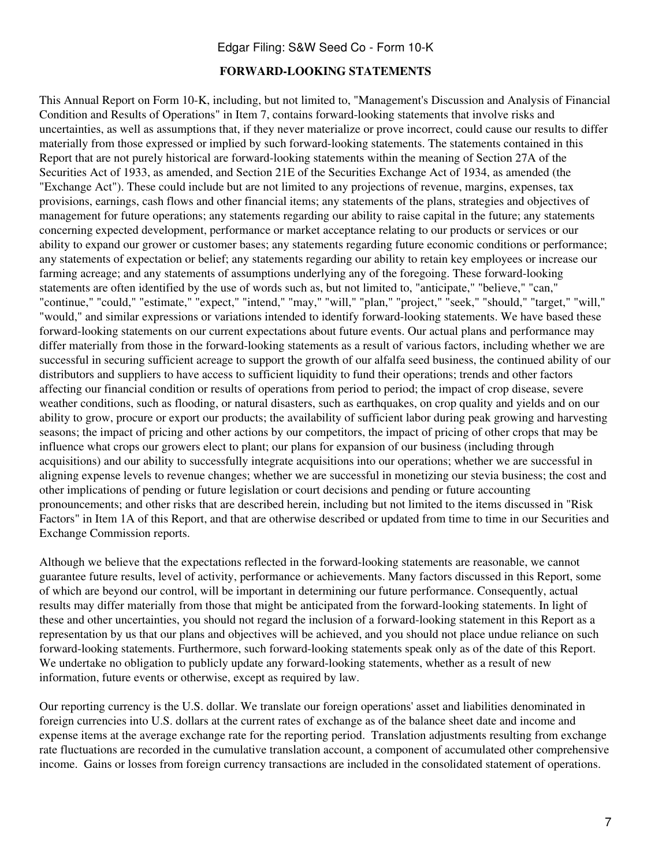#### **FORWARD-LOOKING STATEMENTS**

This Annual Report on Form 10-K, including, but not limited to, "Management's Discussion and Analysis of Financial Condition and Results of Operations" in Item 7, contains forward-looking statements that involve risks and uncertainties, as well as assumptions that, if they never materialize or prove incorrect, could cause our results to differ materially from those expressed or implied by such forward-looking statements. The statements contained in this Report that are not purely historical are forward-looking statements within the meaning of Section 27A of the Securities Act of 1933, as amended, and Section 21E of the Securities Exchange Act of 1934, as amended (the "Exchange Act"). These could include but are not limited to any projections of revenue, margins, expenses, tax provisions, earnings, cash flows and other financial items; any statements of the plans, strategies and objectives of management for future operations; any statements regarding our ability to raise capital in the future; any statements concerning expected development, performance or market acceptance relating to our products or services or our ability to expand our grower or customer bases; any statements regarding future economic conditions or performance; any statements of expectation or belief; any statements regarding our ability to retain key employees or increase our farming acreage; and any statements of assumptions underlying any of the foregoing. These forward-looking statements are often identified by the use of words such as, but not limited to, "anticipate," "believe," "can," "continue," "could," "estimate," "expect," "intend," "may," "will," "plan," "project," "seek," "should," "target," "will," "would," and similar expressions or variations intended to identify forward-looking statements. We have based these forward-looking statements on our current expectations about future events. Our actual plans and performance may differ materially from those in the forward-looking statements as a result of various factors, including whether we are successful in securing sufficient acreage to support the growth of our alfalfa seed business, the continued ability of our distributors and suppliers to have access to sufficient liquidity to fund their operations; trends and other factors affecting our financial condition or results of operations from period to period; the impact of crop disease, severe weather conditions, such as flooding, or natural disasters, such as earthquakes, on crop quality and yields and on our ability to grow, procure or export our products; the availability of sufficient labor during peak growing and harvesting seasons; the impact of pricing and other actions by our competitors, the impact of pricing of other crops that may be influence what crops our growers elect to plant; our plans for expansion of our business (including through acquisitions) and our ability to successfully integrate acquisitions into our operations; whether we are successful in aligning expense levels to revenue changes; whether we are successful in monetizing our stevia business; the cost and other implications of pending or future legislation or court decisions and pending or future accounting pronouncements; and other risks that are described herein, including but not limited to the items discussed in "Risk Factors" in Item 1A of this Report, and that are otherwise described or updated from time to time in our Securities and Exchange Commission reports.

Although we believe that the expectations reflected in the forward-looking statements are reasonable, we cannot guarantee future results, level of activity, performance or achievements. Many factors discussed in this Report, some of which are beyond our control, will be important in determining our future performance. Consequently, actual results may differ materially from those that might be anticipated from the forward-looking statements. In light of these and other uncertainties, you should not regard the inclusion of a forward-looking statement in this Report as a representation by us that our plans and objectives will be achieved, and you should not place undue reliance on such forward-looking statements. Furthermore, such forward-looking statements speak only as of the date of this Report. We undertake no obligation to publicly update any forward-looking statements, whether as a result of new information, future events or otherwise, except as required by law.

Our reporting currency is the U.S. dollar. We translate our foreign operations' asset and liabilities denominated in foreign currencies into U.S. dollars at the current rates of exchange as of the balance sheet date and income and expense items at the average exchange rate for the reporting period. Translation adjustments resulting from exchange rate fluctuations are recorded in the cumulative translation account, a component of accumulated other comprehensive income. Gains or losses from foreign currency transactions are included in the consolidated statement of operations.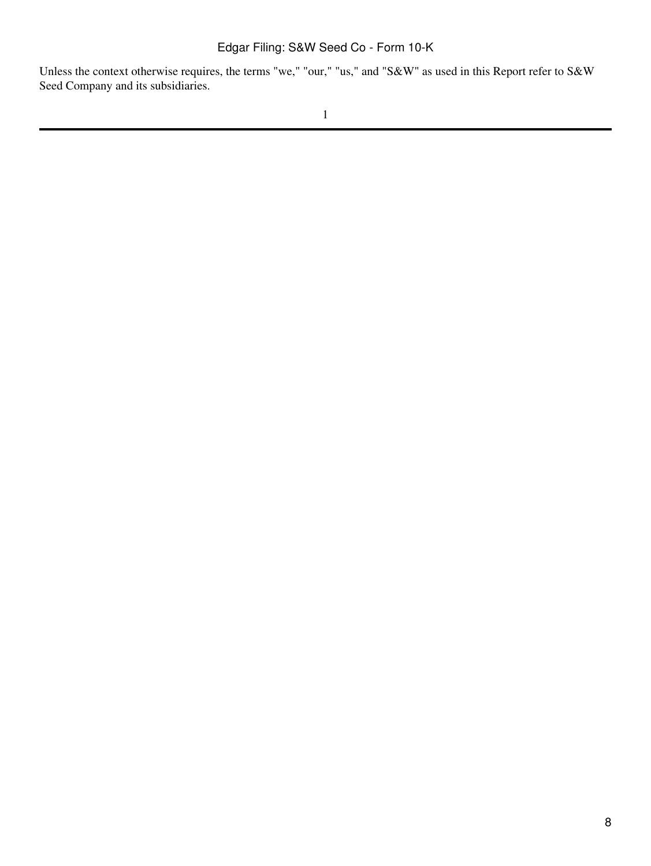Unless the context otherwise requires, the terms "we," "our," "us," and "S&W" as used in this Report refer to S&W Seed Company and its subsidiaries.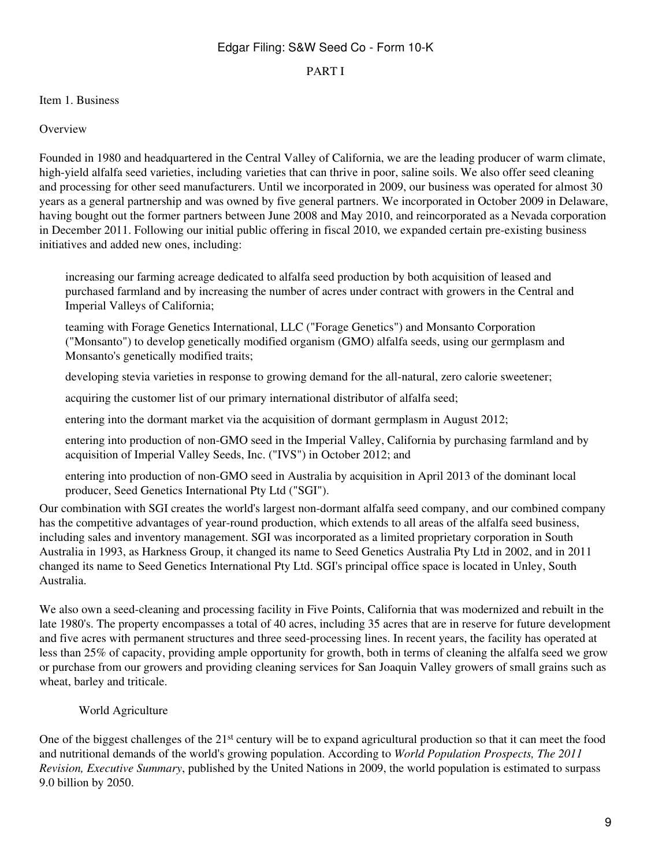#### PART I

#### <span id="page-8-0"></span>Item 1. Business

#### **Overview**

Founded in 1980 and headquartered in the Central Valley of California, we are the leading producer of warm climate, high-yield alfalfa seed varieties, including varieties that can thrive in poor, saline soils. We also offer seed cleaning and processing for other seed manufacturers. Until we incorporated in 2009, our business was operated for almost 30 years as a general partnership and was owned by five general partners. We incorporated in October 2009 in Delaware, having bought out the former partners between June 2008 and May 2010, and reincorporated as a Nevada corporation in December 2011. Following our initial public offering in fiscal 2010, we expanded certain pre-existing business initiatives and added new ones, including:

increasing our farming acreage dedicated to alfalfa seed production by both acquisition of leased and purchased farmland and by increasing the number of acres under contract with growers in the Central and Imperial Valleys of California;

teaming with Forage Genetics International, LLC ("Forage Genetics") and Monsanto Corporation ("Monsanto") to develop genetically modified organism (GMO) alfalfa seeds, using our germplasm and Monsanto's genetically modified traits;

developing stevia varieties in response to growing demand for the all-natural, zero calorie sweetener;

acquiring the customer list of our primary international distributor of alfalfa seed;

entering into the dormant market via the acquisition of dormant germplasm in August 2012;

entering into production of non-GMO seed in the Imperial Valley, California by purchasing farmland and by acquisition of Imperial Valley Seeds, Inc. ("IVS") in October 2012; and

entering into production of non-GMO seed in Australia by acquisition in April 2013 of the dominant local producer, Seed Genetics International Pty Ltd ("SGI").

Our combination with SGI creates the world's largest non-dormant alfalfa seed company, and our combined company has the competitive advantages of year-round production, which extends to all areas of the alfalfa seed business, including sales and inventory management. SGI was incorporated as a limited proprietary corporation in South Australia in 1993, as Harkness Group, it changed its name to Seed Genetics Australia Pty Ltd in 2002, and in 2011 changed its name to Seed Genetics International Pty Ltd. SGI's principal office space is located in Unley, South Australia.

We also own a seed-cleaning and processing facility in Five Points, California that was modernized and rebuilt in the late 1980's. The property encompasses a total of 40 acres, including 35 acres that are in reserve for future development and five acres with permanent structures and three seed-processing lines. In recent years, the facility has operated at less than 25% of capacity, providing ample opportunity for growth, both in terms of cleaning the alfalfa seed we grow or purchase from our growers and providing cleaning services for San Joaquin Valley growers of small grains such as wheat, barley and triticale.

## World Agriculture

One of the biggest challenges of the 21st century will be to expand agricultural production so that it can meet the food and nutritional demands of the world's growing population. According to *World Population Prospects, The 2011 Revision, Executive Summary*, published by the United Nations in 2009, the world population is estimated to surpass 9.0 billion by 2050.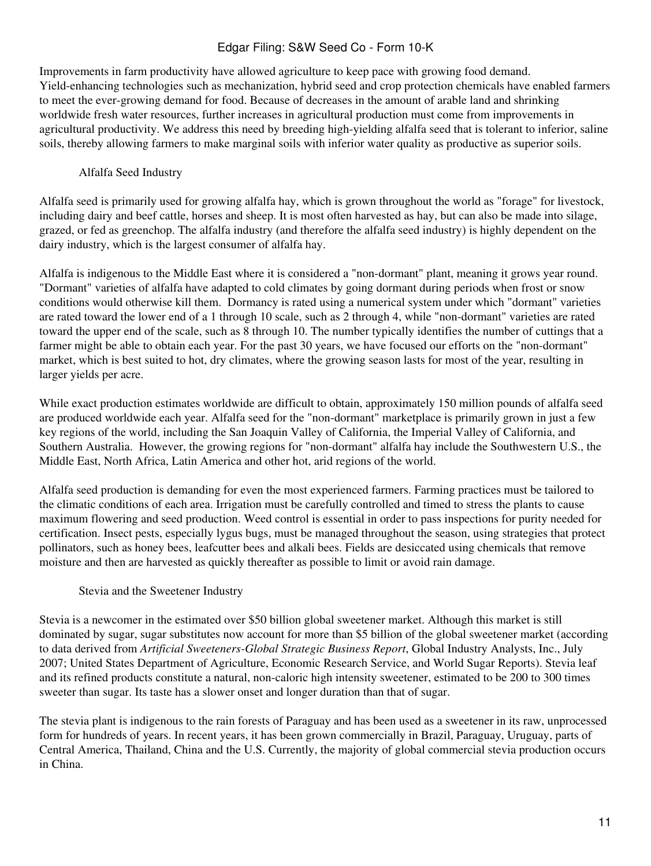Improvements in farm productivity have allowed agriculture to keep pace with growing food demand. Yield-enhancing technologies such as mechanization, hybrid seed and crop protection chemicals have enabled farmers to meet the ever-growing demand for food. Because of decreases in the amount of arable land and shrinking worldwide fresh water resources, further increases in agricultural production must come from improvements in agricultural productivity. We address this need by breeding high-yielding alfalfa seed that is tolerant to inferior, saline soils, thereby allowing farmers to make marginal soils with inferior water quality as productive as superior soils.

# Alfalfa Seed Industry

Alfalfa seed is primarily used for growing alfalfa hay, which is grown throughout the world as "forage" for livestock, including dairy and beef cattle, horses and sheep. It is most often harvested as hay, but can also be made into silage, grazed, or fed as greenchop. The alfalfa industry (and therefore the alfalfa seed industry) is highly dependent on the dairy industry, which is the largest consumer of alfalfa hay.

Alfalfa is indigenous to the Middle East where it is considered a "non-dormant" plant, meaning it grows year round. "Dormant" varieties of alfalfa have adapted to cold climates by going dormant during periods when frost or snow conditions would otherwise kill them. Dormancy is rated using a numerical system under which "dormant" varieties are rated toward the lower end of a 1 through 10 scale, such as 2 through 4, while "non-dormant" varieties are rated toward the upper end of the scale, such as 8 through 10. The number typically identifies the number of cuttings that a farmer might be able to obtain each year. For the past 30 years, we have focused our efforts on the "non-dormant" market, which is best suited to hot, dry climates, where the growing season lasts for most of the year, resulting in larger yields per acre.

While exact production estimates worldwide are difficult to obtain, approximately 150 million pounds of alfalfa seed are produced worldwide each year. Alfalfa seed for the "non-dormant" marketplace is primarily grown in just a few key regions of the world, including the San Joaquin Valley of California, the Imperial Valley of California, and Southern Australia. However, the growing regions for "non-dormant" alfalfa hay include the Southwestern U.S., the Middle East, North Africa, Latin America and other hot, arid regions of the world.

Alfalfa seed production is demanding for even the most experienced farmers. Farming practices must be tailored to the climatic conditions of each area. Irrigation must be carefully controlled and timed to stress the plants to cause maximum flowering and seed production. Weed control is essential in order to pass inspections for purity needed for certification. Insect pests, especially lygus bugs, must be managed throughout the season, using strategies that protect pollinators, such as honey bees, leafcutter bees and alkali bees. Fields are desiccated using chemicals that remove moisture and then are harvested as quickly thereafter as possible to limit or avoid rain damage.

## Stevia and the Sweetener Industry

Stevia is a newcomer in the estimated over \$50 billion global sweetener market. Although this market is still dominated by sugar, sugar substitutes now account for more than \$5 billion of the global sweetener market (according to data derived from *Artificial Sweeteners-Global Strategic Business Report*, Global Industry Analysts, Inc., July 2007; United States Department of Agriculture, Economic Research Service, and World Sugar Reports). Stevia leaf and its refined products constitute a natural, non-caloric high intensity sweetener, estimated to be 200 to 300 times sweeter than sugar. Its taste has a slower onset and longer duration than that of sugar.

The stevia plant is indigenous to the rain forests of Paraguay and has been used as a sweetener in its raw, unprocessed form for hundreds of years. In recent years, it has been grown commercially in Brazil, Paraguay, Uruguay, parts of Central America, Thailand, China and the U.S. Currently, the majority of global commercial stevia production occurs in China.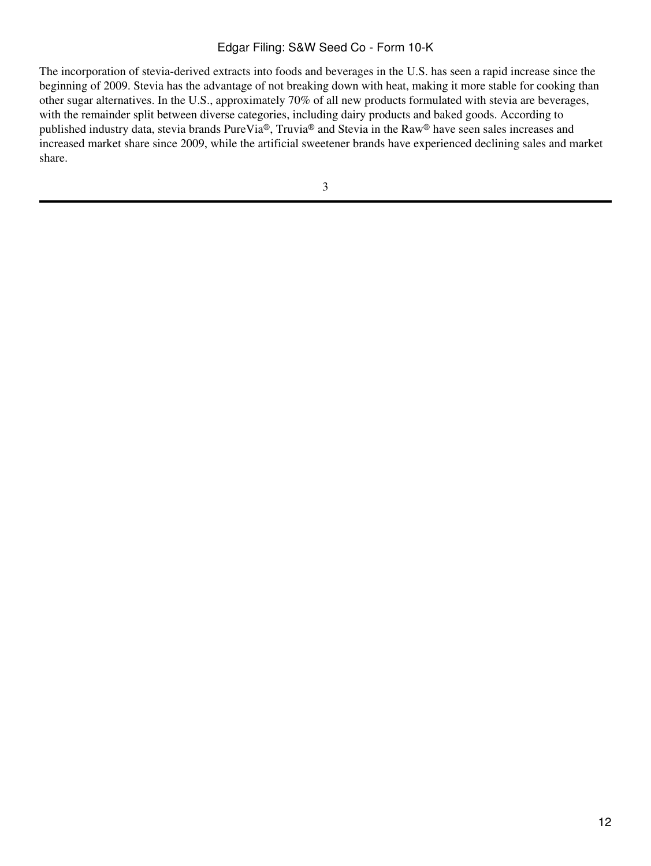The incorporation of stevia-derived extracts into foods and beverages in the U.S. has seen a rapid increase since the beginning of 2009. Stevia has the advantage of not breaking down with heat, making it more stable for cooking than other sugar alternatives. In the U.S., approximately 70% of all new products formulated with stevia are beverages, with the remainder split between diverse categories, including dairy products and baked goods. According to published industry data, stevia brands PureVia®, Truvia® and Stevia in the Raw® have seen sales increases and increased market share since 2009, while the artificial sweetener brands have experienced declining sales and market share.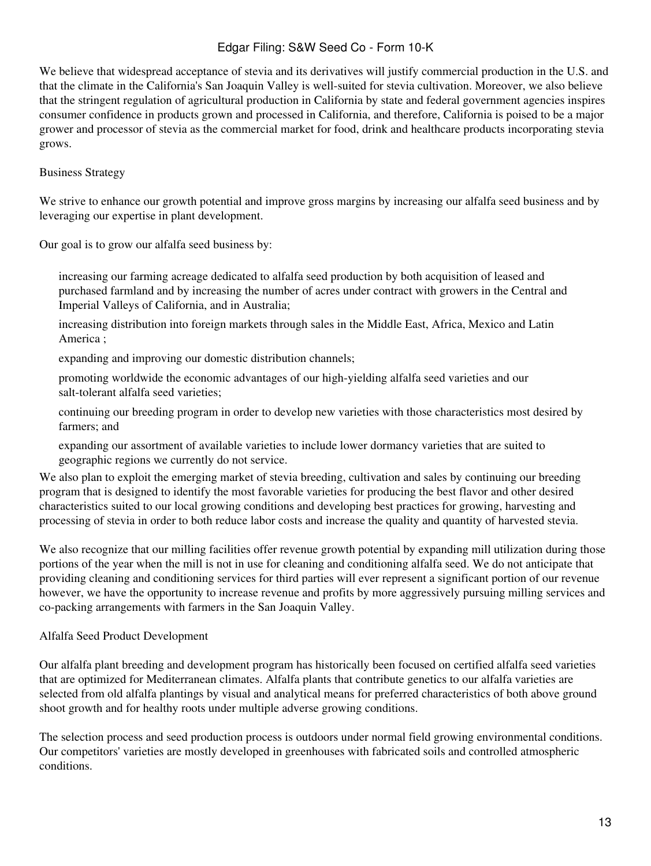We believe that widespread acceptance of stevia and its derivatives will justify commercial production in the U.S. and that the climate in the California's San Joaquin Valley is well-suited for stevia cultivation. Moreover, we also believe that the stringent regulation of agricultural production in California by state and federal government agencies inspires consumer confidence in products grown and processed in California, and therefore, California is poised to be a major grower and processor of stevia as the commercial market for food, drink and healthcare products incorporating stevia grows.

# Business Strategy

We strive to enhance our growth potential and improve gross margins by increasing our alfalfa seed business and by leveraging our expertise in plant development.

Our goal is to grow our alfalfa seed business by:

increasing our farming acreage dedicated to alfalfa seed production by both acquisition of leased and purchased farmland and by increasing the number of acres under contract with growers in the Central and Imperial Valleys of California, and in Australia;

increasing distribution into foreign markets through sales in the Middle East, Africa, Mexico and Latin America ;

expanding and improving our domestic distribution channels;

promoting worldwide the economic advantages of our high-yielding alfalfa seed varieties and our salt-tolerant alfalfa seed varieties;

continuing our breeding program in order to develop new varieties with those characteristics most desired by farmers; and

expanding our assortment of available varieties to include lower dormancy varieties that are suited to geographic regions we currently do not service.

We also plan to exploit the emerging market of stevia breeding, cultivation and sales by continuing our breeding program that is designed to identify the most favorable varieties for producing the best flavor and other desired characteristics suited to our local growing conditions and developing best practices for growing, harvesting and processing of stevia in order to both reduce labor costs and increase the quality and quantity of harvested stevia.

We also recognize that our milling facilities offer revenue growth potential by expanding mill utilization during those portions of the year when the mill is not in use for cleaning and conditioning alfalfa seed. We do not anticipate that providing cleaning and conditioning services for third parties will ever represent a significant portion of our revenue however, we have the opportunity to increase revenue and profits by more aggressively pursuing milling services and co-packing arrangements with farmers in the San Joaquin Valley.

## Alfalfa Seed Product Development

Our alfalfa plant breeding and development program has historically been focused on certified alfalfa seed varieties that are optimized for Mediterranean climates. Alfalfa plants that contribute genetics to our alfalfa varieties are selected from old alfalfa plantings by visual and analytical means for preferred characteristics of both above ground shoot growth and for healthy roots under multiple adverse growing conditions.

The selection process and seed production process is outdoors under normal field growing environmental conditions. Our competitors' varieties are mostly developed in greenhouses with fabricated soils and controlled atmospheric conditions.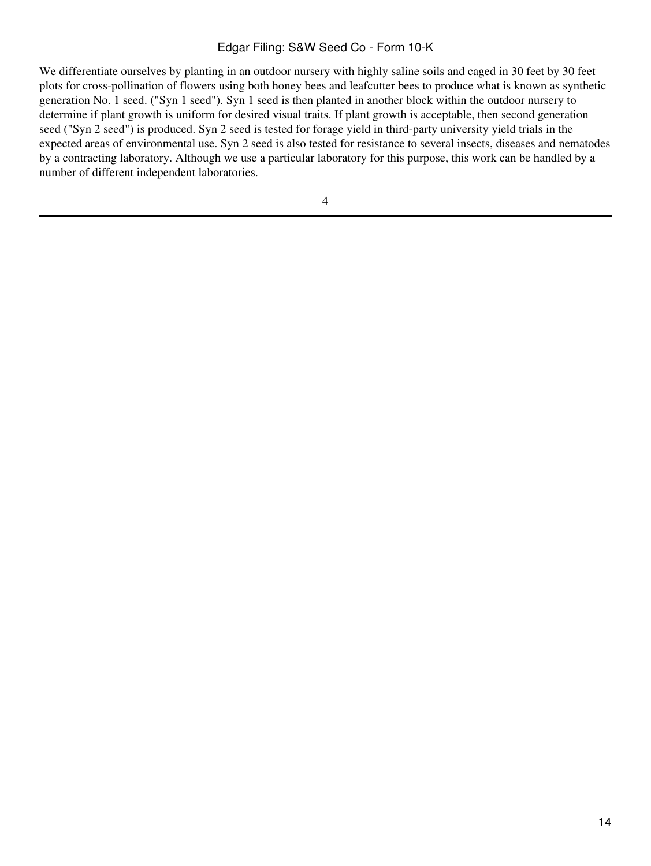We differentiate ourselves by planting in an outdoor nursery with highly saline soils and caged in 30 feet by 30 feet plots for cross-pollination of flowers using both honey bees and leafcutter bees to produce what is known as synthetic generation No. 1 seed. ("Syn 1 seed"). Syn 1 seed is then planted in another block within the outdoor nursery to determine if plant growth is uniform for desired visual traits. If plant growth is acceptable, then second generation seed ("Syn 2 seed") is produced. Syn 2 seed is tested for forage yield in third-party university yield trials in the expected areas of environmental use. Syn 2 seed is also tested for resistance to several insects, diseases and nematodes by a contracting laboratory. Although we use a particular laboratory for this purpose, this work can be handled by a number of different independent laboratories.

4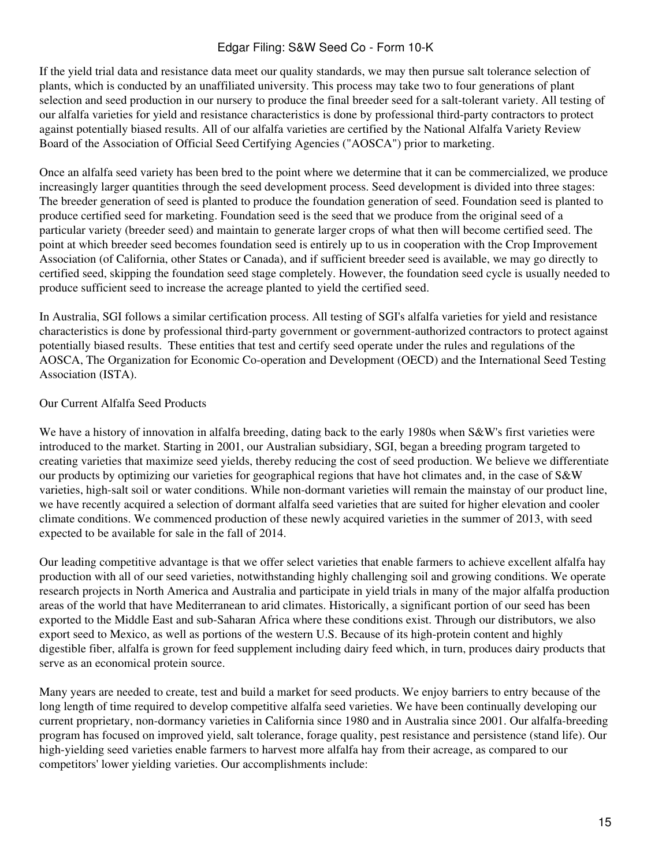If the yield trial data and resistance data meet our quality standards, we may then pursue salt tolerance selection of plants, which is conducted by an unaffiliated university. This process may take two to four generations of plant selection and seed production in our nursery to produce the final breeder seed for a salt-tolerant variety. All testing of our alfalfa varieties for yield and resistance characteristics is done by professional third-party contractors to protect against potentially biased results. All of our alfalfa varieties are certified by the National Alfalfa Variety Review Board of the Association of Official Seed Certifying Agencies ("AOSCA") prior to marketing.

Once an alfalfa seed variety has been bred to the point where we determine that it can be commercialized, we produce increasingly larger quantities through the seed development process. Seed development is divided into three stages: The breeder generation of seed is planted to produce the foundation generation of seed. Foundation seed is planted to produce certified seed for marketing. Foundation seed is the seed that we produce from the original seed of a particular variety (breeder seed) and maintain to generate larger crops of what then will become certified seed. The point at which breeder seed becomes foundation seed is entirely up to us in cooperation with the Crop Improvement Association (of California, other States or Canada), and if sufficient breeder seed is available, we may go directly to certified seed, skipping the foundation seed stage completely. However, the foundation seed cycle is usually needed to produce sufficient seed to increase the acreage planted to yield the certified seed.

In Australia, SGI follows a similar certification process. All testing of SGI's alfalfa varieties for yield and resistance characteristics is done by professional third-party government or government-authorized contractors to protect against potentially biased results. These entities that test and certify seed operate under the rules and regulations of the AOSCA, The Organization for Economic Co-operation and Development (OECD) and the International Seed Testing Association (ISTA).

#### Our Current Alfalfa Seed Products

We have a history of innovation in alfalfa breeding, dating back to the early 1980s when S&W's first varieties were introduced to the market. Starting in 2001, our Australian subsidiary, SGI, began a breeding program targeted to creating varieties that maximize seed yields, thereby reducing the cost of seed production. We believe we differentiate our products by optimizing our varieties for geographical regions that have hot climates and, in the case of S&W varieties, high-salt soil or water conditions. While non-dormant varieties will remain the mainstay of our product line, we have recently acquired a selection of dormant alfalfa seed varieties that are suited for higher elevation and cooler climate conditions. We commenced production of these newly acquired varieties in the summer of 2013, with seed expected to be available for sale in the fall of 2014.

Our leading competitive advantage is that we offer select varieties that enable farmers to achieve excellent alfalfa hay production with all of our seed varieties, notwithstanding highly challenging soil and growing conditions. We operate research projects in North America and Australia and participate in yield trials in many of the major alfalfa production areas of the world that have Mediterranean to arid climates. Historically, a significant portion of our seed has been exported to the Middle East and sub-Saharan Africa where these conditions exist. Through our distributors, we also export seed to Mexico, as well as portions of the western U.S. Because of its high-protein content and highly digestible fiber, alfalfa is grown for feed supplement including dairy feed which, in turn, produces dairy products that serve as an economical protein source.

Many years are needed to create, test and build a market for seed products. We enjoy barriers to entry because of the long length of time required to develop competitive alfalfa seed varieties. We have been continually developing our current proprietary, non-dormancy varieties in California since 1980 and in Australia since 2001. Our alfalfa-breeding program has focused on improved yield, salt tolerance, forage quality, pest resistance and persistence (stand life). Our high-yielding seed varieties enable farmers to harvest more alfalfa hay from their acreage, as compared to our competitors' lower yielding varieties. Our accomplishments include: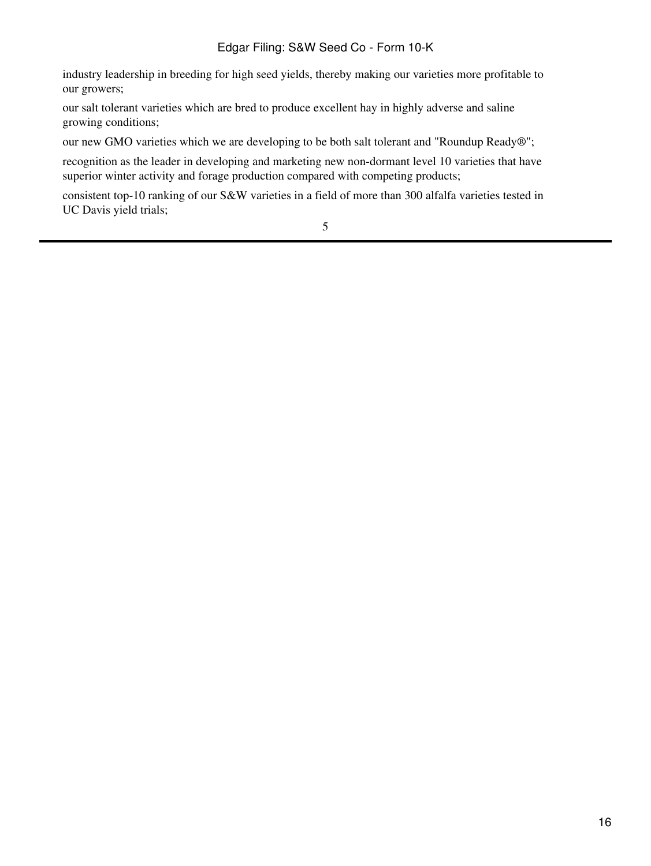industry leadership in breeding for high seed yields, thereby making our varieties more profitable to our growers;

our salt tolerant varieties which are bred to produce excellent hay in highly adverse and saline growing conditions;

our new GMO varieties which we are developing to be both salt tolerant and "Roundup Ready®";

recognition as the leader in developing and marketing new non-dormant level 10 varieties that have superior winter activity and forage production compared with competing products;

consistent top-10 ranking of our S&W varieties in a field of more than 300 alfalfa varieties tested in UC Davis yield trials;

5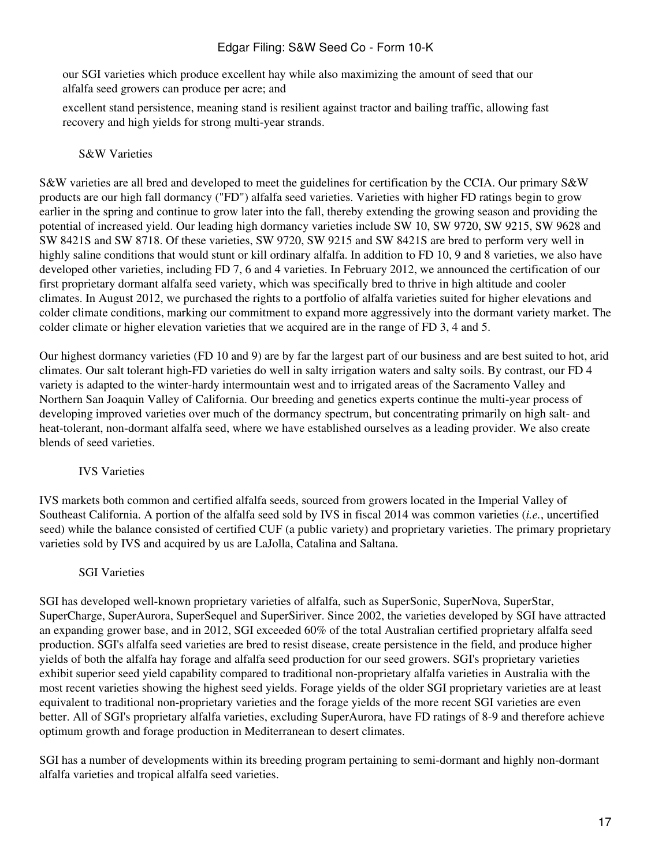our SGI varieties which produce excellent hay while also maximizing the amount of seed that our alfalfa seed growers can produce per acre; and

excellent stand persistence, meaning stand is resilient against tractor and bailing traffic, allowing fast recovery and high yields for strong multi-year strands.

#### S&W Varieties

S&W varieties are all bred and developed to meet the guidelines for certification by the CCIA. Our primary S&W products are our high fall dormancy ("FD") alfalfa seed varieties. Varieties with higher FD ratings begin to grow earlier in the spring and continue to grow later into the fall, thereby extending the growing season and providing the potential of increased yield. Our leading high dormancy varieties include SW 10, SW 9720, SW 9215, SW 9628 and SW 8421S and SW 8718. Of these varieties, SW 9720, SW 9215 and SW 8421S are bred to perform very well in highly saline conditions that would stunt or kill ordinary alfalfa. In addition to FD 10, 9 and 8 varieties, we also have developed other varieties, including FD 7, 6 and 4 varieties. In February 2012, we announced the certification of our first proprietary dormant alfalfa seed variety, which was specifically bred to thrive in high altitude and cooler climates. In August 2012, we purchased the rights to a portfolio of alfalfa varieties suited for higher elevations and colder climate conditions, marking our commitment to expand more aggressively into the dormant variety market. The colder climate or higher elevation varieties that we acquired are in the range of FD 3, 4 and 5.

Our highest dormancy varieties (FD 10 and 9) are by far the largest part of our business and are best suited to hot, arid climates. Our salt tolerant high-FD varieties do well in salty irrigation waters and salty soils. By contrast, our FD 4 variety is adapted to the winter-hardy intermountain west and to irrigated areas of the Sacramento Valley and Northern San Joaquin Valley of California. Our breeding and genetics experts continue the multi-year process of developing improved varieties over much of the dormancy spectrum, but concentrating primarily on high salt- and heat-tolerant, non-dormant alfalfa seed, where we have established ourselves as a leading provider. We also create blends of seed varieties.

## IVS Varieties

IVS markets both common and certified alfalfa seeds, sourced from growers located in the Imperial Valley of Southeast California. A portion of the alfalfa seed sold by IVS in fiscal 2014 was common varieties (*i.e.*, uncertified seed) while the balance consisted of certified CUF (a public variety) and proprietary varieties. The primary proprietary varieties sold by IVS and acquired by us are LaJolla, Catalina and Saltana.

#### SGI Varieties

SGI has developed well-known proprietary varieties of alfalfa, such as SuperSonic, SuperNova, SuperStar, SuperCharge, SuperAurora, SuperSequel and SuperSiriver. Since 2002, the varieties developed by SGI have attracted an expanding grower base, and in 2012, SGI exceeded 60% of the total Australian certified proprietary alfalfa seed production. SGI's alfalfa seed varieties are bred to resist disease, create persistence in the field, and produce higher yields of both the alfalfa hay forage and alfalfa seed production for our seed growers. SGI's proprietary varieties exhibit superior seed yield capability compared to traditional non-proprietary alfalfa varieties in Australia with the most recent varieties showing the highest seed yields. Forage yields of the older SGI proprietary varieties are at least equivalent to traditional non-proprietary varieties and the forage yields of the more recent SGI varieties are even better. All of SGI's proprietary alfalfa varieties, excluding SuperAurora, have FD ratings of 8-9 and therefore achieve optimum growth and forage production in Mediterranean to desert climates.

SGI has a number of developments within its breeding program pertaining to semi-dormant and highly non-dormant alfalfa varieties and tropical alfalfa seed varieties.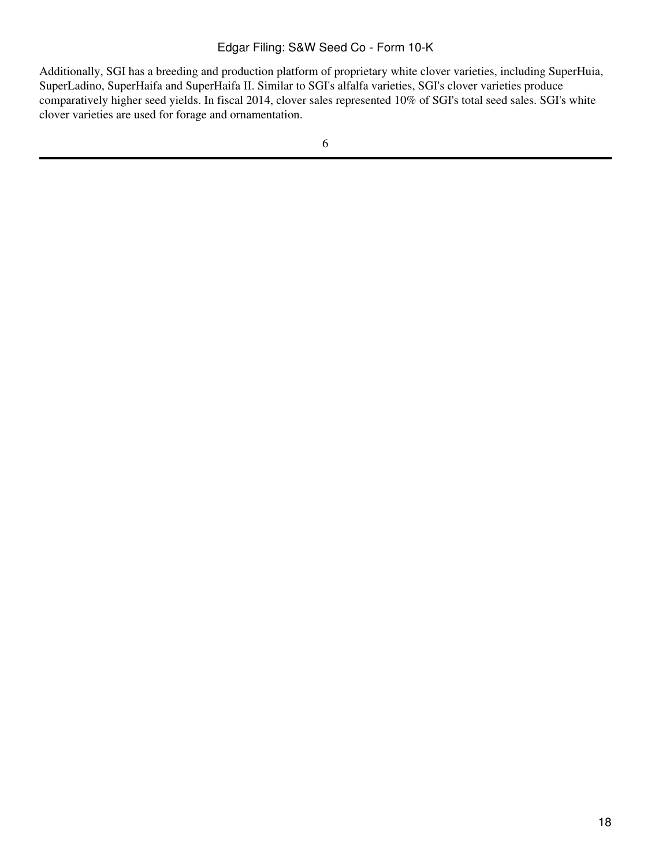Additionally, SGI has a breeding and production platform of proprietary white clover varieties, including SuperHuia, SuperLadino, SuperHaifa and SuperHaifa II. Similar to SGI's alfalfa varieties, SGI's clover varieties produce comparatively higher seed yields. In fiscal 2014, clover sales represented 10% of SGI's total seed sales. SGI's white clover varieties are used for forage and ornamentation.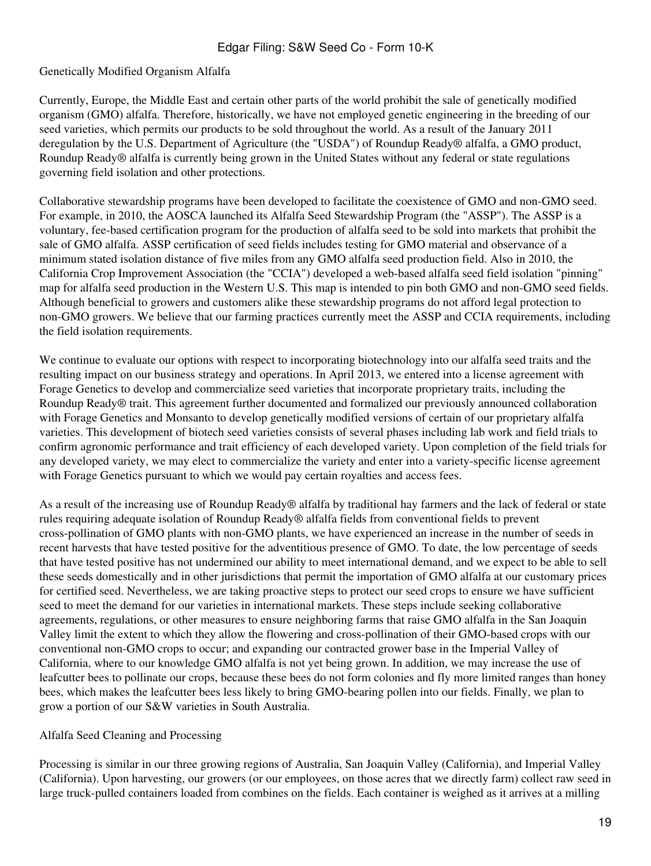#### Genetically Modified Organism Alfalfa

Currently, Europe, the Middle East and certain other parts of the world prohibit the sale of genetically modified organism (GMO) alfalfa. Therefore, historically, we have not employed genetic engineering in the breeding of our seed varieties, which permits our products to be sold throughout the world. As a result of the January 2011 deregulation by the U.S. Department of Agriculture (the "USDA") of Roundup Ready® alfalfa, a GMO product, Roundup Ready® alfalfa is currently being grown in the United States without any federal or state regulations governing field isolation and other protections.

Collaborative stewardship programs have been developed to facilitate the coexistence of GMO and non-GMO seed. For example, in 2010, the AOSCA launched its Alfalfa Seed Stewardship Program (the "ASSP"). The ASSP is a voluntary, fee-based certification program for the production of alfalfa seed to be sold into markets that prohibit the sale of GMO alfalfa. ASSP certification of seed fields includes testing for GMO material and observance of a minimum stated isolation distance of five miles from any GMO alfalfa seed production field. Also in 2010, the California Crop Improvement Association (the "CCIA") developed a web-based alfalfa seed field isolation "pinning" map for alfalfa seed production in the Western U.S. This map is intended to pin both GMO and non-GMO seed fields. Although beneficial to growers and customers alike these stewardship programs do not afford legal protection to non-GMO growers. We believe that our farming practices currently meet the ASSP and CCIA requirements, including the field isolation requirements.

We continue to evaluate our options with respect to incorporating biotechnology into our alfalfa seed traits and the resulting impact on our business strategy and operations. In April 2013, we entered into a license agreement with Forage Genetics to develop and commercialize seed varieties that incorporate proprietary traits, including the Roundup Ready® trait. This agreement further documented and formalized our previously announced collaboration with Forage Genetics and Monsanto to develop genetically modified versions of certain of our proprietary alfalfa varieties. This development of biotech seed varieties consists of several phases including lab work and field trials to confirm agronomic performance and trait efficiency of each developed variety. Upon completion of the field trials for any developed variety, we may elect to commercialize the variety and enter into a variety-specific license agreement with Forage Genetics pursuant to which we would pay certain royalties and access fees.

As a result of the increasing use of Roundup Ready® alfalfa by traditional hay farmers and the lack of federal or state rules requiring adequate isolation of Roundup Ready® alfalfa fields from conventional fields to prevent cross-pollination of GMO plants with non-GMO plants, we have experienced an increase in the number of seeds in recent harvests that have tested positive for the adventitious presence of GMO. To date, the low percentage of seeds that have tested positive has not undermined our ability to meet international demand, and we expect to be able to sell these seeds domestically and in other jurisdictions that permit the importation of GMO alfalfa at our customary prices for certified seed. Nevertheless, we are taking proactive steps to protect our seed crops to ensure we have sufficient seed to meet the demand for our varieties in international markets. These steps include seeking collaborative agreements, regulations, or other measures to ensure neighboring farms that raise GMO alfalfa in the San Joaquin Valley limit the extent to which they allow the flowering and cross-pollination of their GMO-based crops with our conventional non-GMO crops to occur; and expanding our contracted grower base in the Imperial Valley of California, where to our knowledge GMO alfalfa is not yet being grown. In addition, we may increase the use of leafcutter bees to pollinate our crops, because these bees do not form colonies and fly more limited ranges than honey bees, which makes the leafcutter bees less likely to bring GMO-bearing pollen into our fields. Finally, we plan to grow a portion of our S&W varieties in South Australia.

## Alfalfa Seed Cleaning and Processing

Processing is similar in our three growing regions of Australia, San Joaquin Valley (California), and Imperial Valley (California). Upon harvesting, our growers (or our employees, on those acres that we directly farm) collect raw seed in large truck-pulled containers loaded from combines on the fields. Each container is weighed as it arrives at a milling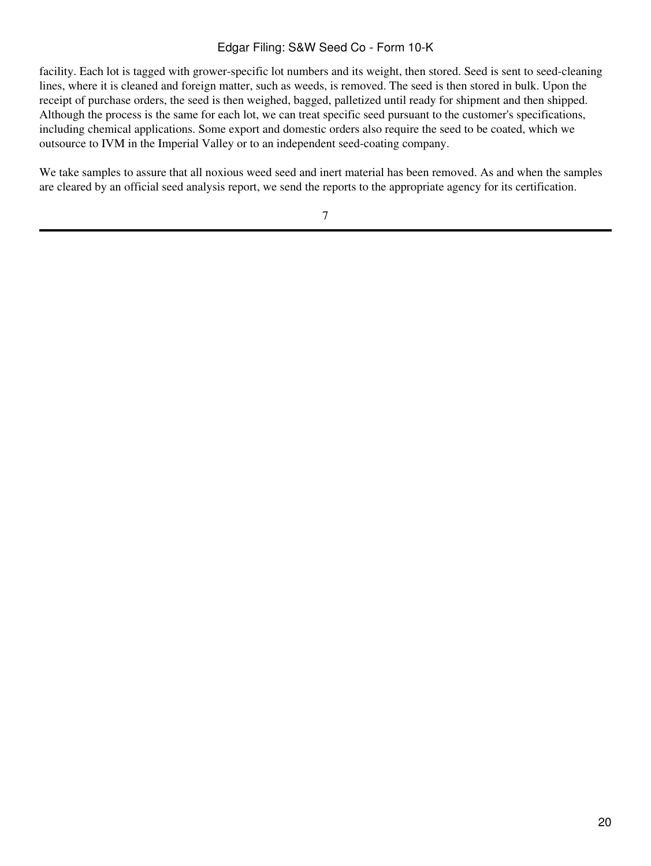facility. Each lot is tagged with grower-specific lot numbers and its weight, then stored. Seed is sent to seed-cleaning lines, where it is cleaned and foreign matter, such as weeds, is removed. The seed is then stored in bulk. Upon the receipt of purchase orders, the seed is then weighed, bagged, palletized until ready for shipment and then shipped. Although the process is the same for each lot, we can treat specific seed pursuant to the customer's specifications, including chemical applications. Some export and domestic orders also require the seed to be coated, which we outsource to IVM in the Imperial Valley or to an independent seed-coating company.

We take samples to assure that all noxious weed seed and inert material has been removed. As and when the samples are cleared by an official seed analysis report, we send the reports to the appropriate agency for its certification.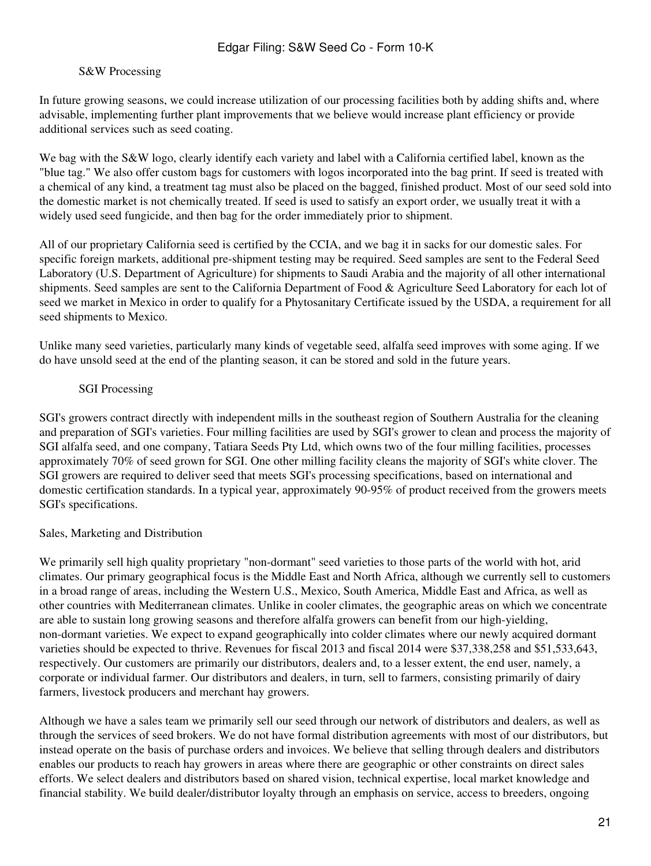#### S&W Processing

In future growing seasons, we could increase utilization of our processing facilities both by adding shifts and, where advisable, implementing further plant improvements that we believe would increase plant efficiency or provide additional services such as seed coating.

We bag with the S&W logo, clearly identify each variety and label with a California certified label, known as the "blue tag." We also offer custom bags for customers with logos incorporated into the bag print. If seed is treated with a chemical of any kind, a treatment tag must also be placed on the bagged, finished product. Most of our seed sold into the domestic market is not chemically treated. If seed is used to satisfy an export order, we usually treat it with a widely used seed fungicide, and then bag for the order immediately prior to shipment.

All of our proprietary California seed is certified by the CCIA, and we bag it in sacks for our domestic sales. For specific foreign markets, additional pre-shipment testing may be required. Seed samples are sent to the Federal Seed Laboratory (U.S. Department of Agriculture) for shipments to Saudi Arabia and the majority of all other international shipments. Seed samples are sent to the California Department of Food & Agriculture Seed Laboratory for each lot of seed we market in Mexico in order to qualify for a Phytosanitary Certificate issued by the USDA, a requirement for all seed shipments to Mexico.

Unlike many seed varieties, particularly many kinds of vegetable seed, alfalfa seed improves with some aging. If we do have unsold seed at the end of the planting season, it can be stored and sold in the future years.

## SGI Processing

SGI's growers contract directly with independent mills in the southeast region of Southern Australia for the cleaning and preparation of SGI's varieties. Four milling facilities are used by SGI's grower to clean and process the majority of SGI alfalfa seed, and one company, Tatiara Seeds Pty Ltd, which owns two of the four milling facilities, processes approximately 70% of seed grown for SGI. One other milling facility cleans the majority of SGI's white clover. The SGI growers are required to deliver seed that meets SGI's processing specifications, based on international and domestic certification standards. In a typical year, approximately 90-95% of product received from the growers meets SGI's specifications.

#### Sales, Marketing and Distribution

We primarily sell high quality proprietary "non-dormant" seed varieties to those parts of the world with hot, arid climates. Our primary geographical focus is the Middle East and North Africa, although we currently sell to customers in a broad range of areas, including the Western U.S., Mexico, South America, Middle East and Africa, as well as other countries with Mediterranean climates. Unlike in cooler climates, the geographic areas on which we concentrate are able to sustain long growing seasons and therefore alfalfa growers can benefit from our high-yielding, non-dormant varieties. We expect to expand geographically into colder climates where our newly acquired dormant varieties should be expected to thrive. Revenues for fiscal 2013 and fiscal 2014 were \$37,338,258 and \$51,533,643, respectively. Our customers are primarily our distributors, dealers and, to a lesser extent, the end user, namely, a corporate or individual farmer. Our distributors and dealers, in turn, sell to farmers, consisting primarily of dairy farmers, livestock producers and merchant hay growers.

Although we have a sales team we primarily sell our seed through our network of distributors and dealers, as well as through the services of seed brokers. We do not have formal distribution agreements with most of our distributors, but instead operate on the basis of purchase orders and invoices. We believe that selling through dealers and distributors enables our products to reach hay growers in areas where there are geographic or other constraints on direct sales efforts. We select dealers and distributors based on shared vision, technical expertise, local market knowledge and financial stability. We build dealer/distributor loyalty through an emphasis on service, access to breeders, ongoing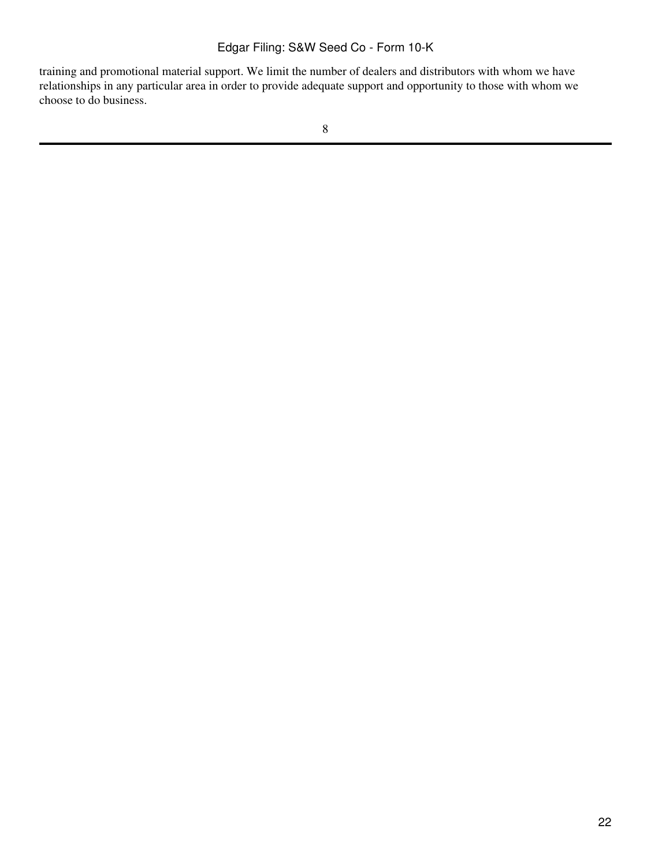training and promotional material support. We limit the number of dealers and distributors with whom we have relationships in any particular area in order to provide adequate support and opportunity to those with whom we choose to do business.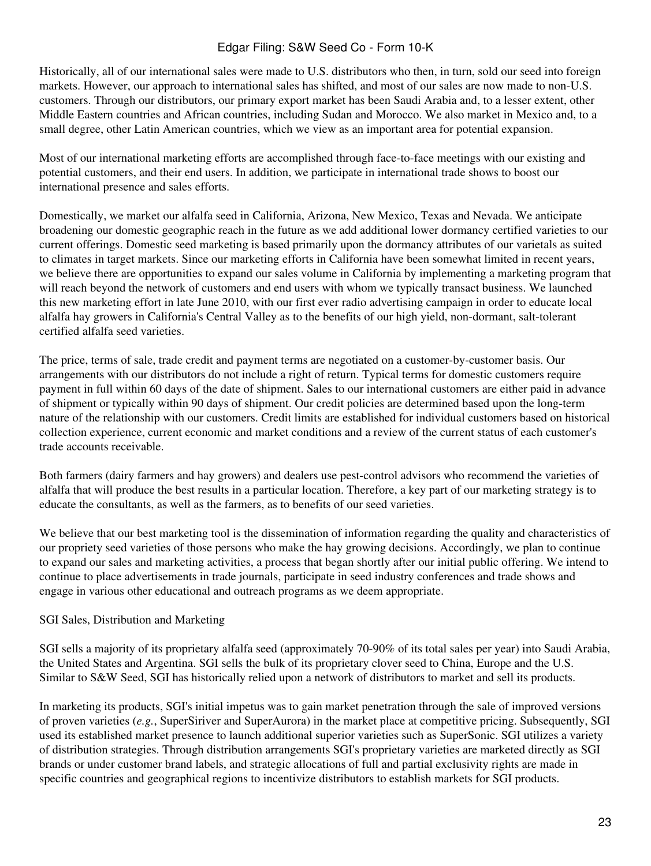Historically, all of our international sales were made to U.S. distributors who then, in turn, sold our seed into foreign markets. However, our approach to international sales has shifted, and most of our sales are now made to non-U.S. customers. Through our distributors, our primary export market has been Saudi Arabia and, to a lesser extent, other Middle Eastern countries and African countries, including Sudan and Morocco. We also market in Mexico and, to a small degree, other Latin American countries, which we view as an important area for potential expansion.

Most of our international marketing efforts are accomplished through face-to-face meetings with our existing and potential customers, and their end users. In addition, we participate in international trade shows to boost our international presence and sales efforts.

Domestically, we market our alfalfa seed in California, Arizona, New Mexico, Texas and Nevada. We anticipate broadening our domestic geographic reach in the future as we add additional lower dormancy certified varieties to our current offerings. Domestic seed marketing is based primarily upon the dormancy attributes of our varietals as suited to climates in target markets. Since our marketing efforts in California have been somewhat limited in recent years, we believe there are opportunities to expand our sales volume in California by implementing a marketing program that will reach beyond the network of customers and end users with whom we typically transact business. We launched this new marketing effort in late June 2010, with our first ever radio advertising campaign in order to educate local alfalfa hay growers in California's Central Valley as to the benefits of our high yield, non-dormant, salt-tolerant certified alfalfa seed varieties.

The price, terms of sale, trade credit and payment terms are negotiated on a customer-by-customer basis. Our arrangements with our distributors do not include a right of return. Typical terms for domestic customers require payment in full within 60 days of the date of shipment. Sales to our international customers are either paid in advance of shipment or typically within 90 days of shipment. Our credit policies are determined based upon the long-term nature of the relationship with our customers. Credit limits are established for individual customers based on historical collection experience, current economic and market conditions and a review of the current status of each customer's trade accounts receivable.

Both farmers (dairy farmers and hay growers) and dealers use pest-control advisors who recommend the varieties of alfalfa that will produce the best results in a particular location. Therefore, a key part of our marketing strategy is to educate the consultants, as well as the farmers, as to benefits of our seed varieties.

We believe that our best marketing tool is the dissemination of information regarding the quality and characteristics of our propriety seed varieties of those persons who make the hay growing decisions. Accordingly, we plan to continue to expand our sales and marketing activities, a process that began shortly after our initial public offering. We intend to continue to place advertisements in trade journals, participate in seed industry conferences and trade shows and engage in various other educational and outreach programs as we deem appropriate.

## SGI Sales, Distribution and Marketing

SGI sells a majority of its proprietary alfalfa seed (approximately 70-90% of its total sales per year) into Saudi Arabia, the United States and Argentina. SGI sells the bulk of its proprietary clover seed to China, Europe and the U.S. Similar to S&W Seed, SGI has historically relied upon a network of distributors to market and sell its products.

In marketing its products, SGI's initial impetus was to gain market penetration through the sale of improved versions of proven varieties (*e.g.*, SuperSiriver and SuperAurora) in the market place at competitive pricing. Subsequently, SGI used its established market presence to launch additional superior varieties such as SuperSonic. SGI utilizes a variety of distribution strategies. Through distribution arrangements SGI's proprietary varieties are marketed directly as SGI brands or under customer brand labels, and strategic allocations of full and partial exclusivity rights are made in specific countries and geographical regions to incentivize distributors to establish markets for SGI products.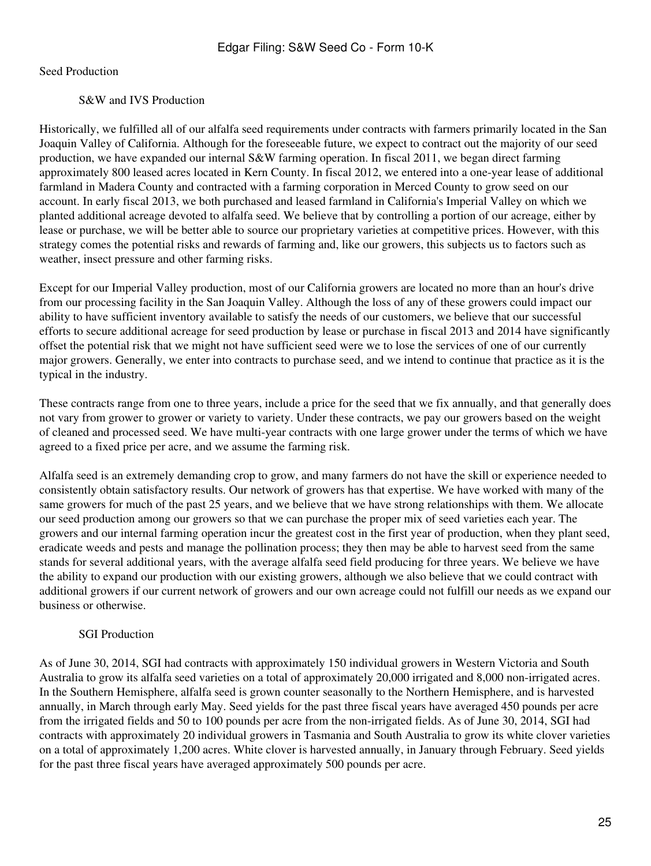Seed Production

S&W and IVS Production

Historically, we fulfilled all of our alfalfa seed requirements under contracts with farmers primarily located in the San Joaquin Valley of California. Although for the foreseeable future, we expect to contract out the majority of our seed production, we have expanded our internal S&W farming operation. In fiscal 2011, we began direct farming approximately 800 leased acres located in Kern County. In fiscal 2012, we entered into a one-year lease of additional farmland in Madera County and contracted with a farming corporation in Merced County to grow seed on our account. In early fiscal 2013, we both purchased and leased farmland in California's Imperial Valley on which we planted additional acreage devoted to alfalfa seed. We believe that by controlling a portion of our acreage, either by lease or purchase, we will be better able to source our proprietary varieties at competitive prices. However, with this strategy comes the potential risks and rewards of farming and, like our growers, this subjects us to factors such as weather, insect pressure and other farming risks.

Except for our Imperial Valley production, most of our California growers are located no more than an hour's drive from our processing facility in the San Joaquin Valley. Although the loss of any of these growers could impact our ability to have sufficient inventory available to satisfy the needs of our customers, we believe that our successful efforts to secure additional acreage for seed production by lease or purchase in fiscal 2013 and 2014 have significantly offset the potential risk that we might not have sufficient seed were we to lose the services of one of our currently major growers. Generally, we enter into contracts to purchase seed, and we intend to continue that practice as it is the typical in the industry.

These contracts range from one to three years, include a price for the seed that we fix annually, and that generally does not vary from grower to grower or variety to variety. Under these contracts, we pay our growers based on the weight of cleaned and processed seed. We have multi-year contracts with one large grower under the terms of which we have agreed to a fixed price per acre, and we assume the farming risk.

Alfalfa seed is an extremely demanding crop to grow, and many farmers do not have the skill or experience needed to consistently obtain satisfactory results. Our network of growers has that expertise. We have worked with many of the same growers for much of the past 25 years, and we believe that we have strong relationships with them. We allocate our seed production among our growers so that we can purchase the proper mix of seed varieties each year. The growers and our internal farming operation incur the greatest cost in the first year of production, when they plant seed, eradicate weeds and pests and manage the pollination process; they then may be able to harvest seed from the same stands for several additional years, with the average alfalfa seed field producing for three years. We believe we have the ability to expand our production with our existing growers, although we also believe that we could contract with additional growers if our current network of growers and our own acreage could not fulfill our needs as we expand our business or otherwise.

# SGI Production

As of June 30, 2014, SGI had contracts with approximately 150 individual growers in Western Victoria and South Australia to grow its alfalfa seed varieties on a total of approximately 20,000 irrigated and 8,000 non-irrigated acres. In the Southern Hemisphere, alfalfa seed is grown counter seasonally to the Northern Hemisphere, and is harvested annually, in March through early May. Seed yields for the past three fiscal years have averaged 450 pounds per acre from the irrigated fields and 50 to 100 pounds per acre from the non-irrigated fields. As of June 30, 2014, SGI had contracts with approximately 20 individual growers in Tasmania and South Australia to grow its white clover varieties on a total of approximately 1,200 acres. White clover is harvested annually, in January through February. Seed yields for the past three fiscal years have averaged approximately 500 pounds per acre.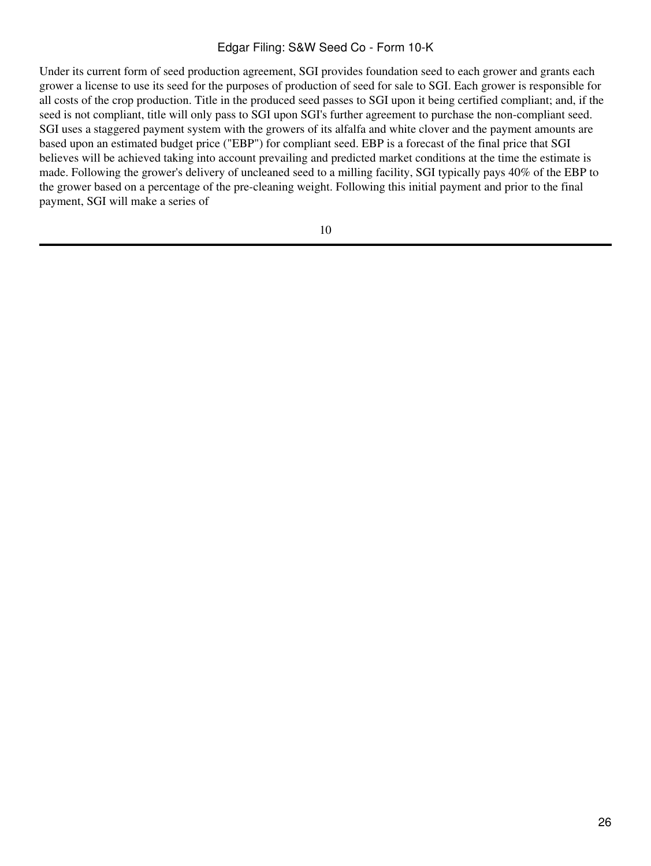Under its current form of seed production agreement, SGI provides foundation seed to each grower and grants each grower a license to use its seed for the purposes of production of seed for sale to SGI. Each grower is responsible for all costs of the crop production. Title in the produced seed passes to SGI upon it being certified compliant; and, if the seed is not compliant, title will only pass to SGI upon SGI's further agreement to purchase the non-compliant seed. SGI uses a staggered payment system with the growers of its alfalfa and white clover and the payment amounts are based upon an estimated budget price ("EBP") for compliant seed. EBP is a forecast of the final price that SGI believes will be achieved taking into account prevailing and predicted market conditions at the time the estimate is made. Following the grower's delivery of uncleaned seed to a milling facility, SGI typically pays 40% of the EBP to the grower based on a percentage of the pre-cleaning weight. Following this initial payment and prior to the final payment, SGI will make a series of

10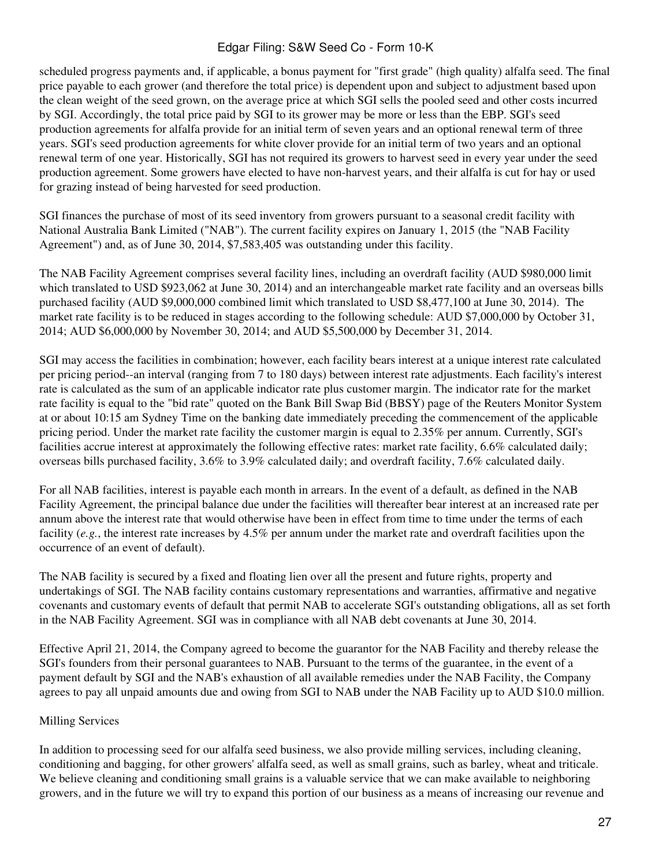scheduled progress payments and, if applicable, a bonus payment for "first grade" (high quality) alfalfa seed. The final price payable to each grower (and therefore the total price) is dependent upon and subject to adjustment based upon the clean weight of the seed grown, on the average price at which SGI sells the pooled seed and other costs incurred by SGI. Accordingly, the total price paid by SGI to its grower may be more or less than the EBP. SGI's seed production agreements for alfalfa provide for an initial term of seven years and an optional renewal term of three years. SGI's seed production agreements for white clover provide for an initial term of two years and an optional renewal term of one year. Historically, SGI has not required its growers to harvest seed in every year under the seed production agreement. Some growers have elected to have non-harvest years, and their alfalfa is cut for hay or used for grazing instead of being harvested for seed production.

SGI finances the purchase of most of its seed inventory from growers pursuant to a seasonal credit facility with National Australia Bank Limited ("NAB"). The current facility expires on January 1, 2015 (the "NAB Facility Agreement") and, as of June 30, 2014, \$7,583,405 was outstanding under this facility.

The NAB Facility Agreement comprises several facility lines, including an overdraft facility (AUD \$980,000 limit which translated to USD \$923,062 at June 30, 2014) and an interchangeable market rate facility and an overseas bills purchased facility (AUD \$9,000,000 combined limit which translated to USD \$8,477,100 at June 30, 2014). The market rate facility is to be reduced in stages according to the following schedule: AUD \$7,000,000 by October 31, 2014; AUD \$6,000,000 by November 30, 2014; and AUD \$5,500,000 by December 31, 2014.

SGI may access the facilities in combination; however, each facility bears interest at a unique interest rate calculated per pricing period--an interval (ranging from 7 to 180 days) between interest rate adjustments. Each facility's interest rate is calculated as the sum of an applicable indicator rate plus customer margin. The indicator rate for the market rate facility is equal to the "bid rate" quoted on the Bank Bill Swap Bid (BBSY) page of the Reuters Monitor System at or about 10:15 am Sydney Time on the banking date immediately preceding the commencement of the applicable pricing period. Under the market rate facility the customer margin is equal to 2.35% per annum. Currently, SGI's facilities accrue interest at approximately the following effective rates: market rate facility, 6.6% calculated daily; overseas bills purchased facility, 3.6% to 3.9% calculated daily; and overdraft facility, 7.6% calculated daily.

For all NAB facilities, interest is payable each month in arrears. In the event of a default, as defined in the NAB Facility Agreement, the principal balance due under the facilities will thereafter bear interest at an increased rate per annum above the interest rate that would otherwise have been in effect from time to time under the terms of each facility (*e.g.*, the interest rate increases by 4.5% per annum under the market rate and overdraft facilities upon the occurrence of an event of default).

The NAB facility is secured by a fixed and floating lien over all the present and future rights, property and undertakings of SGI. The NAB facility contains customary representations and warranties, affirmative and negative covenants and customary events of default that permit NAB to accelerate SGI's outstanding obligations, all as set forth in the NAB Facility Agreement. SGI was in compliance with all NAB debt covenants at June 30, 2014.

Effective April 21, 2014, the Company agreed to become the guarantor for the NAB Facility and thereby release the SGI's founders from their personal guarantees to NAB. Pursuant to the terms of the guarantee, in the event of a payment default by SGI and the NAB's exhaustion of all available remedies under the NAB Facility, the Company agrees to pay all unpaid amounts due and owing from SGI to NAB under the NAB Facility up to AUD \$10.0 million.

## Milling Services

In addition to processing seed for our alfalfa seed business, we also provide milling services, including cleaning, conditioning and bagging, for other growers' alfalfa seed, as well as small grains, such as barley, wheat and triticale. We believe cleaning and conditioning small grains is a valuable service that we can make available to neighboring growers, and in the future we will try to expand this portion of our business as a means of increasing our revenue and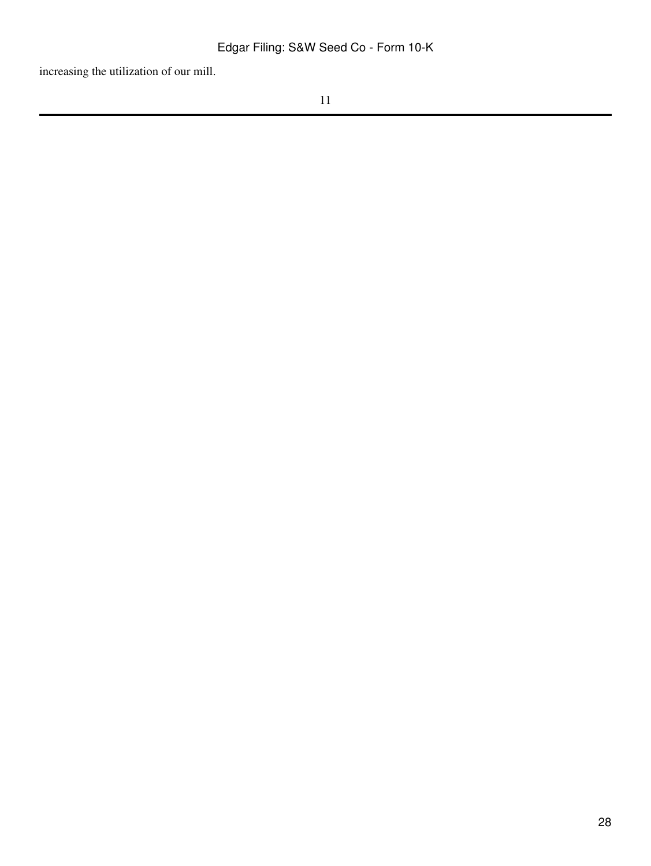increasing the utilization of our mill.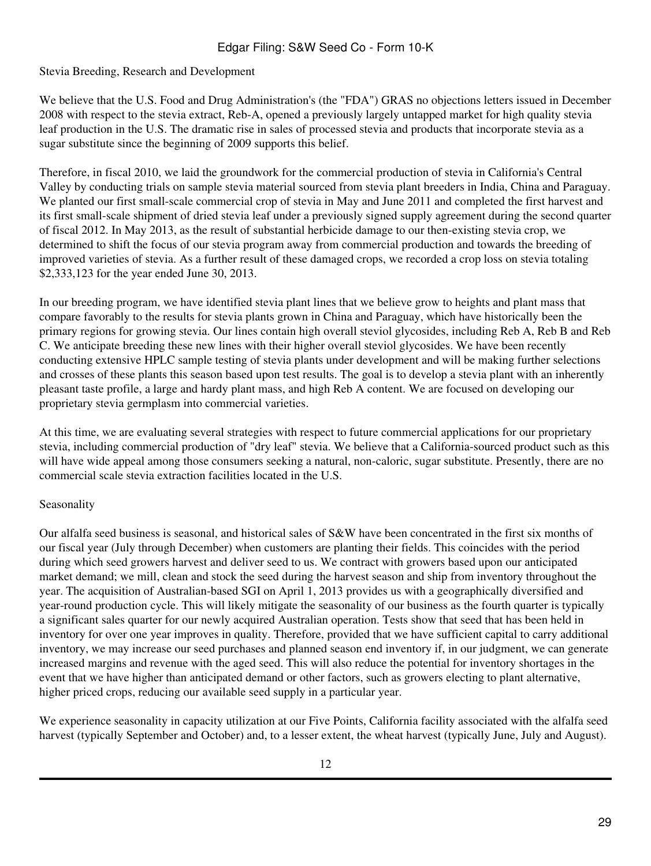# Stevia Breeding, Research and Development

We believe that the U.S. Food and Drug Administration's (the "FDA") GRAS no objections letters issued in December 2008 with respect to the stevia extract, Reb-A, opened a previously largely untapped market for high quality stevia leaf production in the U.S. The dramatic rise in sales of processed stevia and products that incorporate stevia as a sugar substitute since the beginning of 2009 supports this belief.

Therefore, in fiscal 2010, we laid the groundwork for the commercial production of stevia in California's Central Valley by conducting trials on sample stevia material sourced from stevia plant breeders in India, China and Paraguay. We planted our first small-scale commercial crop of stevia in May and June 2011 and completed the first harvest and its first small-scale shipment of dried stevia leaf under a previously signed supply agreement during the second quarter of fiscal 2012. In May 2013, as the result of substantial herbicide damage to our then-existing stevia crop, we determined to shift the focus of our stevia program away from commercial production and towards the breeding of improved varieties of stevia. As a further result of these damaged crops, we recorded a crop loss on stevia totaling \$2,333,123 for the year ended June 30, 2013.

In our breeding program, we have identified stevia plant lines that we believe grow to heights and plant mass that compare favorably to the results for stevia plants grown in China and Paraguay, which have historically been the primary regions for growing stevia. Our lines contain high overall steviol glycosides, including Reb A, Reb B and Reb C. We anticipate breeding these new lines with their higher overall steviol glycosides. We have been recently conducting extensive HPLC sample testing of stevia plants under development and will be making further selections and crosses of these plants this season based upon test results. The goal is to develop a stevia plant with an inherently pleasant taste profile, a large and hardy plant mass, and high Reb A content. We are focused on developing our proprietary stevia germplasm into commercial varieties.

At this time, we are evaluating several strategies with respect to future commercial applications for our proprietary stevia, including commercial production of "dry leaf" stevia. We believe that a California-sourced product such as this will have wide appeal among those consumers seeking a natural, non-caloric, sugar substitute. Presently, there are no commercial scale stevia extraction facilities located in the U.S.

## Seasonality

Our alfalfa seed business is seasonal, and historical sales of S&W have been concentrated in the first six months of our fiscal year (July through December) when customers are planting their fields. This coincides with the period during which seed growers harvest and deliver seed to us. We contract with growers based upon our anticipated market demand; we mill, clean and stock the seed during the harvest season and ship from inventory throughout the year. The acquisition of Australian-based SGI on April 1, 2013 provides us with a geographically diversified and year-round production cycle. This will likely mitigate the seasonality of our business as the fourth quarter is typically a significant sales quarter for our newly acquired Australian operation. Tests show that seed that has been held in inventory for over one year improves in quality. Therefore, provided that we have sufficient capital to carry additional inventory, we may increase our seed purchases and planned season end inventory if, in our judgment, we can generate increased margins and revenue with the aged seed. This will also reduce the potential for inventory shortages in the event that we have higher than anticipated demand or other factors, such as growers electing to plant alternative, higher priced crops, reducing our available seed supply in a particular year.

We experience seasonality in capacity utilization at our Five Points, California facility associated with the alfalfa seed harvest (typically September and October) and, to a lesser extent, the wheat harvest (typically June, July and August).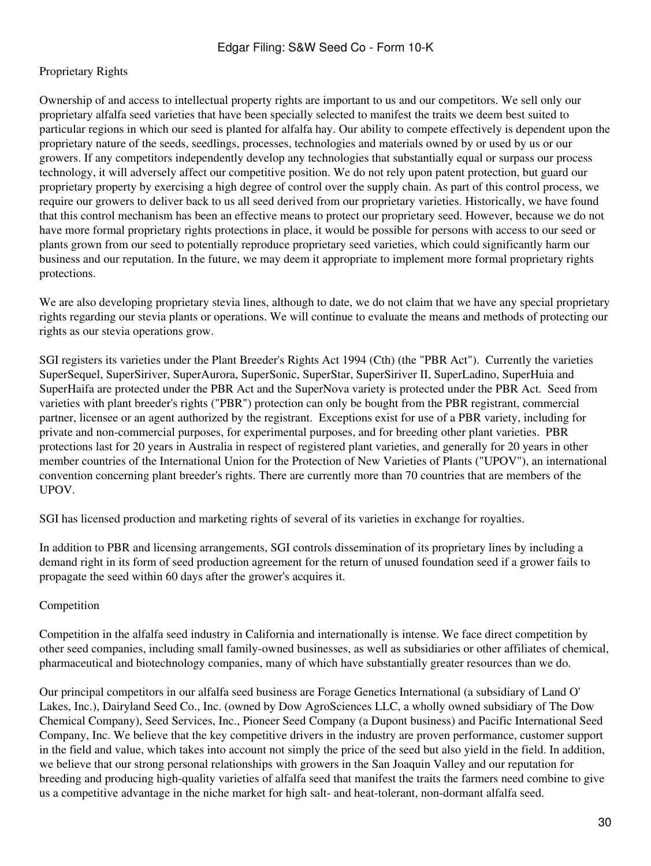## Proprietary Rights

Ownership of and access to intellectual property rights are important to us and our competitors. We sell only our proprietary alfalfa seed varieties that have been specially selected to manifest the traits we deem best suited to particular regions in which our seed is planted for alfalfa hay. Our ability to compete effectively is dependent upon the proprietary nature of the seeds, seedlings, processes, technologies and materials owned by or used by us or our growers. If any competitors independently develop any technologies that substantially equal or surpass our process technology, it will adversely affect our competitive position. We do not rely upon patent protection, but guard our proprietary property by exercising a high degree of control over the supply chain. As part of this control process, we require our growers to deliver back to us all seed derived from our proprietary varieties. Historically, we have found that this control mechanism has been an effective means to protect our proprietary seed. However, because we do not have more formal proprietary rights protections in place, it would be possible for persons with access to our seed or plants grown from our seed to potentially reproduce proprietary seed varieties, which could significantly harm our business and our reputation. In the future, we may deem it appropriate to implement more formal proprietary rights protections.

We are also developing proprietary stevia lines, although to date, we do not claim that we have any special proprietary rights regarding our stevia plants or operations. We will continue to evaluate the means and methods of protecting our rights as our stevia operations grow.

SGI registers its varieties under the Plant Breeder's Rights Act 1994 (Cth) (the "PBR Act"). Currently the varieties SuperSequel, SuperSiriver, SuperAurora, SuperSonic, SuperStar, SuperSiriver II, SuperLadino, SuperHuia and SuperHaifa are protected under the PBR Act and the SuperNova variety is protected under the PBR Act. Seed from varieties with plant breeder's rights ("PBR") protection can only be bought from the PBR registrant, commercial partner, licensee or an agent authorized by the registrant. Exceptions exist for use of a PBR variety, including for private and non-commercial purposes, for experimental purposes, and for breeding other plant varieties. PBR protections last for 20 years in Australia in respect of registered plant varieties, and generally for 20 years in other member countries of the International Union for the Protection of New Varieties of Plants ("UPOV"), an international convention concerning plant breeder's rights. There are currently more than 70 countries that are members of the UPOV.

SGI has licensed production and marketing rights of several of its varieties in exchange for royalties.

In addition to PBR and licensing arrangements, SGI controls dissemination of its proprietary lines by including a demand right in its form of seed production agreement for the return of unused foundation seed if a grower fails to propagate the seed within 60 days after the grower's acquires it.

#### Competition

Competition in the alfalfa seed industry in California and internationally is intense. We face direct competition by other seed companies, including small family-owned businesses, as well as subsidiaries or other affiliates of chemical, pharmaceutical and biotechnology companies, many of which have substantially greater resources than we do.

Our principal competitors in our alfalfa seed business are Forage Genetics International (a subsidiary of Land O' Lakes, Inc.), Dairyland Seed Co., Inc. (owned by Dow AgroSciences LLC, a wholly owned subsidiary of The Dow Chemical Company), Seed Services, Inc., Pioneer Seed Company (a Dupont business) and Pacific International Seed Company, Inc. We believe that the key competitive drivers in the industry are proven performance, customer support in the field and value, which takes into account not simply the price of the seed but also yield in the field. In addition, we believe that our strong personal relationships with growers in the San Joaquin Valley and our reputation for breeding and producing high-quality varieties of alfalfa seed that manifest the traits the farmers need combine to give us a competitive advantage in the niche market for high salt- and heat-tolerant, non-dormant alfalfa seed.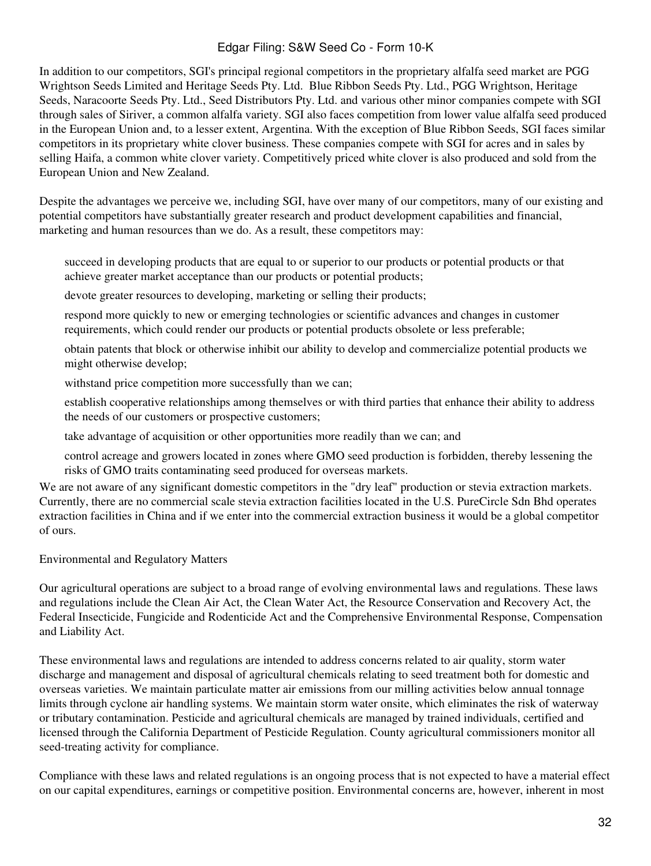In addition to our competitors, SGI's principal regional competitors in the proprietary alfalfa seed market are PGG Wrightson Seeds Limited and Heritage Seeds Pty. Ltd. Blue Ribbon Seeds Pty. Ltd., PGG Wrightson, Heritage Seeds, Naracoorte Seeds Pty. Ltd., Seed Distributors Pty. Ltd. and various other minor companies compete with SGI through sales of Siriver, a common alfalfa variety. SGI also faces competition from lower value alfalfa seed produced in the European Union and, to a lesser extent, Argentina. With the exception of Blue Ribbon Seeds, SGI faces similar competitors in its proprietary white clover business. These companies compete with SGI for acres and in sales by selling Haifa, a common white clover variety. Competitively priced white clover is also produced and sold from the European Union and New Zealand.

Despite the advantages we perceive we, including SGI, have over many of our competitors, many of our existing and potential competitors have substantially greater research and product development capabilities and financial, marketing and human resources than we do. As a result, these competitors may:

succeed in developing products that are equal to or superior to our products or potential products or that achieve greater market acceptance than our products or potential products;

devote greater resources to developing, marketing or selling their products;

respond more quickly to new or emerging technologies or scientific advances and changes in customer requirements, which could render our products or potential products obsolete or less preferable;

obtain patents that block or otherwise inhibit our ability to develop and commercialize potential products we might otherwise develop;

withstand price competition more successfully than we can;

establish cooperative relationships among themselves or with third parties that enhance their ability to address the needs of our customers or prospective customers;

take advantage of acquisition or other opportunities more readily than we can; and

control acreage and growers located in zones where GMO seed production is forbidden, thereby lessening the risks of GMO traits contaminating seed produced for overseas markets.

We are not aware of any significant domestic competitors in the "dry leaf" production or stevia extraction markets. Currently, there are no commercial scale stevia extraction facilities located in the U.S. PureCircle Sdn Bhd operates extraction facilities in China and if we enter into the commercial extraction business it would be a global competitor of ours.

Environmental and Regulatory Matters

Our agricultural operations are subject to a broad range of evolving environmental laws and regulations. These laws and regulations include the Clean Air Act, the Clean Water Act, the Resource Conservation and Recovery Act, the Federal Insecticide, Fungicide and Rodenticide Act and the Comprehensive Environmental Response, Compensation and Liability Act.

These environmental laws and regulations are intended to address concerns related to air quality, storm water discharge and management and disposal of agricultural chemicals relating to seed treatment both for domestic and overseas varieties. We maintain particulate matter air emissions from our milling activities below annual tonnage limits through cyclone air handling systems. We maintain storm water onsite, which eliminates the risk of waterway or tributary contamination. Pesticide and agricultural chemicals are managed by trained individuals, certified and licensed through the California Department of Pesticide Regulation. County agricultural commissioners monitor all seed-treating activity for compliance.

Compliance with these laws and related regulations is an ongoing process that is not expected to have a material effect on our capital expenditures, earnings or competitive position. Environmental concerns are, however, inherent in most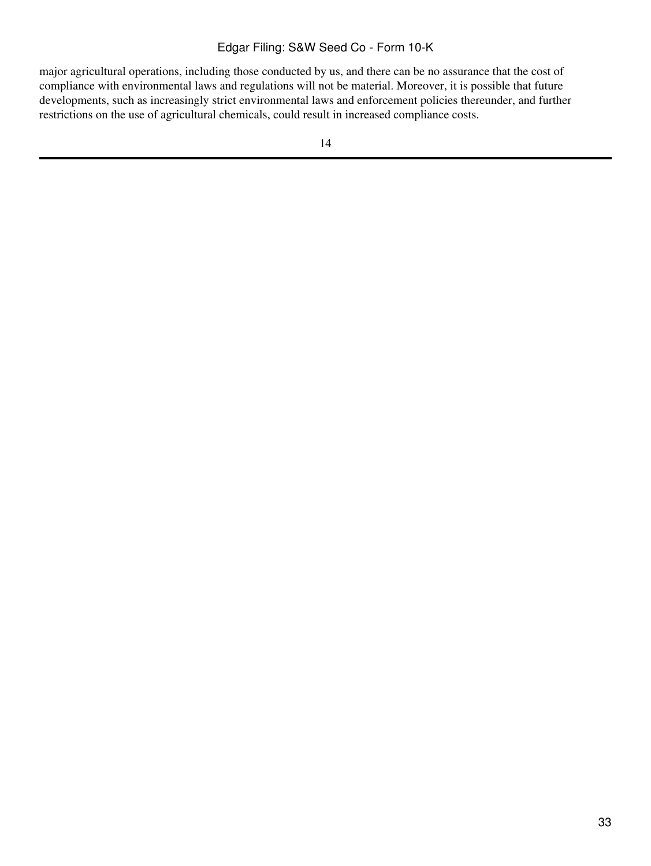major agricultural operations, including those conducted by us, and there can be no assurance that the cost of compliance with environmental laws and regulations will not be material. Moreover, it is possible that future developments, such as increasingly strict environmental laws and enforcement policies thereunder, and further restrictions on the use of agricultural chemicals, could result in increased compliance costs.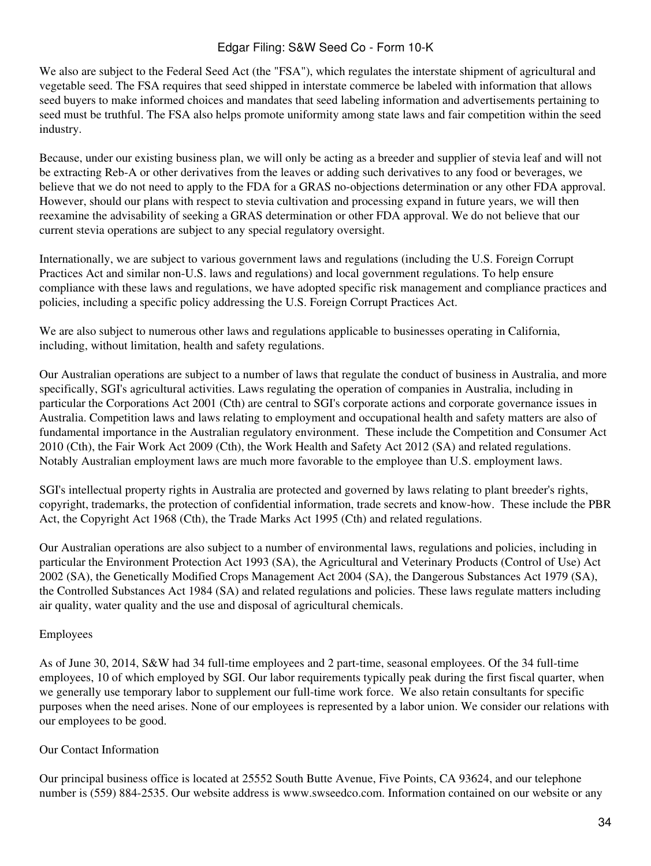We also are subject to the Federal Seed Act (the "FSA"), which regulates the interstate shipment of agricultural and vegetable seed. The FSA requires that seed shipped in interstate commerce be labeled with information that allows seed buyers to make informed choices and mandates that seed labeling information and advertisements pertaining to seed must be truthful. The FSA also helps promote uniformity among state laws and fair competition within the seed industry.

Because, under our existing business plan, we will only be acting as a breeder and supplier of stevia leaf and will not be extracting Reb-A or other derivatives from the leaves or adding such derivatives to any food or beverages, we believe that we do not need to apply to the FDA for a GRAS no-objections determination or any other FDA approval. However, should our plans with respect to stevia cultivation and processing expand in future years, we will then reexamine the advisability of seeking a GRAS determination or other FDA approval. We do not believe that our current stevia operations are subject to any special regulatory oversight.

Internationally, we are subject to various government laws and regulations (including the U.S. Foreign Corrupt Practices Act and similar non-U.S. laws and regulations) and local government regulations. To help ensure compliance with these laws and regulations, we have adopted specific risk management and compliance practices and policies, including a specific policy addressing the U.S. Foreign Corrupt Practices Act.

We are also subject to numerous other laws and regulations applicable to businesses operating in California, including, without limitation, health and safety regulations.

Our Australian operations are subject to a number of laws that regulate the conduct of business in Australia, and more specifically, SGI's agricultural activities. Laws regulating the operation of companies in Australia, including in particular the Corporations Act 2001 (Cth) are central to SGI's corporate actions and corporate governance issues in Australia. Competition laws and laws relating to employment and occupational health and safety matters are also of fundamental importance in the Australian regulatory environment. These include the Competition and Consumer Act 2010 (Cth), the Fair Work Act 2009 (Cth), the Work Health and Safety Act 2012 (SA) and related regulations. Notably Australian employment laws are much more favorable to the employee than U.S. employment laws.

SGI's intellectual property rights in Australia are protected and governed by laws relating to plant breeder's rights, copyright, trademarks, the protection of confidential information, trade secrets and know-how. These include the PBR Act, the Copyright Act 1968 (Cth), the Trade Marks Act 1995 (Cth) and related regulations.

Our Australian operations are also subject to a number of environmental laws, regulations and policies, including in particular the Environment Protection Act 1993 (SA), the Agricultural and Veterinary Products (Control of Use) Act 2002 (SA), the Genetically Modified Crops Management Act 2004 (SA), the Dangerous Substances Act 1979 (SA), the Controlled Substances Act 1984 (SA) and related regulations and policies. These laws regulate matters including air quality, water quality and the use and disposal of agricultural chemicals.

## Employees

As of June 30, 2014, S&W had 34 full-time employees and 2 part-time, seasonal employees. Of the 34 full-time employees, 10 of which employed by SGI. Our labor requirements typically peak during the first fiscal quarter, when we generally use temporary labor to supplement our full-time work force. We also retain consultants for specific purposes when the need arises. None of our employees is represented by a labor union. We consider our relations with our employees to be good.

## Our Contact Information

Our principal business office is located at 25552 South Butte Avenue, Five Points, CA 93624, and our telephone number is (559) 884-2535. Our website address is www.swseedco.com. Information contained on our website or any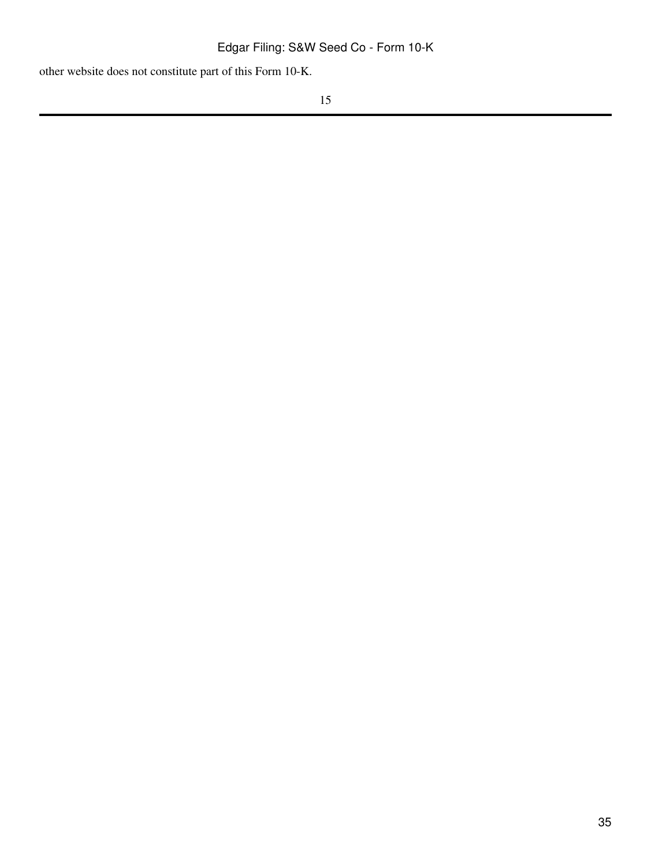other website does not constitute part of this Form 10-K.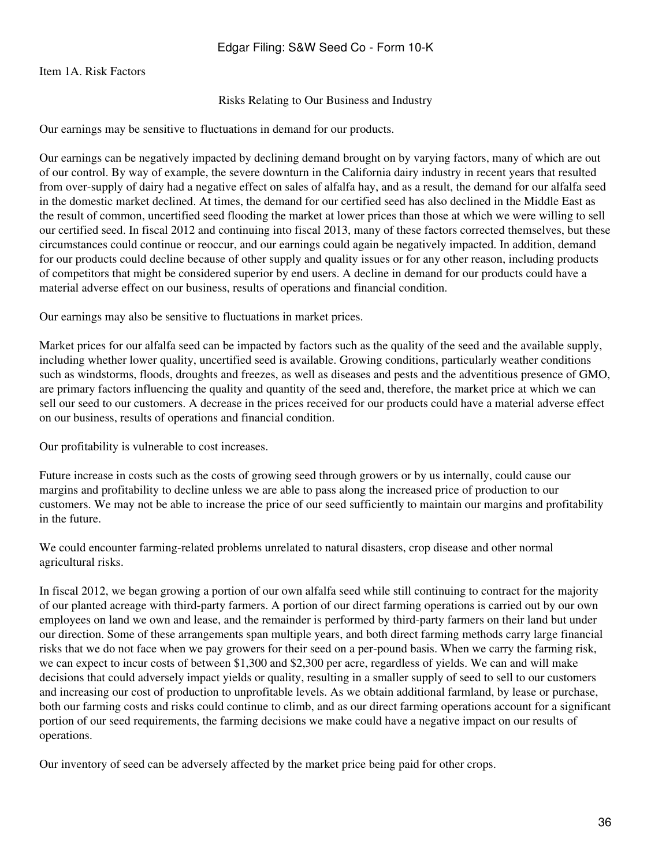<span id="page-35-0"></span>Item 1A. Risk Factors

#### Risks Relating to Our Business and Industry

Our earnings may be sensitive to fluctuations in demand for our products.

Our earnings can be negatively impacted by declining demand brought on by varying factors, many of which are out of our control. By way of example, the severe downturn in the California dairy industry in recent years that resulted from over-supply of dairy had a negative effect on sales of alfalfa hay, and as a result, the demand for our alfalfa seed in the domestic market declined. At times, the demand for our certified seed has also declined in the Middle East as the result of common, uncertified seed flooding the market at lower prices than those at which we were willing to sell our certified seed. In fiscal 2012 and continuing into fiscal 2013, many of these factors corrected themselves, but these circumstances could continue or reoccur, and our earnings could again be negatively impacted. In addition, demand for our products could decline because of other supply and quality issues or for any other reason, including products of competitors that might be considered superior by end users. A decline in demand for our products could have a material adverse effect on our business, results of operations and financial condition.

Our earnings may also be sensitive to fluctuations in market prices.

Market prices for our alfalfa seed can be impacted by factors such as the quality of the seed and the available supply, including whether lower quality, uncertified seed is available. Growing conditions, particularly weather conditions such as windstorms, floods, droughts and freezes, as well as diseases and pests and the adventitious presence of GMO, are primary factors influencing the quality and quantity of the seed and, therefore, the market price at which we can sell our seed to our customers. A decrease in the prices received for our products could have a material adverse effect on our business, results of operations and financial condition.

Our profitability is vulnerable to cost increases.

Future increase in costs such as the costs of growing seed through growers or by us internally, could cause our margins and profitability to decline unless we are able to pass along the increased price of production to our customers. We may not be able to increase the price of our seed sufficiently to maintain our margins and profitability in the future.

We could encounter farming-related problems unrelated to natural disasters, crop disease and other normal agricultural risks.

In fiscal 2012, we began growing a portion of our own alfalfa seed while still continuing to contract for the majority of our planted acreage with third-party farmers. A portion of our direct farming operations is carried out by our own employees on land we own and lease, and the remainder is performed by third-party farmers on their land but under our direction. Some of these arrangements span multiple years, and both direct farming methods carry large financial risks that we do not face when we pay growers for their seed on a per-pound basis. When we carry the farming risk, we can expect to incur costs of between \$1,300 and \$2,300 per acre, regardless of yields. We can and will make decisions that could adversely impact yields or quality, resulting in a smaller supply of seed to sell to our customers and increasing our cost of production to unprofitable levels. As we obtain additional farmland, by lease or purchase, both our farming costs and risks could continue to climb, and as our direct farming operations account for a significant portion of our seed requirements, the farming decisions we make could have a negative impact on our results of operations.

Our inventory of seed can be adversely affected by the market price being paid for other crops.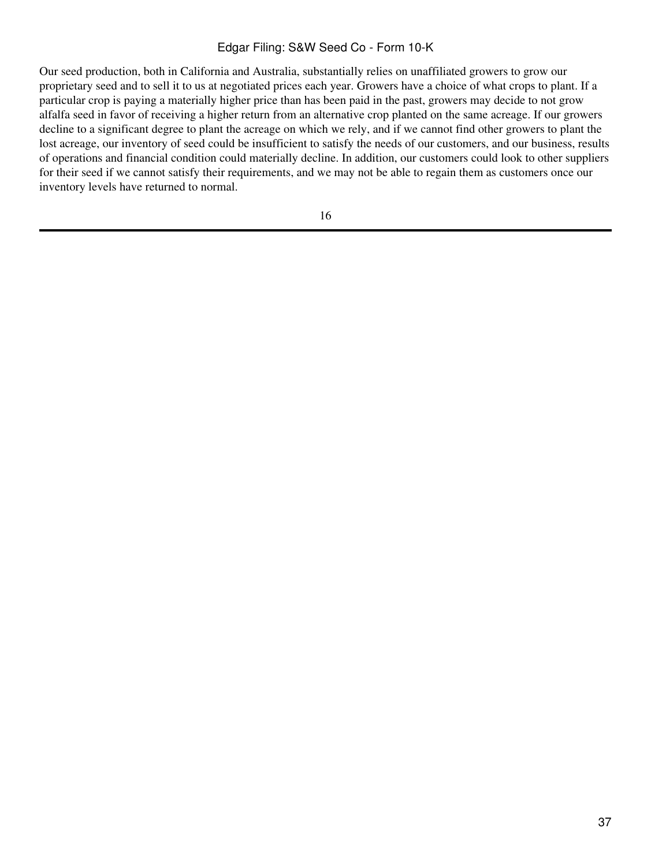Our seed production, both in California and Australia, substantially relies on unaffiliated growers to grow our proprietary seed and to sell it to us at negotiated prices each year. Growers have a choice of what crops to plant. If a particular crop is paying a materially higher price than has been paid in the past, growers may decide to not grow alfalfa seed in favor of receiving a higher return from an alternative crop planted on the same acreage. If our growers decline to a significant degree to plant the acreage on which we rely, and if we cannot find other growers to plant the lost acreage, our inventory of seed could be insufficient to satisfy the needs of our customers, and our business, results of operations and financial condition could materially decline. In addition, our customers could look to other suppliers for their seed if we cannot satisfy their requirements, and we may not be able to regain them as customers once our inventory levels have returned to normal.

16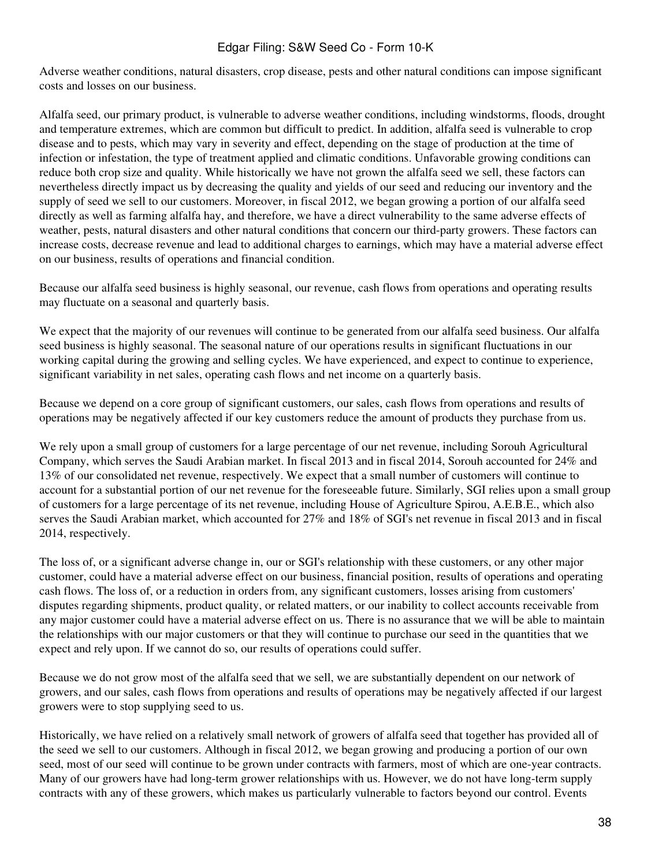Adverse weather conditions, natural disasters, crop disease, pests and other natural conditions can impose significant costs and losses on our business.

Alfalfa seed, our primary product, is vulnerable to adverse weather conditions, including windstorms, floods, drought and temperature extremes, which are common but difficult to predict. In addition, alfalfa seed is vulnerable to crop disease and to pests, which may vary in severity and effect, depending on the stage of production at the time of infection or infestation, the type of treatment applied and climatic conditions. Unfavorable growing conditions can reduce both crop size and quality. While historically we have not grown the alfalfa seed we sell, these factors can nevertheless directly impact us by decreasing the quality and yields of our seed and reducing our inventory and the supply of seed we sell to our customers. Moreover, in fiscal 2012, we began growing a portion of our alfalfa seed directly as well as farming alfalfa hay, and therefore, we have a direct vulnerability to the same adverse effects of weather, pests, natural disasters and other natural conditions that concern our third-party growers. These factors can increase costs, decrease revenue and lead to additional charges to earnings, which may have a material adverse effect on our business, results of operations and financial condition.

Because our alfalfa seed business is highly seasonal, our revenue, cash flows from operations and operating results may fluctuate on a seasonal and quarterly basis.

We expect that the majority of our revenues will continue to be generated from our alfalfa seed business. Our alfalfa seed business is highly seasonal. The seasonal nature of our operations results in significant fluctuations in our working capital during the growing and selling cycles. We have experienced, and expect to continue to experience, significant variability in net sales, operating cash flows and net income on a quarterly basis.

Because we depend on a core group of significant customers, our sales, cash flows from operations and results of operations may be negatively affected if our key customers reduce the amount of products they purchase from us.

We rely upon a small group of customers for a large percentage of our net revenue, including Sorouh Agricultural Company, which serves the Saudi Arabian market. In fiscal 2013 and in fiscal 2014, Sorouh accounted for 24% and 13% of our consolidated net revenue, respectively. We expect that a small number of customers will continue to account for a substantial portion of our net revenue for the foreseeable future. Similarly, SGI relies upon a small group of customers for a large percentage of its net revenue, including House of Agriculture Spirou, A.E.B.E., which also serves the Saudi Arabian market, which accounted for 27% and 18% of SGI's net revenue in fiscal 2013 and in fiscal 2014, respectively.

The loss of, or a significant adverse change in, our or SGI's relationship with these customers, or any other major customer, could have a material adverse effect on our business, financial position, results of operations and operating cash flows. The loss of, or a reduction in orders from, any significant customers, losses arising from customers' disputes regarding shipments, product quality, or related matters, or our inability to collect accounts receivable from any major customer could have a material adverse effect on us. There is no assurance that we will be able to maintain the relationships with our major customers or that they will continue to purchase our seed in the quantities that we expect and rely upon. If we cannot do so, our results of operations could suffer.

Because we do not grow most of the alfalfa seed that we sell, we are substantially dependent on our network of growers, and our sales, cash flows from operations and results of operations may be negatively affected if our largest growers were to stop supplying seed to us.

Historically, we have relied on a relatively small network of growers of alfalfa seed that together has provided all of the seed we sell to our customers. Although in fiscal 2012, we began growing and producing a portion of our own seed, most of our seed will continue to be grown under contracts with farmers, most of which are one-year contracts. Many of our growers have had long-term grower relationships with us. However, we do not have long-term supply contracts with any of these growers, which makes us particularly vulnerable to factors beyond our control. Events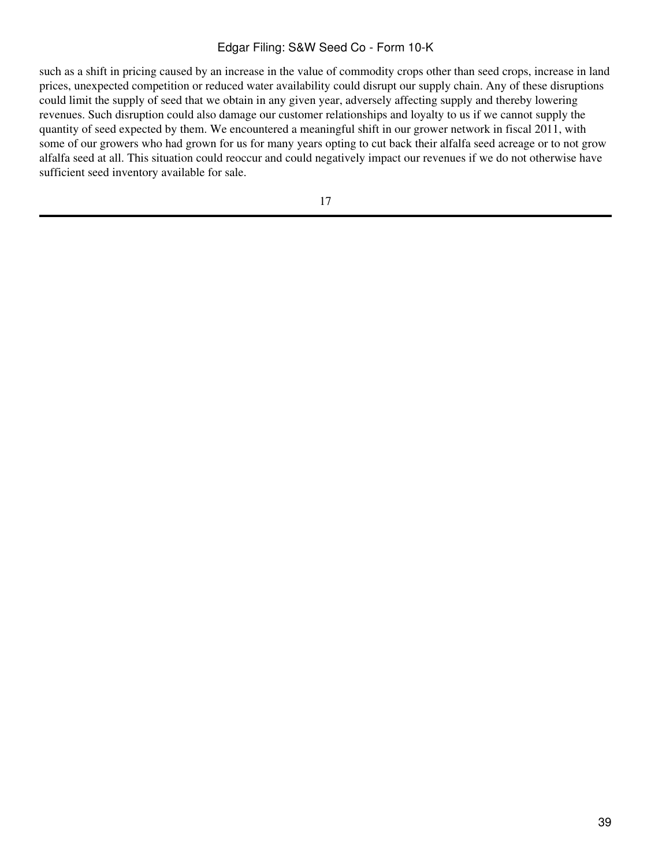such as a shift in pricing caused by an increase in the value of commodity crops other than seed crops, increase in land prices, unexpected competition or reduced water availability could disrupt our supply chain. Any of these disruptions could limit the supply of seed that we obtain in any given year, adversely affecting supply and thereby lowering revenues. Such disruption could also damage our customer relationships and loyalty to us if we cannot supply the quantity of seed expected by them. We encountered a meaningful shift in our grower network in fiscal 2011, with some of our growers who had grown for us for many years opting to cut back their alfalfa seed acreage or to not grow alfalfa seed at all. This situation could reoccur and could negatively impact our revenues if we do not otherwise have sufficient seed inventory available for sale.

17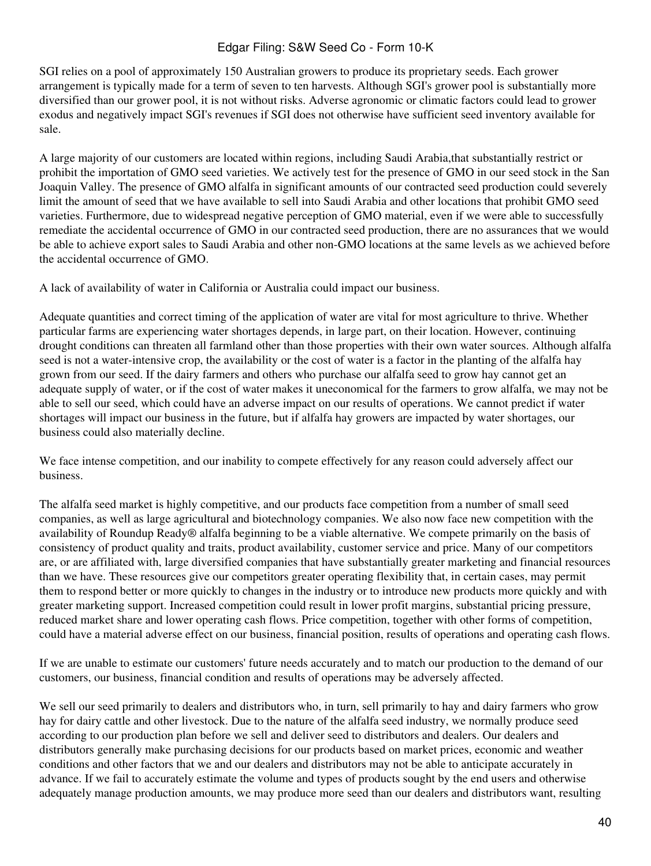SGI relies on a pool of approximately 150 Australian growers to produce its proprietary seeds. Each grower arrangement is typically made for a term of seven to ten harvests. Although SGI's grower pool is substantially more diversified than our grower pool, it is not without risks. Adverse agronomic or climatic factors could lead to grower exodus and negatively impact SGI's revenues if SGI does not otherwise have sufficient seed inventory available for sale.

A large majority of our customers are located within regions, including Saudi Arabia,that substantially restrict or prohibit the importation of GMO seed varieties. We actively test for the presence of GMO in our seed stock in the San Joaquin Valley. The presence of GMO alfalfa in significant amounts of our contracted seed production could severely limit the amount of seed that we have available to sell into Saudi Arabia and other locations that prohibit GMO seed varieties. Furthermore, due to widespread negative perception of GMO material, even if we were able to successfully remediate the accidental occurrence of GMO in our contracted seed production, there are no assurances that we would be able to achieve export sales to Saudi Arabia and other non-GMO locations at the same levels as we achieved before the accidental occurrence of GMO.

A lack of availability of water in California or Australia could impact our business.

Adequate quantities and correct timing of the application of water are vital for most agriculture to thrive. Whether particular farms are experiencing water shortages depends, in large part, on their location. However, continuing drought conditions can threaten all farmland other than those properties with their own water sources. Although alfalfa seed is not a water-intensive crop, the availability or the cost of water is a factor in the planting of the alfalfa hay grown from our seed. If the dairy farmers and others who purchase our alfalfa seed to grow hay cannot get an adequate supply of water, or if the cost of water makes it uneconomical for the farmers to grow alfalfa, we may not be able to sell our seed, which could have an adverse impact on our results of operations. We cannot predict if water shortages will impact our business in the future, but if alfalfa hay growers are impacted by water shortages, our business could also materially decline.

We face intense competition, and our inability to compete effectively for any reason could adversely affect our business.

The alfalfa seed market is highly competitive, and our products face competition from a number of small seed companies, as well as large agricultural and biotechnology companies. We also now face new competition with the availability of Roundup Ready® alfalfa beginning to be a viable alternative. We compete primarily on the basis of consistency of product quality and traits, product availability, customer service and price. Many of our competitors are, or are affiliated with, large diversified companies that have substantially greater marketing and financial resources than we have. These resources give our competitors greater operating flexibility that, in certain cases, may permit them to respond better or more quickly to changes in the industry or to introduce new products more quickly and with greater marketing support. Increased competition could result in lower profit margins, substantial pricing pressure, reduced market share and lower operating cash flows. Price competition, together with other forms of competition, could have a material adverse effect on our business, financial position, results of operations and operating cash flows.

If we are unable to estimate our customers' future needs accurately and to match our production to the demand of our customers, our business, financial condition and results of operations may be adversely affected.

We sell our seed primarily to dealers and distributors who, in turn, sell primarily to hay and dairy farmers who grow hay for dairy cattle and other livestock. Due to the nature of the alfalfa seed industry, we normally produce seed according to our production plan before we sell and deliver seed to distributors and dealers. Our dealers and distributors generally make purchasing decisions for our products based on market prices, economic and weather conditions and other factors that we and our dealers and distributors may not be able to anticipate accurately in advance. If we fail to accurately estimate the volume and types of products sought by the end users and otherwise adequately manage production amounts, we may produce more seed than our dealers and distributors want, resulting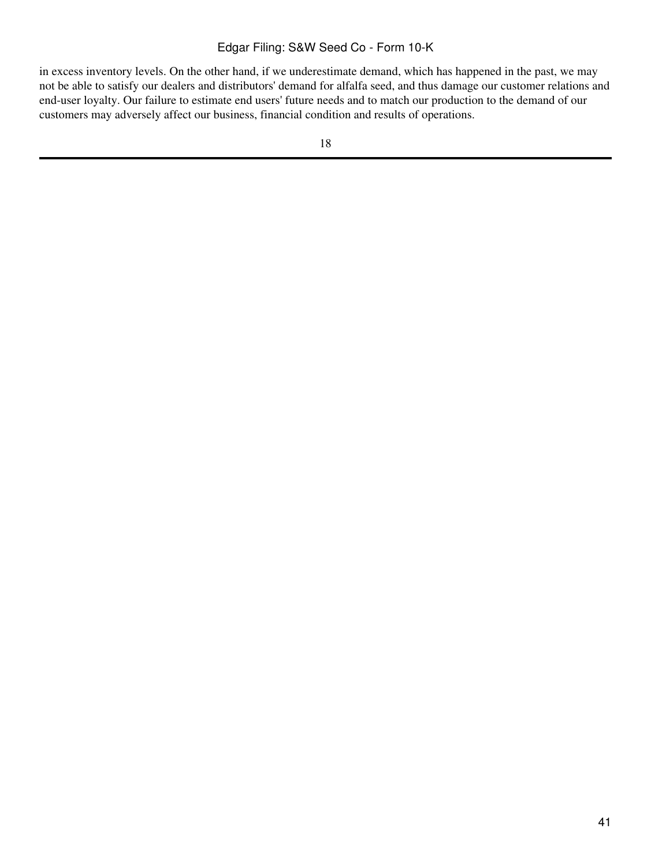in excess inventory levels. On the other hand, if we underestimate demand, which has happened in the past, we may not be able to satisfy our dealers and distributors' demand for alfalfa seed, and thus damage our customer relations and end-user loyalty. Our failure to estimate end users' future needs and to match our production to the demand of our customers may adversely affect our business, financial condition and results of operations.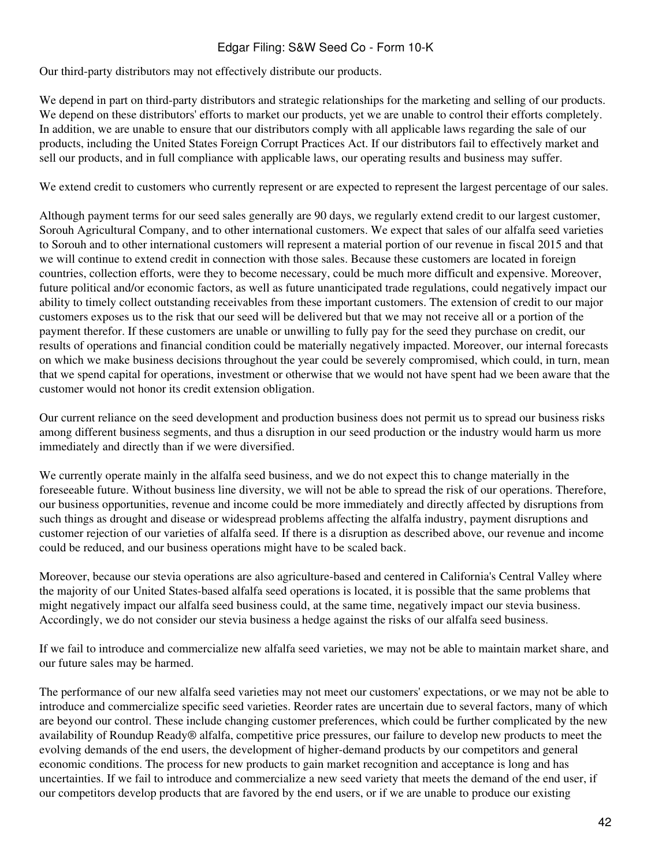Our third-party distributors may not effectively distribute our products.

We depend in part on third-party distributors and strategic relationships for the marketing and selling of our products. We depend on these distributors' efforts to market our products, yet we are unable to control their efforts completely. In addition, we are unable to ensure that our distributors comply with all applicable laws regarding the sale of our products, including the United States Foreign Corrupt Practices Act. If our distributors fail to effectively market and sell our products, and in full compliance with applicable laws, our operating results and business may suffer.

We extend credit to customers who currently represent or are expected to represent the largest percentage of our sales.

Although payment terms for our seed sales generally are 90 days, we regularly extend credit to our largest customer, Sorouh Agricultural Company, and to other international customers. We expect that sales of our alfalfa seed varieties to Sorouh and to other international customers will represent a material portion of our revenue in fiscal 2015 and that we will continue to extend credit in connection with those sales. Because these customers are located in foreign countries, collection efforts, were they to become necessary, could be much more difficult and expensive. Moreover, future political and/or economic factors, as well as future unanticipated trade regulations, could negatively impact our ability to timely collect outstanding receivables from these important customers. The extension of credit to our major customers exposes us to the risk that our seed will be delivered but that we may not receive all or a portion of the payment therefor. If these customers are unable or unwilling to fully pay for the seed they purchase on credit, our results of operations and financial condition could be materially negatively impacted. Moreover, our internal forecasts on which we make business decisions throughout the year could be severely compromised, which could, in turn, mean that we spend capital for operations, investment or otherwise that we would not have spent had we been aware that the customer would not honor its credit extension obligation.

Our current reliance on the seed development and production business does not permit us to spread our business risks among different business segments, and thus a disruption in our seed production or the industry would harm us more immediately and directly than if we were diversified.

We currently operate mainly in the alfalfa seed business, and we do not expect this to change materially in the foreseeable future. Without business line diversity, we will not be able to spread the risk of our operations. Therefore, our business opportunities, revenue and income could be more immediately and directly affected by disruptions from such things as drought and disease or widespread problems affecting the alfalfa industry, payment disruptions and customer rejection of our varieties of alfalfa seed. If there is a disruption as described above, our revenue and income could be reduced, and our business operations might have to be scaled back.

Moreover, because our stevia operations are also agriculture-based and centered in California's Central Valley where the majority of our United States-based alfalfa seed operations is located, it is possible that the same problems that might negatively impact our alfalfa seed business could, at the same time, negatively impact our stevia business. Accordingly, we do not consider our stevia business a hedge against the risks of our alfalfa seed business.

If we fail to introduce and commercialize new alfalfa seed varieties, we may not be able to maintain market share, and our future sales may be harmed.

The performance of our new alfalfa seed varieties may not meet our customers' expectations, or we may not be able to introduce and commercialize specific seed varieties. Reorder rates are uncertain due to several factors, many of which are beyond our control. These include changing customer preferences, which could be further complicated by the new availability of Roundup Ready® alfalfa, competitive price pressures, our failure to develop new products to meet the evolving demands of the end users, the development of higher-demand products by our competitors and general economic conditions. The process for new products to gain market recognition and acceptance is long and has uncertainties. If we fail to introduce and commercialize a new seed variety that meets the demand of the end user, if our competitors develop products that are favored by the end users, or if we are unable to produce our existing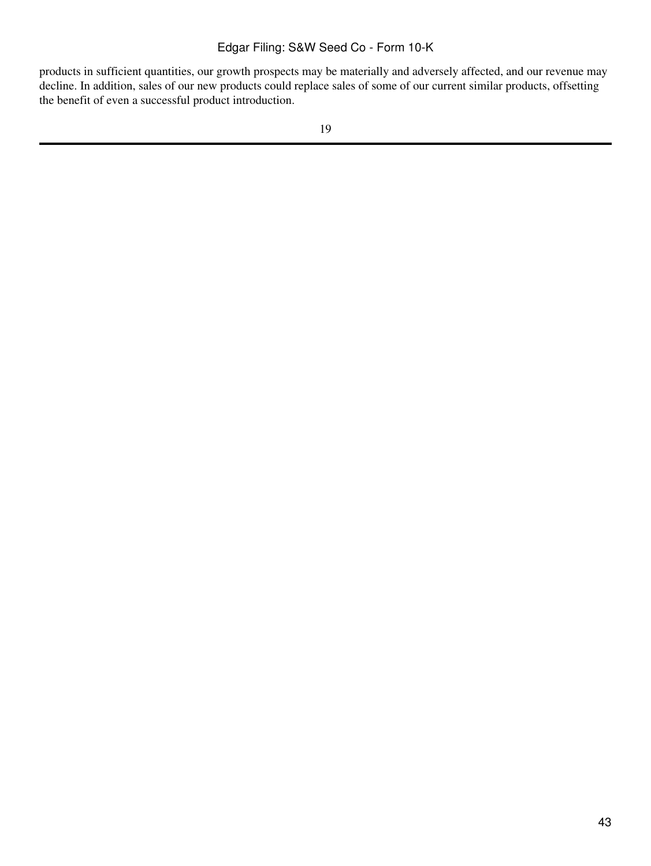products in sufficient quantities, our growth prospects may be materially and adversely affected, and our revenue may decline. In addition, sales of our new products could replace sales of some of our current similar products, offsetting the benefit of even a successful product introduction.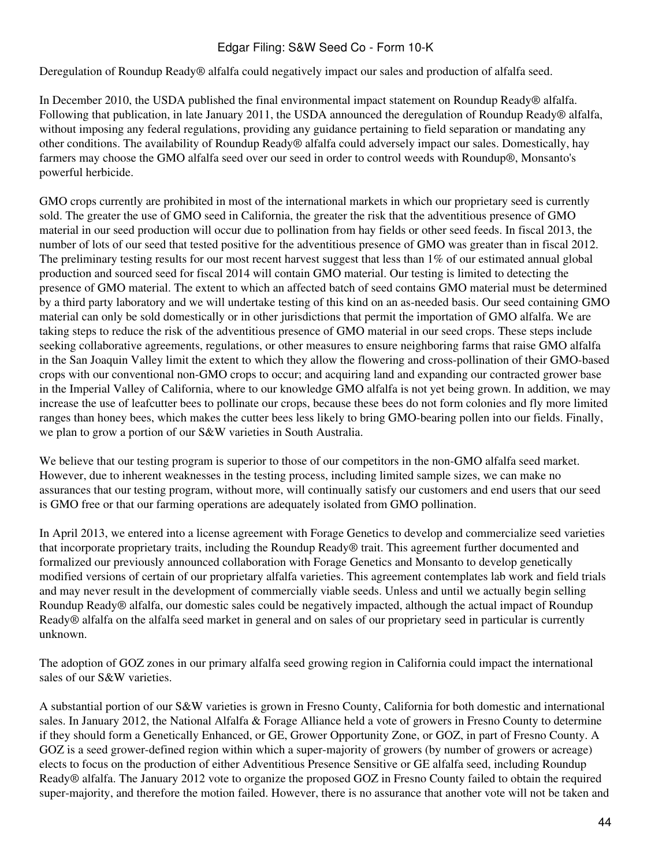Deregulation of Roundup Ready® alfalfa could negatively impact our sales and production of alfalfa seed.

In December 2010, the USDA published the final environmental impact statement on Roundup Ready® alfalfa. Following that publication, in late January 2011, the USDA announced the deregulation of Roundup Ready® alfalfa, without imposing any federal regulations, providing any guidance pertaining to field separation or mandating any other conditions. The availability of Roundup Ready® alfalfa could adversely impact our sales. Domestically, hay farmers may choose the GMO alfalfa seed over our seed in order to control weeds with Roundup®, Monsanto's powerful herbicide.

GMO crops currently are prohibited in most of the international markets in which our proprietary seed is currently sold. The greater the use of GMO seed in California, the greater the risk that the adventitious presence of GMO material in our seed production will occur due to pollination from hay fields or other seed feeds. In fiscal 2013, the number of lots of our seed that tested positive for the adventitious presence of GMO was greater than in fiscal 2012. The preliminary testing results for our most recent harvest suggest that less than 1% of our estimated annual global production and sourced seed for fiscal 2014 will contain GMO material. Our testing is limited to detecting the presence of GMO material. The extent to which an affected batch of seed contains GMO material must be determined by a third party laboratory and we will undertake testing of this kind on an as-needed basis. Our seed containing GMO material can only be sold domestically or in other jurisdictions that permit the importation of GMO alfalfa. We are taking steps to reduce the risk of the adventitious presence of GMO material in our seed crops. These steps include seeking collaborative agreements, regulations, or other measures to ensure neighboring farms that raise GMO alfalfa in the San Joaquin Valley limit the extent to which they allow the flowering and cross-pollination of their GMO-based crops with our conventional non-GMO crops to occur; and acquiring land and expanding our contracted grower base in the Imperial Valley of California, where to our knowledge GMO alfalfa is not yet being grown. In addition, we may increase the use of leafcutter bees to pollinate our crops, because these bees do not form colonies and fly more limited ranges than honey bees, which makes the cutter bees less likely to bring GMO-bearing pollen into our fields. Finally, we plan to grow a portion of our S&W varieties in South Australia.

We believe that our testing program is superior to those of our competitors in the non-GMO alfalfa seed market. However, due to inherent weaknesses in the testing process, including limited sample sizes, we can make no assurances that our testing program, without more, will continually satisfy our customers and end users that our seed is GMO free or that our farming operations are adequately isolated from GMO pollination.

In April 2013, we entered into a license agreement with Forage Genetics to develop and commercialize seed varieties that incorporate proprietary traits, including the Roundup Ready® trait. This agreement further documented and formalized our previously announced collaboration with Forage Genetics and Monsanto to develop genetically modified versions of certain of our proprietary alfalfa varieties. This agreement contemplates lab work and field trials and may never result in the development of commercially viable seeds. Unless and until we actually begin selling Roundup Ready® alfalfa, our domestic sales could be negatively impacted, although the actual impact of Roundup Ready® alfalfa on the alfalfa seed market in general and on sales of our proprietary seed in particular is currently unknown.

The adoption of GOZ zones in our primary alfalfa seed growing region in California could impact the international sales of our S&W varieties.

A substantial portion of our S&W varieties is grown in Fresno County, California for both domestic and international sales. In January 2012, the National Alfalfa & Forage Alliance held a vote of growers in Fresno County to determine if they should form a Genetically Enhanced, or GE, Grower Opportunity Zone, or GOZ, in part of Fresno County. A GOZ is a seed grower-defined region within which a super-majority of growers (by number of growers or acreage) elects to focus on the production of either Adventitious Presence Sensitive or GE alfalfa seed, including Roundup Ready® alfalfa. The January 2012 vote to organize the proposed GOZ in Fresno County failed to obtain the required super-majority, and therefore the motion failed. However, there is no assurance that another vote will not be taken and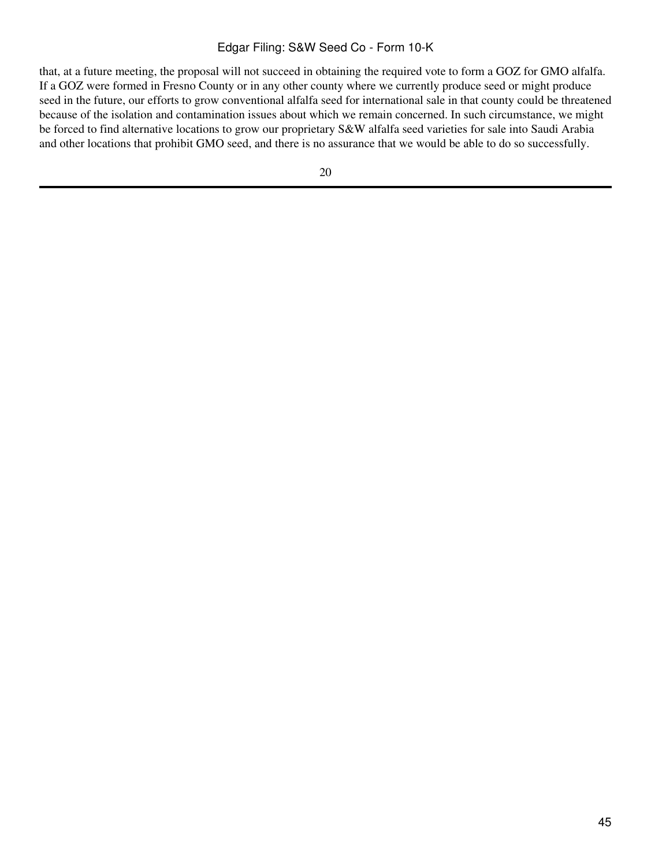that, at a future meeting, the proposal will not succeed in obtaining the required vote to form a GOZ for GMO alfalfa. If a GOZ were formed in Fresno County or in any other county where we currently produce seed or might produce seed in the future, our efforts to grow conventional alfalfa seed for international sale in that county could be threatened because of the isolation and contamination issues about which we remain concerned. In such circumstance, we might be forced to find alternative locations to grow our proprietary S&W alfalfa seed varieties for sale into Saudi Arabia and other locations that prohibit GMO seed, and there is no assurance that we would be able to do so successfully.

20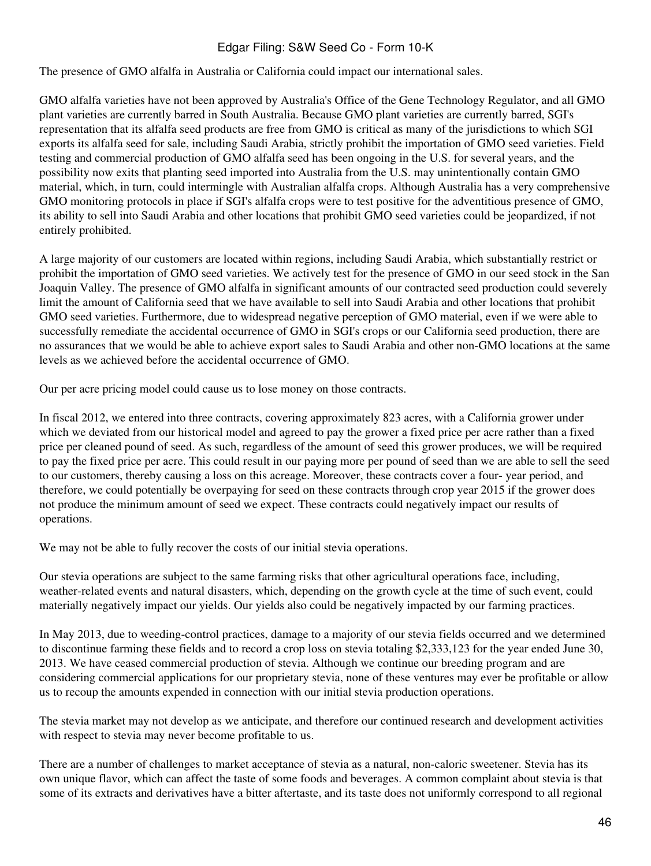The presence of GMO alfalfa in Australia or California could impact our international sales.

GMO alfalfa varieties have not been approved by Australia's Office of the Gene Technology Regulator, and all GMO plant varieties are currently barred in South Australia. Because GMO plant varieties are currently barred, SGI's representation that its alfalfa seed products are free from GMO is critical as many of the jurisdictions to which SGI exports its alfalfa seed for sale, including Saudi Arabia, strictly prohibit the importation of GMO seed varieties. Field testing and commercial production of GMO alfalfa seed has been ongoing in the U.S. for several years, and the possibility now exits that planting seed imported into Australia from the U.S. may unintentionally contain GMO material, which, in turn, could intermingle with Australian alfalfa crops. Although Australia has a very comprehensive GMO monitoring protocols in place if SGI's alfalfa crops were to test positive for the adventitious presence of GMO, its ability to sell into Saudi Arabia and other locations that prohibit GMO seed varieties could be jeopardized, if not entirely prohibited.

A large majority of our customers are located within regions, including Saudi Arabia, which substantially restrict or prohibit the importation of GMO seed varieties. We actively test for the presence of GMO in our seed stock in the San Joaquin Valley. The presence of GMO alfalfa in significant amounts of our contracted seed production could severely limit the amount of California seed that we have available to sell into Saudi Arabia and other locations that prohibit GMO seed varieties. Furthermore, due to widespread negative perception of GMO material, even if we were able to successfully remediate the accidental occurrence of GMO in SGI's crops or our California seed production, there are no assurances that we would be able to achieve export sales to Saudi Arabia and other non-GMO locations at the same levels as we achieved before the accidental occurrence of GMO.

Our per acre pricing model could cause us to lose money on those contracts.

In fiscal 2012, we entered into three contracts, covering approximately 823 acres, with a California grower under which we deviated from our historical model and agreed to pay the grower a fixed price per acre rather than a fixed price per cleaned pound of seed. As such, regardless of the amount of seed this grower produces, we will be required to pay the fixed price per acre. This could result in our paying more per pound of seed than we are able to sell the seed to our customers, thereby causing a loss on this acreage. Moreover, these contracts cover a four- year period, and therefore, we could potentially be overpaying for seed on these contracts through crop year 2015 if the grower does not produce the minimum amount of seed we expect. These contracts could negatively impact our results of operations.

We may not be able to fully recover the costs of our initial stevia operations.

Our stevia operations are subject to the same farming risks that other agricultural operations face, including, weather-related events and natural disasters, which, depending on the growth cycle at the time of such event, could materially negatively impact our yields. Our yields also could be negatively impacted by our farming practices.

In May 2013, due to weeding-control practices, damage to a majority of our stevia fields occurred and we determined to discontinue farming these fields and to record a crop loss on stevia totaling \$2,333,123 for the year ended June 30, 2013. We have ceased commercial production of stevia. Although we continue our breeding program and are considering commercial applications for our proprietary stevia, none of these ventures may ever be profitable or allow us to recoup the amounts expended in connection with our initial stevia production operations.

The stevia market may not develop as we anticipate, and therefore our continued research and development activities with respect to stevia may never become profitable to us.

There are a number of challenges to market acceptance of stevia as a natural, non-caloric sweetener. Stevia has its own unique flavor, which can affect the taste of some foods and beverages. A common complaint about stevia is that some of its extracts and derivatives have a bitter aftertaste, and its taste does not uniformly correspond to all regional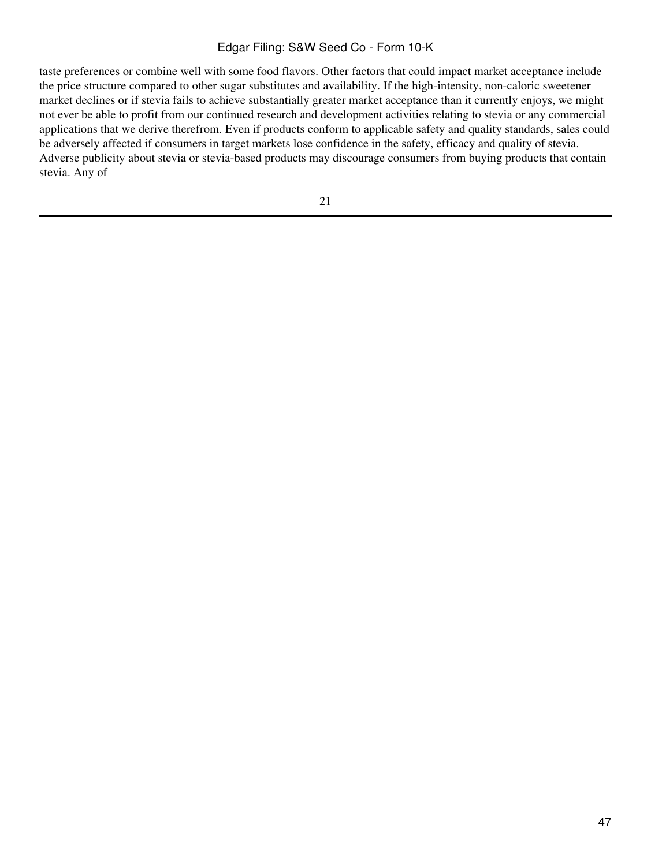taste preferences or combine well with some food flavors. Other factors that could impact market acceptance include the price structure compared to other sugar substitutes and availability. If the high-intensity, non-caloric sweetener market declines or if stevia fails to achieve substantially greater market acceptance than it currently enjoys, we might not ever be able to profit from our continued research and development activities relating to stevia or any commercial applications that we derive therefrom. Even if products conform to applicable safety and quality standards, sales could be adversely affected if consumers in target markets lose confidence in the safety, efficacy and quality of stevia. Adverse publicity about stevia or stevia-based products may discourage consumers from buying products that contain stevia. Any of

21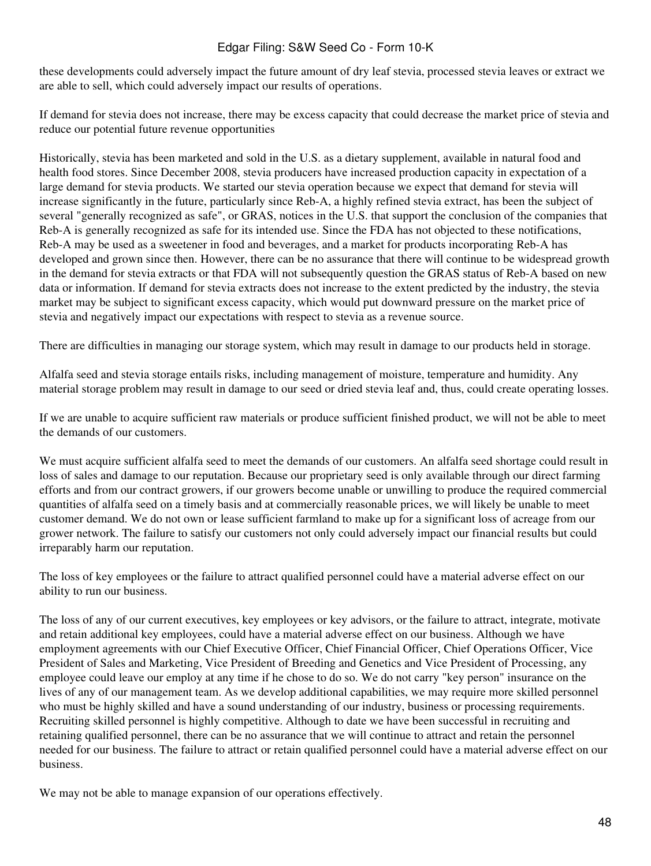these developments could adversely impact the future amount of dry leaf stevia, processed stevia leaves or extract we are able to sell, which could adversely impact our results of operations.

If demand for stevia does not increase, there may be excess capacity that could decrease the market price of stevia and reduce our potential future revenue opportunities

Historically, stevia has been marketed and sold in the U.S. as a dietary supplement, available in natural food and health food stores. Since December 2008, stevia producers have increased production capacity in expectation of a large demand for stevia products. We started our stevia operation because we expect that demand for stevia will increase significantly in the future, particularly since Reb-A, a highly refined stevia extract, has been the subject of several "generally recognized as safe", or GRAS, notices in the U.S. that support the conclusion of the companies that Reb-A is generally recognized as safe for its intended use. Since the FDA has not objected to these notifications, Reb-A may be used as a sweetener in food and beverages, and a market for products incorporating Reb-A has developed and grown since then. However, there can be no assurance that there will continue to be widespread growth in the demand for stevia extracts or that FDA will not subsequently question the GRAS status of Reb-A based on new data or information. If demand for stevia extracts does not increase to the extent predicted by the industry, the stevia market may be subject to significant excess capacity, which would put downward pressure on the market price of stevia and negatively impact our expectations with respect to stevia as a revenue source.

There are difficulties in managing our storage system, which may result in damage to our products held in storage.

Alfalfa seed and stevia storage entails risks, including management of moisture, temperature and humidity. Any material storage problem may result in damage to our seed or dried stevia leaf and, thus, could create operating losses.

If we are unable to acquire sufficient raw materials or produce sufficient finished product, we will not be able to meet the demands of our customers.

We must acquire sufficient alfalfa seed to meet the demands of our customers. An alfalfa seed shortage could result in loss of sales and damage to our reputation. Because our proprietary seed is only available through our direct farming efforts and from our contract growers, if our growers become unable or unwilling to produce the required commercial quantities of alfalfa seed on a timely basis and at commercially reasonable prices, we will likely be unable to meet customer demand. We do not own or lease sufficient farmland to make up for a significant loss of acreage from our grower network. The failure to satisfy our customers not only could adversely impact our financial results but could irreparably harm our reputation.

The loss of key employees or the failure to attract qualified personnel could have a material adverse effect on our ability to run our business.

The loss of any of our current executives, key employees or key advisors, or the failure to attract, integrate, motivate and retain additional key employees, could have a material adverse effect on our business. Although we have employment agreements with our Chief Executive Officer, Chief Financial Officer, Chief Operations Officer, Vice President of Sales and Marketing, Vice President of Breeding and Genetics and Vice President of Processing, any employee could leave our employ at any time if he chose to do so. We do not carry "key person" insurance on the lives of any of our management team. As we develop additional capabilities, we may require more skilled personnel who must be highly skilled and have a sound understanding of our industry, business or processing requirements. Recruiting skilled personnel is highly competitive. Although to date we have been successful in recruiting and retaining qualified personnel, there can be no assurance that we will continue to attract and retain the personnel needed for our business. The failure to attract or retain qualified personnel could have a material adverse effect on our business.

We may not be able to manage expansion of our operations effectively.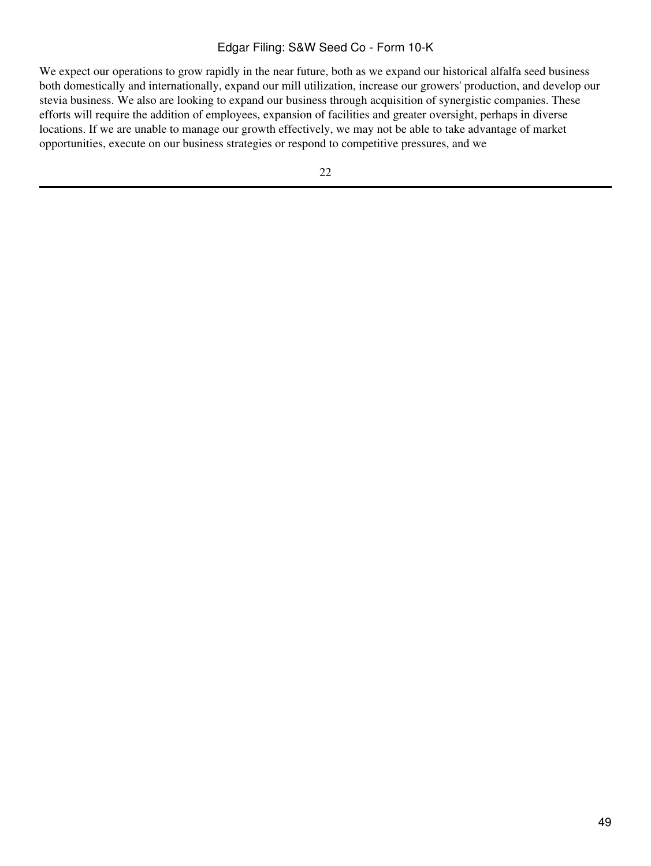We expect our operations to grow rapidly in the near future, both as we expand our historical alfalfa seed business both domestically and internationally, expand our mill utilization, increase our growers' production, and develop our stevia business. We also are looking to expand our business through acquisition of synergistic companies. These efforts will require the addition of employees, expansion of facilities and greater oversight, perhaps in diverse locations. If we are unable to manage our growth effectively, we may not be able to take advantage of market opportunities, execute on our business strategies or respond to competitive pressures, and we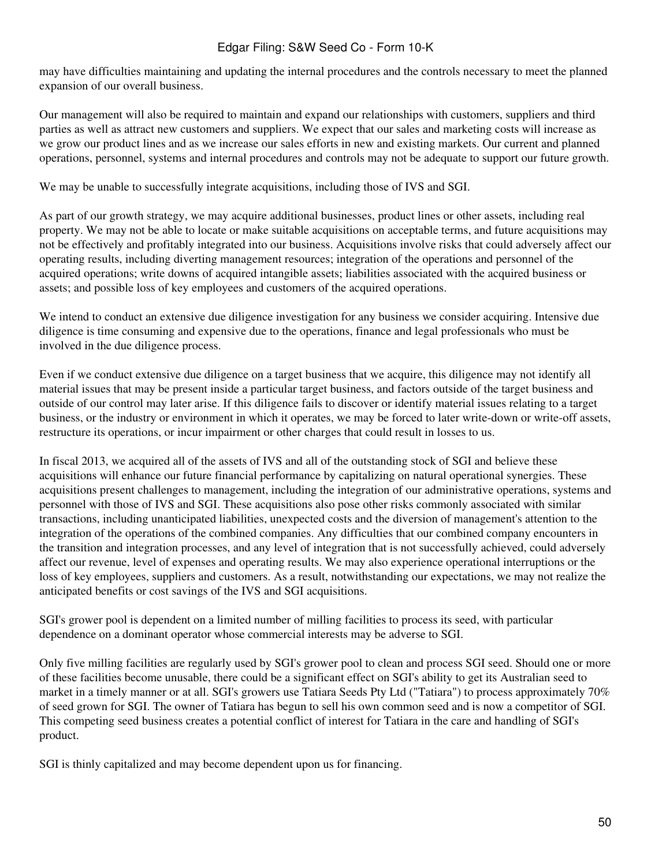may have difficulties maintaining and updating the internal procedures and the controls necessary to meet the planned expansion of our overall business.

Our management will also be required to maintain and expand our relationships with customers, suppliers and third parties as well as attract new customers and suppliers. We expect that our sales and marketing costs will increase as we grow our product lines and as we increase our sales efforts in new and existing markets. Our current and planned operations, personnel, systems and internal procedures and controls may not be adequate to support our future growth.

We may be unable to successfully integrate acquisitions, including those of IVS and SGI.

As part of our growth strategy, we may acquire additional businesses, product lines or other assets, including real property. We may not be able to locate or make suitable acquisitions on acceptable terms, and future acquisitions may not be effectively and profitably integrated into our business. Acquisitions involve risks that could adversely affect our operating results, including diverting management resources; integration of the operations and personnel of the acquired operations; write downs of acquired intangible assets; liabilities associated with the acquired business or assets; and possible loss of key employees and customers of the acquired operations.

We intend to conduct an extensive due diligence investigation for any business we consider acquiring. Intensive due diligence is time consuming and expensive due to the operations, finance and legal professionals who must be involved in the due diligence process.

Even if we conduct extensive due diligence on a target business that we acquire, this diligence may not identify all material issues that may be present inside a particular target business, and factors outside of the target business and outside of our control may later arise. If this diligence fails to discover or identify material issues relating to a target business, or the industry or environment in which it operates, we may be forced to later write-down or write-off assets, restructure its operations, or incur impairment or other charges that could result in losses to us.

In fiscal 2013, we acquired all of the assets of IVS and all of the outstanding stock of SGI and believe these acquisitions will enhance our future financial performance by capitalizing on natural operational synergies. These acquisitions present challenges to management, including the integration of our administrative operations, systems and personnel with those of IVS and SGI. These acquisitions also pose other risks commonly associated with similar transactions, including unanticipated liabilities, unexpected costs and the diversion of management's attention to the integration of the operations of the combined companies. Any difficulties that our combined company encounters in the transition and integration processes, and any level of integration that is not successfully achieved, could adversely affect our revenue, level of expenses and operating results. We may also experience operational interruptions or the loss of key employees, suppliers and customers. As a result, notwithstanding our expectations, we may not realize the anticipated benefits or cost savings of the IVS and SGI acquisitions.

SGI's grower pool is dependent on a limited number of milling facilities to process its seed, with particular dependence on a dominant operator whose commercial interests may be adverse to SGI.

Only five milling facilities are regularly used by SGI's grower pool to clean and process SGI seed. Should one or more of these facilities become unusable, there could be a significant effect on SGI's ability to get its Australian seed to market in a timely manner or at all. SGI's growers use Tatiara Seeds Pty Ltd ("Tatiara") to process approximately 70% of seed grown for SGI. The owner of Tatiara has begun to sell his own common seed and is now a competitor of SGI. This competing seed business creates a potential conflict of interest for Tatiara in the care and handling of SGI's product.

SGI is thinly capitalized and may become dependent upon us for financing.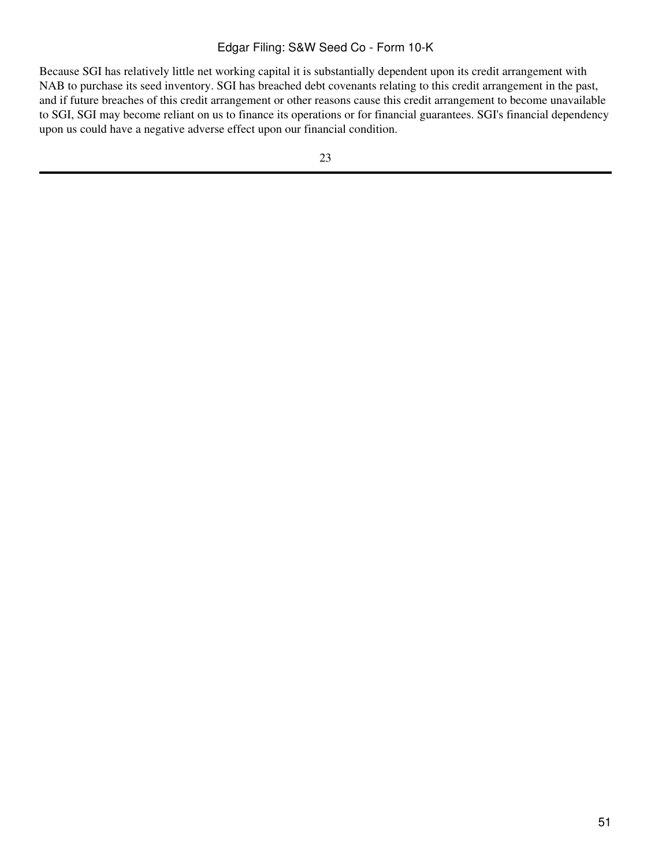Because SGI has relatively little net working capital it is substantially dependent upon its credit arrangement with NAB to purchase its seed inventory. SGI has breached debt covenants relating to this credit arrangement in the past, and if future breaches of this credit arrangement or other reasons cause this credit arrangement to become unavailable to SGI, SGI may become reliant on us to finance its operations or for financial guarantees. SGI's financial dependency upon us could have a negative adverse effect upon our financial condition.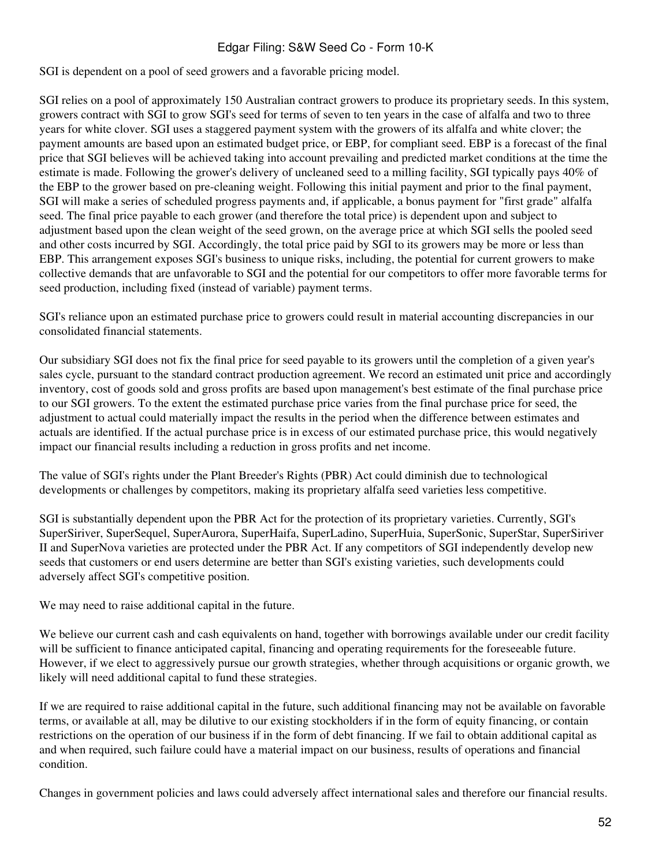SGI is dependent on a pool of seed growers and a favorable pricing model.

SGI relies on a pool of approximately 150 Australian contract growers to produce its proprietary seeds. In this system, growers contract with SGI to grow SGI's seed for terms of seven to ten years in the case of alfalfa and two to three years for white clover. SGI uses a staggered payment system with the growers of its alfalfa and white clover; the payment amounts are based upon an estimated budget price, or EBP, for compliant seed. EBP is a forecast of the final price that SGI believes will be achieved taking into account prevailing and predicted market conditions at the time the estimate is made. Following the grower's delivery of uncleaned seed to a milling facility, SGI typically pays 40% of the EBP to the grower based on pre-cleaning weight. Following this initial payment and prior to the final payment, SGI will make a series of scheduled progress payments and, if applicable, a bonus payment for "first grade" alfalfa seed. The final price payable to each grower (and therefore the total price) is dependent upon and subject to adjustment based upon the clean weight of the seed grown, on the average price at which SGI sells the pooled seed and other costs incurred by SGI. Accordingly, the total price paid by SGI to its growers may be more or less than EBP. This arrangement exposes SGI's business to unique risks, including, the potential for current growers to make collective demands that are unfavorable to SGI and the potential for our competitors to offer more favorable terms for seed production, including fixed (instead of variable) payment terms.

SGI's reliance upon an estimated purchase price to growers could result in material accounting discrepancies in our consolidated financial statements.

Our subsidiary SGI does not fix the final price for seed payable to its growers until the completion of a given year's sales cycle, pursuant to the standard contract production agreement. We record an estimated unit price and accordingly inventory, cost of goods sold and gross profits are based upon management's best estimate of the final purchase price to our SGI growers. To the extent the estimated purchase price varies from the final purchase price for seed, the adjustment to actual could materially impact the results in the period when the difference between estimates and actuals are identified. If the actual purchase price is in excess of our estimated purchase price, this would negatively impact our financial results including a reduction in gross profits and net income.

The value of SGI's rights under the Plant Breeder's Rights (PBR) Act could diminish due to technological developments or challenges by competitors, making its proprietary alfalfa seed varieties less competitive.

SGI is substantially dependent upon the PBR Act for the protection of its proprietary varieties. Currently, SGI's SuperSiriver, SuperSequel, SuperAurora, SuperHaifa, SuperLadino, SuperHuia, SuperSonic, SuperStar, SuperSiriver II and SuperNova varieties are protected under the PBR Act. If any competitors of SGI independently develop new seeds that customers or end users determine are better than SGI's existing varieties, such developments could adversely affect SGI's competitive position.

We may need to raise additional capital in the future.

We believe our current cash and cash equivalents on hand, together with borrowings available under our credit facility will be sufficient to finance anticipated capital, financing and operating requirements for the foreseeable future. However, if we elect to aggressively pursue our growth strategies, whether through acquisitions or organic growth, we likely will need additional capital to fund these strategies.

If we are required to raise additional capital in the future, such additional financing may not be available on favorable terms, or available at all, may be dilutive to our existing stockholders if in the form of equity financing, or contain restrictions on the operation of our business if in the form of debt financing. If we fail to obtain additional capital as and when required, such failure could have a material impact on our business, results of operations and financial condition.

Changes in government policies and laws could adversely affect international sales and therefore our financial results.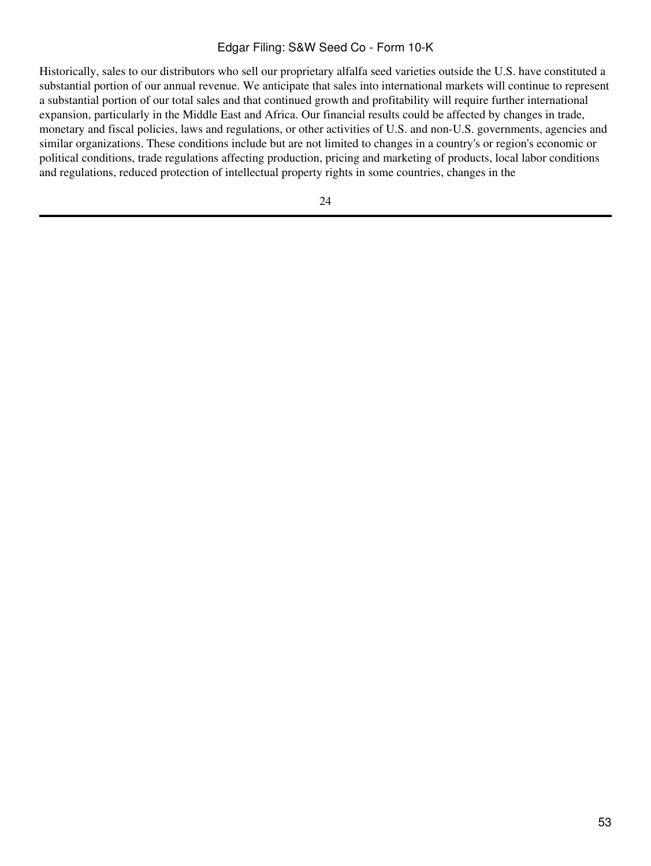Historically, sales to our distributors who sell our proprietary alfalfa seed varieties outside the U.S. have constituted a substantial portion of our annual revenue. We anticipate that sales into international markets will continue to represent a substantial portion of our total sales and that continued growth and profitability will require further international expansion, particularly in the Middle East and Africa. Our financial results could be affected by changes in trade, monetary and fiscal policies, laws and regulations, or other activities of U.S. and non-U.S. governments, agencies and similar organizations. These conditions include but are not limited to changes in a country's or region's economic or political conditions, trade regulations affecting production, pricing and marketing of products, local labor conditions and regulations, reduced protection of intellectual property rights in some countries, changes in the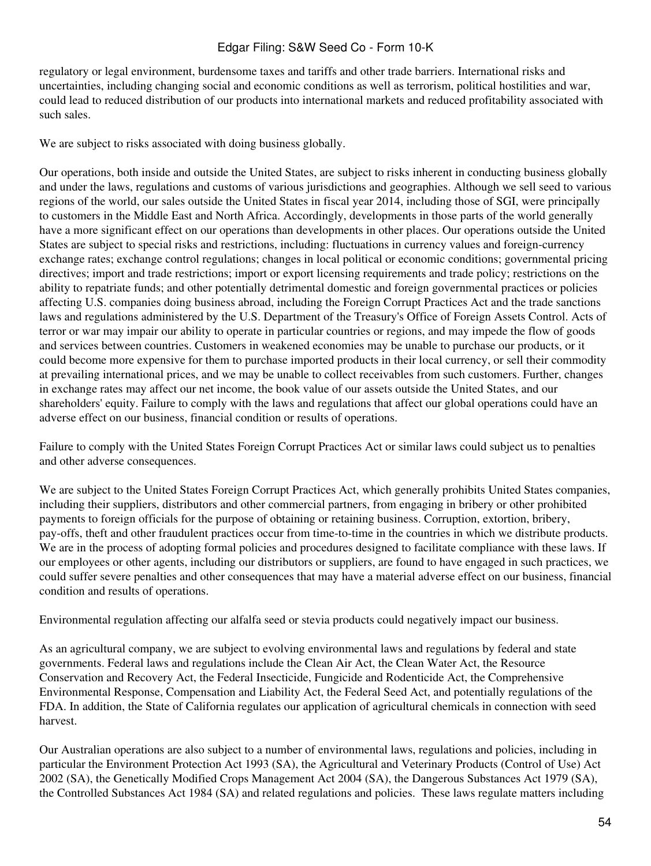regulatory or legal environment, burdensome taxes and tariffs and other trade barriers. International risks and uncertainties, including changing social and economic conditions as well as terrorism, political hostilities and war, could lead to reduced distribution of our products into international markets and reduced profitability associated with such sales.

We are subject to risks associated with doing business globally.

Our operations, both inside and outside the United States, are subject to risks inherent in conducting business globally and under the laws, regulations and customs of various jurisdictions and geographies. Although we sell seed to various regions of the world, our sales outside the United States in fiscal year 2014, including those of SGI, were principally to customers in the Middle East and North Africa. Accordingly, developments in those parts of the world generally have a more significant effect on our operations than developments in other places. Our operations outside the United States are subject to special risks and restrictions, including: fluctuations in currency values and foreign-currency exchange rates; exchange control regulations; changes in local political or economic conditions; governmental pricing directives; import and trade restrictions; import or export licensing requirements and trade policy; restrictions on the ability to repatriate funds; and other potentially detrimental domestic and foreign governmental practices or policies affecting U.S. companies doing business abroad, including the Foreign Corrupt Practices Act and the trade sanctions laws and regulations administered by the U.S. Department of the Treasury's Office of Foreign Assets Control. Acts of terror or war may impair our ability to operate in particular countries or regions, and may impede the flow of goods and services between countries. Customers in weakened economies may be unable to purchase our products, or it could become more expensive for them to purchase imported products in their local currency, or sell their commodity at prevailing international prices, and we may be unable to collect receivables from such customers. Further, changes in exchange rates may affect our net income, the book value of our assets outside the United States, and our shareholders' equity. Failure to comply with the laws and regulations that affect our global operations could have an adverse effect on our business, financial condition or results of operations.

Failure to comply with the United States Foreign Corrupt Practices Act or similar laws could subject us to penalties and other adverse consequences.

We are subject to the United States Foreign Corrupt Practices Act, which generally prohibits United States companies, including their suppliers, distributors and other commercial partners, from engaging in bribery or other prohibited payments to foreign officials for the purpose of obtaining or retaining business. Corruption, extortion, bribery, pay-offs, theft and other fraudulent practices occur from time-to-time in the countries in which we distribute products. We are in the process of adopting formal policies and procedures designed to facilitate compliance with these laws. If our employees or other agents, including our distributors or suppliers, are found to have engaged in such practices, we could suffer severe penalties and other consequences that may have a material adverse effect on our business, financial condition and results of operations.

Environmental regulation affecting our alfalfa seed or stevia products could negatively impact our business.

As an agricultural company, we are subject to evolving environmental laws and regulations by federal and state governments. Federal laws and regulations include the Clean Air Act, the Clean Water Act, the Resource Conservation and Recovery Act, the Federal Insecticide, Fungicide and Rodenticide Act, the Comprehensive Environmental Response, Compensation and Liability Act, the Federal Seed Act, and potentially regulations of the FDA. In addition, the State of California regulates our application of agricultural chemicals in connection with seed harvest.

Our Australian operations are also subject to a number of environmental laws, regulations and policies, including in particular the Environment Protection Act 1993 (SA), the Agricultural and Veterinary Products (Control of Use) Act 2002 (SA), the Genetically Modified Crops Management Act 2004 (SA), the Dangerous Substances Act 1979 (SA), the Controlled Substances Act 1984 (SA) and related regulations and policies. These laws regulate matters including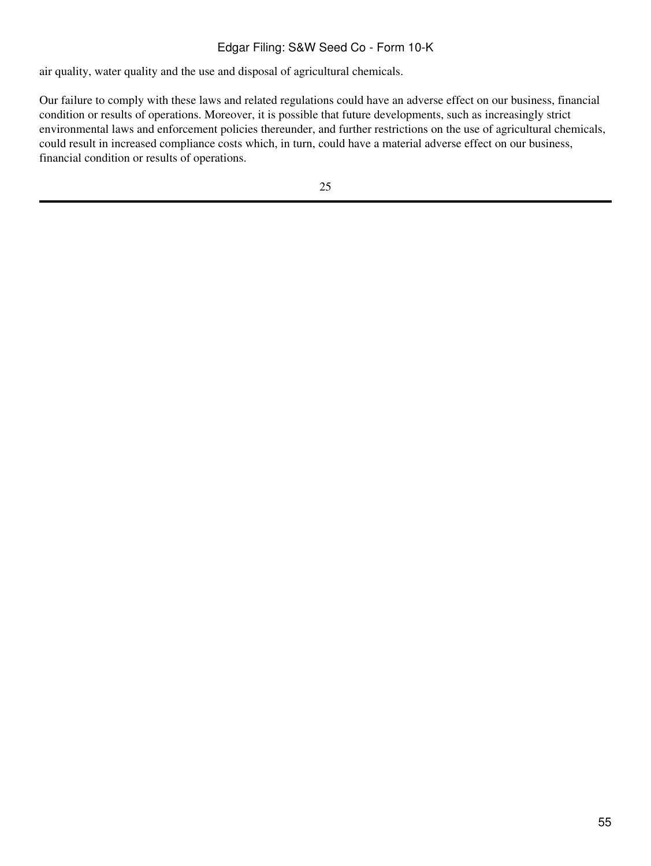air quality, water quality and the use and disposal of agricultural chemicals.

Our failure to comply with these laws and related regulations could have an adverse effect on our business, financial condition or results of operations. Moreover, it is possible that future developments, such as increasingly strict environmental laws and enforcement policies thereunder, and further restrictions on the use of agricultural chemicals, could result in increased compliance costs which, in turn, could have a material adverse effect on our business, financial condition or results of operations.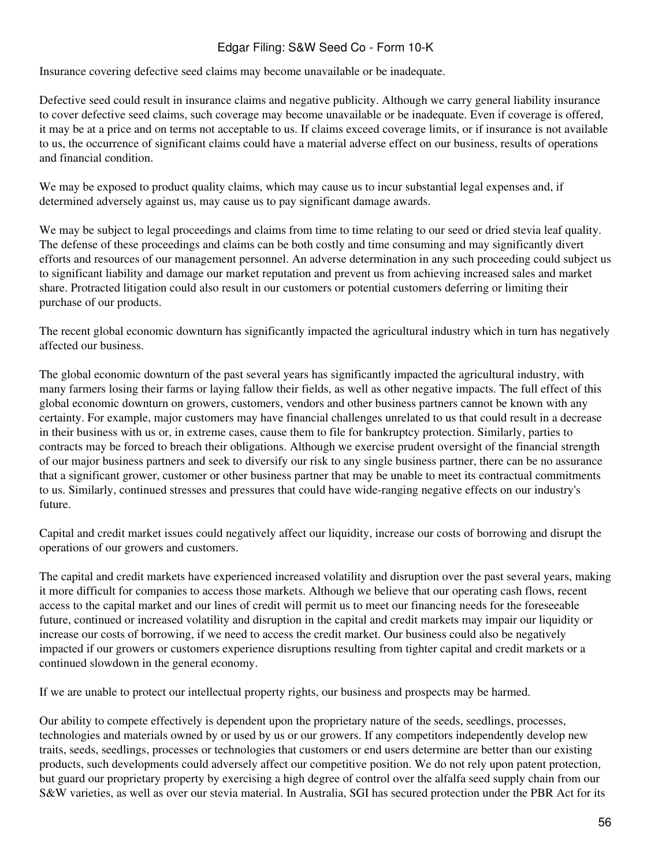Insurance covering defective seed claims may become unavailable or be inadequate.

Defective seed could result in insurance claims and negative publicity. Although we carry general liability insurance to cover defective seed claims, such coverage may become unavailable or be inadequate. Even if coverage is offered, it may be at a price and on terms not acceptable to us. If claims exceed coverage limits, or if insurance is not available to us, the occurrence of significant claims could have a material adverse effect on our business, results of operations and financial condition.

We may be exposed to product quality claims, which may cause us to incur substantial legal expenses and, if determined adversely against us, may cause us to pay significant damage awards.

We may be subject to legal proceedings and claims from time to time relating to our seed or dried stevia leaf quality. The defense of these proceedings and claims can be both costly and time consuming and may significantly divert efforts and resources of our management personnel. An adverse determination in any such proceeding could subject us to significant liability and damage our market reputation and prevent us from achieving increased sales and market share. Protracted litigation could also result in our customers or potential customers deferring or limiting their purchase of our products.

The recent global economic downturn has significantly impacted the agricultural industry which in turn has negatively affected our business.

The global economic downturn of the past several years has significantly impacted the agricultural industry, with many farmers losing their farms or laying fallow their fields, as well as other negative impacts. The full effect of this global economic downturn on growers, customers, vendors and other business partners cannot be known with any certainty. For example, major customers may have financial challenges unrelated to us that could result in a decrease in their business with us or, in extreme cases, cause them to file for bankruptcy protection. Similarly, parties to contracts may be forced to breach their obligations. Although we exercise prudent oversight of the financial strength of our major business partners and seek to diversify our risk to any single business partner, there can be no assurance that a significant grower, customer or other business partner that may be unable to meet its contractual commitments to us. Similarly, continued stresses and pressures that could have wide-ranging negative effects on our industry's future.

Capital and credit market issues could negatively affect our liquidity, increase our costs of borrowing and disrupt the operations of our growers and customers.

The capital and credit markets have experienced increased volatility and disruption over the past several years, making it more difficult for companies to access those markets. Although we believe that our operating cash flows, recent access to the capital market and our lines of credit will permit us to meet our financing needs for the foreseeable future, continued or increased volatility and disruption in the capital and credit markets may impair our liquidity or increase our costs of borrowing, if we need to access the credit market. Our business could also be negatively impacted if our growers or customers experience disruptions resulting from tighter capital and credit markets or a continued slowdown in the general economy.

If we are unable to protect our intellectual property rights, our business and prospects may be harmed.

Our ability to compete effectively is dependent upon the proprietary nature of the seeds, seedlings, processes, technologies and materials owned by or used by us or our growers. If any competitors independently develop new traits, seeds, seedlings, processes or technologies that customers or end users determine are better than our existing products, such developments could adversely affect our competitive position. We do not rely upon patent protection, but guard our proprietary property by exercising a high degree of control over the alfalfa seed supply chain from our S&W varieties, as well as over our stevia material. In Australia, SGI has secured protection under the PBR Act for its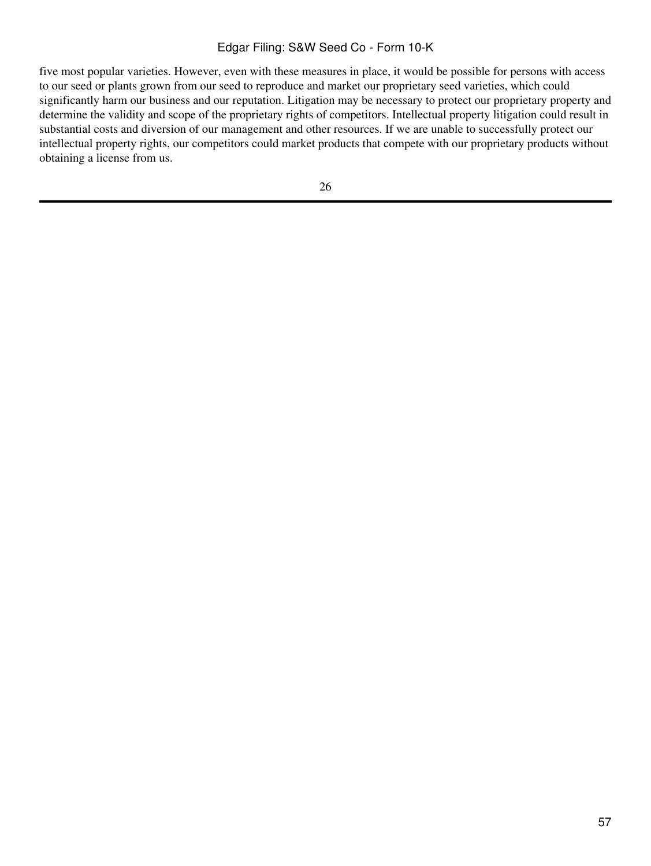five most popular varieties. However, even with these measures in place, it would be possible for persons with access to our seed or plants grown from our seed to reproduce and market our proprietary seed varieties, which could significantly harm our business and our reputation. Litigation may be necessary to protect our proprietary property and determine the validity and scope of the proprietary rights of competitors. Intellectual property litigation could result in substantial costs and diversion of our management and other resources. If we are unable to successfully protect our intellectual property rights, our competitors could market products that compete with our proprietary products without obtaining a license from us.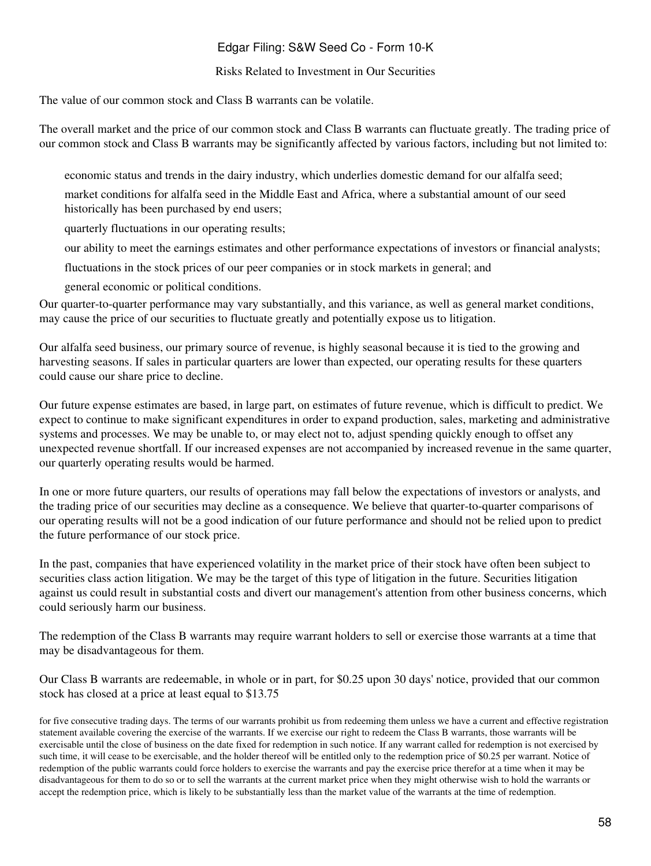#### Risks Related to Investment in Our Securities

The value of our common stock and Class B warrants can be volatile.

The overall market and the price of our common stock and Class B warrants can fluctuate greatly. The trading price of our common stock and Class B warrants may be significantly affected by various factors, including but not limited to:

economic status and trends in the dairy industry, which underlies domestic demand for our alfalfa seed;

market conditions for alfalfa seed in the Middle East and Africa, where a substantial amount of our seed historically has been purchased by end users;

quarterly fluctuations in our operating results;

our ability to meet the earnings estimates and other performance expectations of investors or financial analysts;

fluctuations in the stock prices of our peer companies or in stock markets in general; and

general economic or political conditions.

Our quarter-to-quarter performance may vary substantially, and this variance, as well as general market conditions, may cause the price of our securities to fluctuate greatly and potentially expose us to litigation.

Our alfalfa seed business, our primary source of revenue, is highly seasonal because it is tied to the growing and harvesting seasons. If sales in particular quarters are lower than expected, our operating results for these quarters could cause our share price to decline.

Our future expense estimates are based, in large part, on estimates of future revenue, which is difficult to predict. We expect to continue to make significant expenditures in order to expand production, sales, marketing and administrative systems and processes. We may be unable to, or may elect not to, adjust spending quickly enough to offset any unexpected revenue shortfall. If our increased expenses are not accompanied by increased revenue in the same quarter, our quarterly operating results would be harmed.

In one or more future quarters, our results of operations may fall below the expectations of investors or analysts, and the trading price of our securities may decline as a consequence. We believe that quarter-to-quarter comparisons of our operating results will not be a good indication of our future performance and should not be relied upon to predict the future performance of our stock price.

In the past, companies that have experienced volatility in the market price of their stock have often been subject to securities class action litigation. We may be the target of this type of litigation in the future. Securities litigation against us could result in substantial costs and divert our management's attention from other business concerns, which could seriously harm our business.

The redemption of the Class B warrants may require warrant holders to sell or exercise those warrants at a time that may be disadvantageous for them.

Our Class B warrants are redeemable, in whole or in part, for \$0.25 upon 30 days' notice, provided that our common stock has closed at a price at least equal to \$13.75

for five consecutive trading days. The terms of our warrants prohibit us from redeeming them unless we have a current and effective registration statement available covering the exercise of the warrants. If we exercise our right to redeem the Class B warrants, those warrants will be exercisable until the close of business on the date fixed for redemption in such notice. If any warrant called for redemption is not exercised by such time, it will cease to be exercisable, and the holder thereof will be entitled only to the redemption price of \$0.25 per warrant. Notice of redemption of the public warrants could force holders to exercise the warrants and pay the exercise price therefor at a time when it may be disadvantageous for them to do so or to sell the warrants at the current market price when they might otherwise wish to hold the warrants or accept the redemption price, which is likely to be substantially less than the market value of the warrants at the time of redemption.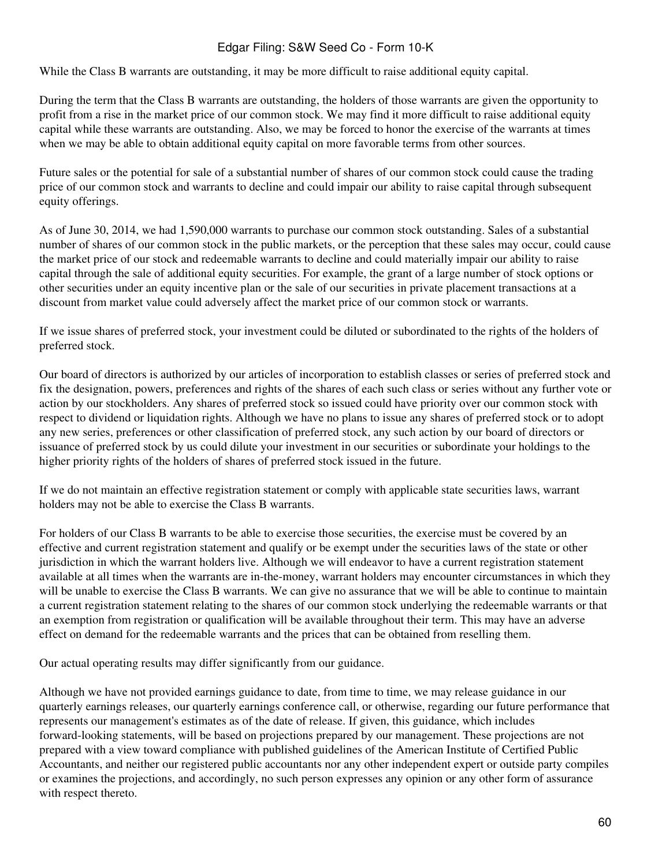While the Class B warrants are outstanding, it may be more difficult to raise additional equity capital.

During the term that the Class B warrants are outstanding, the holders of those warrants are given the opportunity to profit from a rise in the market price of our common stock. We may find it more difficult to raise additional equity capital while these warrants are outstanding. Also, we may be forced to honor the exercise of the warrants at times when we may be able to obtain additional equity capital on more favorable terms from other sources.

Future sales or the potential for sale of a substantial number of shares of our common stock could cause the trading price of our common stock and warrants to decline and could impair our ability to raise capital through subsequent equity offerings.

As of June 30, 2014, we had 1,590,000 warrants to purchase our common stock outstanding. Sales of a substantial number of shares of our common stock in the public markets, or the perception that these sales may occur, could cause the market price of our stock and redeemable warrants to decline and could materially impair our ability to raise capital through the sale of additional equity securities. For example, the grant of a large number of stock options or other securities under an equity incentive plan or the sale of our securities in private placement transactions at a discount from market value could adversely affect the market price of our common stock or warrants.

If we issue shares of preferred stock, your investment could be diluted or subordinated to the rights of the holders of preferred stock.

Our board of directors is authorized by our articles of incorporation to establish classes or series of preferred stock and fix the designation, powers, preferences and rights of the shares of each such class or series without any further vote or action by our stockholders. Any shares of preferred stock so issued could have priority over our common stock with respect to dividend or liquidation rights. Although we have no plans to issue any shares of preferred stock or to adopt any new series, preferences or other classification of preferred stock, any such action by our board of directors or issuance of preferred stock by us could dilute your investment in our securities or subordinate your holdings to the higher priority rights of the holders of shares of preferred stock issued in the future.

If we do not maintain an effective registration statement or comply with applicable state securities laws, warrant holders may not be able to exercise the Class B warrants.

For holders of our Class B warrants to be able to exercise those securities, the exercise must be covered by an effective and current registration statement and qualify or be exempt under the securities laws of the state or other jurisdiction in which the warrant holders live. Although we will endeavor to have a current registration statement available at all times when the warrants are in-the-money, warrant holders may encounter circumstances in which they will be unable to exercise the Class B warrants. We can give no assurance that we will be able to continue to maintain a current registration statement relating to the shares of our common stock underlying the redeemable warrants or that an exemption from registration or qualification will be available throughout their term. This may have an adverse effect on demand for the redeemable warrants and the prices that can be obtained from reselling them.

Our actual operating results may differ significantly from our guidance.

Although we have not provided earnings guidance to date, from time to time, we may release guidance in our quarterly earnings releases, our quarterly earnings conference call, or otherwise, regarding our future performance that represents our management's estimates as of the date of release. If given, this guidance, which includes forward-looking statements, will be based on projections prepared by our management. These projections are not prepared with a view toward compliance with published guidelines of the American Institute of Certified Public Accountants, and neither our registered public accountants nor any other independent expert or outside party compiles or examines the projections, and accordingly, no such person expresses any opinion or any other form of assurance with respect thereto.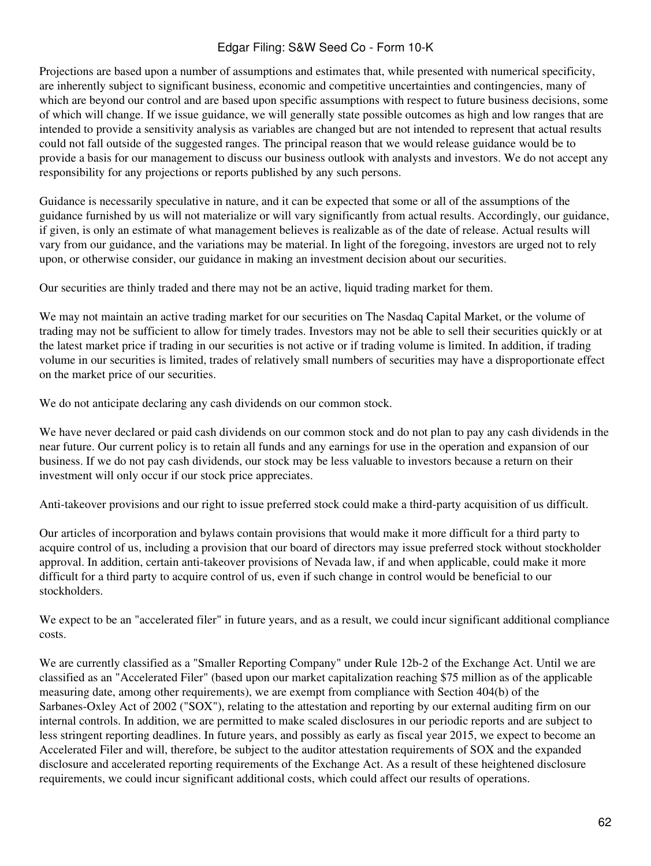Projections are based upon a number of assumptions and estimates that, while presented with numerical specificity, are inherently subject to significant business, economic and competitive uncertainties and contingencies, many of which are beyond our control and are based upon specific assumptions with respect to future business decisions, some of which will change. If we issue guidance, we will generally state possible outcomes as high and low ranges that are intended to provide a sensitivity analysis as variables are changed but are not intended to represent that actual results could not fall outside of the suggested ranges. The principal reason that we would release guidance would be to provide a basis for our management to discuss our business outlook with analysts and investors. We do not accept any responsibility for any projections or reports published by any such persons.

Guidance is necessarily speculative in nature, and it can be expected that some or all of the assumptions of the guidance furnished by us will not materialize or will vary significantly from actual results. Accordingly, our guidance, if given, is only an estimate of what management believes is realizable as of the date of release. Actual results will vary from our guidance, and the variations may be material. In light of the foregoing, investors are urged not to rely upon, or otherwise consider, our guidance in making an investment decision about our securities.

Our securities are thinly traded and there may not be an active, liquid trading market for them.

We may not maintain an active trading market for our securities on The Nasdaq Capital Market, or the volume of trading may not be sufficient to allow for timely trades. Investors may not be able to sell their securities quickly or at the latest market price if trading in our securities is not active or if trading volume is limited. In addition, if trading volume in our securities is limited, trades of relatively small numbers of securities may have a disproportionate effect on the market price of our securities.

We do not anticipate declaring any cash dividends on our common stock.

We have never declared or paid cash dividends on our common stock and do not plan to pay any cash dividends in the near future. Our current policy is to retain all funds and any earnings for use in the operation and expansion of our business. If we do not pay cash dividends, our stock may be less valuable to investors because a return on their investment will only occur if our stock price appreciates.

Anti-takeover provisions and our right to issue preferred stock could make a third-party acquisition of us difficult.

Our articles of incorporation and bylaws contain provisions that would make it more difficult for a third party to acquire control of us, including a provision that our board of directors may issue preferred stock without stockholder approval. In addition, certain anti-takeover provisions of Nevada law, if and when applicable, could make it more difficult for a third party to acquire control of us, even if such change in control would be beneficial to our stockholders.

We expect to be an "accelerated filer" in future years, and as a result, we could incur significant additional compliance costs.

We are currently classified as a "Smaller Reporting Company" under Rule 12b-2 of the Exchange Act. Until we are classified as an "Accelerated Filer" (based upon our market capitalization reaching \$75 million as of the applicable measuring date, among other requirements), we are exempt from compliance with Section 404(b) of the Sarbanes-Oxley Act of 2002 ("SOX"), relating to the attestation and reporting by our external auditing firm on our internal controls. In addition, we are permitted to make scaled disclosures in our periodic reports and are subject to less stringent reporting deadlines. In future years, and possibly as early as fiscal year 2015, we expect to become an Accelerated Filer and will, therefore, be subject to the auditor attestation requirements of SOX and the expanded disclosure and accelerated reporting requirements of the Exchange Act. As a result of these heightened disclosure requirements, we could incur significant additional costs, which could affect our results of operations.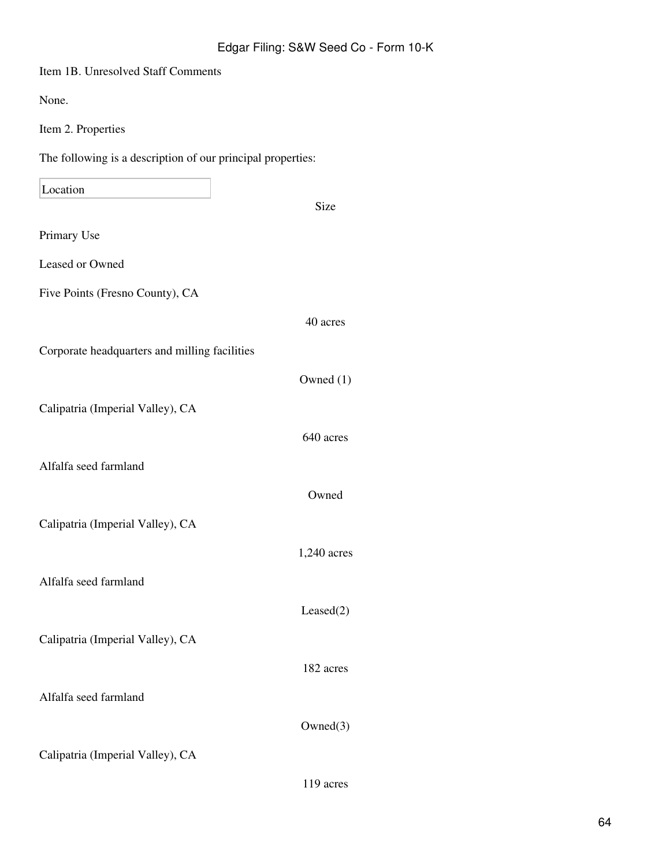| Item 1B. Unresolved Staff Comments                          |             |
|-------------------------------------------------------------|-------------|
| None.                                                       |             |
| Item 2. Properties                                          |             |
| The following is a description of our principal properties: |             |
| Location                                                    |             |
|                                                             | <b>Size</b> |
| Primary Use                                                 |             |
| Leased or Owned                                             |             |
| Five Points (Fresno County), CA                             |             |
|                                                             | 40 acres    |
| Corporate headquarters and milling facilities               |             |
|                                                             | Owned $(1)$ |
| Calipatria (Imperial Valley), CA                            |             |
|                                                             | 640 acres   |
| Alfalfa seed farmland                                       |             |
|                                                             | Owned       |
| Calipatria (Imperial Valley), CA                            |             |
|                                                             | 1,240 acres |
| Alfalfa seed farmland                                       |             |
|                                                             | Leased(2)   |
| Calipatria (Imperial Valley), CA                            |             |
|                                                             | 182 acres   |
| Alfalfa seed farmland                                       |             |
|                                                             | Owned(3)    |
| Calipatria (Imperial Valley), CA                            |             |
|                                                             | 119 acres   |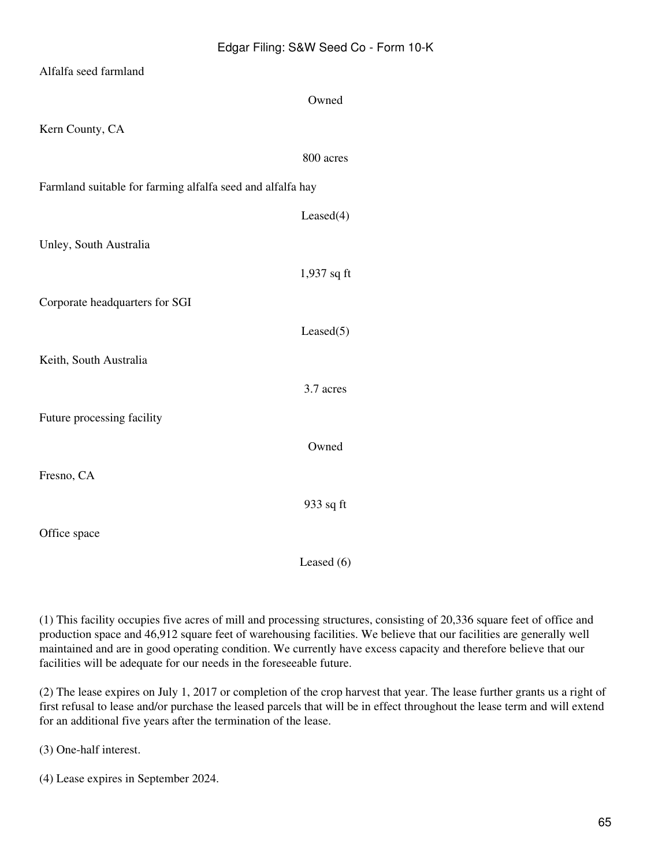| Alfalfa seed farmland                                      |               |
|------------------------------------------------------------|---------------|
|                                                            | Owned         |
| Kern County, CA                                            |               |
|                                                            | 800 acres     |
| Farmland suitable for farming alfalfa seed and alfalfa hay |               |
|                                                            | Leased(4)     |
| Unley, South Australia                                     |               |
|                                                            | $1,937$ sq ft |
| Corporate headquarters for SGI                             |               |
|                                                            | Leased(5)     |
| Keith, South Australia                                     |               |
|                                                            | 3.7 acres     |
| Future processing facility                                 |               |
|                                                            | Owned         |
| Fresno, CA                                                 |               |
|                                                            | 933 sq ft     |
| Office space                                               |               |

(1) This facility occupies five acres of mill and processing structures, consisting of 20,336 square feet of office and production space and 46,912 square feet of warehousing facilities. We believe that our facilities are generally well maintained and are in good operating condition. We currently have excess capacity and therefore believe that our facilities will be adequate for our needs in the foreseeable future.

Leased (6)

(2) The lease expires on July 1, 2017 or completion of the crop harvest that year. The lease further grants us a right of first refusal to lease and/or purchase the leased parcels that will be in effect throughout the lease term and will extend for an additional five years after the termination of the lease.

(3) One-half interest.

(4) Lease expires in September 2024.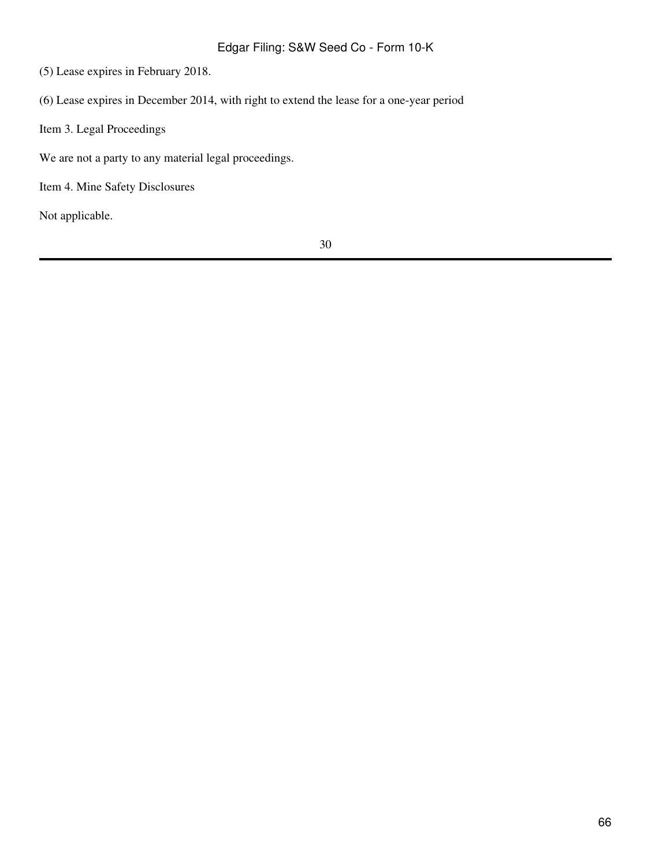(5) Lease expires in February 2018.

(6) Lease expires in December 2014, with right to extend the lease for a one-year period

Item 3. Legal Proceedings

We are not a party to any material legal proceedings.

Item 4. Mine Safety Disclosures

Not applicable.

30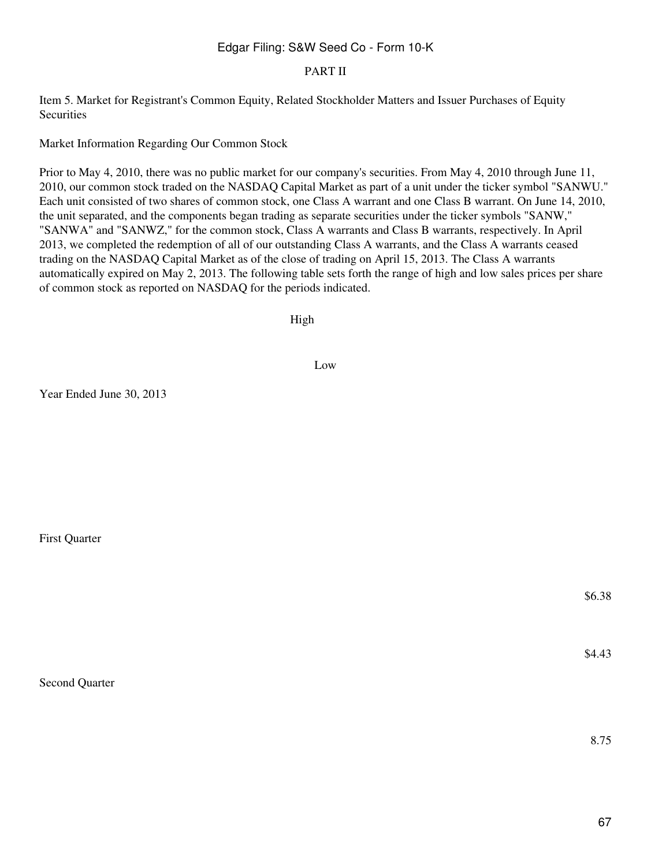#### PART II

Item 5. Market for Registrant's Common Equity, Related Stockholder Matters and Issuer Purchases of Equity Securities

Market Information Regarding Our Common Stock

Prior to May 4, 2010, there was no public market for our company's securities. From May 4, 2010 through June 11, 2010, our common stock traded on the NASDAQ Capital Market as part of a unit under the ticker symbol "SANWU." Each unit consisted of two shares of common stock, one Class A warrant and one Class B warrant. On June 14, 2010, the unit separated, and the components began trading as separate securities under the ticker symbols "SANW," "SANWA" and "SANWZ," for the common stock, Class A warrants and Class B warrants, respectively. In April 2013, we completed the redemption of all of our outstanding Class A warrants, and the Class A warrants ceased trading on the NASDAQ Capital Market as of the close of trading on April 15, 2013. The Class A warrants automatically expired on May 2, 2013. The following table sets forth the range of high and low sales prices per share of common stock as reported on NASDAQ for the periods indicated.

High

Low

Year Ended June 30, 2013

First Quarter

Second Quarter

\$6.38

\$4.43

8.75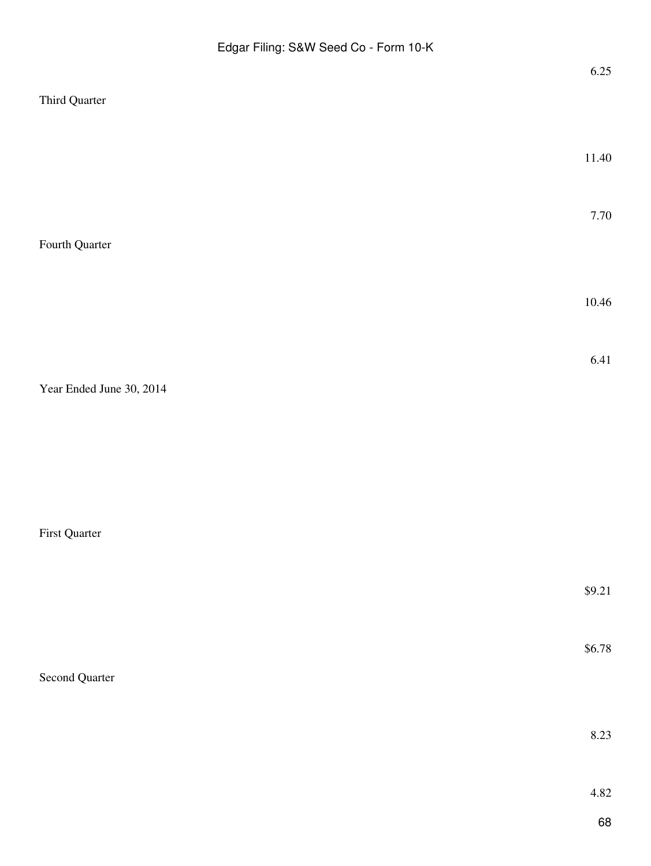|                          | 6.25   |
|--------------------------|--------|
| Third Quarter            |        |
|                          |        |
|                          | 11.40  |
|                          |        |
|                          |        |
|                          | 7.70   |
| Fourth Quarter           |        |
|                          |        |
|                          | 10.46  |
|                          |        |
|                          |        |
|                          | 6.41   |
| Year Ended June 30, 2014 |        |
|                          |        |
|                          |        |
|                          |        |
|                          |        |
|                          |        |
| First Quarter            |        |
|                          |        |
|                          | \$9.21 |
|                          |        |
|                          | \$6.78 |
| Second Quarter           |        |
|                          |        |
|                          |        |
|                          | 8.23   |
|                          |        |
|                          | 4.82   |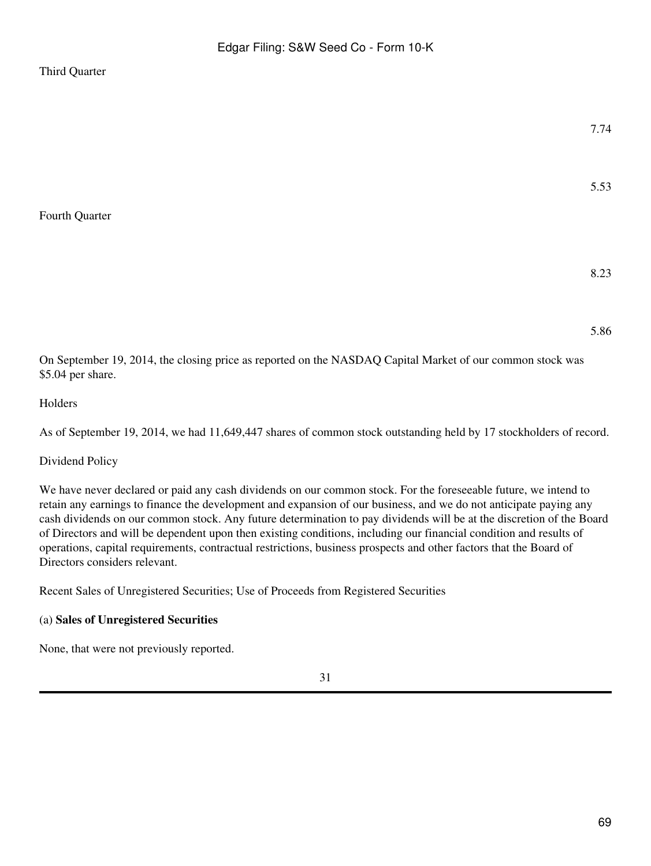#### Third Quarter

Fourth Quarter

5.53

# 8.23

5.86

On September 19, 2014, the closing price as reported on the NASDAQ Capital Market of our common stock was \$5.04 per share.

#### Holders

As of September 19, 2014, we had 11,649,447 shares of common stock outstanding held by 17 stockholders of record.

#### Dividend Policy

We have never declared or paid any cash dividends on our common stock. For the foreseeable future, we intend to retain any earnings to finance the development and expansion of our business, and we do not anticipate paying any cash dividends on our common stock. Any future determination to pay dividends will be at the discretion of the Board of Directors and will be dependent upon then existing conditions, including our financial condition and results of operations, capital requirements, contractual restrictions, business prospects and other factors that the Board of Directors considers relevant.

Recent Sales of Unregistered Securities; Use of Proceeds from Registered Securities

#### (a) **Sales of Unregistered Securities**

None, that were not previously reported.

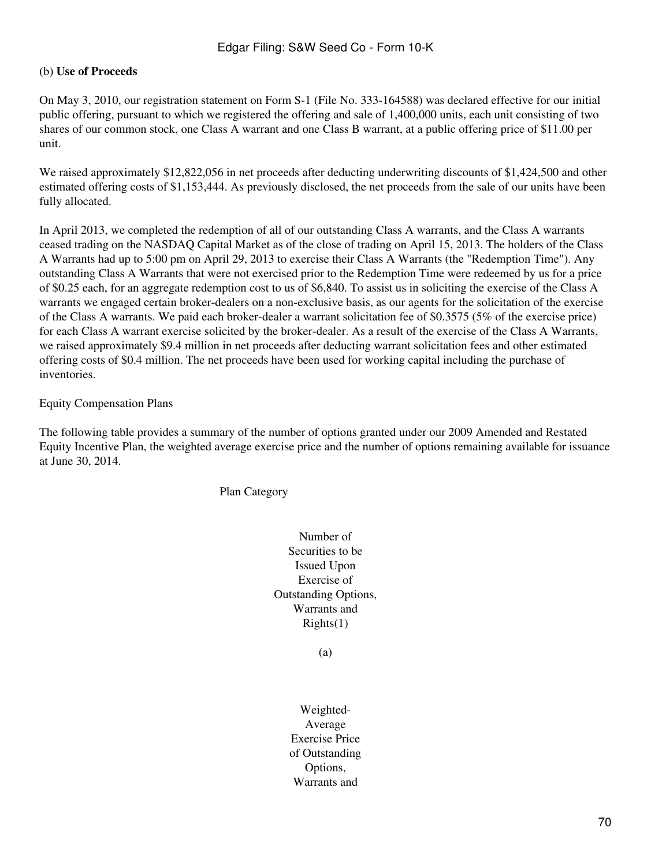#### (b) **Use of Proceeds**

On May 3, 2010, our registration statement on Form S-1 (File No. 333-164588) was declared effective for our initial public offering, pursuant to which we registered the offering and sale of 1,400,000 units, each unit consisting of two shares of our common stock, one Class A warrant and one Class B warrant, at a public offering price of \$11.00 per unit.

We raised approximately \$12,822,056 in net proceeds after deducting underwriting discounts of \$1,424,500 and other estimated offering costs of \$1,153,444. As previously disclosed, the net proceeds from the sale of our units have been fully allocated.

In April 2013, we completed the redemption of all of our outstanding Class A warrants, and the Class A warrants ceased trading on the NASDAQ Capital Market as of the close of trading on April 15, 2013. The holders of the Class A Warrants had up to 5:00 pm on April 29, 2013 to exercise their Class A Warrants (the "Redemption Time"). Any outstanding Class A Warrants that were not exercised prior to the Redemption Time were redeemed by us for a price of \$0.25 each, for an aggregate redemption cost to us of \$6,840. To assist us in soliciting the exercise of the Class A warrants we engaged certain broker-dealers on a non-exclusive basis, as our agents for the solicitation of the exercise of the Class A warrants. We paid each broker-dealer a warrant solicitation fee of \$0.3575 (5% of the exercise price) for each Class A warrant exercise solicited by the broker-dealer. As a result of the exercise of the Class A Warrants, we raised approximately \$9.4 million in net proceeds after deducting warrant solicitation fees and other estimated offering costs of \$0.4 million. The net proceeds have been used for working capital including the purchase of inventories.

#### Equity Compensation Plans

The following table provides a summary of the number of options granted under our 2009 Amended and Restated Equity Incentive Plan, the weighted average exercise price and the number of options remaining available for issuance at June 30, 2014.

Plan Category

Number of Securities to be Issued Upon Exercise of Outstanding Options, Warrants and  $Right(s(1))$ 

(a)

Weighted-Average Exercise Price of Outstanding Options, Warrants and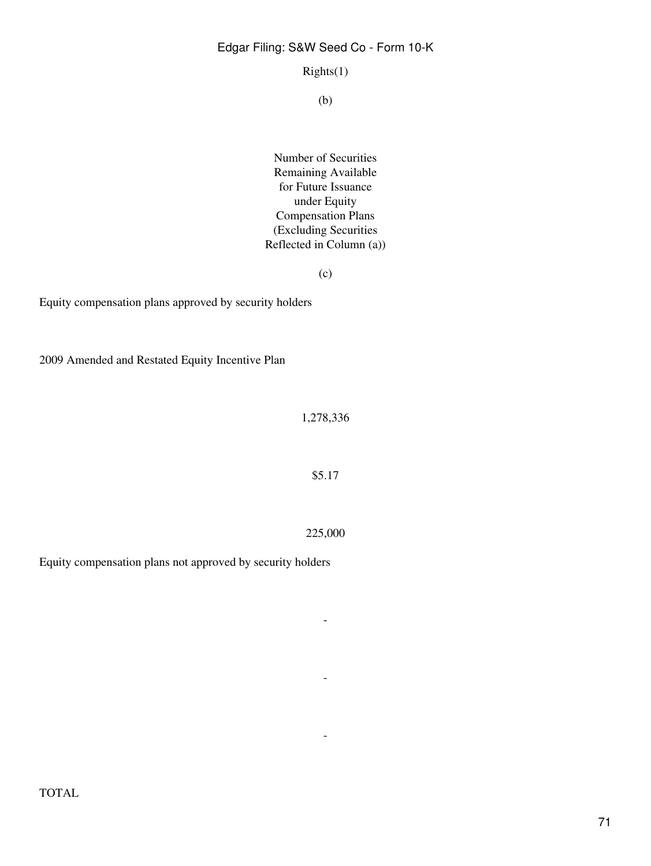Rights(1)

(b)

Number of Securities Remaining Available for Future Issuance under Equity Compensation Plans (Excluding Securities Reflected in Column (a))

 $(c)$ 

Equity compensation plans approved by security holders

2009 Amended and Restated Equity Incentive Plan

1,278,336

\$5.17

225,000

-

-

-

Equity compensation plans not approved by security holders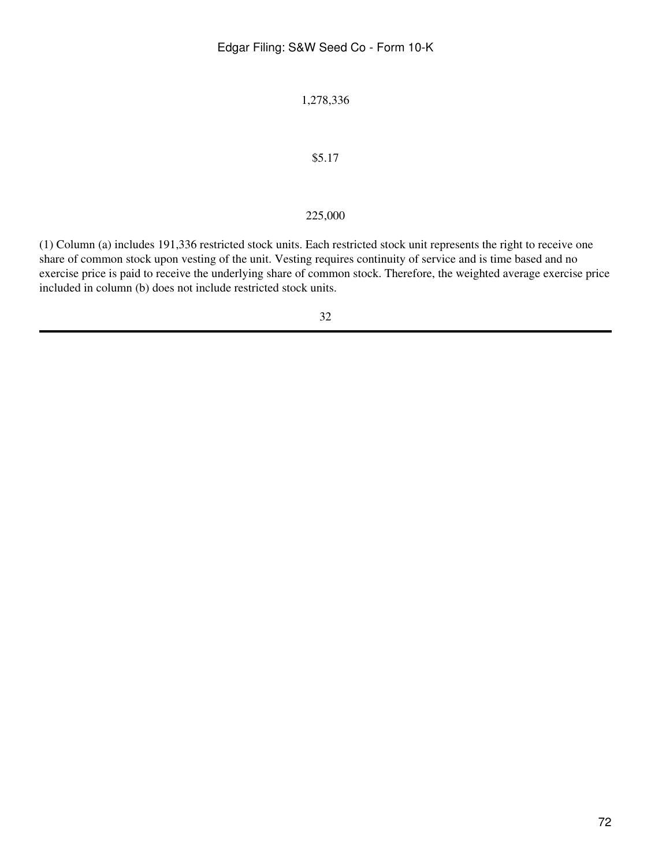1,278,336

#### \$5.17

#### 225,000

(1) Column (a) includes 191,336 restricted stock units. Each restricted stock unit represents the right to receive one share of common stock upon vesting of the unit. Vesting requires continuity of service and is time based and no exercise price is paid to receive the underlying share of common stock. Therefore, the weighted average exercise price included in column (b) does not include restricted stock units.

32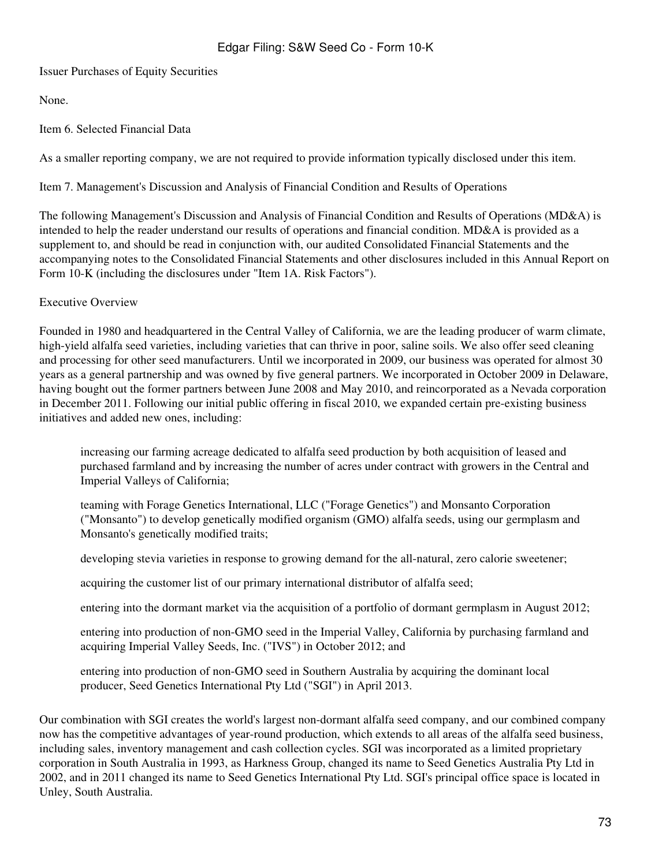Issuer Purchases of Equity Securities

None.

Item 6. Selected Financial Data

As a smaller reporting company, we are not required to provide information typically disclosed under this item.

Item 7. Management's Discussion and Analysis of Financial Condition and Results of Operations

The following Management's Discussion and Analysis of Financial Condition and Results of Operations (MD&A) is intended to help the reader understand our results of operations and financial condition. MD&A is provided as a supplement to, and should be read in conjunction with, our audited Consolidated Financial Statements and the accompanying notes to the Consolidated Financial Statements and other disclosures included in this Annual Report on Form 10-K (including the disclosures under "Item 1A. Risk Factors").

#### Executive Overview

Founded in 1980 and headquartered in the Central Valley of California, we are the leading producer of warm climate, high-yield alfalfa seed varieties, including varieties that can thrive in poor, saline soils. We also offer seed cleaning and processing for other seed manufacturers. Until we incorporated in 2009, our business was operated for almost 30 years as a general partnership and was owned by five general partners. We incorporated in October 2009 in Delaware, having bought out the former partners between June 2008 and May 2010, and reincorporated as a Nevada corporation in December 2011. Following our initial public offering in fiscal 2010, we expanded certain pre-existing business initiatives and added new ones, including:

increasing our farming acreage dedicated to alfalfa seed production by both acquisition of leased and purchased farmland and by increasing the number of acres under contract with growers in the Central and Imperial Valleys of California;

teaming with Forage Genetics International, LLC ("Forage Genetics") and Monsanto Corporation ("Monsanto") to develop genetically modified organism (GMO) alfalfa seeds, using our germplasm and Monsanto's genetically modified traits;

developing stevia varieties in response to growing demand for the all-natural, zero calorie sweetener;

acquiring the customer list of our primary international distributor of alfalfa seed;

entering into the dormant market via the acquisition of a portfolio of dormant germplasm in August 2012;

entering into production of non-GMO seed in the Imperial Valley, California by purchasing farmland and acquiring Imperial Valley Seeds, Inc. ("IVS") in October 2012; and

entering into production of non-GMO seed in Southern Australia by acquiring the dominant local producer, Seed Genetics International Pty Ltd ("SGI") in April 2013.

Our combination with SGI creates the world's largest non-dormant alfalfa seed company, and our combined company now has the competitive advantages of year-round production, which extends to all areas of the alfalfa seed business, including sales, inventory management and cash collection cycles. SGI was incorporated as a limited proprietary corporation in South Australia in 1993, as Harkness Group, changed its name to Seed Genetics Australia Pty Ltd in 2002, and in 2011 changed its name to Seed Genetics International Pty Ltd. SGI's principal office space is located in Unley, South Australia.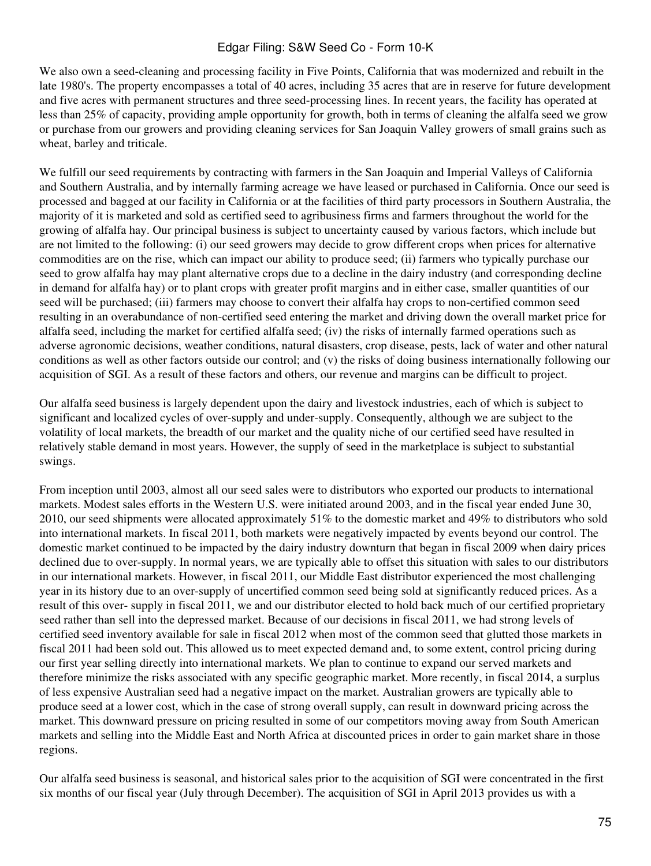We also own a seed-cleaning and processing facility in Five Points, California that was modernized and rebuilt in the late 1980's. The property encompasses a total of 40 acres, including 35 acres that are in reserve for future development and five acres with permanent structures and three seed-processing lines. In recent years, the facility has operated at less than 25% of capacity, providing ample opportunity for growth, both in terms of cleaning the alfalfa seed we grow or purchase from our growers and providing cleaning services for San Joaquin Valley growers of small grains such as wheat, barley and triticale.

We fulfill our seed requirements by contracting with farmers in the San Joaquin and Imperial Valleys of California and Southern Australia, and by internally farming acreage we have leased or purchased in California. Once our seed is processed and bagged at our facility in California or at the facilities of third party processors in Southern Australia, the majority of it is marketed and sold as certified seed to agribusiness firms and farmers throughout the world for the growing of alfalfa hay. Our principal business is subject to uncertainty caused by various factors, which include but are not limited to the following: (i) our seed growers may decide to grow different crops when prices for alternative commodities are on the rise, which can impact our ability to produce seed; (ii) farmers who typically purchase our seed to grow alfalfa hay may plant alternative crops due to a decline in the dairy industry (and corresponding decline in demand for alfalfa hay) or to plant crops with greater profit margins and in either case, smaller quantities of our seed will be purchased; (iii) farmers may choose to convert their alfalfa hay crops to non-certified common seed resulting in an overabundance of non-certified seed entering the market and driving down the overall market price for alfalfa seed, including the market for certified alfalfa seed; (iv) the risks of internally farmed operations such as adverse agronomic decisions, weather conditions, natural disasters, crop disease, pests, lack of water and other natural conditions as well as other factors outside our control; and (v) the risks of doing business internationally following our acquisition of SGI. As a result of these factors and others, our revenue and margins can be difficult to project.

Our alfalfa seed business is largely dependent upon the dairy and livestock industries, each of which is subject to significant and localized cycles of over-supply and under-supply. Consequently, although we are subject to the volatility of local markets, the breadth of our market and the quality niche of our certified seed have resulted in relatively stable demand in most years. However, the supply of seed in the marketplace is subject to substantial swings.

From inception until 2003, almost all our seed sales were to distributors who exported our products to international markets. Modest sales efforts in the Western U.S. were initiated around 2003, and in the fiscal year ended June 30, 2010, our seed shipments were allocated approximately 51% to the domestic market and 49% to distributors who sold into international markets. In fiscal 2011, both markets were negatively impacted by events beyond our control. The domestic market continued to be impacted by the dairy industry downturn that began in fiscal 2009 when dairy prices declined due to over-supply. In normal years, we are typically able to offset this situation with sales to our distributors in our international markets. However, in fiscal 2011, our Middle East distributor experienced the most challenging year in its history due to an over-supply of uncertified common seed being sold at significantly reduced prices. As a result of this over- supply in fiscal 2011, we and our distributor elected to hold back much of our certified proprietary seed rather than sell into the depressed market. Because of our decisions in fiscal 2011, we had strong levels of certified seed inventory available for sale in fiscal 2012 when most of the common seed that glutted those markets in fiscal 2011 had been sold out. This allowed us to meet expected demand and, to some extent, control pricing during our first year selling directly into international markets. We plan to continue to expand our served markets and therefore minimize the risks associated with any specific geographic market. More recently, in fiscal 2014, a surplus of less expensive Australian seed had a negative impact on the market. Australian growers are typically able to produce seed at a lower cost, which in the case of strong overall supply, can result in downward pricing across the market. This downward pressure on pricing resulted in some of our competitors moving away from South American markets and selling into the Middle East and North Africa at discounted prices in order to gain market share in those regions.

Our alfalfa seed business is seasonal, and historical sales prior to the acquisition of SGI were concentrated in the first six months of our fiscal year (July through December). The acquisition of SGI in April 2013 provides us with a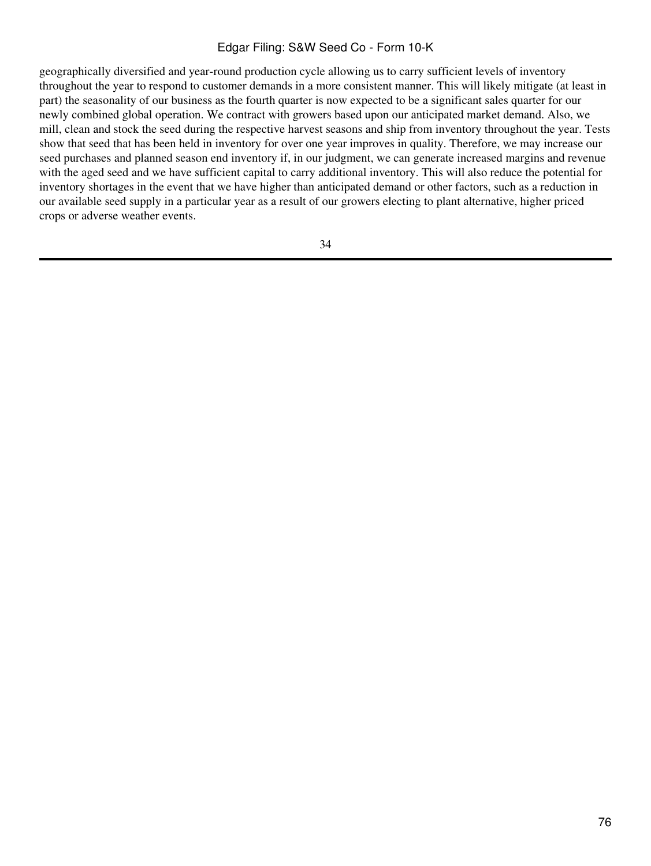geographically diversified and year-round production cycle allowing us to carry sufficient levels of inventory throughout the year to respond to customer demands in a more consistent manner. This will likely mitigate (at least in part) the seasonality of our business as the fourth quarter is now expected to be a significant sales quarter for our newly combined global operation. We contract with growers based upon our anticipated market demand. Also, we mill, clean and stock the seed during the respective harvest seasons and ship from inventory throughout the year. Tests show that seed that has been held in inventory for over one year improves in quality. Therefore, we may increase our seed purchases and planned season end inventory if, in our judgment, we can generate increased margins and revenue with the aged seed and we have sufficient capital to carry additional inventory. This will also reduce the potential for inventory shortages in the event that we have higher than anticipated demand or other factors, such as a reduction in our available seed supply in a particular year as a result of our growers electing to plant alternative, higher priced crops or adverse weather events.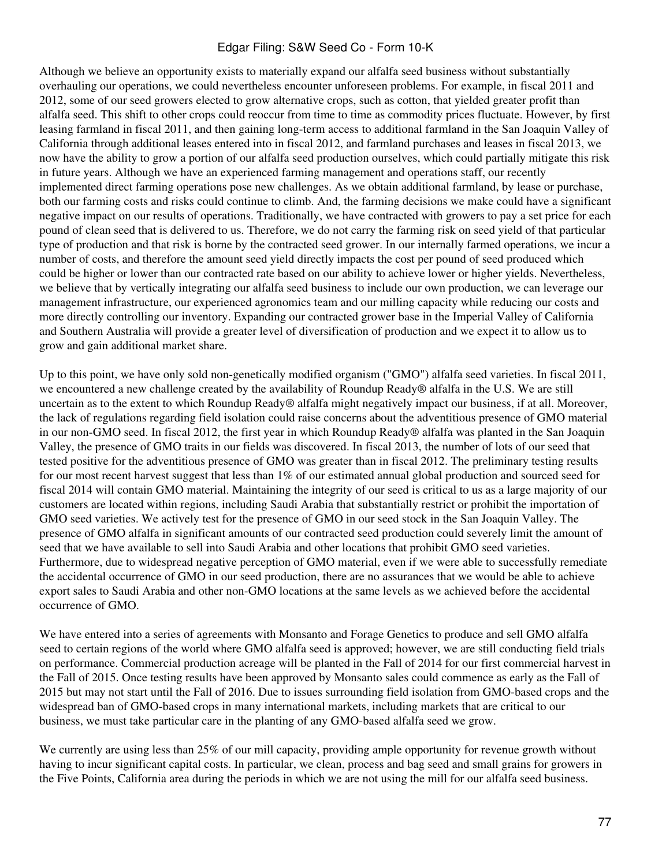Although we believe an opportunity exists to materially expand our alfalfa seed business without substantially overhauling our operations, we could nevertheless encounter unforeseen problems. For example, in fiscal 2011 and 2012, some of our seed growers elected to grow alternative crops, such as cotton, that yielded greater profit than alfalfa seed. This shift to other crops could reoccur from time to time as commodity prices fluctuate. However, by first leasing farmland in fiscal 2011, and then gaining long-term access to additional farmland in the San Joaquin Valley of California through additional leases entered into in fiscal 2012, and farmland purchases and leases in fiscal 2013, we now have the ability to grow a portion of our alfalfa seed production ourselves, which could partially mitigate this risk in future years. Although we have an experienced farming management and operations staff, our recently implemented direct farming operations pose new challenges. As we obtain additional farmland, by lease or purchase, both our farming costs and risks could continue to climb. And, the farming decisions we make could have a significant negative impact on our results of operations. Traditionally, we have contracted with growers to pay a set price for each pound of clean seed that is delivered to us. Therefore, we do not carry the farming risk on seed yield of that particular type of production and that risk is borne by the contracted seed grower. In our internally farmed operations, we incur a number of costs, and therefore the amount seed yield directly impacts the cost per pound of seed produced which could be higher or lower than our contracted rate based on our ability to achieve lower or higher yields. Nevertheless, we believe that by vertically integrating our alfalfa seed business to include our own production, we can leverage our management infrastructure, our experienced agronomics team and our milling capacity while reducing our costs and more directly controlling our inventory. Expanding our contracted grower base in the Imperial Valley of California and Southern Australia will provide a greater level of diversification of production and we expect it to allow us to grow and gain additional market share.

Up to this point, we have only sold non-genetically modified organism ("GMO") alfalfa seed varieties. In fiscal 2011, we encountered a new challenge created by the availability of Roundup Ready® alfalfa in the U.S. We are still uncertain as to the extent to which Roundup Ready® alfalfa might negatively impact our business, if at all. Moreover, the lack of regulations regarding field isolation could raise concerns about the adventitious presence of GMO material in our non-GMO seed. In fiscal 2012, the first year in which Roundup Ready® alfalfa was planted in the San Joaquin Valley, the presence of GMO traits in our fields was discovered. In fiscal 2013, the number of lots of our seed that tested positive for the adventitious presence of GMO was greater than in fiscal 2012. The preliminary testing results for our most recent harvest suggest that less than 1% of our estimated annual global production and sourced seed for fiscal 2014 will contain GMO material. Maintaining the integrity of our seed is critical to us as a large majority of our customers are located within regions, including Saudi Arabia that substantially restrict or prohibit the importation of GMO seed varieties. We actively test for the presence of GMO in our seed stock in the San Joaquin Valley. The presence of GMO alfalfa in significant amounts of our contracted seed production could severely limit the amount of seed that we have available to sell into Saudi Arabia and other locations that prohibit GMO seed varieties. Furthermore, due to widespread negative perception of GMO material, even if we were able to successfully remediate the accidental occurrence of GMO in our seed production, there are no assurances that we would be able to achieve export sales to Saudi Arabia and other non-GMO locations at the same levels as we achieved before the accidental occurrence of GMO.

We have entered into a series of agreements with Monsanto and Forage Genetics to produce and sell GMO alfalfa seed to certain regions of the world where GMO alfalfa seed is approved; however, we are still conducting field trials on performance. Commercial production acreage will be planted in the Fall of 2014 for our first commercial harvest in the Fall of 2015. Once testing results have been approved by Monsanto sales could commence as early as the Fall of 2015 but may not start until the Fall of 2016. Due to issues surrounding field isolation from GMO-based crops and the widespread ban of GMO-based crops in many international markets, including markets that are critical to our business, we must take particular care in the planting of any GMO-based alfalfa seed we grow.

We currently are using less than 25% of our mill capacity, providing ample opportunity for revenue growth without having to incur significant capital costs. In particular, we clean, process and bag seed and small grains for growers in the Five Points, California area during the periods in which we are not using the mill for our alfalfa seed business.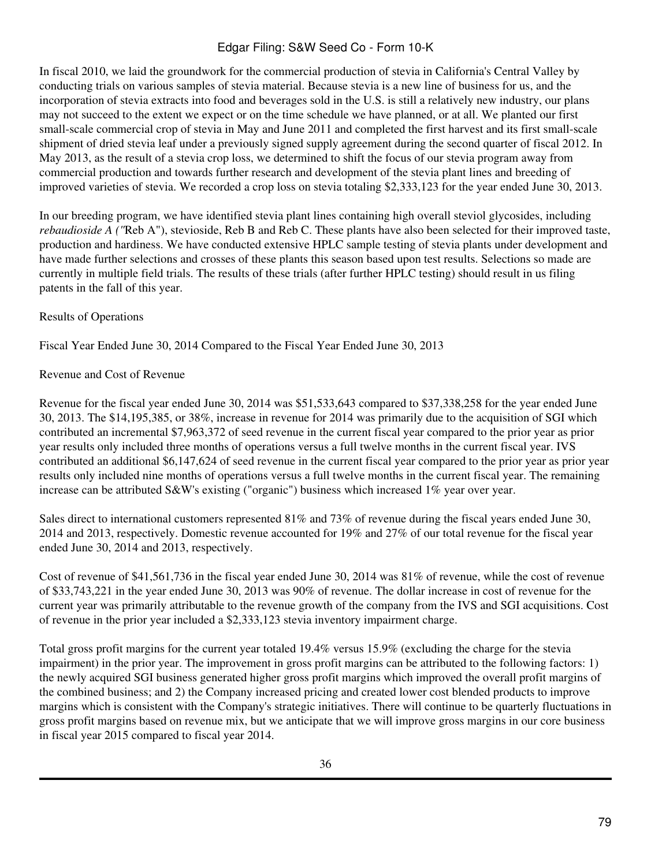In fiscal 2010, we laid the groundwork for the commercial production of stevia in California's Central Valley by conducting trials on various samples of stevia material. Because stevia is a new line of business for us, and the incorporation of stevia extracts into food and beverages sold in the U.S. is still a relatively new industry, our plans may not succeed to the extent we expect or on the time schedule we have planned, or at all. We planted our first small-scale commercial crop of stevia in May and June 2011 and completed the first harvest and its first small-scale shipment of dried stevia leaf under a previously signed supply agreement during the second quarter of fiscal 2012. In May 2013, as the result of a stevia crop loss, we determined to shift the focus of our stevia program away from commercial production and towards further research and development of the stevia plant lines and breeding of improved varieties of stevia. We recorded a crop loss on stevia totaling \$2,333,123 for the year ended June 30, 2013.

In our breeding program, we have identified stevia plant lines containing high overall steviol glycosides, including *rebaudioside A ("*Reb A"), stevioside, Reb B and Reb C. These plants have also been selected for their improved taste, production and hardiness. We have conducted extensive HPLC sample testing of stevia plants under development and have made further selections and crosses of these plants this season based upon test results. Selections so made are currently in multiple field trials. The results of these trials (after further HPLC testing) should result in us filing patents in the fall of this year.

## Results of Operations

Fiscal Year Ended June 30, 2014 Compared to the Fiscal Year Ended June 30, 2013

## Revenue and Cost of Revenue

Revenue for the fiscal year ended June 30, 2014 was \$51,533,643 compared to \$37,338,258 for the year ended June 30, 2013. The \$14,195,385, or 38%, increase in revenue for 2014 was primarily due to the acquisition of SGI which contributed an incremental \$7,963,372 of seed revenue in the current fiscal year compared to the prior year as prior year results only included three months of operations versus a full twelve months in the current fiscal year. IVS contributed an additional \$6,147,624 of seed revenue in the current fiscal year compared to the prior year as prior year results only included nine months of operations versus a full twelve months in the current fiscal year. The remaining increase can be attributed S&W's existing ("organic") business which increased 1% year over year.

Sales direct to international customers represented 81% and 73% of revenue during the fiscal years ended June 30, 2014 and 2013, respectively. Domestic revenue accounted for 19% and 27% of our total revenue for the fiscal year ended June 30, 2014 and 2013, respectively.

Cost of revenue of \$41,561,736 in the fiscal year ended June 30, 2014 was 81% of revenue, while the cost of revenue of \$33,743,221 in the year ended June 30, 2013 was 90% of revenue. The dollar increase in cost of revenue for the current year was primarily attributable to the revenue growth of the company from the IVS and SGI acquisitions. Cost of revenue in the prior year included a \$2,333,123 stevia inventory impairment charge.

Total gross profit margins for the current year totaled 19.4% versus 15.9% (excluding the charge for the stevia impairment) in the prior year. The improvement in gross profit margins can be attributed to the following factors: 1) the newly acquired SGI business generated higher gross profit margins which improved the overall profit margins of the combined business; and 2) the Company increased pricing and created lower cost blended products to improve margins which is consistent with the Company's strategic initiatives. There will continue to be quarterly fluctuations in gross profit margins based on revenue mix, but we anticipate that we will improve gross margins in our core business in fiscal year 2015 compared to fiscal year 2014.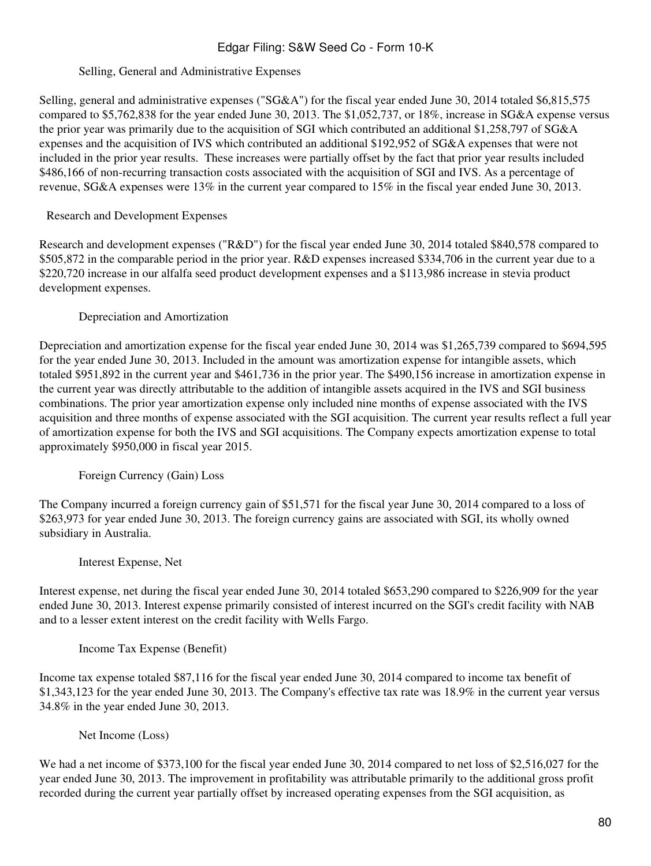## Selling, General and Administrative Expenses

Selling, general and administrative expenses ("SG&A") for the fiscal year ended June 30, 2014 totaled \$6,815,575 compared to \$5,762,838 for the year ended June 30, 2013. The \$1,052,737, or 18%, increase in SG&A expense versus the prior year was primarily due to the acquisition of SGI which contributed an additional \$1,258,797 of SG&A expenses and the acquisition of IVS which contributed an additional \$192,952 of SG&A expenses that were not included in the prior year results. These increases were partially offset by the fact that prior year results included \$486,166 of non-recurring transaction costs associated with the acquisition of SGI and IVS. As a percentage of revenue, SG&A expenses were 13% in the current year compared to 15% in the fiscal year ended June 30, 2013.

## Research and Development Expenses

Research and development expenses ("R&D") for the fiscal year ended June 30, 2014 totaled \$840,578 compared to \$505,872 in the comparable period in the prior year. R&D expenses increased \$334,706 in the current year due to a \$220,720 increase in our alfalfa seed product development expenses and a \$113,986 increase in stevia product development expenses.

## Depreciation and Amortization

Depreciation and amortization expense for the fiscal year ended June 30, 2014 was \$1,265,739 compared to \$694,595 for the year ended June 30, 2013. Included in the amount was amortization expense for intangible assets, which totaled \$951,892 in the current year and \$461,736 in the prior year. The \$490,156 increase in amortization expense in the current year was directly attributable to the addition of intangible assets acquired in the IVS and SGI business combinations. The prior year amortization expense only included nine months of expense associated with the IVS acquisition and three months of expense associated with the SGI acquisition. The current year results reflect a full year of amortization expense for both the IVS and SGI acquisitions. The Company expects amortization expense to total approximately \$950,000 in fiscal year 2015.

Foreign Currency (Gain) Loss

The Company incurred a foreign currency gain of \$51,571 for the fiscal year June 30, 2014 compared to a loss of \$263,973 for year ended June 30, 2013. The foreign currency gains are associated with SGI, its wholly owned subsidiary in Australia.

Interest Expense, Net

Interest expense, net during the fiscal year ended June 30, 2014 totaled \$653,290 compared to \$226,909 for the year ended June 30, 2013. Interest expense primarily consisted of interest incurred on the SGI's credit facility with NAB and to a lesser extent interest on the credit facility with Wells Fargo.

Income Tax Expense (Benefit)

Income tax expense totaled \$87,116 for the fiscal year ended June 30, 2014 compared to income tax benefit of \$1,343,123 for the year ended June 30, 2013. The Company's effective tax rate was 18.9% in the current year versus 34.8% in the year ended June 30, 2013.

Net Income (Loss)

We had a net income of \$373,100 for the fiscal year ended June 30, 2014 compared to net loss of \$2,516,027 for the year ended June 30, 2013. The improvement in profitability was attributable primarily to the additional gross profit recorded during the current year partially offset by increased operating expenses from the SGI acquisition, as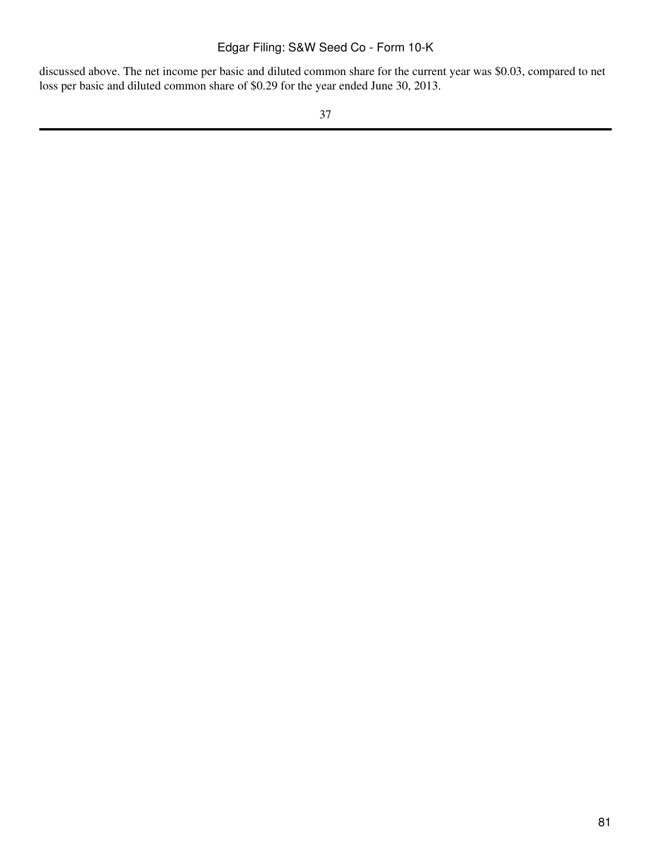discussed above. The net income per basic and diluted common share for the current year was \$0.03, compared to net loss per basic and diluted common share of \$0.29 for the year ended June 30, 2013.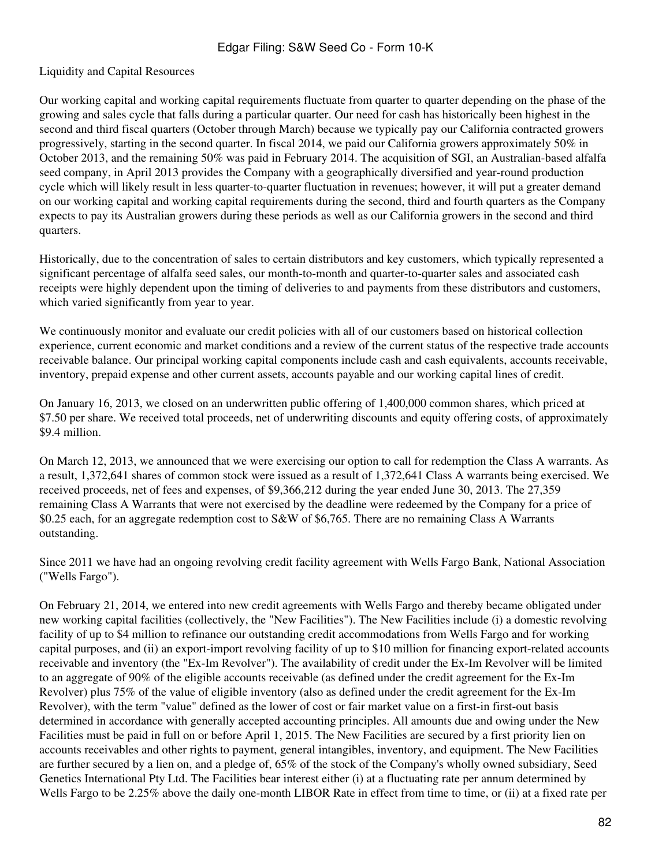## Liquidity and Capital Resources

Our working capital and working capital requirements fluctuate from quarter to quarter depending on the phase of the growing and sales cycle that falls during a particular quarter. Our need for cash has historically been highest in the second and third fiscal quarters (October through March) because we typically pay our California contracted growers progressively, starting in the second quarter. In fiscal 2014, we paid our California growers approximately 50% in October 2013, and the remaining 50% was paid in February 2014. The acquisition of SGI, an Australian-based alfalfa seed company, in April 2013 provides the Company with a geographically diversified and year-round production cycle which will likely result in less quarter-to-quarter fluctuation in revenues; however, it will put a greater demand on our working capital and working capital requirements during the second, third and fourth quarters as the Company expects to pay its Australian growers during these periods as well as our California growers in the second and third quarters.

Historically, due to the concentration of sales to certain distributors and key customers, which typically represented a significant percentage of alfalfa seed sales, our month-to-month and quarter-to-quarter sales and associated cash receipts were highly dependent upon the timing of deliveries to and payments from these distributors and customers, which varied significantly from year to year.

We continuously monitor and evaluate our credit policies with all of our customers based on historical collection experience, current economic and market conditions and a review of the current status of the respective trade accounts receivable balance. Our principal working capital components include cash and cash equivalents, accounts receivable, inventory, prepaid expense and other current assets, accounts payable and our working capital lines of credit.

On January 16, 2013, we closed on an underwritten public offering of 1,400,000 common shares, which priced at \$7.50 per share. We received total proceeds, net of underwriting discounts and equity offering costs, of approximately \$9.4 million.

On March 12, 2013, we announced that we were exercising our option to call for redemption the Class A warrants. As a result, 1,372,641 shares of common stock were issued as a result of 1,372,641 Class A warrants being exercised. We received proceeds, net of fees and expenses, of \$9,366,212 during the year ended June 30, 2013. The 27,359 remaining Class A Warrants that were not exercised by the deadline were redeemed by the Company for a price of \$0.25 each, for an aggregate redemption cost to S&W of \$6,765. There are no remaining Class A Warrants outstanding.

Since 2011 we have had an ongoing revolving credit facility agreement with Wells Fargo Bank, National Association ("Wells Fargo").

On February 21, 2014, we entered into new credit agreements with Wells Fargo and thereby became obligated under new working capital facilities (collectively, the "New Facilities"). The New Facilities include (i) a domestic revolving facility of up to \$4 million to refinance our outstanding credit accommodations from Wells Fargo and for working capital purposes, and (ii) an export-import revolving facility of up to \$10 million for financing export-related accounts receivable and inventory (the "Ex-Im Revolver"). The availability of credit under the Ex-Im Revolver will be limited to an aggregate of 90% of the eligible accounts receivable (as defined under the credit agreement for the Ex-Im Revolver) plus 75% of the value of eligible inventory (also as defined under the credit agreement for the Ex-Im Revolver), with the term "value" defined as the lower of cost or fair market value on a first-in first-out basis determined in accordance with generally accepted accounting principles. All amounts due and owing under the New Facilities must be paid in full on or before April 1, 2015. The New Facilities are secured by a first priority lien on accounts receivables and other rights to payment, general intangibles, inventory, and equipment. The New Facilities are further secured by a lien on, and a pledge of, 65% of the stock of the Company's wholly owned subsidiary, Seed Genetics International Pty Ltd. The Facilities bear interest either (i) at a fluctuating rate per annum determined by Wells Fargo to be 2.25% above the daily one-month LIBOR Rate in effect from time to time, or (ii) at a fixed rate per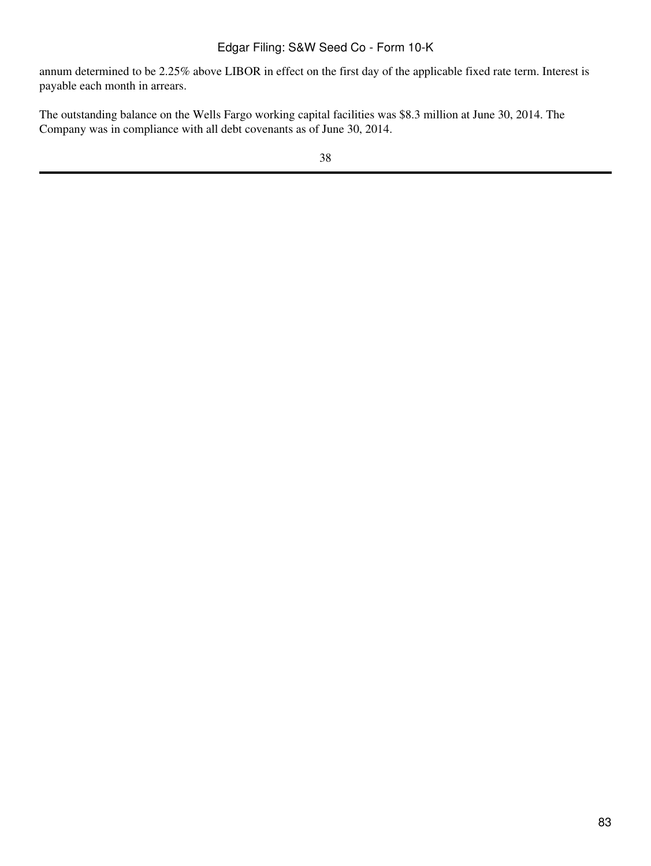annum determined to be 2.25% above LIBOR in effect on the first day of the applicable fixed rate term. Interest is payable each month in arrears.

The outstanding balance on the Wells Fargo working capital facilities was \$8.3 million at June 30, 2014. The Company was in compliance with all debt covenants as of June 30, 2014.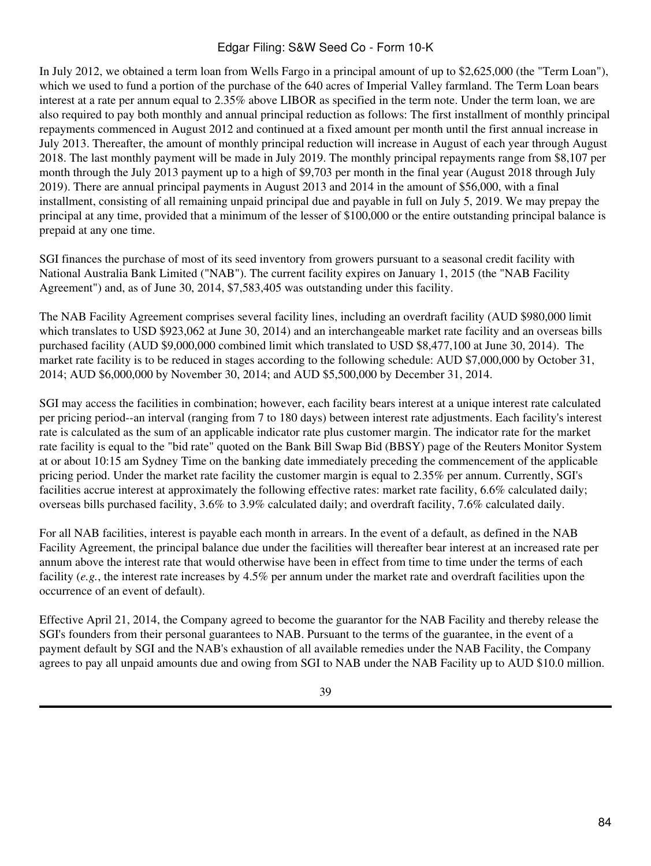In July 2012, we obtained a term loan from Wells Fargo in a principal amount of up to \$2,625,000 (the "Term Loan"), which we used to fund a portion of the purchase of the 640 acres of Imperial Valley farmland. The Term Loan bears interest at a rate per annum equal to 2.35% above LIBOR as specified in the term note. Under the term loan, we are also required to pay both monthly and annual principal reduction as follows: The first installment of monthly principal repayments commenced in August 2012 and continued at a fixed amount per month until the first annual increase in July 2013. Thereafter, the amount of monthly principal reduction will increase in August of each year through August 2018. The last monthly payment will be made in July 2019. The monthly principal repayments range from \$8,107 per month through the July 2013 payment up to a high of \$9,703 per month in the final year (August 2018 through July 2019). There are annual principal payments in August 2013 and 2014 in the amount of \$56,000, with a final installment, consisting of all remaining unpaid principal due and payable in full on July 5, 2019. We may prepay the principal at any time, provided that a minimum of the lesser of \$100,000 or the entire outstanding principal balance is prepaid at any one time.

SGI finances the purchase of most of its seed inventory from growers pursuant to a seasonal credit facility with National Australia Bank Limited ("NAB"). The current facility expires on January 1, 2015 (the "NAB Facility Agreement") and, as of June 30, 2014, \$7,583,405 was outstanding under this facility.

The NAB Facility Agreement comprises several facility lines, including an overdraft facility (AUD \$980,000 limit which translates to USD \$923,062 at June 30, 2014) and an interchangeable market rate facility and an overseas bills purchased facility (AUD \$9,000,000 combined limit which translated to USD \$8,477,100 at June 30, 2014). The market rate facility is to be reduced in stages according to the following schedule: AUD \$7,000,000 by October 31, 2014; AUD \$6,000,000 by November 30, 2014; and AUD \$5,500,000 by December 31, 2014.

SGI may access the facilities in combination; however, each facility bears interest at a unique interest rate calculated per pricing period--an interval (ranging from 7 to 180 days) between interest rate adjustments. Each facility's interest rate is calculated as the sum of an applicable indicator rate plus customer margin. The indicator rate for the market rate facility is equal to the "bid rate" quoted on the Bank Bill Swap Bid (BBSY) page of the Reuters Monitor System at or about 10:15 am Sydney Time on the banking date immediately preceding the commencement of the applicable pricing period. Under the market rate facility the customer margin is equal to 2.35% per annum. Currently, SGI's facilities accrue interest at approximately the following effective rates: market rate facility, 6.6% calculated daily; overseas bills purchased facility, 3.6% to 3.9% calculated daily; and overdraft facility, 7.6% calculated daily.

For all NAB facilities, interest is payable each month in arrears. In the event of a default, as defined in the NAB Facility Agreement, the principal balance due under the facilities will thereafter bear interest at an increased rate per annum above the interest rate that would otherwise have been in effect from time to time under the terms of each facility (*e.g.*, the interest rate increases by 4.5% per annum under the market rate and overdraft facilities upon the occurrence of an event of default).

Effective April 21, 2014, the Company agreed to become the guarantor for the NAB Facility and thereby release the SGI's founders from their personal guarantees to NAB. Pursuant to the terms of the guarantee, in the event of a payment default by SGI and the NAB's exhaustion of all available remedies under the NAB Facility, the Company agrees to pay all unpaid amounts due and owing from SGI to NAB under the NAB Facility up to AUD \$10.0 million.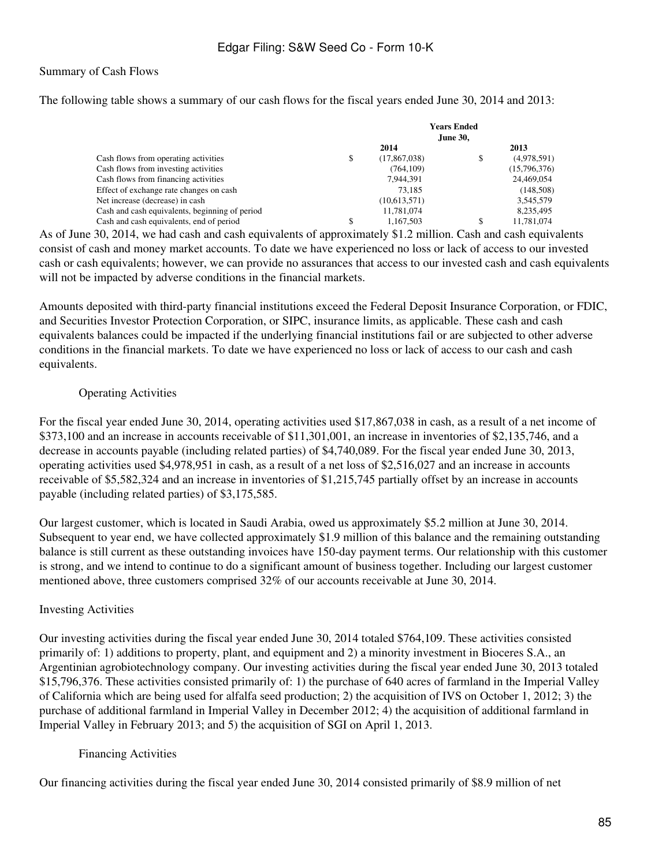#### Summary of Cash Flows

The following table shows a summary of our cash flows for the fiscal years ended June 30, 2014 and 2013:

|                                                | <b>Years Ended</b><br><b>June 30,</b> |              |    |              |
|------------------------------------------------|---------------------------------------|--------------|----|--------------|
|                                                |                                       | 2014         |    | 2013         |
| Cash flows from operating activities           | \$                                    | (17,867,038) | \$ | (4,978,591)  |
| Cash flows from investing activities           |                                       | (764, 109)   |    | (15,796,376) |
| Cash flows from financing activities           |                                       | 7.944.391    |    | 24,469,054   |
| Effect of exchange rate changes on cash        |                                       | 73.185       |    | (148,508)    |
| Net increase (decrease) in cash                |                                       | (10,613,571) |    | 3,545,579    |
| Cash and cash equivalents, beginning of period |                                       | 11,781,074   |    | 8,235,495    |
| Cash and cash equivalents, end of period       | S                                     | 1.167.503    | S  | 11,781,074   |

As of June 30, 2014, we had cash and cash equivalents of approximately \$1.2 million. Cash and cash equivalents consist of cash and money market accounts. To date we have experienced no loss or lack of access to our invested cash or cash equivalents; however, we can provide no assurances that access to our invested cash and cash equivalents will not be impacted by adverse conditions in the financial markets.

Amounts deposited with third-party financial institutions exceed the Federal Deposit Insurance Corporation, or FDIC, and Securities Investor Protection Corporation, or SIPC, insurance limits, as applicable. These cash and cash equivalents balances could be impacted if the underlying financial institutions fail or are subjected to other adverse conditions in the financial markets. To date we have experienced no loss or lack of access to our cash and cash equivalents.

## Operating Activities

For the fiscal year ended June 30, 2014, operating activities used \$17,867,038 in cash, as a result of a net income of \$373,100 and an increase in accounts receivable of \$11,301,001, an increase in inventories of \$2,135,746, and a decrease in accounts payable (including related parties) of \$4,740,089. For the fiscal year ended June 30, 2013, operating activities used \$4,978,951 in cash, as a result of a net loss of \$2,516,027 and an increase in accounts receivable of \$5,582,324 and an increase in inventories of \$1,215,745 partially offset by an increase in accounts payable (including related parties) of \$3,175,585.

Our largest customer, which is located in Saudi Arabia, owed us approximately \$5.2 million at June 30, 2014. Subsequent to year end, we have collected approximately \$1.9 million of this balance and the remaining outstanding balance is still current as these outstanding invoices have 150-day payment terms. Our relationship with this customer is strong, and we intend to continue to do a significant amount of business together. Including our largest customer mentioned above, three customers comprised 32% of our accounts receivable at June 30, 2014.

## Investing Activities

Our investing activities during the fiscal year ended June 30, 2014 totaled \$764,109. These activities consisted primarily of: 1) additions to property, plant, and equipment and 2) a minority investment in Bioceres S.A., an Argentinian agrobiotechnology company. Our investing activities during the fiscal year ended June 30, 2013 totaled \$15,796,376. These activities consisted primarily of: 1) the purchase of 640 acres of farmland in the Imperial Valley of California which are being used for alfalfa seed production; 2) the acquisition of IVS on October 1, 2012; 3) the purchase of additional farmland in Imperial Valley in December 2012; 4) the acquisition of additional farmland in Imperial Valley in February 2013; and 5) the acquisition of SGI on April 1, 2013.

## Financing Activities

Our financing activities during the fiscal year ended June 30, 2014 consisted primarily of \$8.9 million of net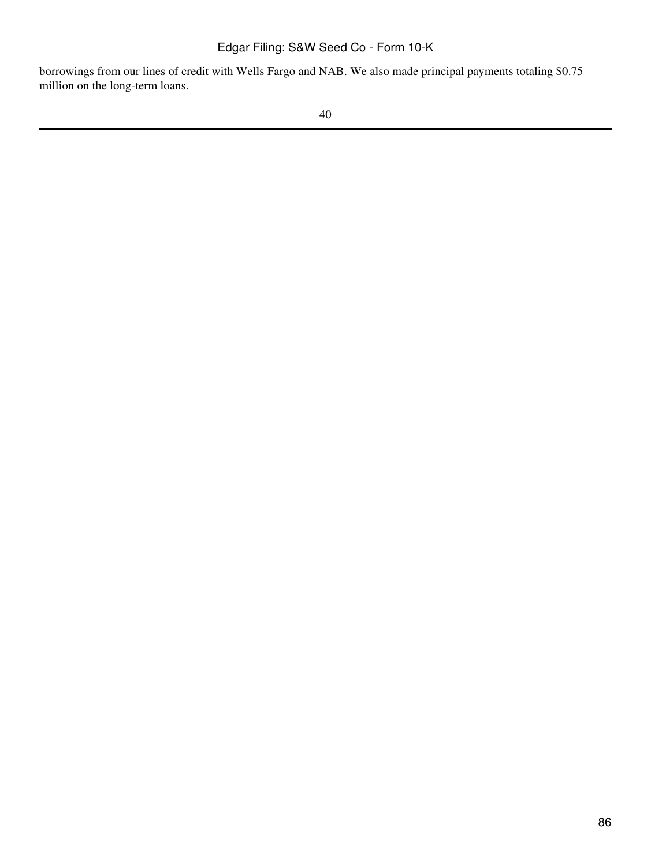borrowings from our lines of credit with Wells Fargo and NAB. We also made principal payments totaling \$0.75 million on the long-term loans.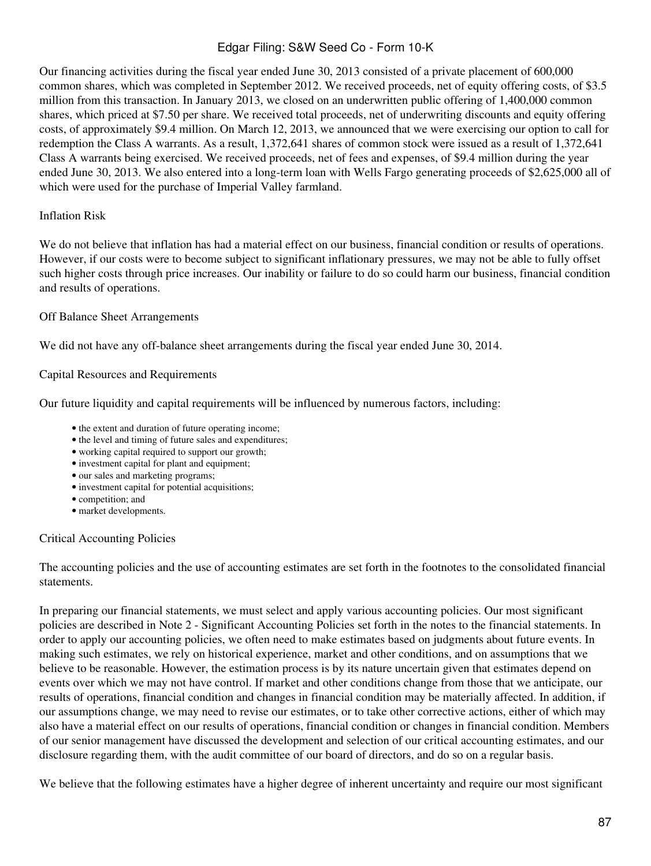Our financing activities during the fiscal year ended June 30, 2013 consisted of a private placement of 600,000 common shares, which was completed in September 2012. We received proceeds, net of equity offering costs, of \$3.5 million from this transaction. In January 2013, we closed on an underwritten public offering of 1,400,000 common shares, which priced at \$7.50 per share. We received total proceeds, net of underwriting discounts and equity offering costs, of approximately \$9.4 million. On March 12, 2013, we announced that we were exercising our option to call for redemption the Class A warrants. As a result, 1,372,641 shares of common stock were issued as a result of 1,372,641 Class A warrants being exercised. We received proceeds, net of fees and expenses, of \$9.4 million during the year ended June 30, 2013. We also entered into a long-term loan with Wells Fargo generating proceeds of \$2,625,000 all of which were used for the purchase of Imperial Valley farmland.

#### Inflation Risk

We do not believe that inflation has had a material effect on our business, financial condition or results of operations. However, if our costs were to become subject to significant inflationary pressures, we may not be able to fully offset such higher costs through price increases. Our inability or failure to do so could harm our business, financial condition and results of operations.

#### Off Balance Sheet Arrangements

We did not have any off-balance sheet arrangements during the fiscal year ended June 30, 2014.

#### Capital Resources and Requirements

Our future liquidity and capital requirements will be influenced by numerous factors, including:

- the extent and duration of future operating income;
- the level and timing of future sales and expenditures;
- working capital required to support our growth;
- investment capital for plant and equipment;
- our sales and marketing programs;
- investment capital for potential acquisitions;
- competition; and
- market developments.

#### Critical Accounting Policies

The accounting policies and the use of accounting estimates are set forth in the footnotes to the consolidated financial statements.

In preparing our financial statements, we must select and apply various accounting policies. Our most significant policies are described in Note 2 - Significant Accounting Policies set forth in the notes to the financial statements. In order to apply our accounting policies, we often need to make estimates based on judgments about future events. In making such estimates, we rely on historical experience, market and other conditions, and on assumptions that we believe to be reasonable. However, the estimation process is by its nature uncertain given that estimates depend on events over which we may not have control. If market and other conditions change from those that we anticipate, our results of operations, financial condition and changes in financial condition may be materially affected. In addition, if our assumptions change, we may need to revise our estimates, or to take other corrective actions, either of which may also have a material effect on our results of operations, financial condition or changes in financial condition. Members of our senior management have discussed the development and selection of our critical accounting estimates, and our disclosure regarding them, with the audit committee of our board of directors, and do so on a regular basis.

We believe that the following estimates have a higher degree of inherent uncertainty and require our most significant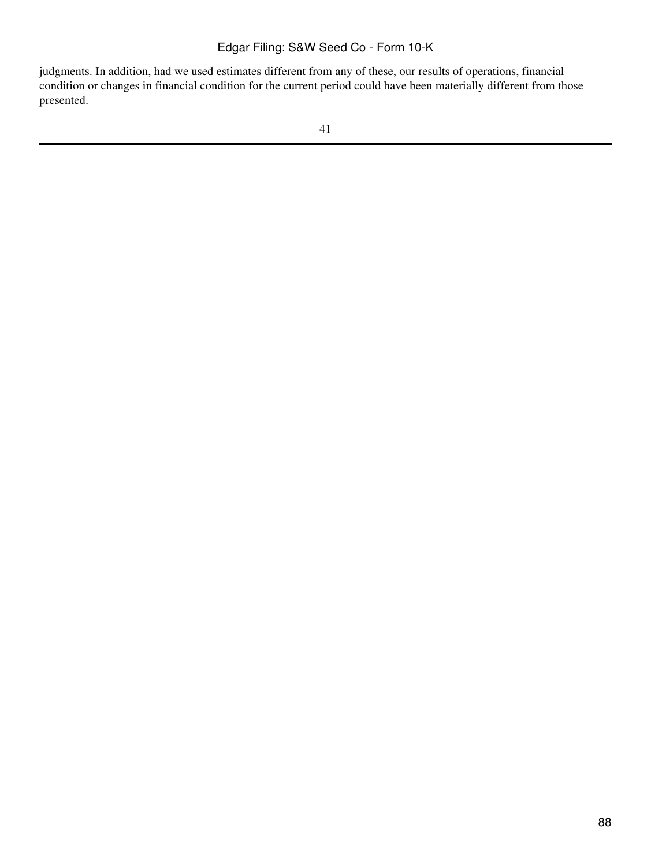judgments. In addition, had we used estimates different from any of these, our results of operations, financial condition or changes in financial condition for the current period could have been materially different from those presented.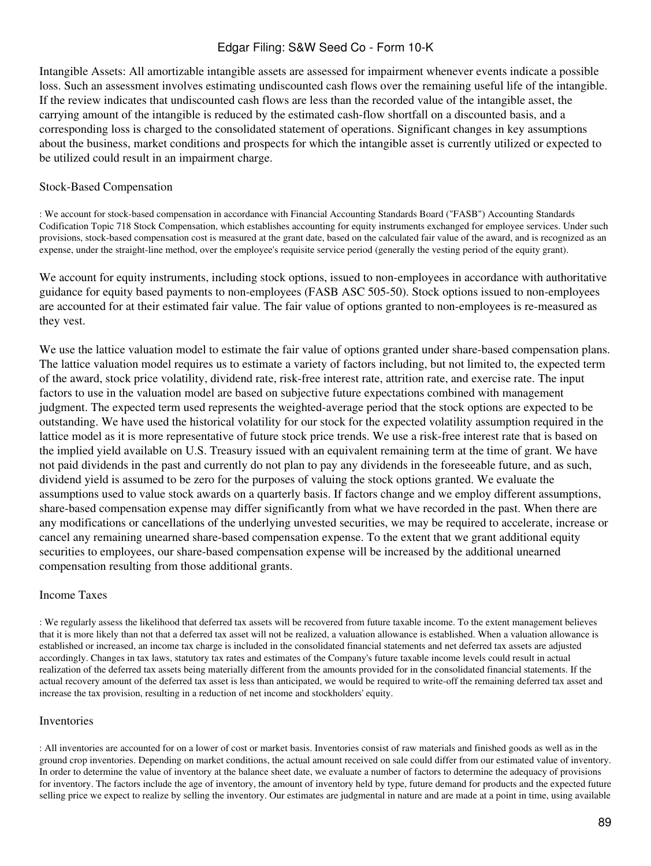Intangible Assets: All amortizable intangible assets are assessed for impairment whenever events indicate a possible loss. Such an assessment involves estimating undiscounted cash flows over the remaining useful life of the intangible. If the review indicates that undiscounted cash flows are less than the recorded value of the intangible asset, the carrying amount of the intangible is reduced by the estimated cash-flow shortfall on a discounted basis, and a corresponding loss is charged to the consolidated statement of operations. Significant changes in key assumptions about the business, market conditions and prospects for which the intangible asset is currently utilized or expected to be utilized could result in an impairment charge.

#### Stock-Based Compensation

: We account for stock-based compensation in accordance with Financial Accounting Standards Board ("FASB") Accounting Standards Codification Topic 718 Stock Compensation, which establishes accounting for equity instruments exchanged for employee services. Under such provisions, stock-based compensation cost is measured at the grant date, based on the calculated fair value of the award, and is recognized as an expense, under the straight-line method, over the employee's requisite service period (generally the vesting period of the equity grant).

We account for equity instruments, including stock options, issued to non-employees in accordance with authoritative guidance for equity based payments to non-employees (FASB ASC 505-50). Stock options issued to non-employees are accounted for at their estimated fair value. The fair value of options granted to non-employees is re-measured as they vest.

We use the lattice valuation model to estimate the fair value of options granted under share-based compensation plans. The lattice valuation model requires us to estimate a variety of factors including, but not limited to, the expected term of the award, stock price volatility, dividend rate, risk-free interest rate, attrition rate, and exercise rate. The input factors to use in the valuation model are based on subjective future expectations combined with management judgment. The expected term used represents the weighted-average period that the stock options are expected to be outstanding. We have used the historical volatility for our stock for the expected volatility assumption required in the lattice model as it is more representative of future stock price trends. We use a risk-free interest rate that is based on the implied yield available on U.S. Treasury issued with an equivalent remaining term at the time of grant. We have not paid dividends in the past and currently do not plan to pay any dividends in the foreseeable future, and as such, dividend yield is assumed to be zero for the purposes of valuing the stock options granted. We evaluate the assumptions used to value stock awards on a quarterly basis. If factors change and we employ different assumptions, share-based compensation expense may differ significantly from what we have recorded in the past. When there are any modifications or cancellations of the underlying unvested securities, we may be required to accelerate, increase or cancel any remaining unearned share-based compensation expense. To the extent that we grant additional equity securities to employees, our share-based compensation expense will be increased by the additional unearned compensation resulting from those additional grants.

#### Income Taxes

: We regularly assess the likelihood that deferred tax assets will be recovered from future taxable income. To the extent management believes that it is more likely than not that a deferred tax asset will not be realized, a valuation allowance is established. When a valuation allowance is established or increased, an income tax charge is included in the consolidated financial statements and net deferred tax assets are adjusted accordingly. Changes in tax laws, statutory tax rates and estimates of the Company's future taxable income levels could result in actual realization of the deferred tax assets being materially different from the amounts provided for in the consolidated financial statements. If the actual recovery amount of the deferred tax asset is less than anticipated, we would be required to write-off the remaining deferred tax asset and increase the tax provision, resulting in a reduction of net income and stockholders' equity.

#### Inventories

: All inventories are accounted for on a lower of cost or market basis. Inventories consist of raw materials and finished goods as well as in the ground crop inventories. Depending on market conditions, the actual amount received on sale could differ from our estimated value of inventory. In order to determine the value of inventory at the balance sheet date, we evaluate a number of factors to determine the adequacy of provisions for inventory. The factors include the age of inventory, the amount of inventory held by type, future demand for products and the expected future selling price we expect to realize by selling the inventory. Our estimates are judgmental in nature and are made at a point in time, using available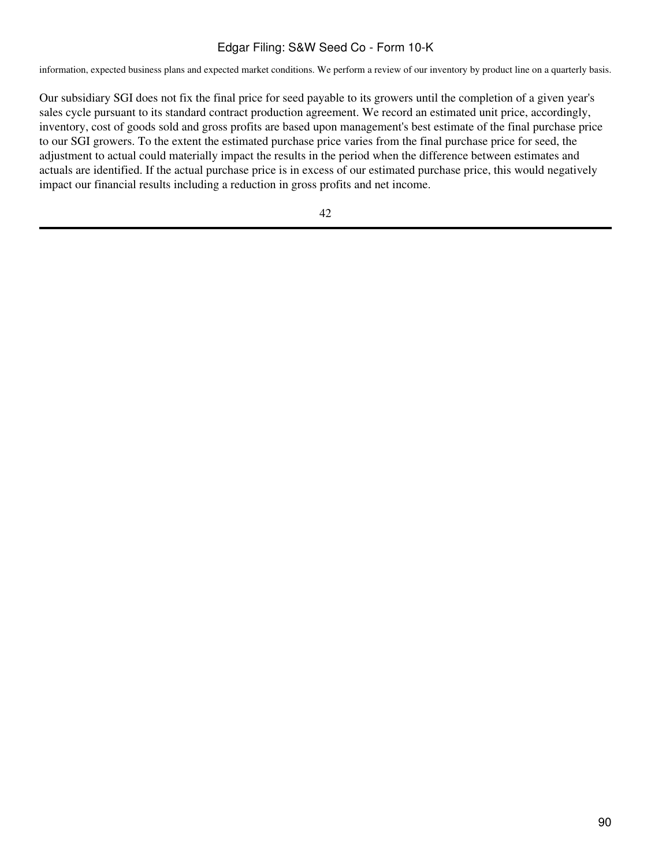information, expected business plans and expected market conditions. We perform a review of our inventory by product line on a quarterly basis.

Our subsidiary SGI does not fix the final price for seed payable to its growers until the completion of a given year's sales cycle pursuant to its standard contract production agreement. We record an estimated unit price, accordingly, inventory, cost of goods sold and gross profits are based upon management's best estimate of the final purchase price to our SGI growers. To the extent the estimated purchase price varies from the final purchase price for seed, the adjustment to actual could materially impact the results in the period when the difference between estimates and actuals are identified. If the actual purchase price is in excess of our estimated purchase price, this would negatively impact our financial results including a reduction in gross profits and net income.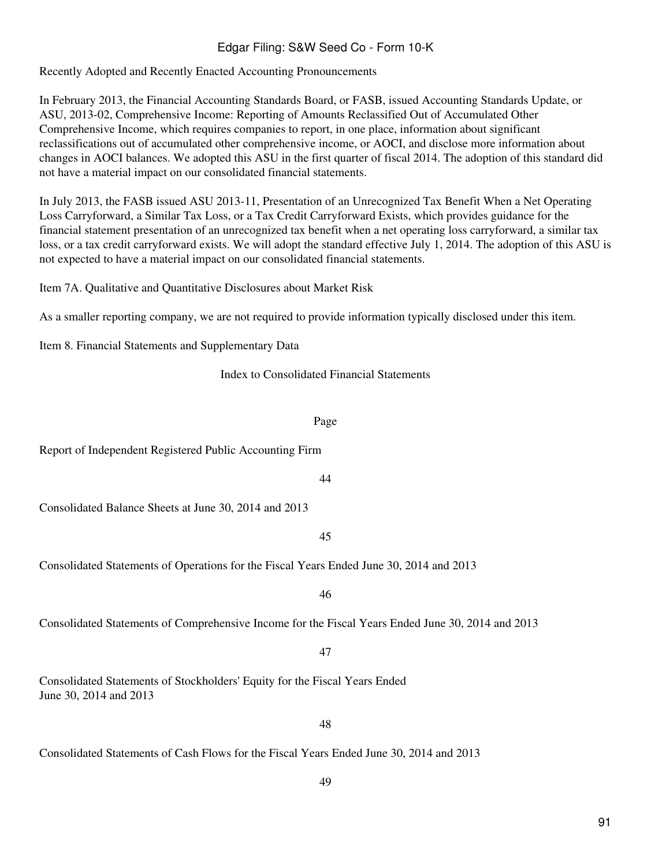Recently Adopted and Recently Enacted Accounting Pronouncements

In February 2013, the Financial Accounting Standards Board, or FASB, issued Accounting Standards Update, or ASU, 2013-02, Comprehensive Income: Reporting of Amounts Reclassified Out of Accumulated Other Comprehensive Income, which requires companies to report, in one place, information about significant reclassifications out of accumulated other comprehensive income, or AOCI, and disclose more information about changes in AOCI balances. We adopted this ASU in the first quarter of fiscal 2014. The adoption of this standard did not have a material impact on our consolidated financial statements.

In July 2013, the FASB issued ASU 2013-11, Presentation of an Unrecognized Tax Benefit When a Net Operating Loss Carryforward, a Similar Tax Loss, or a Tax Credit Carryforward Exists, which provides guidance for the financial statement presentation of an unrecognized tax benefit when a net operating loss carryforward, a similar tax loss, or a tax credit carryforward exists. We will adopt the standard effective July 1, 2014. The adoption of this ASU is not expected to have a material impact on our consolidated financial statements.

Item 7A. Qualitative and Quantitative Disclosures about Market Risk

As a smaller reporting company, we are not required to provide information typically disclosed under this item.

Item 8. Financial Statements and Supplementary Data

Index to Consolidated Financial Statements

#### Page

44

Report of Independent Registered Public Accounting Firm

Consolidated Balance Sheets at June 30, 2014 and 2013

45

Consolidated Statements of Operations for the Fiscal Years Ended June 30, 2014 and 2013

46

Consolidated Statements of Comprehensive Income for the Fiscal Years Ended June 30, 2014 and 2013

47

Consolidated Statements of Stockholders' Equity for the Fiscal Years Ended June 30, 2014 and 2013

48

Consolidated Statements of Cash Flows for the Fiscal Years Ended June 30, 2014 and 2013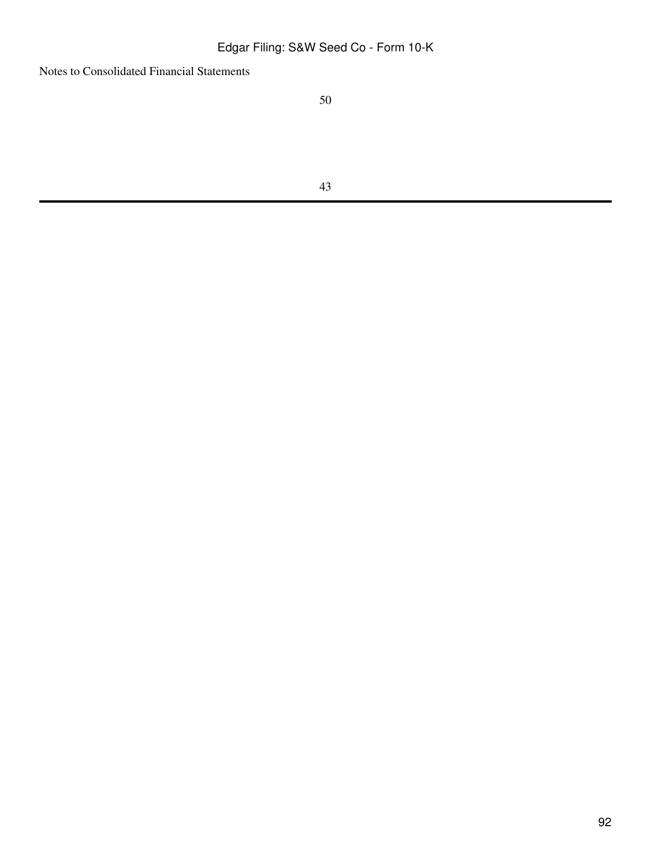Notes to Consolidated Financial Statements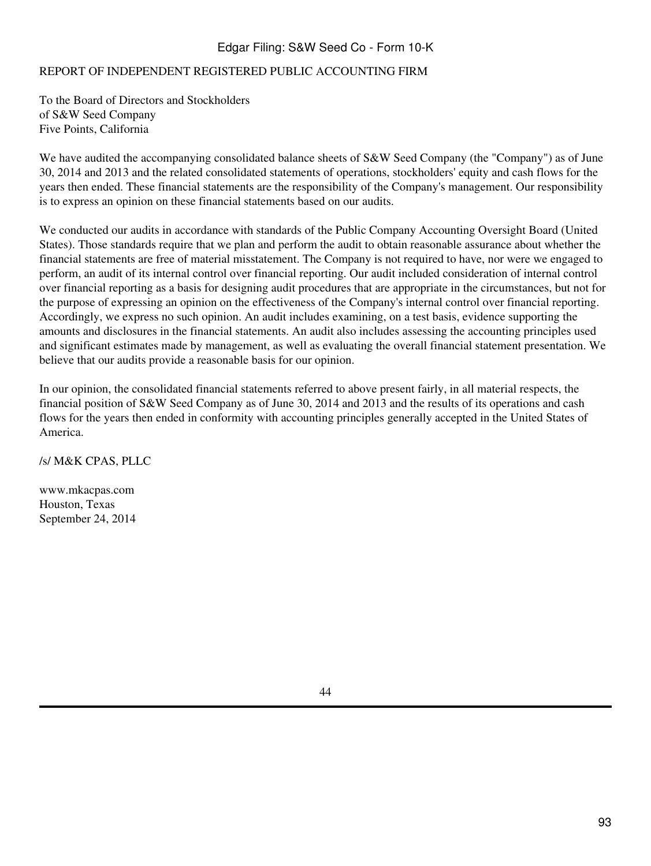## REPORT OF INDEPENDENT REGISTERED PUBLIC ACCOUNTING FIRM

To the Board of Directors and Stockholders of S&W Seed Company Five Points, California

We have audited the accompanying consolidated balance sheets of S&W Seed Company (the "Company") as of June 30, 2014 and 2013 and the related consolidated statements of operations, stockholders' equity and cash flows for the years then ended. These financial statements are the responsibility of the Company's management. Our responsibility is to express an opinion on these financial statements based on our audits.

We conducted our audits in accordance with standards of the Public Company Accounting Oversight Board (United States). Those standards require that we plan and perform the audit to obtain reasonable assurance about whether the financial statements are free of material misstatement. The Company is not required to have, nor were we engaged to perform, an audit of its internal control over financial reporting. Our audit included consideration of internal control over financial reporting as a basis for designing audit procedures that are appropriate in the circumstances, but not for the purpose of expressing an opinion on the effectiveness of the Company's internal control over financial reporting. Accordingly, we express no such opinion. An audit includes examining, on a test basis, evidence supporting the amounts and disclosures in the financial statements. An audit also includes assessing the accounting principles used and significant estimates made by management, as well as evaluating the overall financial statement presentation. We believe that our audits provide a reasonable basis for our opinion.

In our opinion, the consolidated financial statements referred to above present fairly, in all material respects, the financial position of S&W Seed Company as of June 30, 2014 and 2013 and the results of its operations and cash flows for the years then ended in conformity with accounting principles generally accepted in the United States of America.

/s/ M&K CPAS, PLLC

www.mkacpas.com Houston, Texas September 24, 2014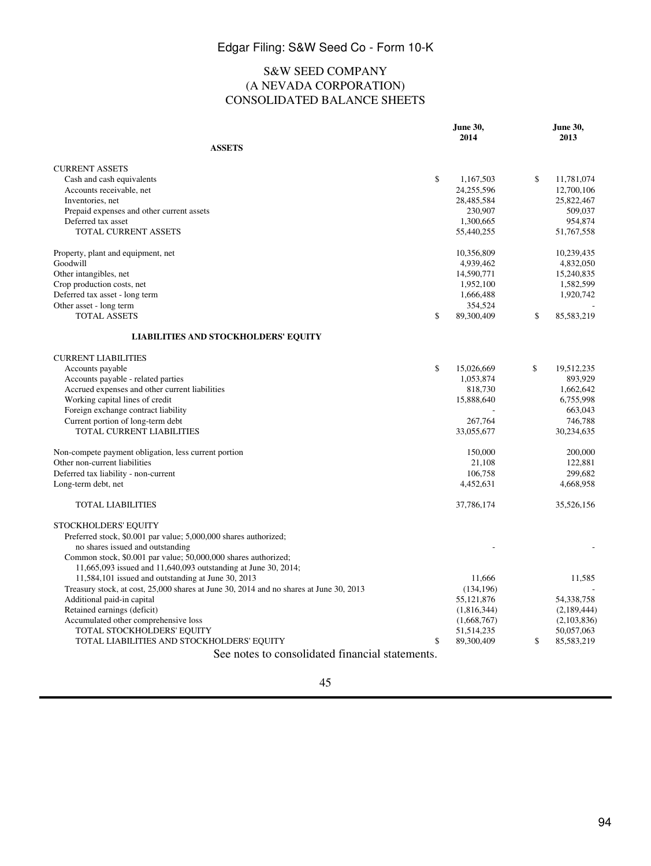## S&W SEED COMPANY (A NEVADA CORPORATION) CONSOLIDATED BALANCE SHEETS

|                                                                                        | June 30,         | June 30,         |
|----------------------------------------------------------------------------------------|------------------|------------------|
| <b>ASSETS</b>                                                                          | 2014             | 2013             |
|                                                                                        |                  |                  |
| <b>CURRENT ASSETS</b>                                                                  |                  |                  |
| Cash and cash equivalents                                                              | \$<br>1,167,503  | \$<br>11,781,074 |
| Accounts receivable, net                                                               | 24,255,596       | 12,700,106       |
| Inventories, net                                                                       | 28,485,584       | 25,822,467       |
| Prepaid expenses and other current assets                                              | 230,907          | 509,037          |
| Deferred tax asset                                                                     | 1,300,665        | 954,874          |
| TOTAL CURRENT ASSETS                                                                   | 55,440,255       | 51,767,558       |
| Property, plant and equipment, net                                                     | 10,356,809       | 10,239,435       |
| Goodwill                                                                               | 4,939,462        | 4,832,050        |
| Other intangibles, net                                                                 | 14,590,771       | 15,240,835       |
| Crop production costs, net                                                             | 1,952,100        | 1,582,599        |
| Deferred tax asset - long term                                                         | 1,666,488        | 1,920,742        |
| Other asset - long term                                                                | 354,524          |                  |
| <b>TOTAL ASSETS</b>                                                                    | \$<br>89,300,409 | \$<br>85,583,219 |
| LIABILITIES AND STOCKHOLDERS' EQUITY                                                   |                  |                  |
| <b>CURRENT LIABILITIES</b>                                                             |                  |                  |
| Accounts payable                                                                       | \$<br>15,026,669 | \$<br>19,512,235 |
| Accounts payable - related parties                                                     | 1,053,874        | 893,929          |
| Accrued expenses and other current liabilities                                         | 818,730          | 1,662,642        |
| Working capital lines of credit                                                        | 15,888,640       | 6,755,998        |
| Foreign exchange contract liability                                                    |                  | 663,043          |
| Current portion of long-term debt                                                      | 267,764          | 746,788          |
| TOTAL CURRENT LIABILITIES                                                              | 33,055,677       | 30,234,635       |
| Non-compete payment obligation, less current portion                                   | 150,000          | 200,000          |
| Other non-current liabilities                                                          | 21,108           | 122,881          |
| Deferred tax liability - non-current                                                   | 106,758          | 299.682          |
| Long-term debt, net                                                                    | 4,452,631        | 4,668,958        |
| <b>TOTAL LIABILITIES</b>                                                               | 37,786,174       | 35,526,156       |
| STOCKHOLDERS' EQUITY                                                                   |                  |                  |
| Preferred stock, \$0.001 par value; 5,000,000 shares authorized;                       |                  |                  |
| no shares issued and outstanding                                                       |                  |                  |
| Common stock, \$0.001 par value; 50,000,000 shares authorized;                         |                  |                  |
| 11,665,093 issued and 11,640,093 outstanding at June 30, 2014;                         |                  |                  |
| 11,584,101 issued and outstanding at June 30, 2013                                     | 11.666           | 11,585           |
| Treasury stock, at cost, 25,000 shares at June 30, 2014 and no shares at June 30, 2013 | (134, 196)       |                  |
| Additional paid-in capital                                                             | 55,121,876       | 54,338,758       |
| Retained earnings (deficit)                                                            | (1,816,344)      | (2,189,444)      |
| Accumulated other comprehensive loss                                                   | (1,668,767)      | (2,103,836)      |
| TOTAL STOCKHOLDERS' EQUITY                                                             | 51,514,235       | 50,057,063       |
| TOTAL LIABILITIES AND STOCKHOLDERS' EQUITY                                             | \$<br>89,300,409 | \$<br>85,583,219 |
| See notes to consolidated financial statements.                                        |                  |                  |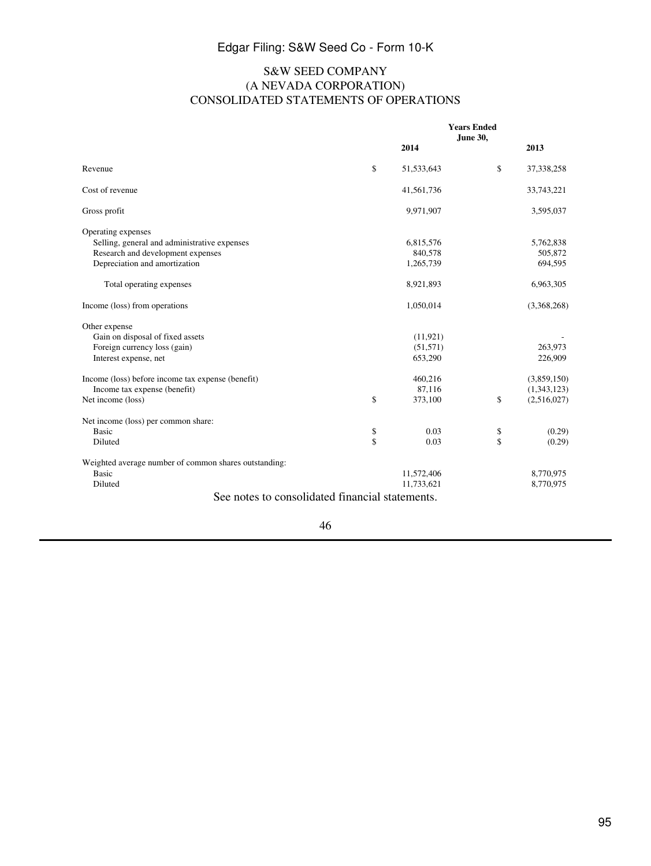## S&W SEED COMPANY (A NEVADA CORPORATION) CONSOLIDATED STATEMENTS OF OPERATIONS

|                                                       | <b>Years Ended</b><br>June 30, |    |              |
|-------------------------------------------------------|--------------------------------|----|--------------|
|                                                       | 2014                           |    | 2013         |
| Revenue                                               | \$<br>51,533,643               | \$ | 37, 338, 258 |
| Cost of revenue                                       | 41,561,736                     |    | 33,743,221   |
| Gross profit                                          | 9,971,907                      |    | 3,595,037    |
| Operating expenses                                    |                                |    |              |
| Selling, general and administrative expenses          | 6,815,576                      |    | 5,762,838    |
| Research and development expenses                     | 840,578                        |    | 505,872      |
| Depreciation and amortization                         | 1,265,739                      |    | 694,595      |
| Total operating expenses                              | 8,921,893                      |    | 6,963,305    |
| Income (loss) from operations                         | 1,050,014                      |    | (3,368,268)  |
| Other expense                                         |                                |    |              |
| Gain on disposal of fixed assets                      | (11, 921)                      |    |              |
| Foreign currency loss (gain)                          | (51, 571)                      |    | 263,973      |
| Interest expense, net                                 | 653,290                        |    | 226,909      |
| Income (loss) before income tax expense (benefit)     | 460,216                        |    | (3,859,150)  |
| Income tax expense (benefit)                          | 87,116                         |    | (1,343,123)  |
| Net income (loss)                                     | \$<br>373,100                  | \$ | (2,516,027)  |
| Net income (loss) per common share:                   |                                |    |              |
| <b>Basic</b>                                          | \$<br>0.03                     | \$ | (0.29)       |
| Diluted                                               | \$<br>0.03                     | \$ | (0.29)       |
| Weighted average number of common shares outstanding: |                                |    |              |
| Basic                                                 | 11,572,406                     |    | 8,770,975    |
| Diluted                                               | 11,733,621                     |    | 8,770,975    |
| See notes to consolidated financial statements.       |                                |    |              |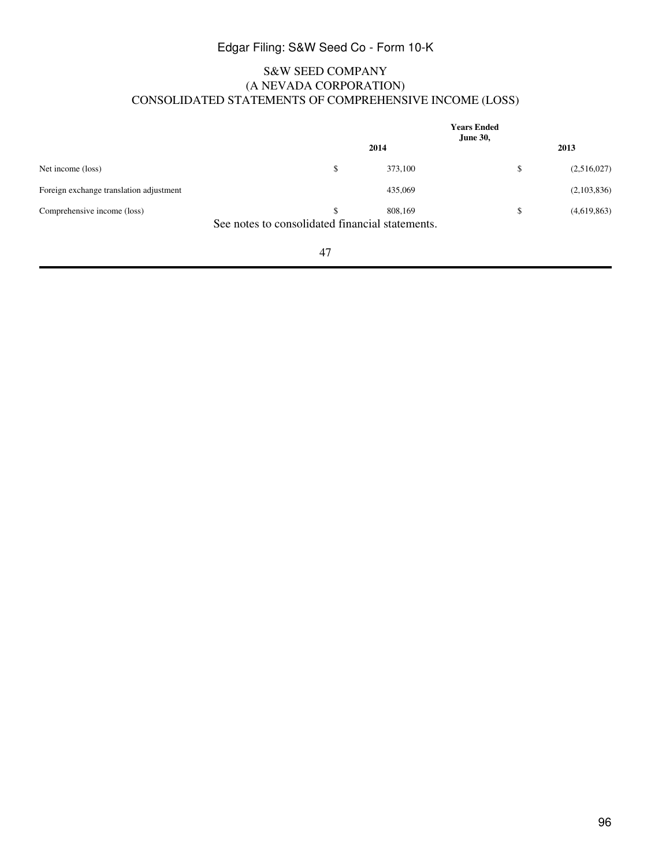## S&W SEED COMPANY (A NEVADA CORPORATION) CONSOLIDATED STATEMENTS OF COMPREHENSIVE INCOME (LOSS)

|                                                                                | <b>Years Ended</b><br><b>June 30,</b> |    |             |
|--------------------------------------------------------------------------------|---------------------------------------|----|-------------|
|                                                                                | 2014                                  |    | 2013        |
| Net income (loss)                                                              | \$<br>373,100                         | \$ | (2,516,027) |
| Foreign exchange translation adjustment                                        | 435,069                               |    | (2,103,836) |
| Comprehensive income (loss)<br>See notes to consolidated financial statements. | \$<br>808,169                         | S  | (4,619,863) |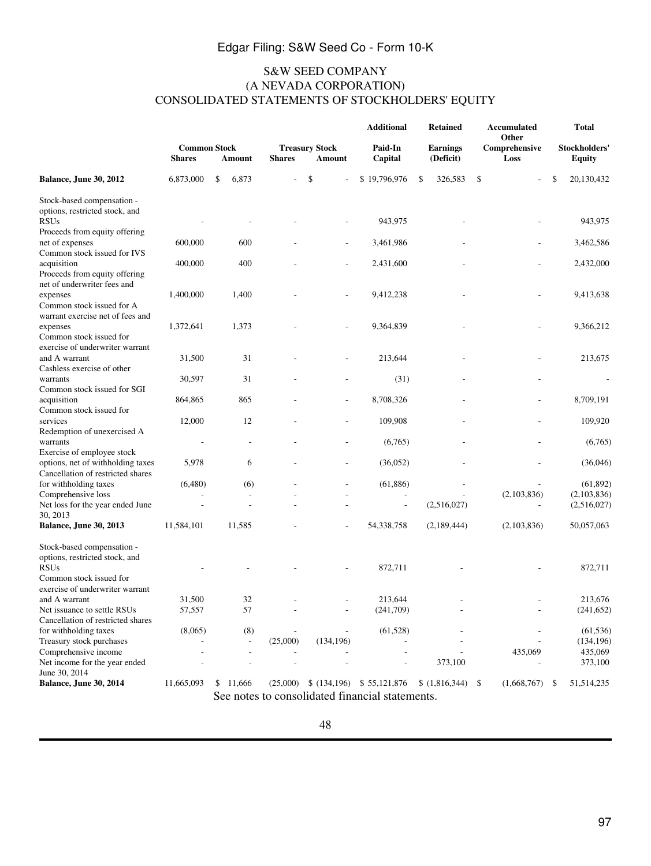### S&W SEED COMPANY (A NEVADA CORPORATION) CONSOLIDATED STATEMENTS OF STOCKHOLDERS' EQUITY

|                                                  |                                      |             |               |                                        | <b>Additional</b>                               | <b>Retained</b>              | <b>Accumulated</b><br>Other | <b>Total</b>                   |  |
|--------------------------------------------------|--------------------------------------|-------------|---------------|----------------------------------------|-------------------------------------------------|------------------------------|-----------------------------|--------------------------------|--|
|                                                  | <b>Common Stock</b><br><b>Shares</b> | Amount      | <b>Shares</b> | <b>Treasury Stock</b><br><b>Amount</b> | Paid-In<br>Capital                              | <b>Earnings</b><br>(Deficit) | Comprehensive<br>Loss       | Stockholders'<br><b>Equity</b> |  |
| Balance, June 30, 2012                           | 6,873,000                            | \$<br>6,873 |               | \$                                     | \$19,796,976                                    | \$<br>326,583                | \$                          | \$<br>20,130,432               |  |
| Stock-based compensation -                       |                                      |             |               |                                        |                                                 |                              |                             |                                |  |
| options, restricted stock, and                   |                                      |             |               |                                        |                                                 |                              |                             |                                |  |
| <b>RSUs</b>                                      |                                      |             |               |                                        | 943,975                                         |                              |                             | 943,975                        |  |
| Proceeds from equity offering<br>net of expenses | 600,000                              | 600         |               |                                        | 3,461,986                                       |                              |                             | 3,462,586                      |  |
| Common stock issued for IVS                      |                                      |             |               |                                        |                                                 |                              |                             |                                |  |
| acquisition                                      | 400,000                              | 400         |               |                                        | 2,431,600                                       |                              |                             | 2,432,000                      |  |
| Proceeds from equity offering                    |                                      |             |               |                                        |                                                 |                              |                             |                                |  |
| net of underwriter fees and                      |                                      |             |               |                                        |                                                 |                              |                             |                                |  |
| expenses                                         | 1,400,000                            | 1,400       |               |                                        | 9,412,238                                       |                              |                             | 9,413,638                      |  |
| Common stock issued for A                        |                                      |             |               |                                        |                                                 |                              |                             |                                |  |
| warrant exercise net of fees and                 |                                      |             |               |                                        |                                                 |                              |                             |                                |  |
| expenses                                         | 1,372,641                            | 1,373       |               |                                        | 9,364,839                                       |                              |                             | 9,366,212                      |  |
| Common stock issued for                          |                                      |             |               |                                        |                                                 |                              |                             |                                |  |
| exercise of underwriter warrant                  |                                      |             |               |                                        |                                                 |                              |                             |                                |  |
| and A warrant                                    | 31,500                               | 31          |               |                                        | 213,644                                         |                              |                             | 213,675                        |  |
| Cashless exercise of other                       |                                      |             |               |                                        |                                                 |                              |                             |                                |  |
| warrants                                         | 30,597                               | 31          |               |                                        | (31)                                            |                              |                             |                                |  |
| Common stock issued for SGI                      |                                      |             |               |                                        |                                                 |                              |                             |                                |  |
| acquisition                                      | 864,865                              | 865         |               |                                        | 8,708,326                                       |                              |                             | 8,709,191                      |  |
| Common stock issued for                          | 12,000                               |             |               |                                        | 109,908                                         |                              |                             |                                |  |
| services<br>Redemption of unexercised A          |                                      | 12          |               |                                        |                                                 |                              |                             | 109,920                        |  |
| warrants                                         |                                      |             |               |                                        | (6,765)                                         |                              |                             | (6,765)                        |  |
| Exercise of employee stock                       |                                      |             |               |                                        |                                                 |                              |                             |                                |  |
| options, net of withholding taxes                | 5,978                                | 6           |               |                                        | (36,052)                                        |                              |                             | (36,046)                       |  |
| Cancellation of restricted shares                |                                      |             |               |                                        |                                                 |                              |                             |                                |  |
| for withholding taxes                            | (6,480)                              | (6)         |               |                                        | (61, 886)                                       |                              |                             | (61, 892)                      |  |
| Comprehensive loss                               |                                      |             |               |                                        |                                                 |                              | (2,103,836)                 | (2,103,836)                    |  |
| Net loss for the year ended June                 |                                      | Ĭ.          |               |                                        |                                                 | (2,516,027)                  |                             | (2,516,027)                    |  |
| 30, 2013                                         |                                      |             |               |                                        |                                                 |                              |                             |                                |  |
| <b>Balance, June 30, 2013</b>                    | 11,584,101                           | 11,585      |               |                                        | 54,338,758                                      | (2,189,444)                  | (2,103,836)                 | 50,057,063                     |  |
| Stock-based compensation -                       |                                      |             |               |                                        |                                                 |                              |                             |                                |  |
| options, restricted stock, and                   |                                      |             |               |                                        |                                                 |                              |                             |                                |  |
| <b>RSUs</b>                                      |                                      |             |               |                                        | 872,711                                         |                              |                             | 872,711                        |  |
| Common stock issued for                          |                                      |             |               |                                        |                                                 |                              |                             |                                |  |
| exercise of underwriter warrant                  |                                      |             |               |                                        |                                                 |                              |                             |                                |  |
| and A warrant                                    | 31,500                               | 32          |               |                                        | 213,644                                         |                              |                             | 213,676                        |  |
| Net issuance to settle RSUs                      | 57,557                               | 57          |               |                                        | (241,709)                                       |                              |                             | (241, 652)                     |  |
| Cancellation of restricted shares                |                                      |             |               |                                        |                                                 |                              |                             |                                |  |
| for withholding taxes                            | (8,065)                              | (8)         |               |                                        | (61, 528)                                       |                              |                             | (61, 536)                      |  |
| Treasury stock purchases                         |                                      |             | (25,000)      | (134, 196)                             |                                                 |                              |                             | (134, 196)                     |  |
| Comprehensive income                             |                                      |             |               |                                        |                                                 |                              | 435,069                     | 435,069                        |  |
| Net income for the year ended<br>June 30, 2014   |                                      |             |               |                                        |                                                 | 373,100                      |                             | 373,100                        |  |
| Balance, June 30, 2014                           | 11,665,093                           | \$11,666    | (25,000)      |                                        | $$(134,196)$ $$55,121,876$                      | (1,816,344)                  | \$<br>(1,668,767)           | 51,514,235<br>\$               |  |
|                                                  |                                      |             |               |                                        | See notes to consolidated financial statements. |                              |                             |                                |  |
|                                                  |                                      |             |               |                                        |                                                 |                              |                             |                                |  |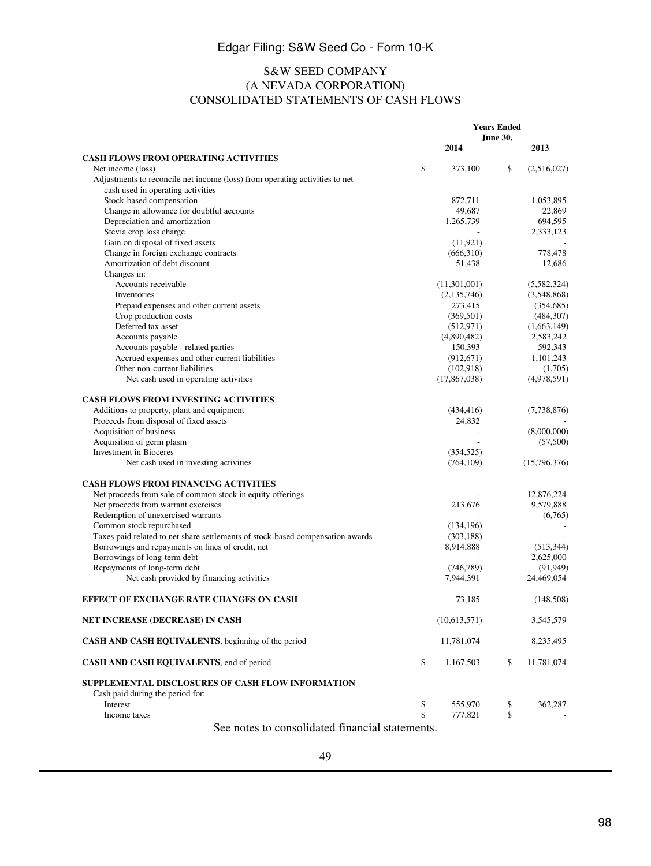### S&W SEED COMPANY (A NEVADA CORPORATION) CONSOLIDATED STATEMENTS OF CASH FLOWS

|                                                                                | <b>Years Ended</b> |               |          |              |
|--------------------------------------------------------------------------------|--------------------|---------------|----------|--------------|
|                                                                                |                    |               | June 30, |              |
|                                                                                |                    | 2014          |          | 2013         |
| <b>CASH FLOWS FROM OPERATING ACTIVITIES</b><br>Net income (loss)               | \$                 | 373,100       | \$       | (2,516,027)  |
| Adjustments to reconcile net income (loss) from operating activities to net    |                    |               |          |              |
| cash used in operating activities                                              |                    |               |          |              |
| Stock-based compensation                                                       |                    | 872,711       |          | 1,053,895    |
| Change in allowance for doubtful accounts                                      |                    | 49,687        |          | 22,869       |
| Depreciation and amortization                                                  |                    | 1,265,739     |          | 694,595      |
| Stevia crop loss charge                                                        |                    |               |          | 2,333,123    |
| Gain on disposal of fixed assets                                               |                    | (11, 921)     |          |              |
| Change in foreign exchange contracts                                           |                    | (666,310)     |          | 778,478      |
| Amortization of debt discount                                                  |                    | 51,438        |          | 12,686       |
| Changes in:                                                                    |                    |               |          |              |
| Accounts receivable                                                            |                    | (11,301,001)  |          | (5,582,324)  |
| Inventories                                                                    |                    | (2, 135, 746) |          | (3,548,868)  |
| Prepaid expenses and other current assets                                      |                    | 273,415       |          | (354, 685)   |
| Crop production costs                                                          |                    | (369, 501)    |          | (484, 307)   |
| Deferred tax asset                                                             |                    | (512, 971)    |          | (1,663,149)  |
| Accounts payable                                                               |                    | (4,890,482)   |          | 2,583,242    |
| Accounts payable - related parties                                             |                    | 150,393       |          | 592,343      |
| Accrued expenses and other current liabilities                                 |                    | (912, 671)    |          | 1,101,243    |
| Other non-current liabilities                                                  |                    | (102,918)     |          | (1,705)      |
| Net cash used in operating activities                                          |                    | (17,867,038)  |          | (4,978,591)  |
|                                                                                |                    |               |          |              |
| <b>CASH FLOWS FROM INVESTING ACTIVITIES</b>                                    |                    |               |          |              |
| Additions to property, plant and equipment                                     |                    | (434, 416)    |          | (7,738,876)  |
| Proceeds from disposal of fixed assets                                         |                    | 24,832        |          |              |
| Acquisition of business                                                        |                    |               |          | (8,000,000)  |
| Acquisition of germ plasm                                                      |                    |               |          | (57,500)     |
| <b>Investment</b> in Bioceres                                                  |                    | (354, 525)    |          |              |
| Net cash used in investing activities                                          |                    | (764, 109)    |          | (15,796,376) |
|                                                                                |                    |               |          |              |
| <b>CASH FLOWS FROM FINANCING ACTIVITIES</b>                                    |                    |               |          |              |
| Net proceeds from sale of common stock in equity offerings                     |                    |               |          | 12,876,224   |
| Net proceeds from warrant exercises                                            |                    | 213,676       |          | 9,579,888    |
| Redemption of unexercised warrants                                             |                    |               |          | (6,765)      |
| Common stock repurchased                                                       |                    | (134, 196)    |          |              |
| Taxes paid related to net share settlements of stock-based compensation awards |                    | (303, 188)    |          |              |
| Borrowings and repayments on lines of credit, net                              |                    | 8,914,888     |          | (513, 344)   |
| Borrowings of long-term debt                                                   |                    |               |          | 2,625,000    |
| Repayments of long-term debt                                                   |                    | (746, 789)    |          | (91, 949)    |
| Net cash provided by financing activities                                      |                    | 7,944,391     |          | 24,469,054   |
|                                                                                |                    |               |          |              |
| <b>EFFECT OF EXCHANGE RATE CHANGES ON CASH</b>                                 |                    | 73.185        |          | (148,508)    |
| NET INCREASE (DECREASE) IN CASH                                                |                    | (10,613,571)  |          | 3,545,579    |
| CASH AND CASH EQUIVALENTS, beginning of the period                             |                    | 11,781,074    |          | 8,235,495    |
| CASH AND CASH EQUIVALENTS, end of period                                       | \$                 | 1,167,503     | \$       | 11,781,074   |
| SUPPLEMENTAL DISCLOSURES OF CASH FLOW INFORMATION                              |                    |               |          |              |
| Cash paid during the period for:<br>Interest                                   |                    | 555,970       |          | 362,287      |
| Income taxes                                                                   | \$<br>\$           | 777,821       | \$<br>\$ |              |
|                                                                                |                    |               |          |              |

See notes to consolidated financial statements.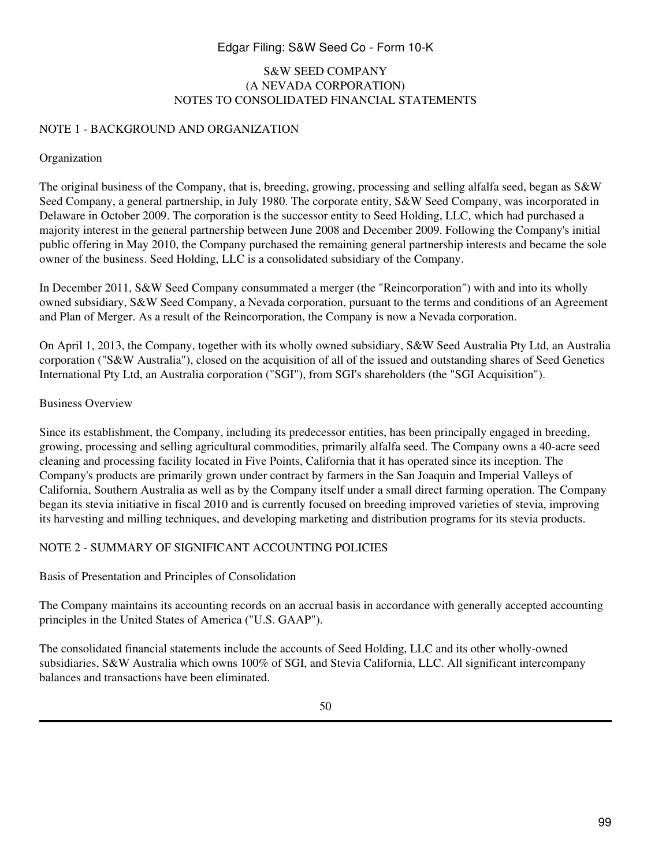#### S&W SEED COMPANY (A NEVADA CORPORATION) NOTES TO CONSOLIDATED FINANCIAL STATEMENTS

#### NOTE 1 - BACKGROUND AND ORGANIZATION

#### Organization

The original business of the Company, that is, breeding, growing, processing and selling alfalfa seed, began as S&W Seed Company, a general partnership, in July 1980. The corporate entity, S&W Seed Company, was incorporated in Delaware in October 2009. The corporation is the successor entity to Seed Holding, LLC, which had purchased a majority interest in the general partnership between June 2008 and December 2009. Following the Company's initial public offering in May 2010, the Company purchased the remaining general partnership interests and became the sole owner of the business. Seed Holding, LLC is a consolidated subsidiary of the Company.

In December 2011, S&W Seed Company consummated a merger (the "Reincorporation") with and into its wholly owned subsidiary, S&W Seed Company, a Nevada corporation, pursuant to the terms and conditions of an Agreement and Plan of Merger. As a result of the Reincorporation, the Company is now a Nevada corporation.

On April 1, 2013, the Company, together with its wholly owned subsidiary, S&W Seed Australia Pty Ltd, an Australia corporation ("S&W Australia"), closed on the acquisition of all of the issued and outstanding shares of Seed Genetics International Pty Ltd, an Australia corporation ("SGI"), from SGI's shareholders (the "SGI Acquisition").

#### Business Overview

Since its establishment, the Company, including its predecessor entities, has been principally engaged in breeding, growing, processing and selling agricultural commodities, primarily alfalfa seed. The Company owns a 40-acre seed cleaning and processing facility located in Five Points, California that it has operated since its inception. The Company's products are primarily grown under contract by farmers in the San Joaquin and Imperial Valleys of California, Southern Australia as well as by the Company itself under a small direct farming operation. The Company began its stevia initiative in fiscal 2010 and is currently focused on breeding improved varieties of stevia, improving its harvesting and milling techniques, and developing marketing and distribution programs for its stevia products.

## NOTE 2 - SUMMARY OF SIGNIFICANT ACCOUNTING POLICIES

Basis of Presentation and Principles of Consolidation

The Company maintains its accounting records on an accrual basis in accordance with generally accepted accounting principles in the United States of America ("U.S. GAAP").

The consolidated financial statements include the accounts of Seed Holding, LLC and its other wholly-owned subsidiaries, S&W Australia which owns 100% of SGI, and Stevia California, LLC. All significant intercompany balances and transactions have been eliminated.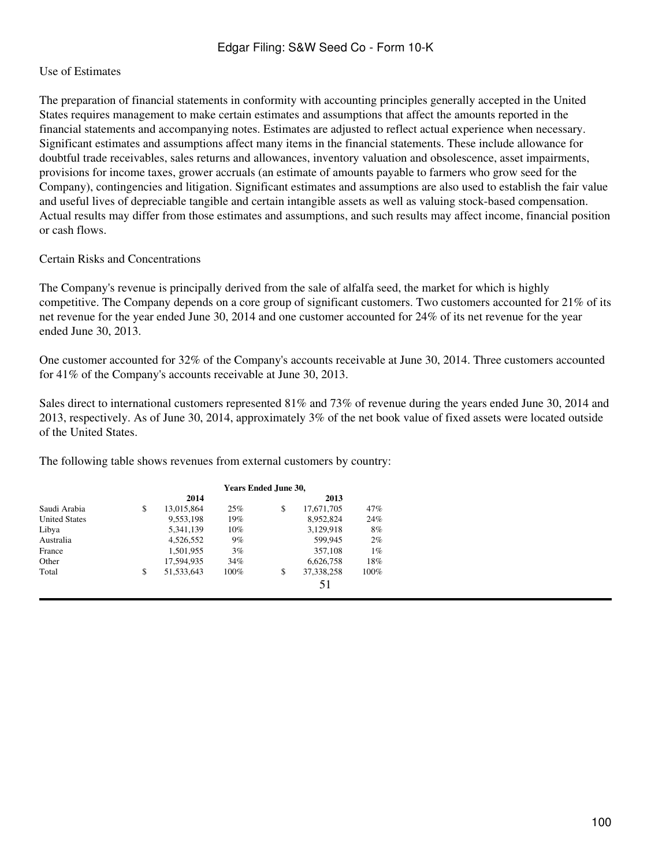#### Use of Estimates

The preparation of financial statements in conformity with accounting principles generally accepted in the United States requires management to make certain estimates and assumptions that affect the amounts reported in the financial statements and accompanying notes. Estimates are adjusted to reflect actual experience when necessary. Significant estimates and assumptions affect many items in the financial statements. These include allowance for doubtful trade receivables, sales returns and allowances, inventory valuation and obsolescence, asset impairments, provisions for income taxes, grower accruals (an estimate of amounts payable to farmers who grow seed for the Company), contingencies and litigation. Significant estimates and assumptions are also used to establish the fair value and useful lives of depreciable tangible and certain intangible assets as well as valuing stock-based compensation. Actual results may differ from those estimates and assumptions, and such results may affect income, financial position or cash flows.

#### Certain Risks and Concentrations

The Company's revenue is principally derived from the sale of alfalfa seed, the market for which is highly competitive. The Company depends on a core group of significant customers. Two customers accounted for 21% of its net revenue for the year ended June 30, 2014 and one customer accounted for 24% of its net revenue for the year ended June 30, 2013.

One customer accounted for 32% of the Company's accounts receivable at June 30, 2014. Three customers accounted for 41% of the Company's accounts receivable at June 30, 2013.

Sales direct to international customers represented 81% and 73% of revenue during the years ended June 30, 2014 and 2013, respectively. As of June 30, 2014, approximately 3% of the net book value of fixed assets were located outside of the United States.

The following table shows revenues from external customers by country:

|                      | <b>Years Ended June 30,</b> |        |    |            |      |
|----------------------|-----------------------------|--------|----|------------|------|
|                      | 2014                        |        |    | 2013       |      |
| Saudi Arabia         | \$<br>13,015,864            | 25%    | \$ | 17,671,705 | 47%  |
| <b>United States</b> | 9.553.198                   | 19%    |    | 8.952.824  | 24%  |
| Libya                | 5,341,139                   | $10\%$ |    | 3,129,918  | 8%   |
| Australia            | 4.526.552                   | 9%     |    | 599,945    | 2%   |
| France               | 1,501,955                   | 3%     |    | 357,108    | 1%   |
| Other                | 17.594.935                  | 34%    |    | 6,626,758  | 18%  |
| Total                | \$<br>51, 533, 643          | 100%   | \$ | 37.338.258 | 100% |
|                      |                             |        |    | 51         |      |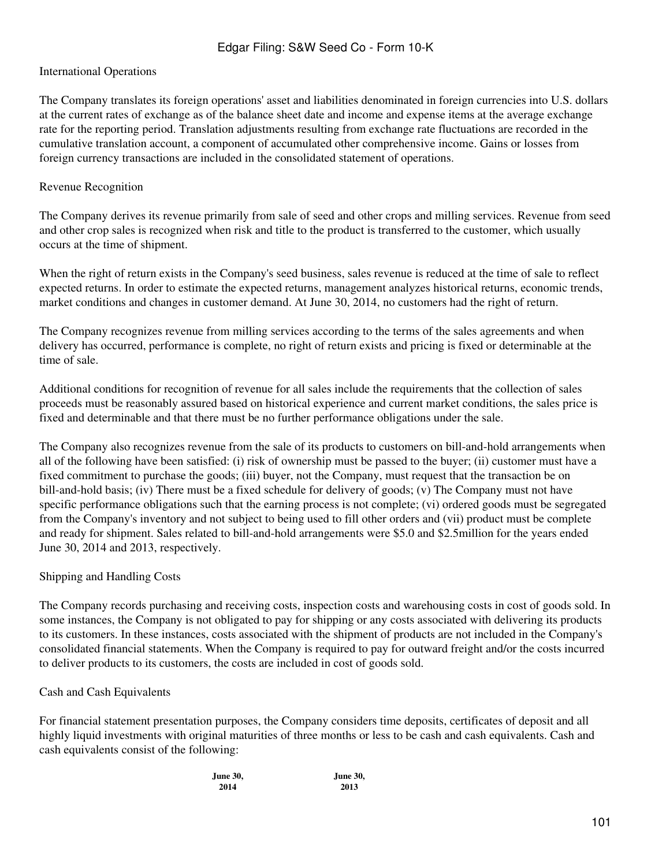#### International Operations

The Company translates its foreign operations' asset and liabilities denominated in foreign currencies into U.S. dollars at the current rates of exchange as of the balance sheet date and income and expense items at the average exchange rate for the reporting period. Translation adjustments resulting from exchange rate fluctuations are recorded in the cumulative translation account, a component of accumulated other comprehensive income. Gains or losses from foreign currency transactions are included in the consolidated statement of operations.

#### Revenue Recognition

The Company derives its revenue primarily from sale of seed and other crops and milling services. Revenue from seed and other crop sales is recognized when risk and title to the product is transferred to the customer, which usually occurs at the time of shipment.

When the right of return exists in the Company's seed business, sales revenue is reduced at the time of sale to reflect expected returns. In order to estimate the expected returns, management analyzes historical returns, economic trends, market conditions and changes in customer demand. At June 30, 2014, no customers had the right of return.

The Company recognizes revenue from milling services according to the terms of the sales agreements and when delivery has occurred, performance is complete, no right of return exists and pricing is fixed or determinable at the time of sale.

Additional conditions for recognition of revenue for all sales include the requirements that the collection of sales proceeds must be reasonably assured based on historical experience and current market conditions, the sales price is fixed and determinable and that there must be no further performance obligations under the sale.

The Company also recognizes revenue from the sale of its products to customers on bill-and-hold arrangements when all of the following have been satisfied: (i) risk of ownership must be passed to the buyer; (ii) customer must have a fixed commitment to purchase the goods; (iii) buyer, not the Company, must request that the transaction be on bill-and-hold basis; (iv) There must be a fixed schedule for delivery of goods; (v) The Company must not have specific performance obligations such that the earning process is not complete; (vi) ordered goods must be segregated from the Company's inventory and not subject to being used to fill other orders and (vii) product must be complete and ready for shipment. Sales related to bill-and-hold arrangements were \$5.0 and \$2.5million for the years ended June 30, 2014 and 2013, respectively.

#### Shipping and Handling Costs

The Company records purchasing and receiving costs, inspection costs and warehousing costs in cost of goods sold. In some instances, the Company is not obligated to pay for shipping or any costs associated with delivering its products to its customers. In these instances, costs associated with the shipment of products are not included in the Company's consolidated financial statements. When the Company is required to pay for outward freight and/or the costs incurred to deliver products to its customers, the costs are included in cost of goods sold.

#### Cash and Cash Equivalents

For financial statement presentation purposes, the Company considers time deposits, certificates of deposit and all highly liquid investments with original maturities of three months or less to be cash and cash equivalents. Cash and cash equivalents consist of the following:

| June 30, | June 30, |
|----------|----------|
| 2014     | 2013     |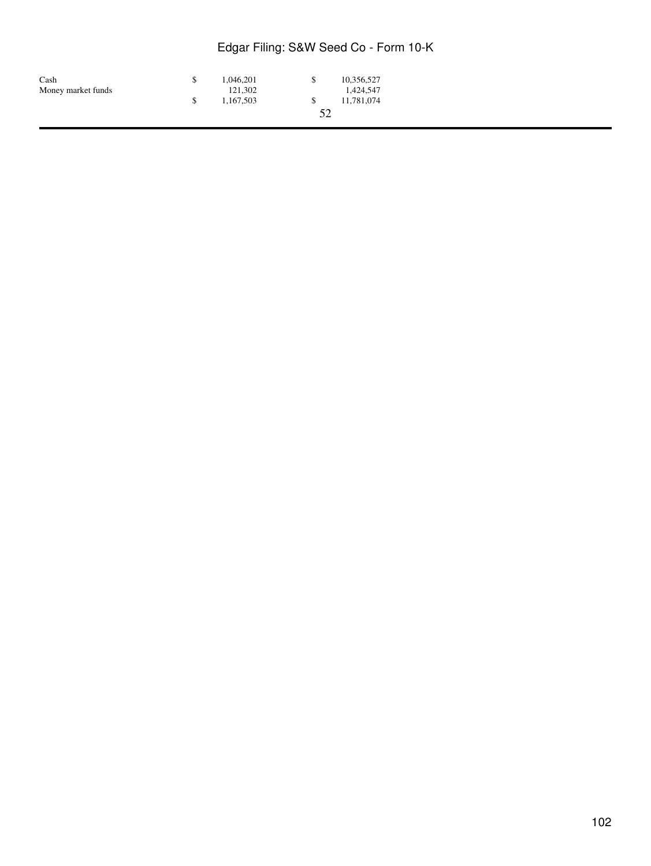| Cash               | 1.046.201 | £. | 10,356,527 |
|--------------------|-----------|----|------------|
| Money market funds | 121.302   |    | 1,424,547  |
|                    | 1.167.503 |    | 11,781,074 |
|                    |           | 52 |            |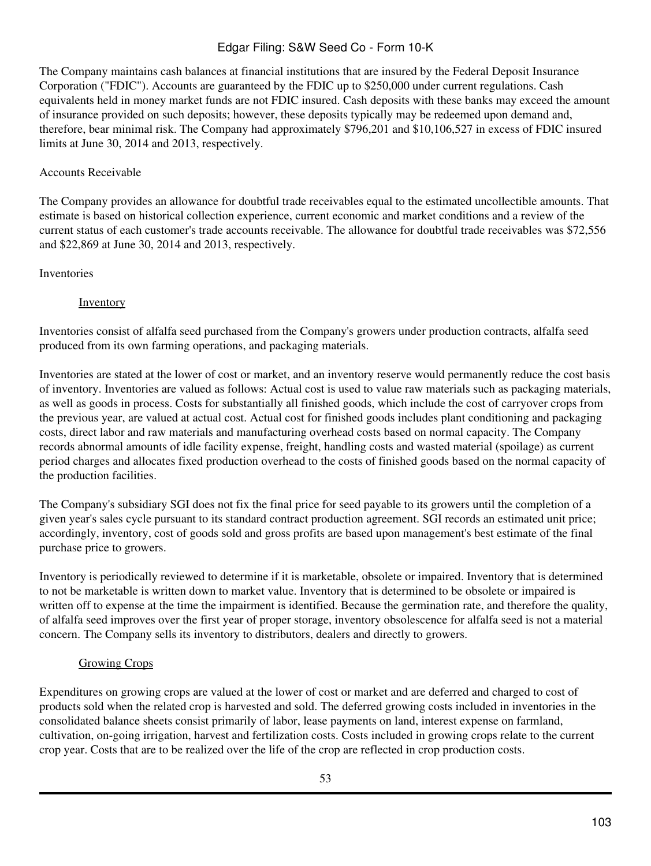The Company maintains cash balances at financial institutions that are insured by the Federal Deposit Insurance Corporation ("FDIC"). Accounts are guaranteed by the FDIC up to \$250,000 under current regulations. Cash equivalents held in money market funds are not FDIC insured. Cash deposits with these banks may exceed the amount of insurance provided on such deposits; however, these deposits typically may be redeemed upon demand and, therefore, bear minimal risk. The Company had approximately \$796,201 and \$10,106,527 in excess of FDIC insured limits at June 30, 2014 and 2013, respectively.

## Accounts Receivable

The Company provides an allowance for doubtful trade receivables equal to the estimated uncollectible amounts. That estimate is based on historical collection experience, current economic and market conditions and a review of the current status of each customer's trade accounts receivable. The allowance for doubtful trade receivables was \$72,556 and \$22,869 at June 30, 2014 and 2013, respectively.

## **Inventories**

## **Inventory**

Inventories consist of alfalfa seed purchased from the Company's growers under production contracts, alfalfa seed produced from its own farming operations, and packaging materials.

Inventories are stated at the lower of cost or market, and an inventory reserve would permanently reduce the cost basis of inventory. Inventories are valued as follows: Actual cost is used to value raw materials such as packaging materials, as well as goods in process. Costs for substantially all finished goods, which include the cost of carryover crops from the previous year, are valued at actual cost. Actual cost for finished goods includes plant conditioning and packaging costs, direct labor and raw materials and manufacturing overhead costs based on normal capacity. The Company records abnormal amounts of idle facility expense, freight, handling costs and wasted material (spoilage) as current period charges and allocates fixed production overhead to the costs of finished goods based on the normal capacity of the production facilities.

The Company's subsidiary SGI does not fix the final price for seed payable to its growers until the completion of a given year's sales cycle pursuant to its standard contract production agreement. SGI records an estimated unit price; accordingly, inventory, cost of goods sold and gross profits are based upon management's best estimate of the final purchase price to growers.

Inventory is periodically reviewed to determine if it is marketable, obsolete or impaired. Inventory that is determined to not be marketable is written down to market value. Inventory that is determined to be obsolete or impaired is written off to expense at the time the impairment is identified. Because the germination rate, and therefore the quality, of alfalfa seed improves over the first year of proper storage, inventory obsolescence for alfalfa seed is not a material concern. The Company sells its inventory to distributors, dealers and directly to growers.

# Growing Crops

Expenditures on growing crops are valued at the lower of cost or market and are deferred and charged to cost of products sold when the related crop is harvested and sold. The deferred growing costs included in inventories in the consolidated balance sheets consist primarily of labor, lease payments on land, interest expense on farmland, cultivation, on-going irrigation, harvest and fertilization costs. Costs included in growing crops relate to the current crop year. Costs that are to be realized over the life of the crop are reflected in crop production costs.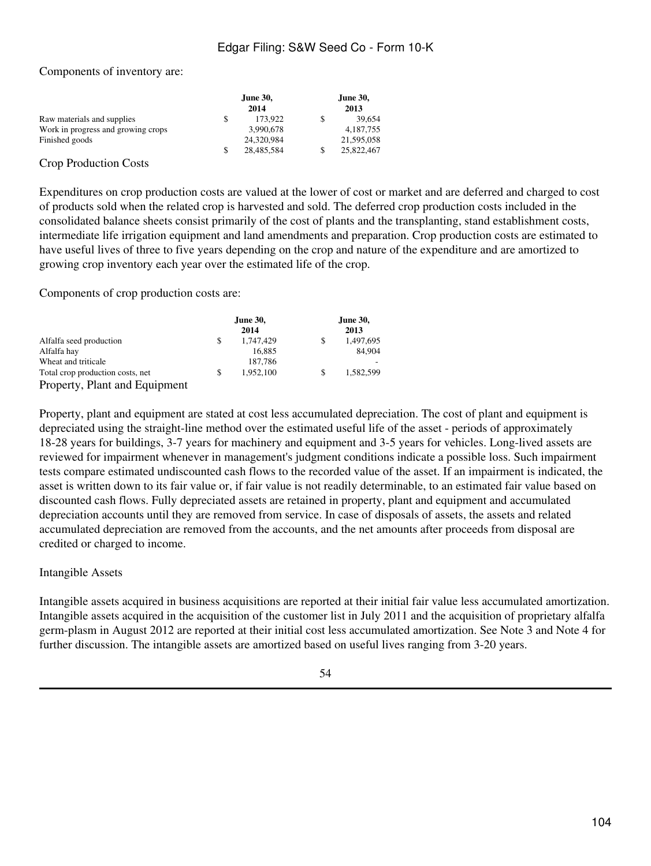#### Components of inventory are:

|                                    |    | June 30,<br>2014 | June 30,<br>2013 |
|------------------------------------|----|------------------|------------------|
| Raw materials and supplies         | \$ | 173.922          | 39.654           |
| Work in progress and growing crops |    | 3,990,678        | 4.187.755        |
| Finished goods                     |    | 24,320,984       | 21,595,058       |
|                                    | S  | 28,485,584       | 25,822,467       |

#### Crop Production Costs

Expenditures on crop production costs are valued at the lower of cost or market and are deferred and charged to cost of products sold when the related crop is harvested and sold. The deferred crop production costs included in the consolidated balance sheets consist primarily of the cost of plants and the transplanting, stand establishment costs, intermediate life irrigation equipment and land amendments and preparation. Crop production costs are estimated to have useful lives of three to five years depending on the crop and nature of the expenditure and are amortized to growing crop inventory each year over the estimated life of the crop.

Components of crop production costs are:

|                                  | <b>June 30,</b><br>2014 | <b>June 30,</b><br>2013 |
|----------------------------------|-------------------------|-------------------------|
| Alfalfa seed production          | 1,747,429               | \$<br>1,497,695         |
| Alfalfa hay                      | 16,885                  | 84,904                  |
| Wheat and triticale              | 187,786                 |                         |
| Total crop production costs, net | 1.952.100               | \$<br>1.582.599         |
| Property, Plant and Equipment    |                         |                         |

Property, plant and equipment are stated at cost less accumulated depreciation. The cost of plant and equipment is depreciated using the straight-line method over the estimated useful life of the asset - periods of approximately 18-28 years for buildings, 3-7 years for machinery and equipment and 3-5 years for vehicles. Long-lived assets are reviewed for impairment whenever in management's judgment conditions indicate a possible loss. Such impairment tests compare estimated undiscounted cash flows to the recorded value of the asset. If an impairment is indicated, the asset is written down to its fair value or, if fair value is not readily determinable, to an estimated fair value based on discounted cash flows. Fully depreciated assets are retained in property, plant and equipment and accumulated depreciation accounts until they are removed from service. In case of disposals of assets, the assets and related accumulated depreciation are removed from the accounts, and the net amounts after proceeds from disposal are credited or charged to income.

#### Intangible Assets

Intangible assets acquired in business acquisitions are reported at their initial fair value less accumulated amortization. Intangible assets acquired in the acquisition of the customer list in July 2011 and the acquisition of proprietary alfalfa germ-plasm in August 2012 are reported at their initial cost less accumulated amortization. See Note 3 and Note 4 for further discussion. The intangible assets are amortized based on useful lives ranging from 3-20 years.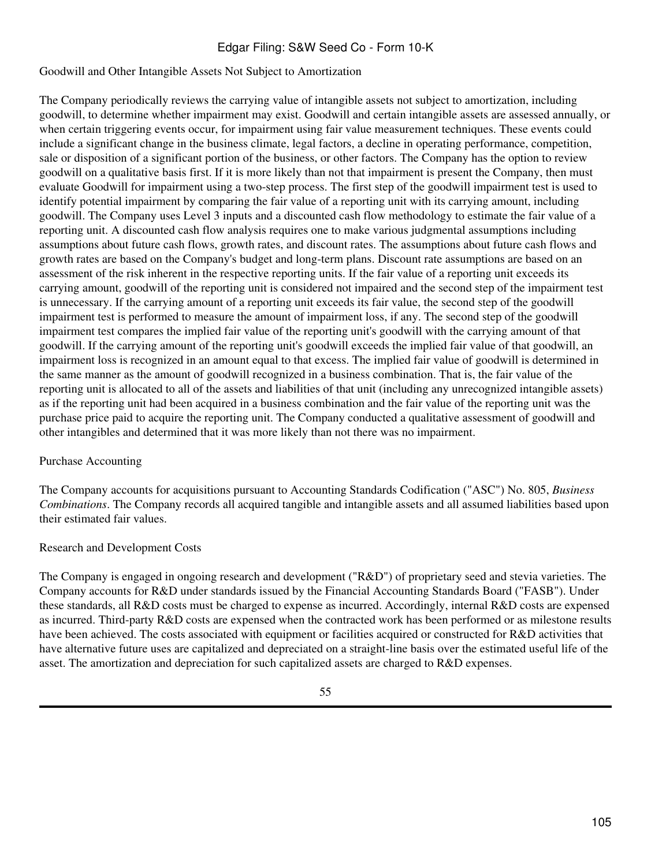#### Goodwill and Other Intangible Assets Not Subject to Amortization

The Company periodically reviews the carrying value of intangible assets not subject to amortization, including goodwill, to determine whether impairment may exist. Goodwill and certain intangible assets are assessed annually, or when certain triggering events occur, for impairment using fair value measurement techniques. These events could include a significant change in the business climate, legal factors, a decline in operating performance, competition, sale or disposition of a significant portion of the business, or other factors. The Company has the option to review goodwill on a qualitative basis first. If it is more likely than not that impairment is present the Company, then must evaluate Goodwill for impairment using a two-step process. The first step of the goodwill impairment test is used to identify potential impairment by comparing the fair value of a reporting unit with its carrying amount, including goodwill. The Company uses Level 3 inputs and a discounted cash flow methodology to estimate the fair value of a reporting unit. A discounted cash flow analysis requires one to make various judgmental assumptions including assumptions about future cash flows, growth rates, and discount rates. The assumptions about future cash flows and growth rates are based on the Company's budget and long-term plans. Discount rate assumptions are based on an assessment of the risk inherent in the respective reporting units. If the fair value of a reporting unit exceeds its carrying amount, goodwill of the reporting unit is considered not impaired and the second step of the impairment test is unnecessary. If the carrying amount of a reporting unit exceeds its fair value, the second step of the goodwill impairment test is performed to measure the amount of impairment loss, if any. The second step of the goodwill impairment test compares the implied fair value of the reporting unit's goodwill with the carrying amount of that goodwill. If the carrying amount of the reporting unit's goodwill exceeds the implied fair value of that goodwill, an impairment loss is recognized in an amount equal to that excess. The implied fair value of goodwill is determined in the same manner as the amount of goodwill recognized in a business combination. That is, the fair value of the reporting unit is allocated to all of the assets and liabilities of that unit (including any unrecognized intangible assets) as if the reporting unit had been acquired in a business combination and the fair value of the reporting unit was the purchase price paid to acquire the reporting unit. The Company conducted a qualitative assessment of goodwill and other intangibles and determined that it was more likely than not there was no impairment.

#### Purchase Accounting

The Company accounts for acquisitions pursuant to Accounting Standards Codification ("ASC") No. 805, *Business Combinations*. The Company records all acquired tangible and intangible assets and all assumed liabilities based upon their estimated fair values.

#### Research and Development Costs

The Company is engaged in ongoing research and development ("R&D") of proprietary seed and stevia varieties. The Company accounts for R&D under standards issued by the Financial Accounting Standards Board ("FASB"). Under these standards, all R&D costs must be charged to expense as incurred. Accordingly, internal R&D costs are expensed as incurred. Third-party R&D costs are expensed when the contracted work has been performed or as milestone results have been achieved. The costs associated with equipment or facilities acquired or constructed for R&D activities that have alternative future uses are capitalized and depreciated on a straight-line basis over the estimated useful life of the asset. The amortization and depreciation for such capitalized assets are charged to R&D expenses.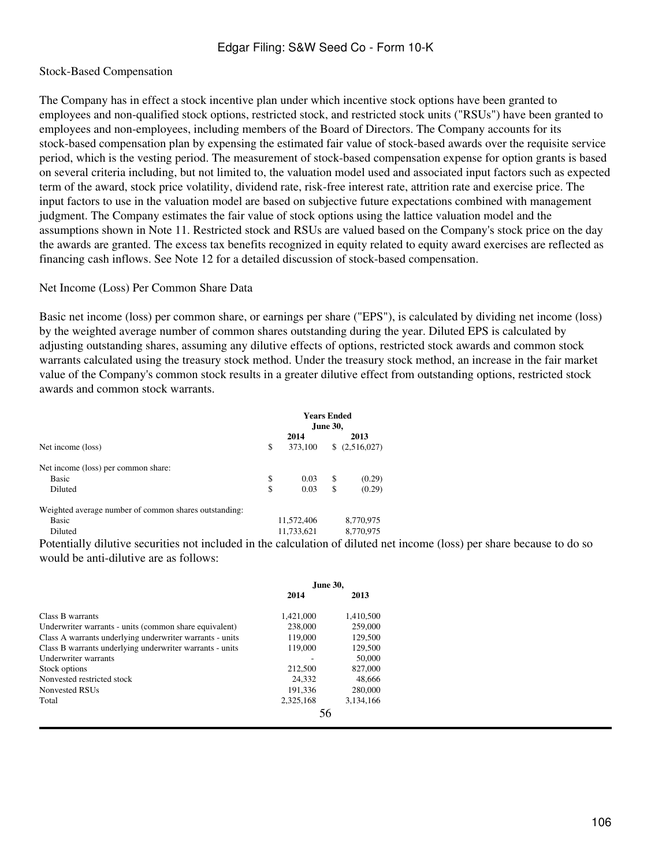#### Stock-Based Compensation

The Company has in effect a stock incentive plan under which incentive stock options have been granted to employees and non-qualified stock options, restricted stock, and restricted stock units ("RSUs") have been granted to employees and non-employees, including members of the Board of Directors. The Company accounts for its stock-based compensation plan by expensing the estimated fair value of stock-based awards over the requisite service period, which is the vesting period. The measurement of stock-based compensation expense for option grants is based on several criteria including, but not limited to, the valuation model used and associated input factors such as expected term of the award, stock price volatility, dividend rate, risk-free interest rate, attrition rate and exercise price. The input factors to use in the valuation model are based on subjective future expectations combined with management judgment. The Company estimates the fair value of stock options using the lattice valuation model and the assumptions shown in Note 11. Restricted stock and RSUs are valued based on the Company's stock price on the day the awards are granted. The excess tax benefits recognized in equity related to equity award exercises are reflected as financing cash inflows. See Note 12 for a detailed discussion of stock-based compensation.

#### Net Income (Loss) Per Common Share Data

Basic net income (loss) per common share, or earnings per share ("EPS"), is calculated by dividing net income (loss) by the weighted average number of common shares outstanding during the year. Diluted EPS is calculated by adjusting outstanding shares, assuming any dilutive effects of options, restricted stock awards and common stock warrants calculated using the treasury stock method. Under the treasury stock method, an increase in the fair market value of the Company's common stock results in a greater dilutive effect from outstanding options, restricted stock awards and common stock warrants.

|                                                       | <b>Years Ended</b><br>June 30, |            |    |               |
|-------------------------------------------------------|--------------------------------|------------|----|---------------|
|                                                       |                                | 2014       |    | 2013          |
| Net income (loss)                                     | \$                             | 373,100    |    | \$(2,516,027) |
| Net income (loss) per common share:                   |                                |            |    |               |
| <b>Basic</b>                                          | \$                             | 0.03       | \$ | (0.29)        |
| Diluted                                               | \$                             | 0.03       | \$ | (0.29)        |
| Weighted average number of common shares outstanding: |                                |            |    |               |
| <b>Basic</b>                                          |                                | 11,572,406 |    | 8,770,975     |
| Diluted                                               |                                | 11,733,621 |    | 8,770,975     |

Potentially dilutive securities not included in the calculation of diluted net income (loss) per share because to do so would be anti-dilutive are as follows:

|                                                          | June 30,  |           |
|----------------------------------------------------------|-----------|-----------|
|                                                          | 2014      | 2013      |
| Class B warrants                                         | 1,421,000 | 1,410,500 |
| Underwriter warrants - units (common share equivalent)   | 238,000   | 259,000   |
| Class A warrants underlying underwriter warrants - units | 119,000   | 129,500   |
| Class B warrants underlying underwriter warrants - units | 119,000   | 129,500   |
| Underwriter warrants                                     |           | 50,000    |
| Stock options                                            | 212,500   | 827,000   |
| Nonvested restricted stock                               | 24.332    | 48,666    |
| Nonvested RSUs                                           | 191.336   | 280,000   |
| Total                                                    | 2,325,168 | 3,134,166 |
|                                                          |           |           |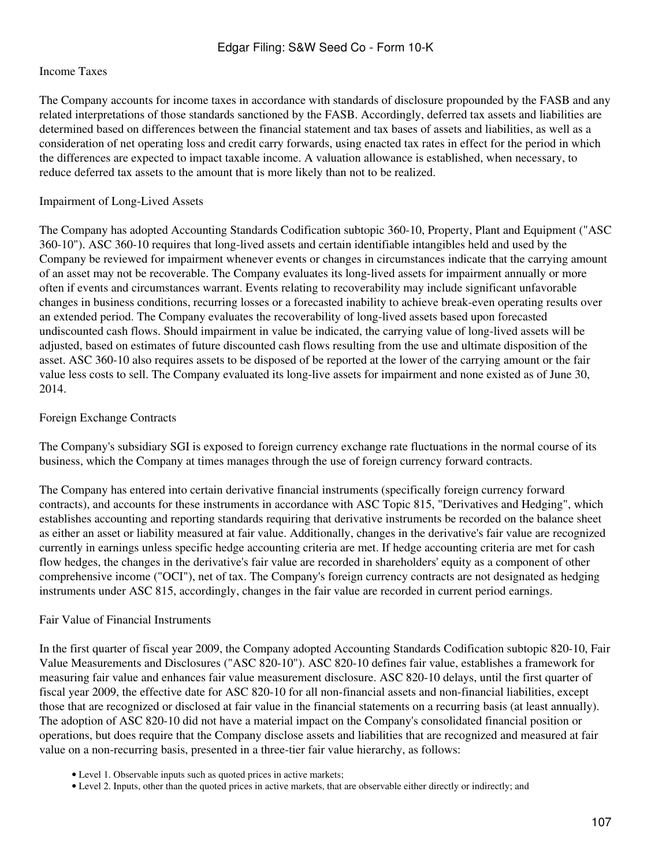#### Income Taxes

The Company accounts for income taxes in accordance with standards of disclosure propounded by the FASB and any related interpretations of those standards sanctioned by the FASB. Accordingly, deferred tax assets and liabilities are determined based on differences between the financial statement and tax bases of assets and liabilities, as well as a consideration of net operating loss and credit carry forwards, using enacted tax rates in effect for the period in which the differences are expected to impact taxable income. A valuation allowance is established, when necessary, to reduce deferred tax assets to the amount that is more likely than not to be realized.

#### Impairment of Long-Lived Assets

The Company has adopted Accounting Standards Codification subtopic 360-10, Property, Plant and Equipment ("ASC 360-10"). ASC 360-10 requires that long-lived assets and certain identifiable intangibles held and used by the Company be reviewed for impairment whenever events or changes in circumstances indicate that the carrying amount of an asset may not be recoverable. The Company evaluates its long-lived assets for impairment annually or more often if events and circumstances warrant. Events relating to recoverability may include significant unfavorable changes in business conditions, recurring losses or a forecasted inability to achieve break-even operating results over an extended period. The Company evaluates the recoverability of long-lived assets based upon forecasted undiscounted cash flows. Should impairment in value be indicated, the carrying value of long-lived assets will be adjusted, based on estimates of future discounted cash flows resulting from the use and ultimate disposition of the asset. ASC 360-10 also requires assets to be disposed of be reported at the lower of the carrying amount or the fair value less costs to sell. The Company evaluated its long-live assets for impairment and none existed as of June 30, 2014.

#### Foreign Exchange Contracts

The Company's subsidiary SGI is exposed to foreign currency exchange rate fluctuations in the normal course of its business, which the Company at times manages through the use of foreign currency forward contracts.

The Company has entered into certain derivative financial instruments (specifically foreign currency forward contracts), and accounts for these instruments in accordance with ASC Topic 815, "Derivatives and Hedging", which establishes accounting and reporting standards requiring that derivative instruments be recorded on the balance sheet as either an asset or liability measured at fair value. Additionally, changes in the derivative's fair value are recognized currently in earnings unless specific hedge accounting criteria are met. If hedge accounting criteria are met for cash flow hedges, the changes in the derivative's fair value are recorded in shareholders' equity as a component of other comprehensive income ("OCI"), net of tax. The Company's foreign currency contracts are not designated as hedging instruments under ASC 815, accordingly, changes in the fair value are recorded in current period earnings.

## Fair Value of Financial Instruments

In the first quarter of fiscal year 2009, the Company adopted Accounting Standards Codification subtopic 820-10, Fair Value Measurements and Disclosures ("ASC 820-10"). ASC 820-10 defines fair value, establishes a framework for measuring fair value and enhances fair value measurement disclosure. ASC 820-10 delays, until the first quarter of fiscal year 2009, the effective date for ASC 820-10 for all non-financial assets and non-financial liabilities, except those that are recognized or disclosed at fair value in the financial statements on a recurring basis (at least annually). The adoption of ASC 820-10 did not have a material impact on the Company's consolidated financial position or operations, but does require that the Company disclose assets and liabilities that are recognized and measured at fair value on a non-recurring basis, presented in a three-tier fair value hierarchy, as follows:

<sup>•</sup> Level 1. Observable inputs such as quoted prices in active markets;

<sup>•</sup> Level 2. Inputs, other than the quoted prices in active markets, that are observable either directly or indirectly; and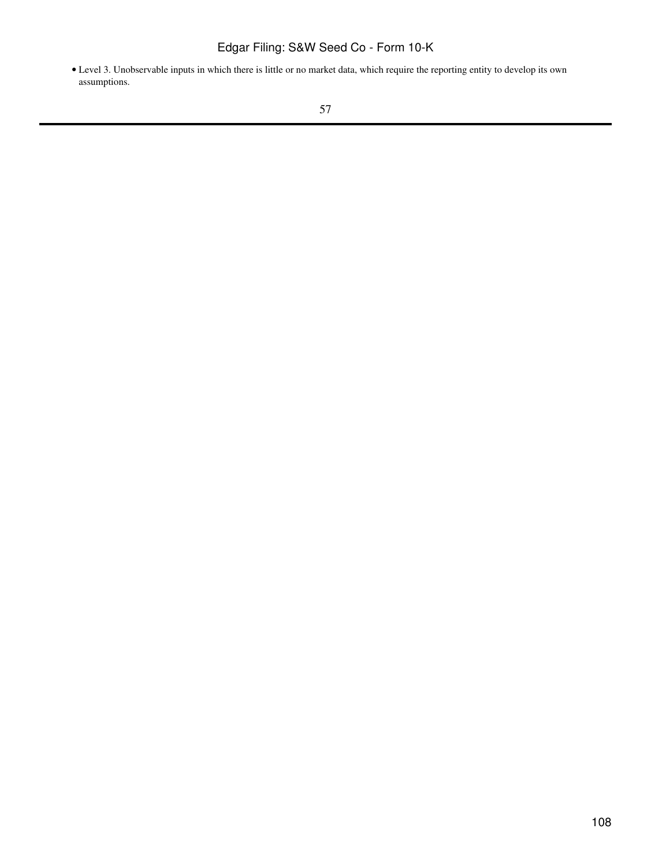Level 3. Unobservable inputs in which there is little or no market data, which require the reporting entity to develop its own • assumptions.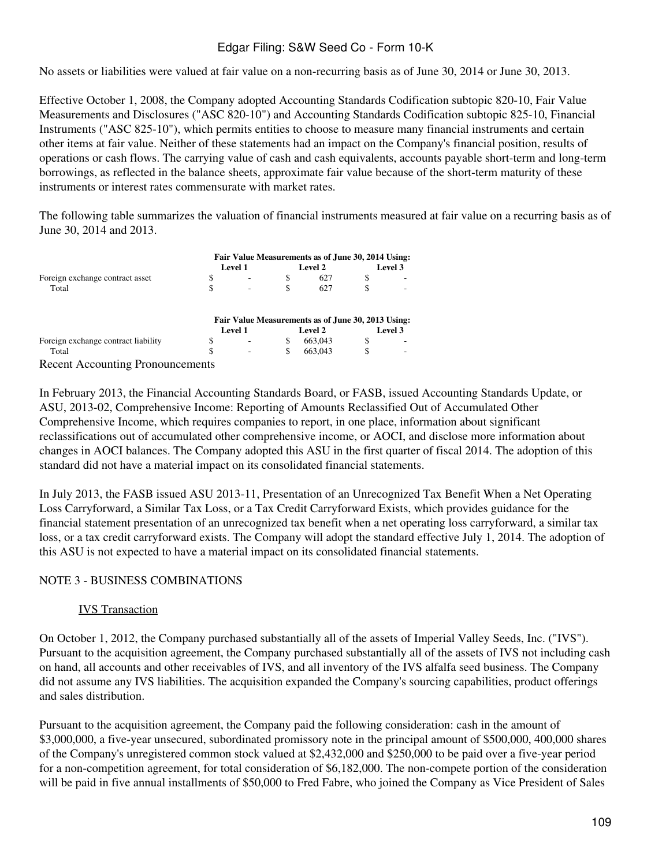No assets or liabilities were valued at fair value on a non-recurring basis as of June 30, 2014 or June 30, 2013.

Effective October 1, 2008, the Company adopted Accounting Standards Codification subtopic 820-10, Fair Value Measurements and Disclosures ("ASC 820-10") and Accounting Standards Codification subtopic 825-10, Financial Instruments ("ASC 825-10"), which permits entities to choose to measure many financial instruments and certain other items at fair value. Neither of these statements had an impact on the Company's financial position, results of operations or cash flows. The carrying value of cash and cash equivalents, accounts payable short-term and long-term borrowings, as reflected in the balance sheets, approximate fair value because of the short-term maturity of these instruments or interest rates commensurate with market rates.

The following table summarizes the valuation of financial instruments measured at fair value on a recurring basis as of June 30, 2014 and 2013.

|                                         | Fair Value Measurements as of June 30, 2014 Using: |                |    |                                                    |     |         |  |  |
|-----------------------------------------|----------------------------------------------------|----------------|----|----------------------------------------------------|-----|---------|--|--|
|                                         |                                                    | <b>Level 1</b> |    | Level 2                                            |     | Level 3 |  |  |
| Foreign exchange contract asset         | \$                                                 |                | \$ | 627                                                | \$. |         |  |  |
| Total                                   | \$                                                 |                |    | 627                                                |     |         |  |  |
|                                         |                                                    |                |    | Fair Value Measurements as of June 30, 2013 Using: |     |         |  |  |
|                                         |                                                    | <b>Level 1</b> |    | <b>Level 2</b>                                     |     | Level 3 |  |  |
| Foreign exchange contract liability     | \$                                                 |                | S  | 663,043                                            | \$. |         |  |  |
| Total                                   | S                                                  |                | \$ | 663,043                                            |     |         |  |  |
| <b>Recent Accounting Pronouncements</b> |                                                    |                |    |                                                    |     |         |  |  |

In February 2013, the Financial Accounting Standards Board, or FASB, issued Accounting Standards Update, or ASU, 2013-02, Comprehensive Income: Reporting of Amounts Reclassified Out of Accumulated Other Comprehensive Income, which requires companies to report, in one place, information about significant reclassifications out of accumulated other comprehensive income, or AOCI, and disclose more information about changes in AOCI balances. The Company adopted this ASU in the first quarter of fiscal 2014. The adoption of this standard did not have a material impact on its consolidated financial statements.

In July 2013, the FASB issued ASU 2013-11, Presentation of an Unrecognized Tax Benefit When a Net Operating Loss Carryforward, a Similar Tax Loss, or a Tax Credit Carryforward Exists, which provides guidance for the financial statement presentation of an unrecognized tax benefit when a net operating loss carryforward, a similar tax loss, or a tax credit carryforward exists. The Company will adopt the standard effective July 1, 2014. The adoption of this ASU is not expected to have a material impact on its consolidated financial statements.

#### NOTE 3 - BUSINESS COMBINATIONS

#### IVS Transaction

On October 1, 2012, the Company purchased substantially all of the assets of Imperial Valley Seeds, Inc. ("IVS"). Pursuant to the acquisition agreement, the Company purchased substantially all of the assets of IVS not including cash on hand, all accounts and other receivables of IVS, and all inventory of the IVS alfalfa seed business. The Company did not assume any IVS liabilities. The acquisition expanded the Company's sourcing capabilities, product offerings and sales distribution.

Pursuant to the acquisition agreement, the Company paid the following consideration: cash in the amount of \$3,000,000, a five-year unsecured, subordinated promissory note in the principal amount of \$500,000, 400,000 shares of the Company's unregistered common stock valued at \$2,432,000 and \$250,000 to be paid over a five-year period for a non-competition agreement, for total consideration of \$6,182,000. The non-compete portion of the consideration will be paid in five annual installments of \$50,000 to Fred Fabre, who joined the Company as Vice President of Sales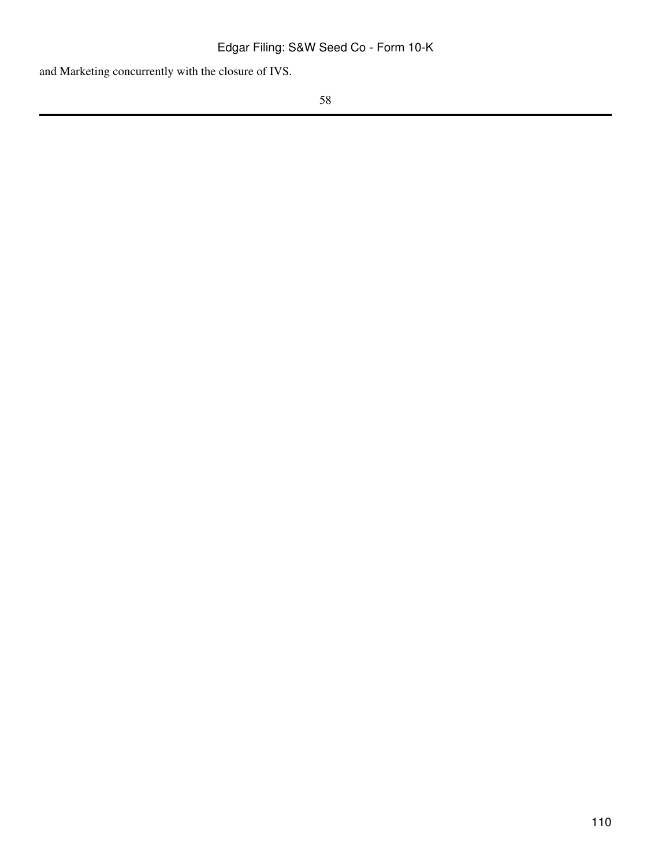and Marketing concurrently with the closure of IVS.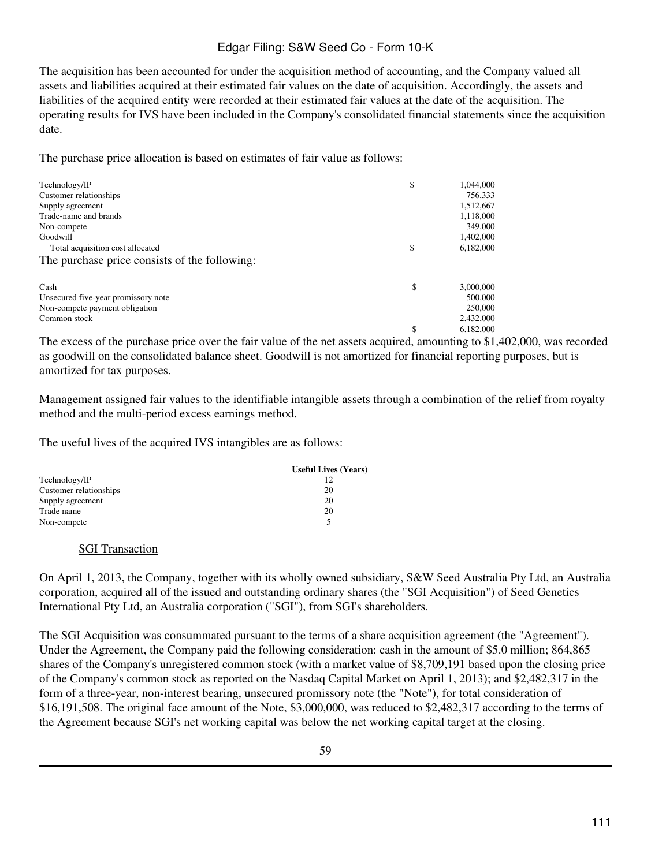The acquisition has been accounted for under the acquisition method of accounting, and the Company valued all assets and liabilities acquired at their estimated fair values on the date of acquisition. Accordingly, the assets and liabilities of the acquired entity were recorded at their estimated fair values at the date of the acquisition. The operating results for IVS have been included in the Company's consolidated financial statements since the acquisition date.

The purchase price allocation is based on estimates of fair value as follows:

| Technology/IP                                 | \$<br>1,044,000 |
|-----------------------------------------------|-----------------|
| Customer relationships                        | 756,333         |
| Supply agreement                              | 1,512,667       |
| Trade-name and brands                         | 1,118,000       |
| Non-compete                                   | 349,000         |
| Goodwill                                      | 1,402,000       |
| Total acquisition cost allocated              | \$<br>6,182,000 |
| The purchase price consists of the following: |                 |
| Cash                                          | \$<br>3,000,000 |
| Unsecured five-year promissory note           | 500,000         |
| Non-compete payment obligation                | 250,000         |
| Common stock                                  | 2,432,000       |
|                                               | 6.182.000       |

The excess of the purchase price over the fair value of the net assets acquired, amounting to \$1,402,000, was recorded as goodwill on the consolidated balance sheet. Goodwill is not amortized for financial reporting purposes, but is amortized for tax purposes.

Management assigned fair values to the identifiable intangible assets through a combination of the relief from royalty method and the multi-period excess earnings method.

The useful lives of the acquired IVS intangibles are as follows:

|                        | <b>Useful Lives (Years)</b> |
|------------------------|-----------------------------|
| Technology/IP          |                             |
| Customer relationships | 20                          |
| Supply agreement       | 20                          |
| Trade name             | 20                          |
| Non-compete            | 5                           |

#### SGI Transaction

On April 1, 2013, the Company, together with its wholly owned subsidiary, S&W Seed Australia Pty Ltd, an Australia corporation, acquired all of the issued and outstanding ordinary shares (the "SGI Acquisition") of Seed Genetics International Pty Ltd, an Australia corporation ("SGI"), from SGI's shareholders.

The SGI Acquisition was consummated pursuant to the terms of a share acquisition agreement (the "Agreement"). Under the Agreement, the Company paid the following consideration: cash in the amount of \$5.0 million; 864,865 shares of the Company's unregistered common stock (with a market value of \$8,709,191 based upon the closing price of the Company's common stock as reported on the Nasdaq Capital Market on April 1, 2013); and \$2,482,317 in the form of a three-year, non-interest bearing, unsecured promissory note (the "Note"), for total consideration of \$16,191,508. The original face amount of the Note, \$3,000,000, was reduced to \$2,482,317 according to the terms of the Agreement because SGI's net working capital was below the net working capital target at the closing.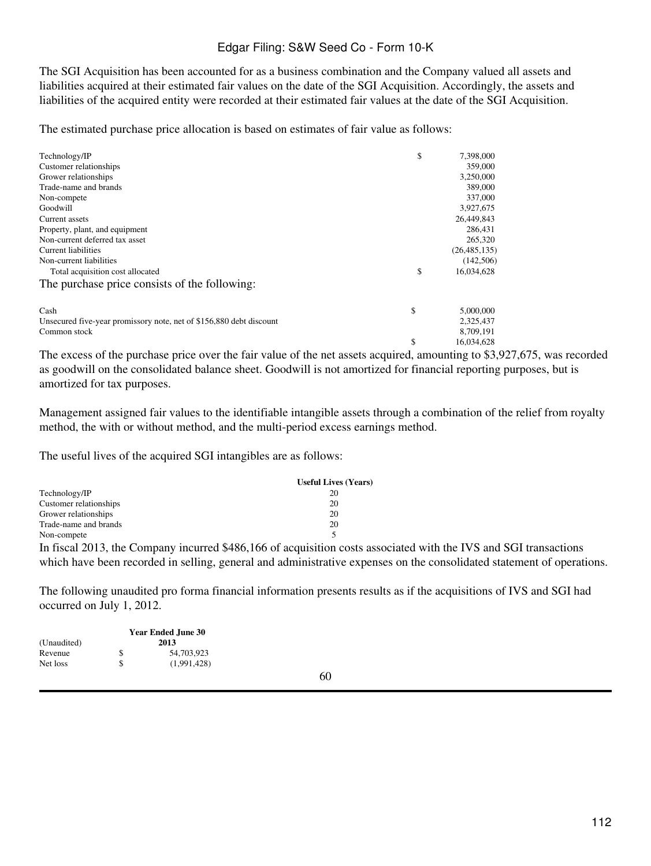The SGI Acquisition has been accounted for as a business combination and the Company valued all assets and liabilities acquired at their estimated fair values on the date of the SGI Acquisition. Accordingly, the assets and liabilities of the acquired entity were recorded at their estimated fair values at the date of the SGI Acquisition.

The estimated purchase price allocation is based on estimates of fair value as follows:

| Technology/IP                                                       | \$ | 7,398,000      |
|---------------------------------------------------------------------|----|----------------|
| Customer relationships                                              |    | 359,000        |
| Grower relationships                                                |    | 3,250,000      |
| Trade-name and brands                                               |    | 389,000        |
| Non-compete                                                         |    | 337,000        |
| Goodwill                                                            |    | 3,927,675      |
| Current assets                                                      |    | 26,449,843     |
| Property, plant, and equipment                                      |    | 286,431        |
| Non-current deferred tax asset                                      |    | 265,320        |
| Current liabilities                                                 |    | (26, 485, 135) |
| Non-current liabilities                                             |    | (142,506)      |
| Total acquisition cost allocated                                    | \$ | 16,034,628     |
| The purchase price consists of the following:                       |    |                |
| Cash                                                                | \$ | 5,000,000      |
| Unsecured five-year promissory note, net of \$156,880 debt discount |    | 2,325,437      |
| Common stock                                                        |    | 8,709,191      |
|                                                                     | S  | 16.034.628     |

The excess of the purchase price over the fair value of the net assets acquired, amounting to \$3,927,675, was recorded as goodwill on the consolidated balance sheet. Goodwill is not amortized for financial reporting purposes, but is amortized for tax purposes.

Management assigned fair values to the identifiable intangible assets through a combination of the relief from royalty method, the with or without method, and the multi-period excess earnings method.

The useful lives of the acquired SGI intangibles are as follows:

|                                                                                                            | <b>Useful Lives (Years)</b> |
|------------------------------------------------------------------------------------------------------------|-----------------------------|
| Technology/IP                                                                                              | 20                          |
| Customer relationships                                                                                     | 20                          |
| Grower relationships                                                                                       | 20                          |
| Trade-name and brands                                                                                      | 20                          |
| Non-compete                                                                                                |                             |
| $\mathbf{L} \cdot \mathbf{L} = \mathbf{1} \cdot \mathbf{0} \cdot \mathbf{0} + \mathbf{0} \cdot \mathbf{0}$ |                             |

In fiscal 2013, the Company incurred \$486,166 of acquisition costs associated with the IVS and SGI transactions which have been recorded in selling, general and administrative expenses on the consolidated statement of operations.

The following unaudited pro forma financial information presents results as if the acquisitions of IVS and SGI had occurred on July 1, 2012.

|             |    | <b>Year Ended June 30</b> |
|-------------|----|---------------------------|
| (Unaudited) |    | 2013                      |
| Revenue     | S  | 54,703,923                |
| Net loss    | \$ | (1,991,428)               |

60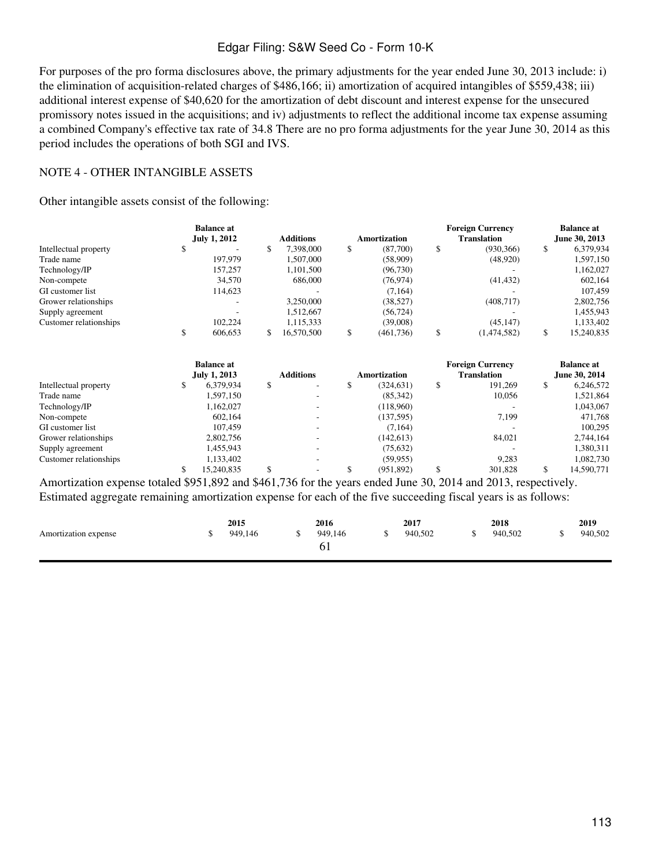For purposes of the pro forma disclosures above, the primary adjustments for the year ended June 30, 2013 include: i) the elimination of acquisition-related charges of \$486,166; ii) amortization of acquired intangibles of \$559,438; iii) additional interest expense of \$40,620 for the amortization of debt discount and interest expense for the unsecured promissory notes issued in the acquisitions; and iv) adjustments to reflect the additional income tax expense assuming a combined Company's effective tax rate of 34.8 There are no pro forma adjustments for the year June 30, 2014 as this period includes the operations of both SGI and IVS.

#### NOTE 4 - OTHER INTANGIBLE ASSETS

Other intangible assets consist of the following:

|                        | <b>Balance</b> at   |                                    |                     | <b>Foreign Currency</b> | <b>Balance</b> at |
|------------------------|---------------------|------------------------------------|---------------------|-------------------------|-------------------|
|                        | <b>July 1, 2012</b> | <b>Additions</b>                   | <b>Amortization</b> | <b>Translation</b>      | June 30, 2013     |
| Intellectual property  | \$                  | \$<br>7,398,000                    | \$<br>(87,700)      | \$<br>(930, 366)        | \$<br>6,379,934   |
| Trade name             | 197,979             | 1,507,000                          | (58,909)            | (48,920)                | 1,597,150         |
| Technology/IP          | 157,257             | 1,101,500                          | (96, 730)           |                         | 1,162,027         |
| Non-compete            | 34,570              | 686,000                            | (76, 974)           | (41, 432)               | 602,164           |
| GI customer list       | 114,623             |                                    | (7,164)             |                         | 107,459           |
| Grower relationships   |                     | 3,250,000                          | (38, 527)           | (408, 717)              | 2,802,756         |
| Supply agreement       |                     | 1,512,667                          | (56, 724)           |                         | 1,455,943         |
| Customer relationships | 102,224             | 1,115,333                          | (39,008)            | (45, 147)               | 1,133,402         |
|                        | \$<br>606,653       | \$<br>16,570,500                   | \$<br>(461, 736)    | \$<br>(1,474,582)       | \$<br>15,240,835  |
|                        | <b>Balance at</b>   |                                    |                     | <b>Foreign Currency</b> | <b>Balance at</b> |
|                        | <b>July 1, 2013</b> | <b>Additions</b>                   | <b>Amortization</b> | <b>Translation</b>      | June 30, 2014     |
| Intellectual property  | \$<br>6,379,934     | \$                                 | \$<br>(324, 631)    | \$<br>191,269           | \$<br>6,246,572   |
| Trade name             | 1,597,150           | ۰                                  | (85,342)            | 10,056                  | 1,521,864         |
| Technology/IP          | 1,162,027           |                                    | (118,960)           |                         | 1,043,067         |
| Non-compete            | 602,164             |                                    | (137, 595)          | 7,199                   | 471,768           |
| GI customer list       | 107,459             |                                    | (7,164)             |                         | 100,295           |
| Grower relationships   | 2,802,756           |                                    | (142, 613)          | 84,021                  | 2,744,164         |
| Supply agreement       | 1,455,943           | $\overline{\phantom{a}}$           | (75, 632)           |                         | 1,380,311         |
| Customer relationships | 1,133,402           |                                    | (59, 955)           | 9,283                   | 1,082,730         |
|                        | \$<br>15,240,835    | \$<br>$\qquad \qquad \blacksquare$ | \$<br>(951, 892)    | \$<br>301,828           | \$<br>14,590,771  |

Amortization expense totaled \$951,892 and \$461,736 for the years ended June 30, 2014 and 2013, respectively. Estimated aggregate remaining amortization expense for each of the five succeeding fiscal years is as follows:

|                      | 2015    | 2016    | 2017    | 2018    | 2019    |
|----------------------|---------|---------|---------|---------|---------|
| Amortization expense | 949.146 | 949,146 | 940,502 | 940,502 | 940,502 |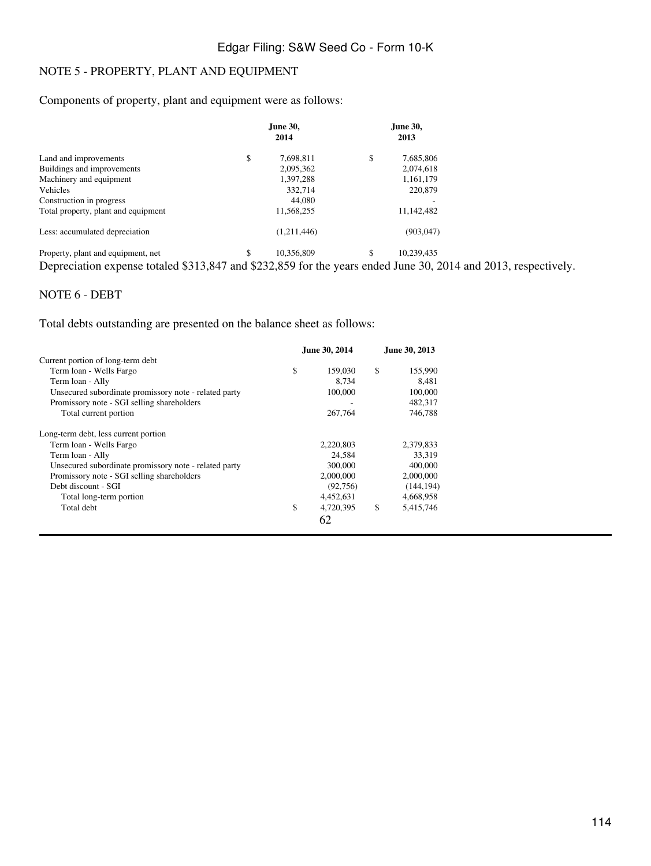# NOTE 5 - PROPERTY, PLANT AND EQUIPMENT

#### Components of property, plant and equipment were as follows:

|                                     | June 30,<br>2014 | <b>June 30,</b><br>2013 |  |  |
|-------------------------------------|------------------|-------------------------|--|--|
| Land and improvements               | \$<br>7,698,811  | \$<br>7,685,806         |  |  |
| Buildings and improvements          | 2,095,362        | 2,074,618               |  |  |
| Machinery and equipment             | 1,397,288        | 1,161,179               |  |  |
| <b>Vehicles</b>                     | 332,714          | 220,879                 |  |  |
| Construction in progress            | 44,080           |                         |  |  |
| Total property, plant and equipment | 11,568,255       | 11,142,482              |  |  |
| Less: accumulated depreciation      | (1,211,446)      | (903, 047)              |  |  |
| Property, plant and equipment, net  | \$<br>10.356.809 | \$<br>10,239,435        |  |  |

Depreciation expense totaled \$313,847 and \$232,859 for the years ended June 30, 2014 and 2013, respectively.

#### NOTE 6 - DEBT

Total debts outstanding are presented on the balance sheet as follows:

|                                                       |    | June 30, 2014 | June 30, 2013 |            |  |
|-------------------------------------------------------|----|---------------|---------------|------------|--|
| Current portion of long-term debt                     |    |               |               |            |  |
| Term loan - Wells Fargo                               | \$ | 159,030       | \$            | 155,990    |  |
| Term loan - Ally                                      |    | 8.734         |               | 8.481      |  |
| Unsecured subordinate promissory note - related party |    | 100,000       |               | 100,000    |  |
| Promissory note - SGI selling shareholders            |    |               |               | 482.317    |  |
| Total current portion                                 |    | 267,764       |               | 746,788    |  |
| Long-term debt, less current portion                  |    |               |               |            |  |
| Term loan - Wells Fargo                               |    | 2,220,803     |               | 2,379,833  |  |
| Term loan - Ally                                      |    | 24,584        |               | 33.319     |  |
| Unsecured subordinate promissory note - related party |    | 300,000       |               | 400,000    |  |
| Promissory note - SGI selling shareholders            |    | 2,000,000     |               | 2,000,000  |  |
| Debt discount - SGI                                   |    | (92, 756)     |               | (144, 194) |  |
| Total long-term portion                               |    | 4,452,631     |               | 4,668,958  |  |
| Total debt                                            | \$ | 4,720,395     | \$            | 5,415,746  |  |
|                                                       |    | 62            |               |            |  |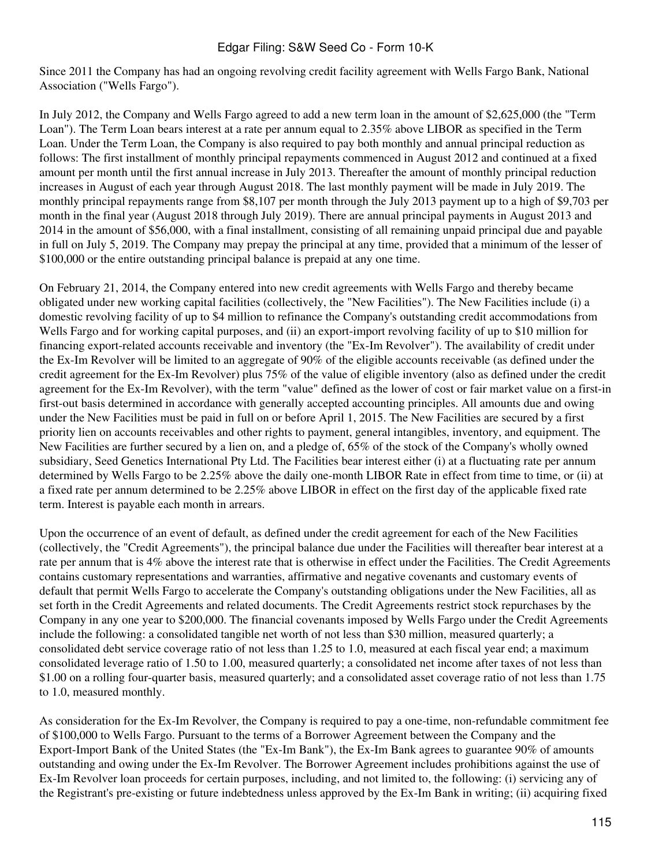Since 2011 the Company has had an ongoing revolving credit facility agreement with Wells Fargo Bank, National Association ("Wells Fargo").

In July 2012, the Company and Wells Fargo agreed to add a new term loan in the amount of \$2,625,000 (the "Term Loan"). The Term Loan bears interest at a rate per annum equal to 2.35% above LIBOR as specified in the Term Loan. Under the Term Loan, the Company is also required to pay both monthly and annual principal reduction as follows: The first installment of monthly principal repayments commenced in August 2012 and continued at a fixed amount per month until the first annual increase in July 2013. Thereafter the amount of monthly principal reduction increases in August of each year through August 2018. The last monthly payment will be made in July 2019. The monthly principal repayments range from \$8,107 per month through the July 2013 payment up to a high of \$9,703 per month in the final year (August 2018 through July 2019). There are annual principal payments in August 2013 and 2014 in the amount of \$56,000, with a final installment, consisting of all remaining unpaid principal due and payable in full on July 5, 2019. The Company may prepay the principal at any time, provided that a minimum of the lesser of \$100,000 or the entire outstanding principal balance is prepaid at any one time.

On February 21, 2014, the Company entered into new credit agreements with Wells Fargo and thereby became obligated under new working capital facilities (collectively, the "New Facilities"). The New Facilities include (i) a domestic revolving facility of up to \$4 million to refinance the Company's outstanding credit accommodations from Wells Fargo and for working capital purposes, and (ii) an export-import revolving facility of up to \$10 million for financing export-related accounts receivable and inventory (the "Ex-Im Revolver"). The availability of credit under the Ex-Im Revolver will be limited to an aggregate of 90% of the eligible accounts receivable (as defined under the credit agreement for the Ex-Im Revolver) plus 75% of the value of eligible inventory (also as defined under the credit agreement for the Ex-Im Revolver), with the term "value" defined as the lower of cost or fair market value on a first-in first-out basis determined in accordance with generally accepted accounting principles. All amounts due and owing under the New Facilities must be paid in full on or before April 1, 2015. The New Facilities are secured by a first priority lien on accounts receivables and other rights to payment, general intangibles, inventory, and equipment. The New Facilities are further secured by a lien on, and a pledge of, 65% of the stock of the Company's wholly owned subsidiary, Seed Genetics International Pty Ltd. The Facilities bear interest either (i) at a fluctuating rate per annum determined by Wells Fargo to be 2.25% above the daily one-month LIBOR Rate in effect from time to time, or (ii) at a fixed rate per annum determined to be 2.25% above LIBOR in effect on the first day of the applicable fixed rate term. Interest is payable each month in arrears.

Upon the occurrence of an event of default, as defined under the credit agreement for each of the New Facilities (collectively, the "Credit Agreements"), the principal balance due under the Facilities will thereafter bear interest at a rate per annum that is 4% above the interest rate that is otherwise in effect under the Facilities. The Credit Agreements contains customary representations and warranties, affirmative and negative covenants and customary events of default that permit Wells Fargo to accelerate the Company's outstanding obligations under the New Facilities, all as set forth in the Credit Agreements and related documents. The Credit Agreements restrict stock repurchases by the Company in any one year to \$200,000. The financial covenants imposed by Wells Fargo under the Credit Agreements include the following: a consolidated tangible net worth of not less than \$30 million, measured quarterly; a consolidated debt service coverage ratio of not less than 1.25 to 1.0, measured at each fiscal year end; a maximum consolidated leverage ratio of 1.50 to 1.00, measured quarterly; a consolidated net income after taxes of not less than \$1.00 on a rolling four-quarter basis, measured quarterly; and a consolidated asset coverage ratio of not less than 1.75 to 1.0, measured monthly.

As consideration for the Ex-Im Revolver, the Company is required to pay a one-time, non-refundable commitment fee of \$100,000 to Wells Fargo. Pursuant to the terms of a Borrower Agreement between the Company and the Export-Import Bank of the United States (the "Ex-Im Bank"), the Ex-Im Bank agrees to guarantee 90% of amounts outstanding and owing under the Ex-Im Revolver. The Borrower Agreement includes prohibitions against the use of Ex-Im Revolver loan proceeds for certain purposes, including, and not limited to, the following: (i) servicing any of the Registrant's pre-existing or future indebtedness unless approved by the Ex-Im Bank in writing; (ii) acquiring fixed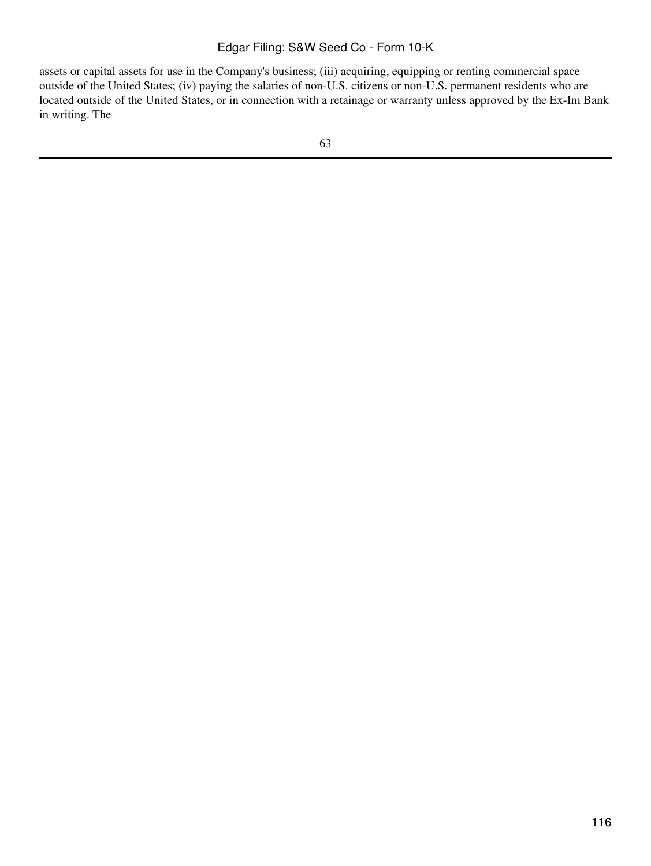assets or capital assets for use in the Company's business; (iii) acquiring, equipping or renting commercial space outside of the United States; (iv) paying the salaries of non-U.S. citizens or non-U.S. permanent residents who are located outside of the United States, or in connection with a retainage or warranty unless approved by the Ex-Im Bank in writing. The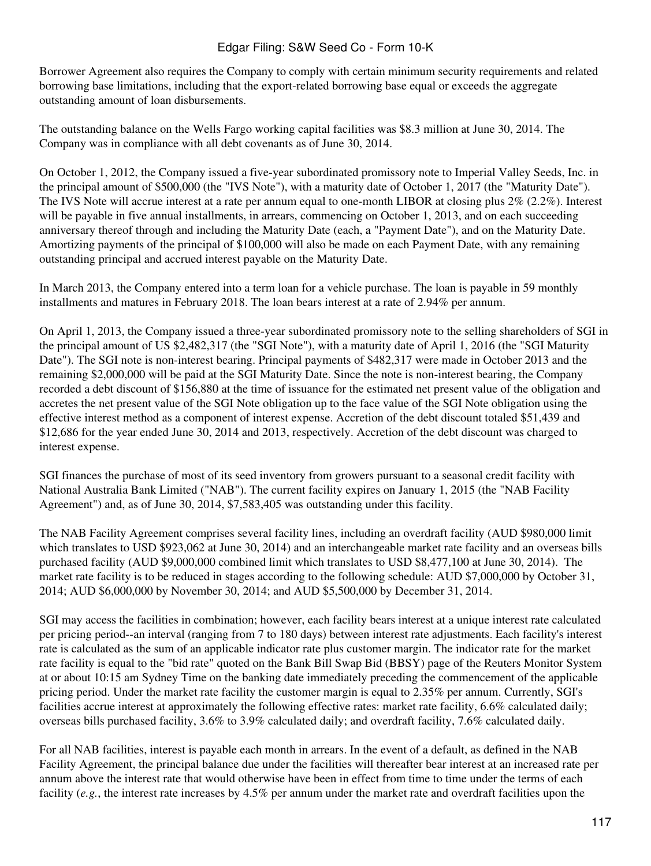Borrower Agreement also requires the Company to comply with certain minimum security requirements and related borrowing base limitations, including that the export-related borrowing base equal or exceeds the aggregate outstanding amount of loan disbursements.

The outstanding balance on the Wells Fargo working capital facilities was \$8.3 million at June 30, 2014. The Company was in compliance with all debt covenants as of June 30, 2014.

On October 1, 2012, the Company issued a five-year subordinated promissory note to Imperial Valley Seeds, Inc. in the principal amount of \$500,000 (the "IVS Note"), with a maturity date of October 1, 2017 (the "Maturity Date"). The IVS Note will accrue interest at a rate per annum equal to one-month LIBOR at closing plus 2% (2.2%). Interest will be payable in five annual installments, in arrears, commencing on October 1, 2013, and on each succeeding anniversary thereof through and including the Maturity Date (each, a "Payment Date"), and on the Maturity Date. Amortizing payments of the principal of \$100,000 will also be made on each Payment Date, with any remaining outstanding principal and accrued interest payable on the Maturity Date.

In March 2013, the Company entered into a term loan for a vehicle purchase. The loan is payable in 59 monthly installments and matures in February 2018. The loan bears interest at a rate of 2.94% per annum.

On April 1, 2013, the Company issued a three-year subordinated promissory note to the selling shareholders of SGI in the principal amount of US \$2,482,317 (the "SGI Note"), with a maturity date of April 1, 2016 (the "SGI Maturity Date"). The SGI note is non-interest bearing. Principal payments of \$482,317 were made in October 2013 and the remaining \$2,000,000 will be paid at the SGI Maturity Date. Since the note is non-interest bearing, the Company recorded a debt discount of \$156,880 at the time of issuance for the estimated net present value of the obligation and accretes the net present value of the SGI Note obligation up to the face value of the SGI Note obligation using the effective interest method as a component of interest expense. Accretion of the debt discount totaled \$51,439 and \$12,686 for the year ended June 30, 2014 and 2013, respectively. Accretion of the debt discount was charged to interest expense.

SGI finances the purchase of most of its seed inventory from growers pursuant to a seasonal credit facility with National Australia Bank Limited ("NAB"). The current facility expires on January 1, 2015 (the "NAB Facility Agreement") and, as of June 30, 2014, \$7,583,405 was outstanding under this facility.

The NAB Facility Agreement comprises several facility lines, including an overdraft facility (AUD \$980,000 limit which translates to USD \$923,062 at June 30, 2014) and an interchangeable market rate facility and an overseas bills purchased facility (AUD \$9,000,000 combined limit which translates to USD \$8,477,100 at June 30, 2014). The market rate facility is to be reduced in stages according to the following schedule: AUD \$7,000,000 by October 31, 2014; AUD \$6,000,000 by November 30, 2014; and AUD \$5,500,000 by December 31, 2014.

SGI may access the facilities in combination; however, each facility bears interest at a unique interest rate calculated per pricing period--an interval (ranging from 7 to 180 days) between interest rate adjustments. Each facility's interest rate is calculated as the sum of an applicable indicator rate plus customer margin. The indicator rate for the market rate facility is equal to the "bid rate" quoted on the Bank Bill Swap Bid (BBSY) page of the Reuters Monitor System at or about 10:15 am Sydney Time on the banking date immediately preceding the commencement of the applicable pricing period. Under the market rate facility the customer margin is equal to 2.35% per annum. Currently, SGI's facilities accrue interest at approximately the following effective rates: market rate facility, 6.6% calculated daily; overseas bills purchased facility, 3.6% to 3.9% calculated daily; and overdraft facility, 7.6% calculated daily.

For all NAB facilities, interest is payable each month in arrears. In the event of a default, as defined in the NAB Facility Agreement, the principal balance due under the facilities will thereafter bear interest at an increased rate per annum above the interest rate that would otherwise have been in effect from time to time under the terms of each facility (*e.g.*, the interest rate increases by 4.5% per annum under the market rate and overdraft facilities upon the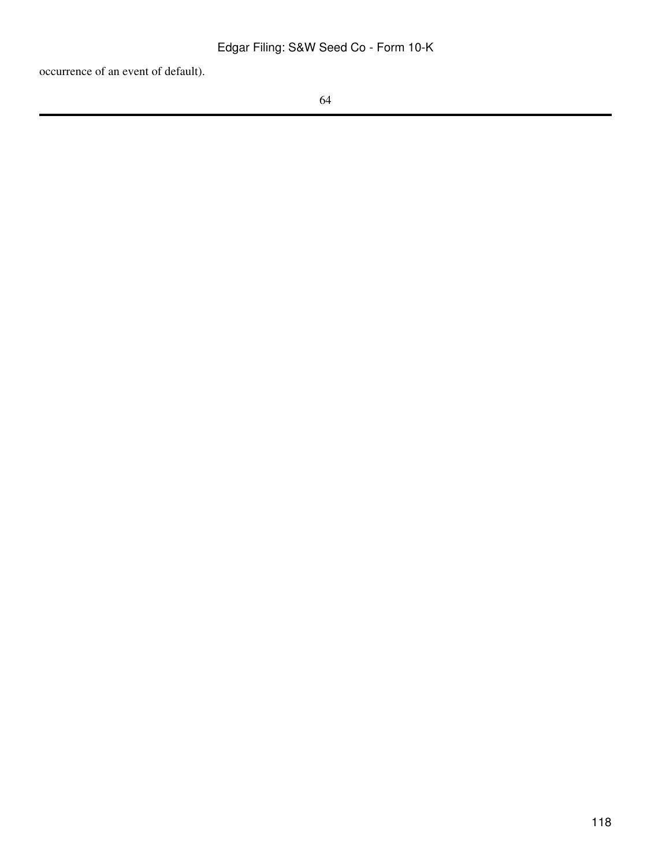occurrence of an event of default).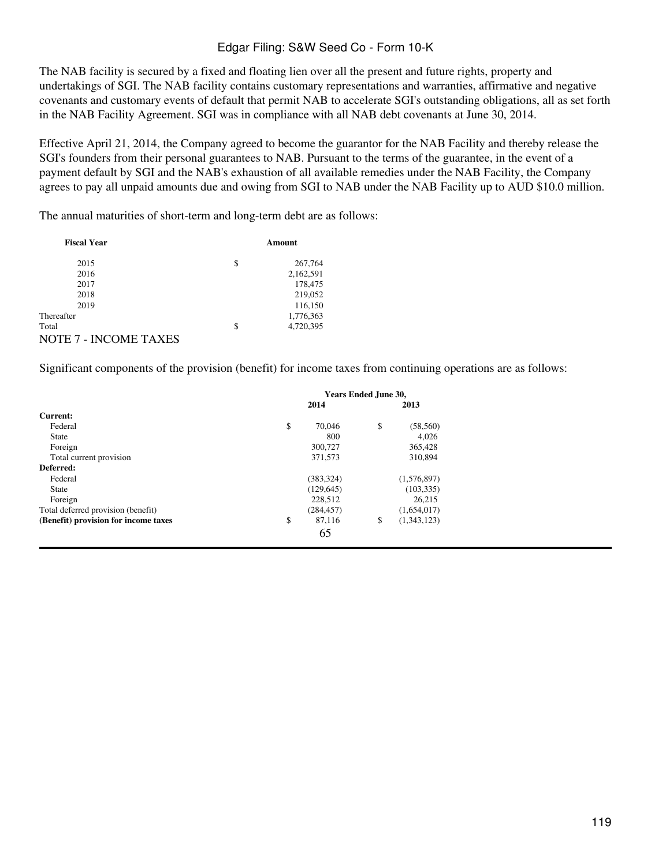The NAB facility is secured by a fixed and floating lien over all the present and future rights, property and undertakings of SGI. The NAB facility contains customary representations and warranties, affirmative and negative covenants and customary events of default that permit NAB to accelerate SGI's outstanding obligations, all as set forth in the NAB Facility Agreement. SGI was in compliance with all NAB debt covenants at June 30, 2014.

Effective April 21, 2014, the Company agreed to become the guarantor for the NAB Facility and thereby release the SGI's founders from their personal guarantees to NAB. Pursuant to the terms of the guarantee, in the event of a payment default by SGI and the NAB's exhaustion of all available remedies under the NAB Facility, the Company agrees to pay all unpaid amounts due and owing from SGI to NAB under the NAB Facility up to AUD \$10.0 million.

The annual maturities of short-term and long-term debt are as follows:

| <b>Fiscal Year</b>           | Amount |           |  |  |
|------------------------------|--------|-----------|--|--|
| 2015                         | \$     | 267,764   |  |  |
| 2016                         |        | 2,162,591 |  |  |
| 2017                         |        | 178,475   |  |  |
| 2018                         |        | 219,052   |  |  |
| 2019                         |        | 116,150   |  |  |
| Thereafter                   |        | 1,776,363 |  |  |
| Total                        | \$     | 4,720,395 |  |  |
| <b>NOTE 7 - INCOME TAXES</b> |        |           |  |  |

Significant components of the provision (benefit) for income taxes from continuing operations are as follows:

|                                      | Years Ended June 30, |            |    |             |  |
|--------------------------------------|----------------------|------------|----|-------------|--|
|                                      |                      | 2014       |    | 2013        |  |
| Current:                             |                      |            |    |             |  |
| Federal                              | \$                   | 70,046     | \$ | (58, 560)   |  |
| <b>State</b>                         |                      | 800        |    | 4.026       |  |
| Foreign                              |                      | 300,727    |    | 365,428     |  |
| Total current provision              |                      | 371,573    |    | 310,894     |  |
| Deferred:                            |                      |            |    |             |  |
| Federal                              |                      | (383, 324) |    | (1,576,897) |  |
| <b>State</b>                         |                      | (129, 645) |    | (103, 335)  |  |
| Foreign                              |                      | 228,512    |    | 26.215      |  |
| Total deferred provision (benefit)   |                      | (284, 457) |    | (1,654,017) |  |
| (Benefit) provision for income taxes | \$                   | 87,116     | \$ | (1,343,123) |  |
|                                      |                      | 65         |    |             |  |
|                                      |                      |            |    |             |  |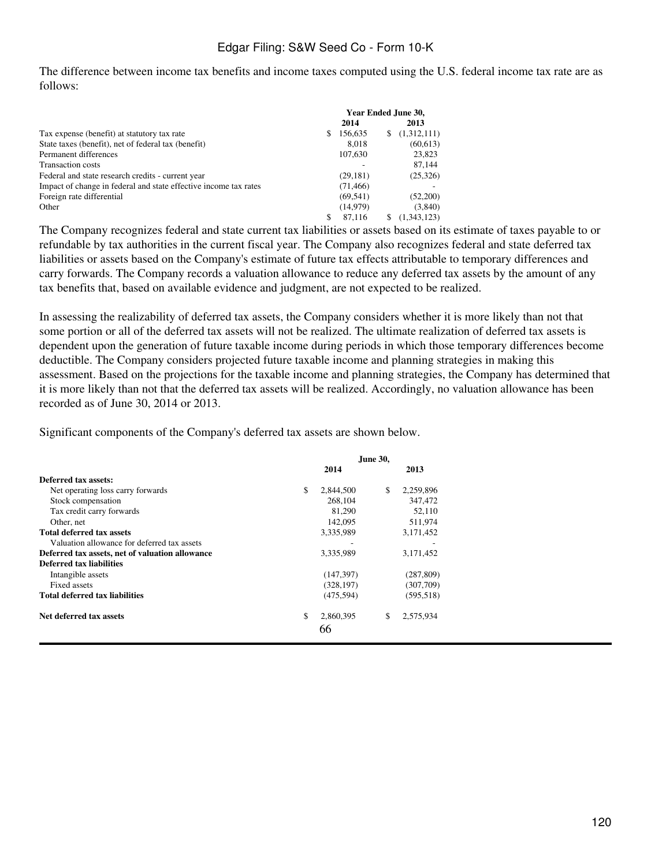The difference between income tax benefits and income taxes computed using the U.S. federal income tax rate are as follows:

|                                                                  | Year Ended June 30, |           |   |             |
|------------------------------------------------------------------|---------------------|-----------|---|-------------|
|                                                                  |                     | 2014      |   | 2013        |
| Tax expense (benefit) at statutory tax rate                      | S                   | 156,635   | S | (1,312,111) |
| State taxes (benefit), net of federal tax (benefit)              |                     | 8.018     |   | (60, 613)   |
| Permanent differences                                            |                     | 107,630   |   | 23,823      |
| <b>Transaction costs</b>                                         |                     |           |   | 87.144      |
| Federal and state research credits - current year                |                     | (29, 181) |   | (25,326)    |
| Impact of change in federal and state effective income tax rates |                     | (71, 466) |   |             |
| Foreign rate differential                                        |                     | (69, 541) |   | (52,200)    |
| Other                                                            |                     | (14, 979) |   | (3,840)     |
|                                                                  | S                   | 87.116    | S | (1,343,123) |

The Company recognizes federal and state current tax liabilities or assets based on its estimate of taxes payable to or refundable by tax authorities in the current fiscal year. The Company also recognizes federal and state deferred tax liabilities or assets based on the Company's estimate of future tax effects attributable to temporary differences and carry forwards. The Company records a valuation allowance to reduce any deferred tax assets by the amount of any tax benefits that, based on available evidence and judgment, are not expected to be realized.

In assessing the realizability of deferred tax assets, the Company considers whether it is more likely than not that some portion or all of the deferred tax assets will not be realized. The ultimate realization of deferred tax assets is dependent upon the generation of future taxable income during periods in which those temporary differences become deductible. The Company considers projected future taxable income and planning strategies in making this assessment. Based on the projections for the taxable income and planning strategies, the Company has determined that it is more likely than not that the deferred tax assets will be realized. Accordingly, no valuation allowance has been recorded as of June 30, 2014 or 2013.

Significant components of the Company's deferred tax assets are shown below.

|                                                 | <b>June 30,</b> |            |    |            |
|-------------------------------------------------|-----------------|------------|----|------------|
|                                                 |                 | 2014       |    | 2013       |
| Deferred tax assets:                            |                 |            |    |            |
| Net operating loss carry forwards               | \$              | 2,844,500  | \$ | 2,259,896  |
| Stock compensation                              |                 | 268,104    |    | 347.472    |
| Tax credit carry forwards                       |                 | 81,290     |    | 52,110     |
| Other, net                                      |                 | 142,095    |    | 511,974    |
| <b>Total deferred tax assets</b>                |                 | 3.335.989  |    | 3,171,452  |
| Valuation allowance for deferred tax assets     |                 |            |    |            |
| Deferred tax assets, net of valuation allowance |                 | 3,335,989  |    | 3,171,452  |
| Deferred tax liabilities                        |                 |            |    |            |
| Intangible assets                               |                 | (147, 397) |    | (287, 809) |
| Fixed assets                                    |                 | (328, 197) |    | (307,709)  |
| <b>Total deferred tax liabilities</b>           |                 | (475, 594) |    | (595, 518) |
| Net deferred tax assets                         | \$              | 2,860,395  | \$ | 2,575,934  |
|                                                 |                 | 66         |    |            |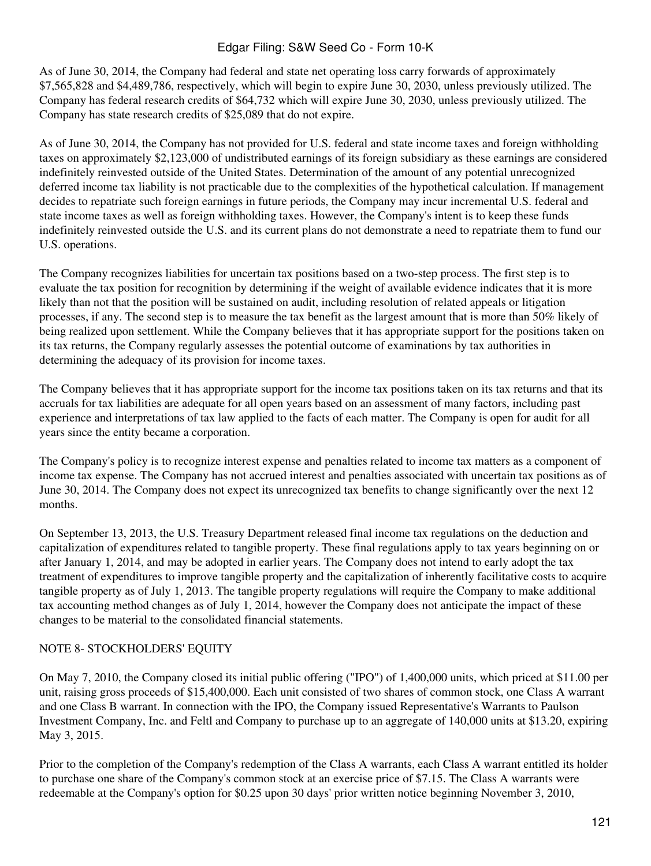As of June 30, 2014, the Company had federal and state net operating loss carry forwards of approximately \$7,565,828 and \$4,489,786, respectively, which will begin to expire June 30, 2030, unless previously utilized. The Company has federal research credits of \$64,732 which will expire June 30, 2030, unless previously utilized. The Company has state research credits of \$25,089 that do not expire.

As of June 30, 2014, the Company has not provided for U.S. federal and state income taxes and foreign withholding taxes on approximately \$2,123,000 of undistributed earnings of its foreign subsidiary as these earnings are considered indefinitely reinvested outside of the United States. Determination of the amount of any potential unrecognized deferred income tax liability is not practicable due to the complexities of the hypothetical calculation. If management decides to repatriate such foreign earnings in future periods, the Company may incur incremental U.S. federal and state income taxes as well as foreign withholding taxes. However, the Company's intent is to keep these funds indefinitely reinvested outside the U.S. and its current plans do not demonstrate a need to repatriate them to fund our U.S. operations.

The Company recognizes liabilities for uncertain tax positions based on a two-step process. The first step is to evaluate the tax position for recognition by determining if the weight of available evidence indicates that it is more likely than not that the position will be sustained on audit, including resolution of related appeals or litigation processes, if any. The second step is to measure the tax benefit as the largest amount that is more than 50% likely of being realized upon settlement. While the Company believes that it has appropriate support for the positions taken on its tax returns, the Company regularly assesses the potential outcome of examinations by tax authorities in determining the adequacy of its provision for income taxes.

The Company believes that it has appropriate support for the income tax positions taken on its tax returns and that its accruals for tax liabilities are adequate for all open years based on an assessment of many factors, including past experience and interpretations of tax law applied to the facts of each matter. The Company is open for audit for all years since the entity became a corporation.

The Company's policy is to recognize interest expense and penalties related to income tax matters as a component of income tax expense. The Company has not accrued interest and penalties associated with uncertain tax positions as of June 30, 2014. The Company does not expect its unrecognized tax benefits to change significantly over the next 12 months.

On September 13, 2013, the U.S. Treasury Department released final income tax regulations on the deduction and capitalization of expenditures related to tangible property. These final regulations apply to tax years beginning on or after January 1, 2014, and may be adopted in earlier years. The Company does not intend to early adopt the tax treatment of expenditures to improve tangible property and the capitalization of inherently facilitative costs to acquire tangible property as of July 1, 2013. The tangible property regulations will require the Company to make additional tax accounting method changes as of July 1, 2014, however the Company does not anticipate the impact of these changes to be material to the consolidated financial statements.

### NOTE 8- STOCKHOLDERS' EQUITY

On May 7, 2010, the Company closed its initial public offering ("IPO") of 1,400,000 units, which priced at \$11.00 per unit, raising gross proceeds of \$15,400,000. Each unit consisted of two shares of common stock, one Class A warrant and one Class B warrant. In connection with the IPO, the Company issued Representative's Warrants to Paulson Investment Company, Inc. and Feltl and Company to purchase up to an aggregate of 140,000 units at \$13.20, expiring May 3, 2015.

Prior to the completion of the Company's redemption of the Class A warrants, each Class A warrant entitled its holder to purchase one share of the Company's common stock at an exercise price of \$7.15. The Class A warrants were redeemable at the Company's option for \$0.25 upon 30 days' prior written notice beginning November 3, 2010,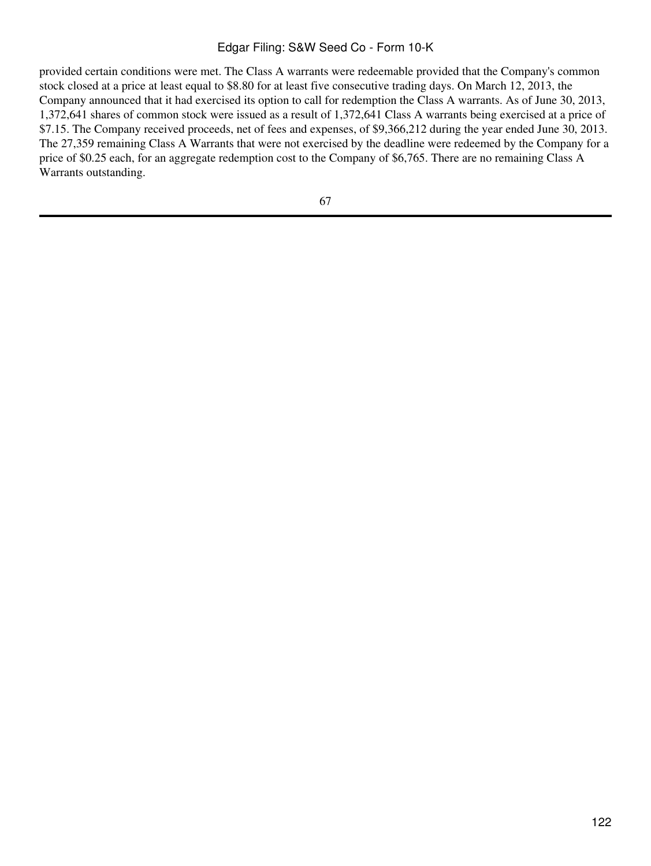provided certain conditions were met. The Class A warrants were redeemable provided that the Company's common stock closed at a price at least equal to \$8.80 for at least five consecutive trading days. On March 12, 2013, the Company announced that it had exercised its option to call for redemption the Class A warrants. As of June 30, 2013, 1,372,641 shares of common stock were issued as a result of 1,372,641 Class A warrants being exercised at a price of \$7.15. The Company received proceeds, net of fees and expenses, of \$9,366,212 during the year ended June 30, 2013. The 27,359 remaining Class A Warrants that were not exercised by the deadline were redeemed by the Company for a price of \$0.25 each, for an aggregate redemption cost to the Company of \$6,765. There are no remaining Class A Warrants outstanding.

67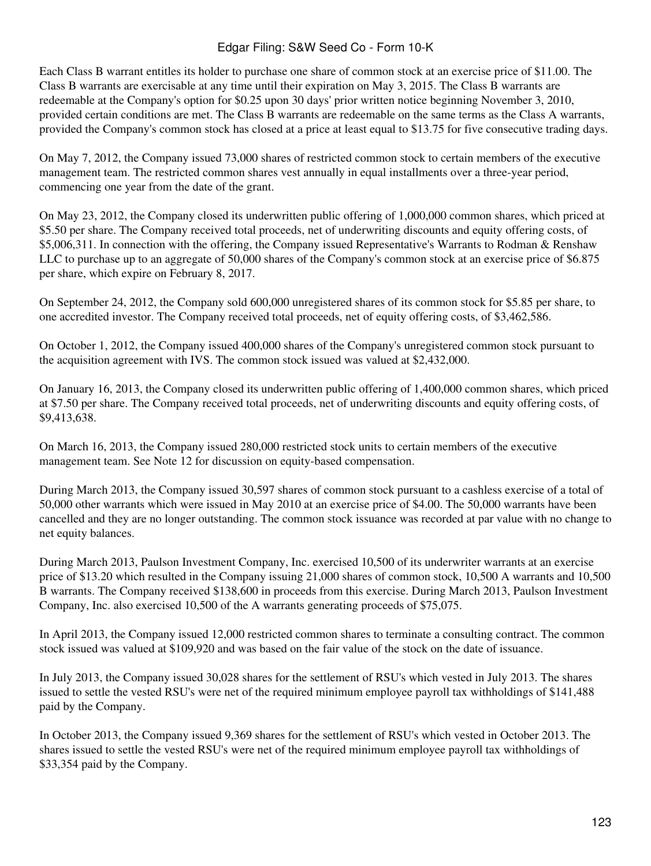Each Class B warrant entitles its holder to purchase one share of common stock at an exercise price of \$11.00. The Class B warrants are exercisable at any time until their expiration on May 3, 2015. The Class B warrants are redeemable at the Company's option for \$0.25 upon 30 days' prior written notice beginning November 3, 2010, provided certain conditions are met. The Class B warrants are redeemable on the same terms as the Class A warrants, provided the Company's common stock has closed at a price at least equal to \$13.75 for five consecutive trading days.

On May 7, 2012, the Company issued 73,000 shares of restricted common stock to certain members of the executive management team. The restricted common shares vest annually in equal installments over a three-year period, commencing one year from the date of the grant.

On May 23, 2012, the Company closed its underwritten public offering of 1,000,000 common shares, which priced at \$5.50 per share. The Company received total proceeds, net of underwriting discounts and equity offering costs, of \$5,006,311. In connection with the offering, the Company issued Representative's Warrants to Rodman & Renshaw LLC to purchase up to an aggregate of 50,000 shares of the Company's common stock at an exercise price of \$6.875 per share, which expire on February 8, 2017.

On September 24, 2012, the Company sold 600,000 unregistered shares of its common stock for \$5.85 per share, to one accredited investor. The Company received total proceeds, net of equity offering costs, of \$3,462,586.

On October 1, 2012, the Company issued 400,000 shares of the Company's unregistered common stock pursuant to the acquisition agreement with IVS. The common stock issued was valued at \$2,432,000.

On January 16, 2013, the Company closed its underwritten public offering of 1,400,000 common shares, which priced at \$7.50 per share. The Company received total proceeds, net of underwriting discounts and equity offering costs, of \$9,413,638.

On March 16, 2013, the Company issued 280,000 restricted stock units to certain members of the executive management team. See Note 12 for discussion on equity-based compensation.

During March 2013, the Company issued 30,597 shares of common stock pursuant to a cashless exercise of a total of 50,000 other warrants which were issued in May 2010 at an exercise price of \$4.00. The 50,000 warrants have been cancelled and they are no longer outstanding. The common stock issuance was recorded at par value with no change to net equity balances.

During March 2013, Paulson Investment Company, Inc. exercised 10,500 of its underwriter warrants at an exercise price of \$13.20 which resulted in the Company issuing 21,000 shares of common stock, 10,500 A warrants and 10,500 B warrants. The Company received \$138,600 in proceeds from this exercise. During March 2013, Paulson Investment Company, Inc. also exercised 10,500 of the A warrants generating proceeds of \$75,075.

In April 2013, the Company issued 12,000 restricted common shares to terminate a consulting contract. The common stock issued was valued at \$109,920 and was based on the fair value of the stock on the date of issuance.

In July 2013, the Company issued 30,028 shares for the settlement of RSU's which vested in July 2013. The shares issued to settle the vested RSU's were net of the required minimum employee payroll tax withholdings of \$141,488 paid by the Company.

In October 2013, the Company issued 9,369 shares for the settlement of RSU's which vested in October 2013. The shares issued to settle the vested RSU's were net of the required minimum employee payroll tax withholdings of \$33,354 paid by the Company.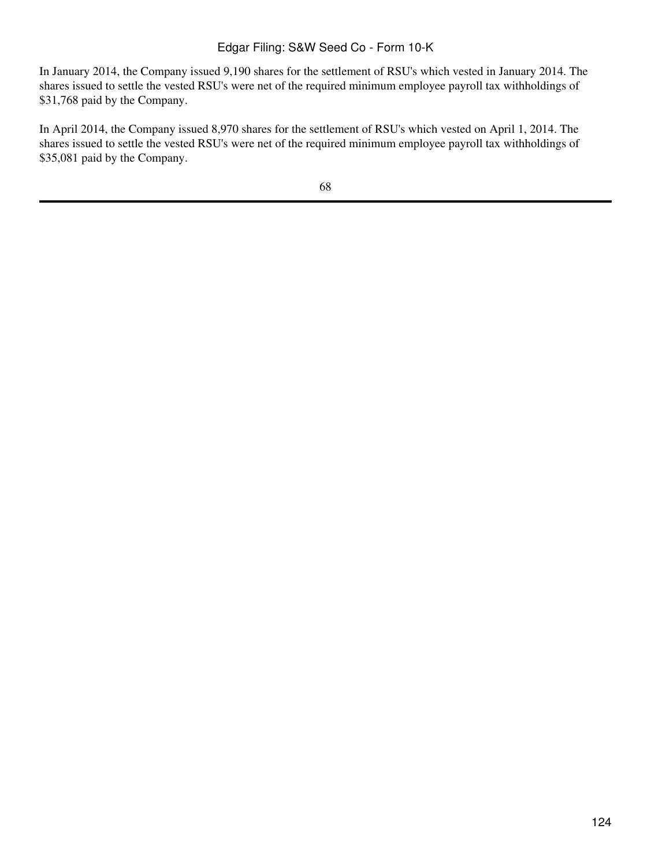In January 2014, the Company issued 9,190 shares for the settlement of RSU's which vested in January 2014. The shares issued to settle the vested RSU's were net of the required minimum employee payroll tax withholdings of \$31,768 paid by the Company.

In April 2014, the Company issued 8,970 shares for the settlement of RSU's which vested on April 1, 2014. The shares issued to settle the vested RSU's were net of the required minimum employee payroll tax withholdings of \$35,081 paid by the Company.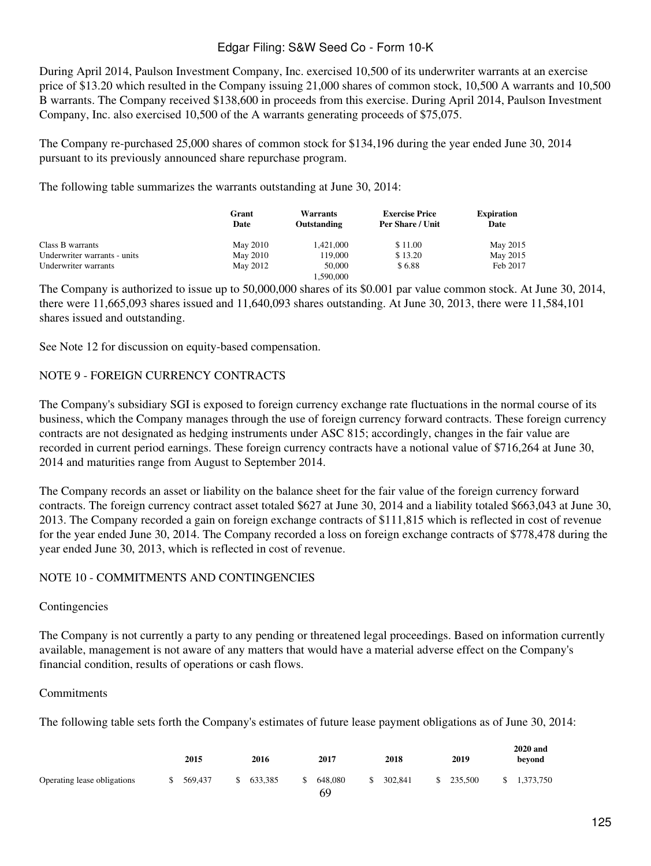During April 2014, Paulson Investment Company, Inc. exercised 10,500 of its underwriter warrants at an exercise price of \$13.20 which resulted in the Company issuing 21,000 shares of common stock, 10,500 A warrants and 10,500 B warrants. The Company received \$138,600 in proceeds from this exercise. During April 2014, Paulson Investment Company, Inc. also exercised 10,500 of the A warrants generating proceeds of \$75,075.

The Company re-purchased 25,000 shares of common stock for \$134,196 during the year ended June 30, 2014 pursuant to its previously announced share repurchase program.

The following table summarizes the warrants outstanding at June 30, 2014:

|                              | Grant<br>Date | <b>Warrants</b><br>Outstanding | <b>Exercise Price</b><br>Per Share / Unit | <b>Expiration</b><br>Date |
|------------------------------|---------------|--------------------------------|-------------------------------------------|---------------------------|
| Class B warrants             | May 2010      | 1.421,000                      | \$11.00                                   | May 2015                  |
| Underwriter warrants - units | May 2010      | 119,000                        | \$13.20                                   | May 2015                  |
| Underwriter warrants         | May 2012      | 50,000                         | \$6.88                                    | Feb 2017                  |
|                              |               | 1.590.000                      |                                           |                           |

The Company is authorized to issue up to 50,000,000 shares of its \$0.001 par value common stock. At June 30, 2014, there were 11,665,093 shares issued and 11,640,093 shares outstanding. At June 30, 2013, there were 11,584,101 shares issued and outstanding.

See Note 12 for discussion on equity-based compensation.

#### NOTE 9 - FOREIGN CURRENCY CONTRACTS

The Company's subsidiary SGI is exposed to foreign currency exchange rate fluctuations in the normal course of its business, which the Company manages through the use of foreign currency forward contracts. These foreign currency contracts are not designated as hedging instruments under ASC 815; accordingly, changes in the fair value are recorded in current period earnings. These foreign currency contracts have a notional value of \$716,264 at June 30, 2014 and maturities range from August to September 2014.

The Company records an asset or liability on the balance sheet for the fair value of the foreign currency forward contracts. The foreign currency contract asset totaled \$627 at June 30, 2014 and a liability totaled \$663,043 at June 30, 2013. The Company recorded a gain on foreign exchange contracts of \$111,815 which is reflected in cost of revenue for the year ended June 30, 2014. The Company recorded a loss on foreign exchange contracts of \$778,478 during the year ended June 30, 2013, which is reflected in cost of revenue.

#### NOTE 10 - COMMITMENTS AND CONTINGENCIES

#### Contingencies

The Company is not currently a party to any pending or threatened legal proceedings. Based on information currently available, management is not aware of any matters that would have a material adverse effect on the Company's financial condition, results of operations or cash flows.

#### Commitments

The following table sets forth the Company's estimates of future lease payment obligations as of June 30, 2014:

|                             | 2015    | 2016    | 2017                | 2018    | 2019          | <b>2020 and</b><br>beyond |
|-----------------------------|---------|---------|---------------------|---------|---------------|---------------------------|
| Operating lease obligations | 569,437 | 633.385 | \$<br>648,080<br>69 | 302,841 | \$<br>235,500 | 1.373.750                 |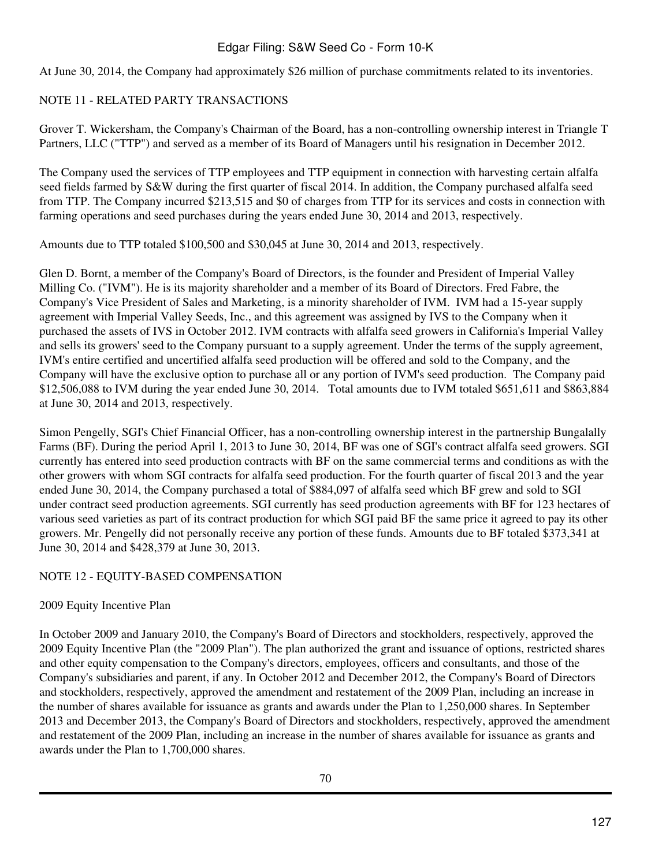At June 30, 2014, the Company had approximately \$26 million of purchase commitments related to its inventories.

#### NOTE 11 - RELATED PARTY TRANSACTIONS

Grover T. Wickersham, the Company's Chairman of the Board, has a non-controlling ownership interest in Triangle T Partners, LLC ("TTP") and served as a member of its Board of Managers until his resignation in December 2012.

The Company used the services of TTP employees and TTP equipment in connection with harvesting certain alfalfa seed fields farmed by S&W during the first quarter of fiscal 2014. In addition, the Company purchased alfalfa seed from TTP. The Company incurred \$213,515 and \$0 of charges from TTP for its services and costs in connection with farming operations and seed purchases during the years ended June 30, 2014 and 2013, respectively.

Amounts due to TTP totaled \$100,500 and \$30,045 at June 30, 2014 and 2013, respectively.

Glen D. Bornt, a member of the Company's Board of Directors, is the founder and President of Imperial Valley Milling Co. ("IVM"). He is its majority shareholder and a member of its Board of Directors. Fred Fabre, the Company's Vice President of Sales and Marketing, is a minority shareholder of IVM. IVM had a 15-year supply agreement with Imperial Valley Seeds, Inc., and this agreement was assigned by IVS to the Company when it purchased the assets of IVS in October 2012. IVM contracts with alfalfa seed growers in California's Imperial Valley and sells its growers' seed to the Company pursuant to a supply agreement. Under the terms of the supply agreement, IVM's entire certified and uncertified alfalfa seed production will be offered and sold to the Company, and the Company will have the exclusive option to purchase all or any portion of IVM's seed production. The Company paid \$12,506,088 to IVM during the year ended June 30, 2014. Total amounts due to IVM totaled \$651,611 and \$863,884 at June 30, 2014 and 2013, respectively.

Simon Pengelly, SGI's Chief Financial Officer, has a non-controlling ownership interest in the partnership Bungalally Farms (BF). During the period April 1, 2013 to June 30, 2014, BF was one of SGI's contract alfalfa seed growers. SGI currently has entered into seed production contracts with BF on the same commercial terms and conditions as with the other growers with whom SGI contracts for alfalfa seed production. For the fourth quarter of fiscal 2013 and the year ended June 30, 2014, the Company purchased a total of \$884,097 of alfalfa seed which BF grew and sold to SGI under contract seed production agreements. SGI currently has seed production agreements with BF for 123 hectares of various seed varieties as part of its contract production for which SGI paid BF the same price it agreed to pay its other growers. Mr. Pengelly did not personally receive any portion of these funds. Amounts due to BF totaled \$373,341 at June 30, 2014 and \$428,379 at June 30, 2013.

#### NOTE 12 - EQUITY-BASED COMPENSATION

#### 2009 Equity Incentive Plan

In October 2009 and January 2010, the Company's Board of Directors and stockholders, respectively, approved the 2009 Equity Incentive Plan (the "2009 Plan"). The plan authorized the grant and issuance of options, restricted shares and other equity compensation to the Company's directors, employees, officers and consultants, and those of the Company's subsidiaries and parent, if any. In October 2012 and December 2012, the Company's Board of Directors and stockholders, respectively, approved the amendment and restatement of the 2009 Plan, including an increase in the number of shares available for issuance as grants and awards under the Plan to 1,250,000 shares. In September 2013 and December 2013, the Company's Board of Directors and stockholders, respectively, approved the amendment and restatement of the 2009 Plan, including an increase in the number of shares available for issuance as grants and awards under the Plan to 1,700,000 shares.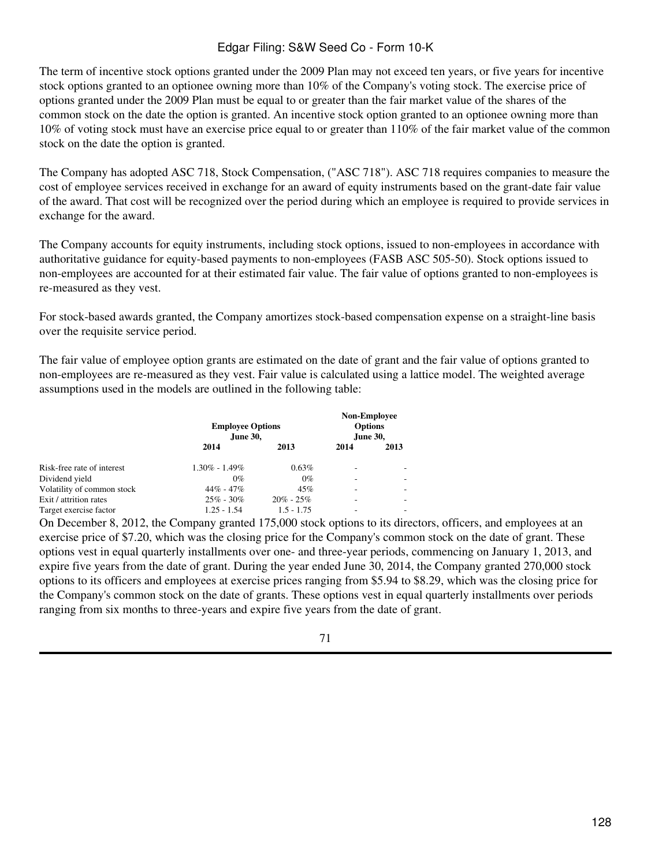The term of incentive stock options granted under the 2009 Plan may not exceed ten years, or five years for incentive stock options granted to an optionee owning more than 10% of the Company's voting stock. The exercise price of options granted under the 2009 Plan must be equal to or greater than the fair market value of the shares of the common stock on the date the option is granted. An incentive stock option granted to an optionee owning more than 10% of voting stock must have an exercise price equal to or greater than 110% of the fair market value of the common stock on the date the option is granted.

The Company has adopted ASC 718, Stock Compensation, ("ASC 718"). ASC 718 requires companies to measure the cost of employee services received in exchange for an award of equity instruments based on the grant-date fair value of the award. That cost will be recognized over the period during which an employee is required to provide services in exchange for the award.

The Company accounts for equity instruments, including stock options, issued to non-employees in accordance with authoritative guidance for equity-based payments to non-employees (FASB ASC 505-50). Stock options issued to non-employees are accounted for at their estimated fair value. The fair value of options granted to non-employees is re-measured as they vest.

For stock-based awards granted, the Company amortizes stock-based compensation expense on a straight-line basis over the requisite service period.

The fair value of employee option grants are estimated on the date of grant and the fair value of options granted to non-employees are re-measured as they vest. Fair value is calculated using a lattice model. The weighted average assumptions used in the models are outlined in the following table:

|                            | <b>Employee Options</b><br>June 30, |               | <b>Non-Employee</b><br><b>Options</b><br>June 30, |      |
|----------------------------|-------------------------------------|---------------|---------------------------------------------------|------|
|                            | 2014                                | 2013          | 2014                                              | 2013 |
| Risk-free rate of interest | $1.30\% - 1.49\%$                   | 0.63%         | ۰                                                 |      |
| Dividend yield             | $0\%$                               | $0\%$         |                                                   |      |
| Volatility of common stock | $44\% - 47\%$                       | 45%           |                                                   |      |
| Exit / attrition rates     | $25\% - 30\%$                       | $20\% - 25\%$ | -                                                 |      |
| Target exercise factor     | $1.25 - 1.54$                       | $1.5 - 1.75$  |                                                   |      |

On December 8, 2012, the Company granted 175,000 stock options to its directors, officers, and employees at an exercise price of \$7.20, which was the closing price for the Company's common stock on the date of grant. These options vest in equal quarterly installments over one- and three-year periods, commencing on January 1, 2013, and expire five years from the date of grant. During the year ended June 30, 2014, the Company granted 270,000 stock options to its officers and employees at exercise prices ranging from \$5.94 to \$8.29, which was the closing price for the Company's common stock on the date of grants. These options vest in equal quarterly installments over periods ranging from six months to three-years and expire five years from the date of grant.

#### 71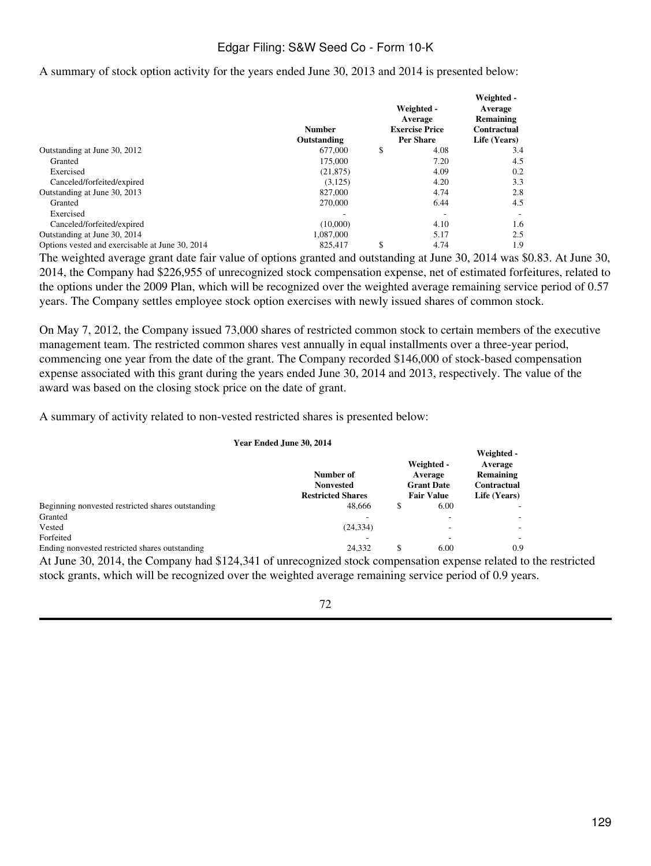#### A summary of stock option activity for the years ended June 30, 2013 and 2014 is presented below:

|                                                 | <b>Number</b><br>Outstanding | Weighted -<br>Average<br><b>Exercise Price</b><br><b>Per Share</b> | Weighted -<br>Average<br>Remaining<br>Contractual<br>Life (Years) |
|-------------------------------------------------|------------------------------|--------------------------------------------------------------------|-------------------------------------------------------------------|
| Outstanding at June 30, 2012                    | 677,000                      | \$<br>4.08                                                         | 3.4                                                               |
| Granted                                         | 175,000                      | 7.20                                                               | 4.5                                                               |
| Exercised                                       | (21, 875)                    | 4.09                                                               | 0.2                                                               |
| Canceled/forfeited/expired                      | (3,125)                      | 4.20                                                               | 3.3                                                               |
| Outstanding at June 30, 2013                    | 827,000                      | 4.74                                                               | 2.8                                                               |
| Granted                                         | 270,000                      | 6.44                                                               | 4.5                                                               |
| Exercised                                       |                              |                                                                    |                                                                   |
| Canceled/forfeited/expired                      | (10,000)                     | 4.10                                                               | 1.6                                                               |
| Outstanding at June 30, 2014                    | 1,087,000                    | 5.17                                                               | 2.5                                                               |
| Options vested and exercisable at June 30, 2014 | 825,417                      | \$<br>4.74                                                         | 1.9                                                               |

The weighted average grant date fair value of options granted and outstanding at June 30, 2014 was \$0.83. At June 30, 2014, the Company had \$226,955 of unrecognized stock compensation expense, net of estimated forfeitures, related to the options under the 2009 Plan, which will be recognized over the weighted average remaining service period of 0.57 years. The Company settles employee stock option exercises with newly issued shares of common stock.

On May 7, 2012, the Company issued 73,000 shares of restricted common stock to certain members of the executive management team. The restricted common shares vest annually in equal installments over a three-year period, commencing one year from the date of the grant. The Company recorded \$146,000 of stock-based compensation expense associated with this grant during the years ended June 30, 2014 and 2013, respectively. The value of the award was based on the closing stock price on the date of grant.

A summary of activity related to non-vested restricted shares is presented below:

#### **Year Ended June 30, 2014**

|                                                   | Number of<br><b>Nonvested</b><br><b>Restricted Shares</b> |   | Weighted -<br>Average<br><b>Grant Date</b><br><b>Fair Value</b> | $v$ cignicu<br>Average<br>Remaining<br>Contractual<br>Life (Years) |
|---------------------------------------------------|-----------------------------------------------------------|---|-----------------------------------------------------------------|--------------------------------------------------------------------|
| Beginning nonvested restricted shares outstanding | 48.666                                                    | S | 6.00                                                            |                                                                    |
| Granted                                           |                                                           |   |                                                                 |                                                                    |
| Vested                                            | (24, 334)                                                 |   |                                                                 |                                                                    |
| Forfeited                                         |                                                           |   |                                                                 |                                                                    |
| Ending nonvested restricted shares outstanding    | 24.332                                                    | S | 6.00                                                            | 0.9                                                                |

At June 30, 2014, the Company had \$124,341 of unrecognized stock compensation expense related to the restricted stock grants, which will be recognized over the weighted average remaining service period of 0.9 years.

#### 72

**Weighted -**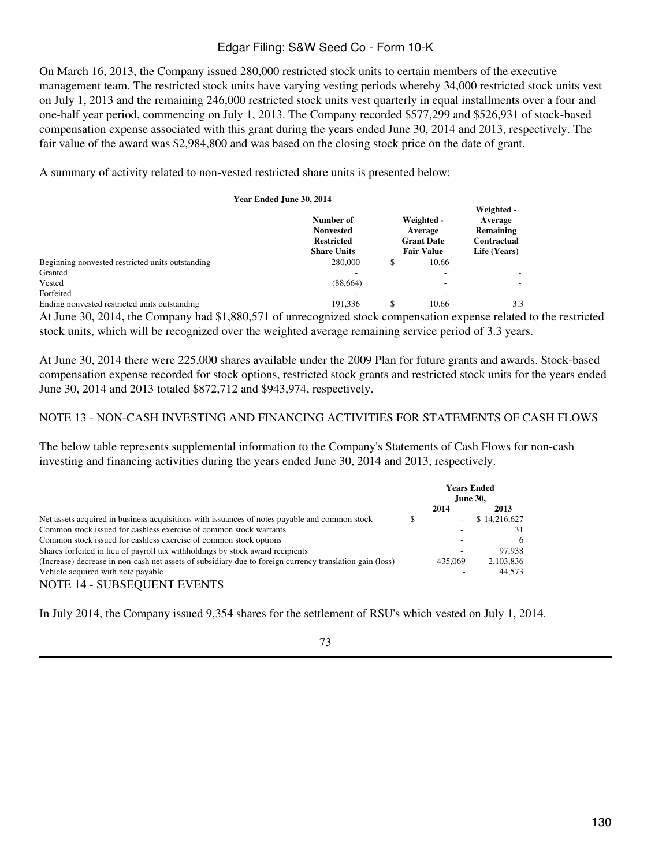On March 16, 2013, the Company issued 280,000 restricted stock units to certain members of the executive management team. The restricted stock units have varying vesting periods whereby 34,000 restricted stock units vest on July 1, 2013 and the remaining 246,000 restricted stock units vest quarterly in equal installments over a four and one-half year period, commencing on July 1, 2013. The Company recorded \$577,299 and \$526,931 of stock-based compensation expense associated with this grant during the years ended June 30, 2014 and 2013, respectively. The fair value of the award was \$2,984,800 and was based on the closing stock price on the date of grant.

A summary of activity related to non-vested restricted share units is presented below:

| Year Ended June 30, 2014                             |                                                                          |                                                                 |                                                                   |
|------------------------------------------------------|--------------------------------------------------------------------------|-----------------------------------------------------------------|-------------------------------------------------------------------|
|                                                      | Number of<br><b>Nonvested</b><br><b>Restricted</b><br><b>Share Units</b> | Weighted -<br>Average<br><b>Grant Date</b><br><b>Fair Value</b> | Weighted -<br>Average<br>Remaining<br>Contractual<br>Life (Years) |
| Beginning nonvested restricted units outstanding     | 280,000                                                                  | \$<br>10.66                                                     |                                                                   |
| Granted                                              |                                                                          |                                                                 |                                                                   |
| Vested                                               | (88, 664)                                                                |                                                                 |                                                                   |
| Forfeited                                            |                                                                          |                                                                 |                                                                   |
| Ending nonvested restricted units outstanding        | 191.336                                                                  | \$<br>10.66                                                     | 3.3                                                               |
| 1.01.000.771<br>$20.2011.1 \quad \alpha$<br>$\cdots$ | . 1                                                                      |                                                                 | $1 \cdot 1$                                                       |

At June 30, 2014, the Company had \$1,880,571 of unrecognized stock compensation expense related to the restricted stock units, which will be recognized over the weighted average remaining service period of 3.3 years.

At June 30, 2014 there were 225,000 shares available under the 2009 Plan for future grants and awards. Stock-based compensation expense recorded for stock options, restricted stock grants and restricted stock units for the years ended June 30, 2014 and 2013 totaled \$872,712 and \$943,974, respectively.

#### NOTE 13 - NON-CASH INVESTING AND FINANCING ACTIVITIES FOR STATEMENTS OF CASH FLOWS

The below table represents supplemental information to the Company's Statements of Cash Flows for non-cash investing and financing activities during the years ended June 30, 2014 and 2013, respectively.

|                                                                                                          |   | <b>Years Ended</b><br>June 30, |              |
|----------------------------------------------------------------------------------------------------------|---|--------------------------------|--------------|
|                                                                                                          |   | 2014                           | 2013         |
| Net assets acquired in business acquisitions with issuances of notes payable and common stock            | S | $\sim$                         | \$14,216,627 |
| Common stock issued for cashless exercise of common stock warrants                                       |   |                                | 31           |
| Common stock issued for cashless exercise of common stock options                                        |   |                                | 6            |
| Shares forfeited in lieu of payroll tax withholdings by stock award recipients                           |   |                                | 97.938       |
| (Increase) decrease in non-cash net assets of subsidiary due to foreign currency translation gain (loss) |   | 435,069                        | 2,103,836    |
| Vehicle acquired with note payable                                                                       |   |                                | 44.573       |
| <b>NOTE 14 - SUBSEQUENT EVENTS</b>                                                                       |   |                                |              |

In July 2014, the Company issued 9,354 shares for the settlement of RSU's which vested on July 1, 2014.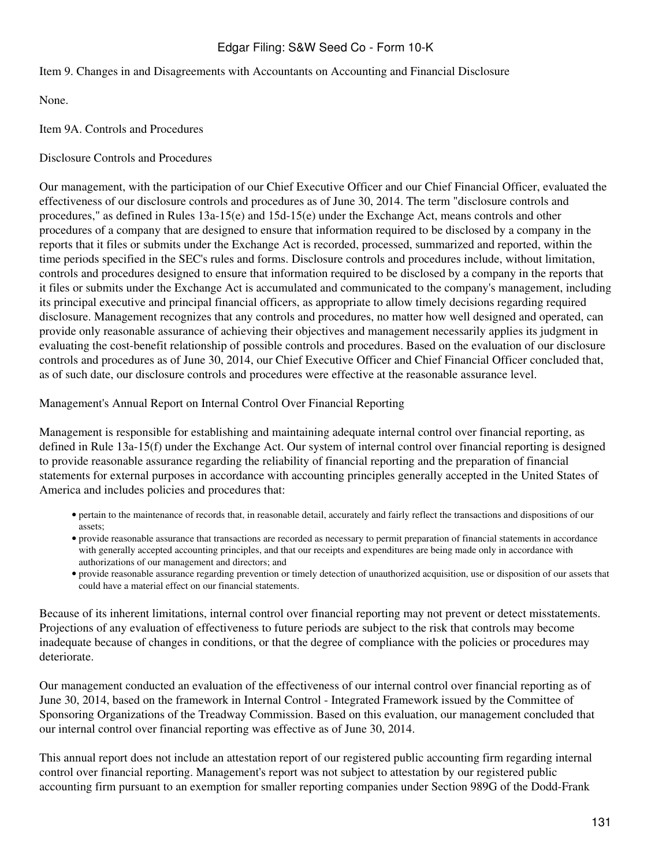#### Item 9. Changes in and Disagreements with Accountants on Accounting and Financial Disclosure

None.

Item 9A. Controls and Procedures

Disclosure Controls and Procedures

Our management, with the participation of our Chief Executive Officer and our Chief Financial Officer, evaluated the effectiveness of our disclosure controls and procedures as of June 30, 2014. The term "disclosure controls and procedures," as defined in Rules 13a-15(e) and 15d-15(e) under the Exchange Act, means controls and other procedures of a company that are designed to ensure that information required to be disclosed by a company in the reports that it files or submits under the Exchange Act is recorded, processed, summarized and reported, within the time periods specified in the SEC's rules and forms. Disclosure controls and procedures include, without limitation, controls and procedures designed to ensure that information required to be disclosed by a company in the reports that it files or submits under the Exchange Act is accumulated and communicated to the company's management, including its principal executive and principal financial officers, as appropriate to allow timely decisions regarding required disclosure. Management recognizes that any controls and procedures, no matter how well designed and operated, can provide only reasonable assurance of achieving their objectives and management necessarily applies its judgment in evaluating the cost-benefit relationship of possible controls and procedures. Based on the evaluation of our disclosure controls and procedures as of June 30, 2014, our Chief Executive Officer and Chief Financial Officer concluded that, as of such date, our disclosure controls and procedures were effective at the reasonable assurance level.

Management's Annual Report on Internal Control Over Financial Reporting

Management is responsible for establishing and maintaining adequate internal control over financial reporting, as defined in Rule 13a-15(f) under the Exchange Act. Our system of internal control over financial reporting is designed to provide reasonable assurance regarding the reliability of financial reporting and the preparation of financial statements for external purposes in accordance with accounting principles generally accepted in the United States of America and includes policies and procedures that:

- pertain to the maintenance of records that, in reasonable detail, accurately and fairly reflect the transactions and dispositions of our assets;
- provide reasonable assurance that transactions are recorded as necessary to permit preparation of financial statements in accordance with generally accepted accounting principles, and that our receipts and expenditures are being made only in accordance with authorizations of our management and directors; and
- provide reasonable assurance regarding prevention or timely detection of unauthorized acquisition, use or disposition of our assets that could have a material effect on our financial statements.

Because of its inherent limitations, internal control over financial reporting may not prevent or detect misstatements. Projections of any evaluation of effectiveness to future periods are subject to the risk that controls may become inadequate because of changes in conditions, or that the degree of compliance with the policies or procedures may deteriorate.

Our management conducted an evaluation of the effectiveness of our internal control over financial reporting as of June 30, 2014, based on the framework in Internal Control - Integrated Framework issued by the Committee of Sponsoring Organizations of the Treadway Commission. Based on this evaluation, our management concluded that our internal control over financial reporting was effective as of June 30, 2014.

This annual report does not include an attestation report of our registered public accounting firm regarding internal control over financial reporting. Management's report was not subject to attestation by our registered public accounting firm pursuant to an exemption for smaller reporting companies under Section 989G of the Dodd-Frank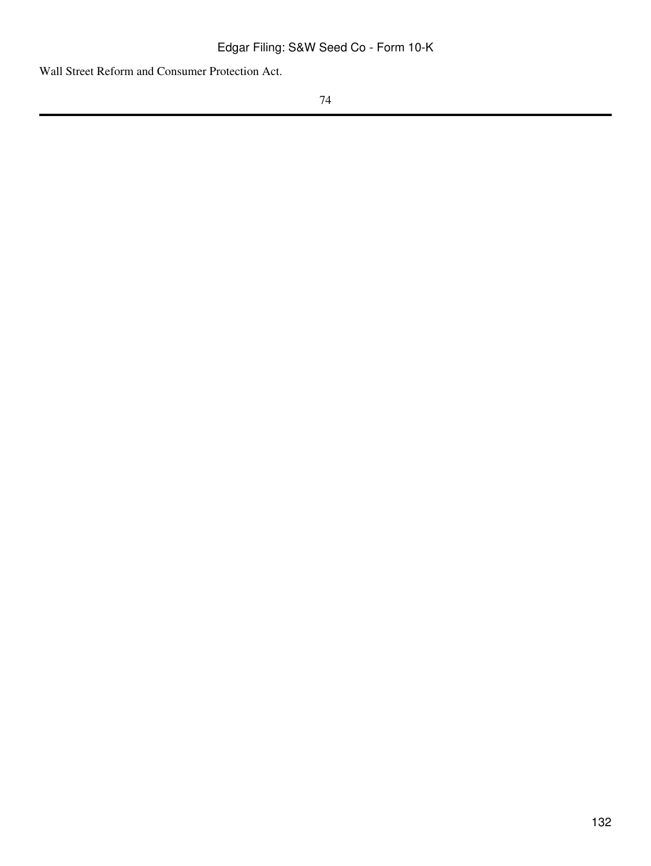Wall Street Reform and Consumer Protection Act.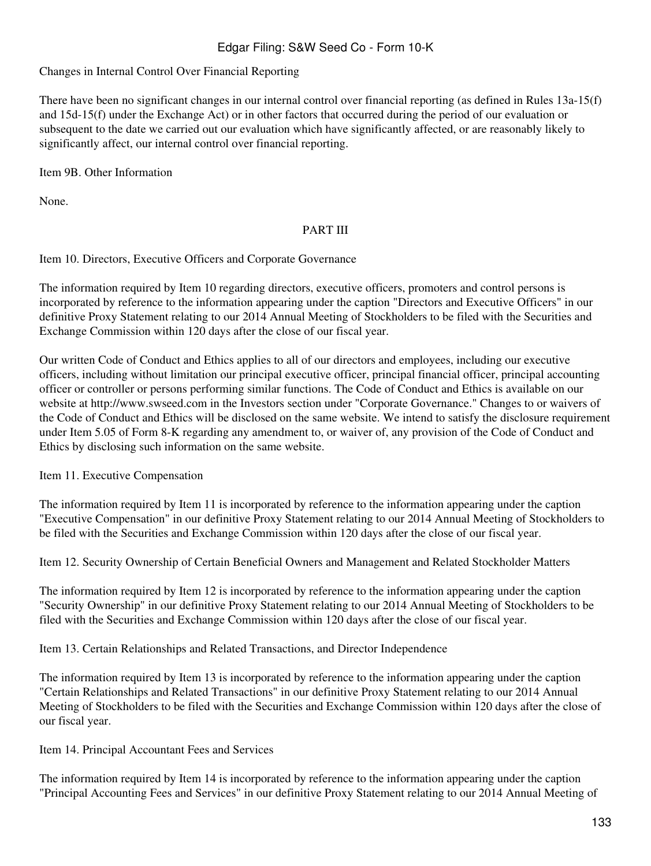#### Changes in Internal Control Over Financial Reporting

There have been no significant changes in our internal control over financial reporting (as defined in Rules 13a-15(f) and 15d-15(f) under the Exchange Act) or in other factors that occurred during the period of our evaluation or subsequent to the date we carried out our evaluation which have significantly affected, or are reasonably likely to significantly affect, our internal control over financial reporting.

Item 9B. Other Information

None.

#### PART III

Item 10. Directors, Executive Officers and Corporate Governance

The information required by Item 10 regarding directors, executive officers, promoters and control persons is incorporated by reference to the information appearing under the caption "Directors and Executive Officers" in our definitive Proxy Statement relating to our 2014 Annual Meeting of Stockholders to be filed with the Securities and Exchange Commission within 120 days after the close of our fiscal year.

Our written Code of Conduct and Ethics applies to all of our directors and employees, including our executive officers, including without limitation our principal executive officer, principal financial officer, principal accounting officer or controller or persons performing similar functions. The Code of Conduct and Ethics is available on our website at http://www.swseed.com in the Investors section under "Corporate Governance." Changes to or waivers of the Code of Conduct and Ethics will be disclosed on the same website. We intend to satisfy the disclosure requirement under Item 5.05 of Form 8-K regarding any amendment to, or waiver of, any provision of the Code of Conduct and Ethics by disclosing such information on the same website.

Item 11. Executive Compensation

The information required by Item 11 is incorporated by reference to the information appearing under the caption "Executive Compensation" in our definitive Proxy Statement relating to our 2014 Annual Meeting of Stockholders to be filed with the Securities and Exchange Commission within 120 days after the close of our fiscal year.

Item 12. Security Ownership of Certain Beneficial Owners and Management and Related Stockholder Matters

The information required by Item 12 is incorporated by reference to the information appearing under the caption "Security Ownership" in our definitive Proxy Statement relating to our 2014 Annual Meeting of Stockholders to be filed with the Securities and Exchange Commission within 120 days after the close of our fiscal year.

Item 13. Certain Relationships and Related Transactions, and Director Independence

The information required by Item 13 is incorporated by reference to the information appearing under the caption "Certain Relationships and Related Transactions" in our definitive Proxy Statement relating to our 2014 Annual Meeting of Stockholders to be filed with the Securities and Exchange Commission within 120 days after the close of our fiscal year.

Item 14. Principal Accountant Fees and Services

The information required by Item 14 is incorporated by reference to the information appearing under the caption "Principal Accounting Fees and Services" in our definitive Proxy Statement relating to our 2014 Annual Meeting of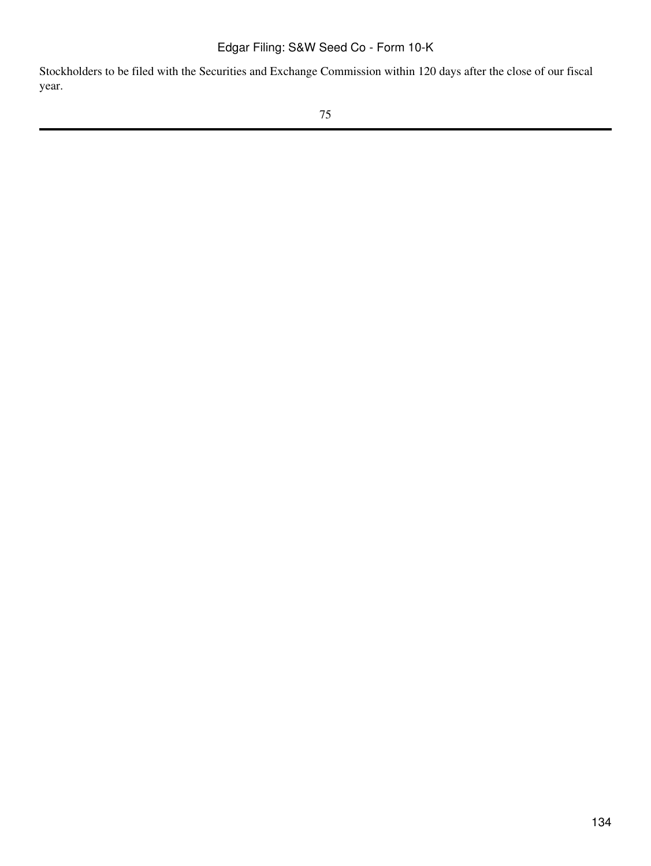Stockholders to be filed with the Securities and Exchange Commission within 120 days after the close of our fiscal year.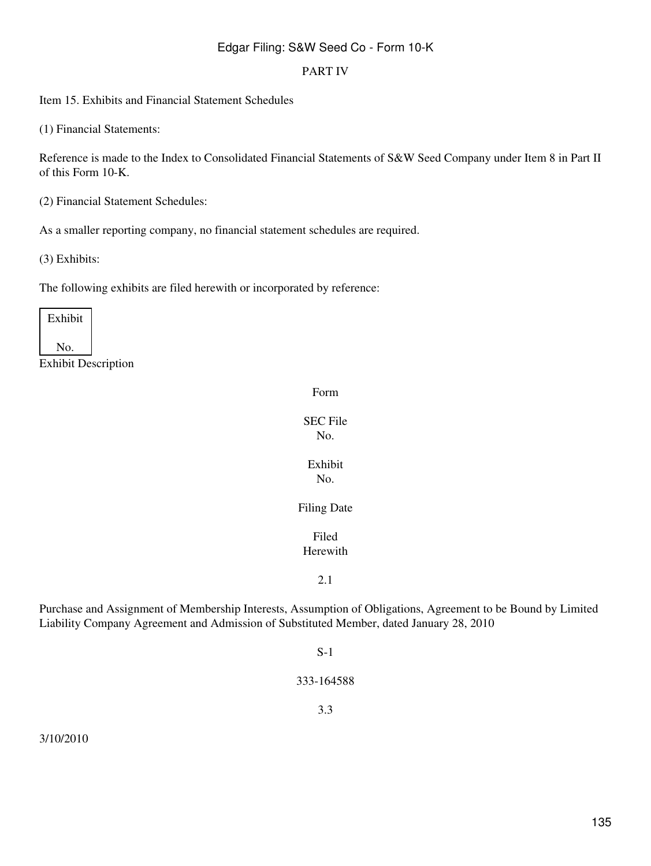#### PART IV

Item 15. Exhibits and Financial Statement Schedules

(1) Financial Statements:

Reference is made to the Index to Consolidated Financial Statements of S&W Seed Company under Item 8 in Part II of this Form 10-K.

(2) Financial Statement Schedules:

As a smaller reporting company, no financial statement schedules are required.

(3) Exhibits:

The following exhibits are filed herewith or incorporated by reference:

| Exhibit |  |
|---------|--|
| ÑΟ.     |  |

Exhibit Description

Form

SEC File No.

Exhibit No.

Filing Date

Filed Herewith

2.1

Purchase and Assignment of Membership Interests, Assumption of Obligations, Agreement to be Bound by Limited Liability Company Agreement and Admission of Substituted Member, dated January 28, 2010

#### S-1

333-164588

3.3

3/10/2010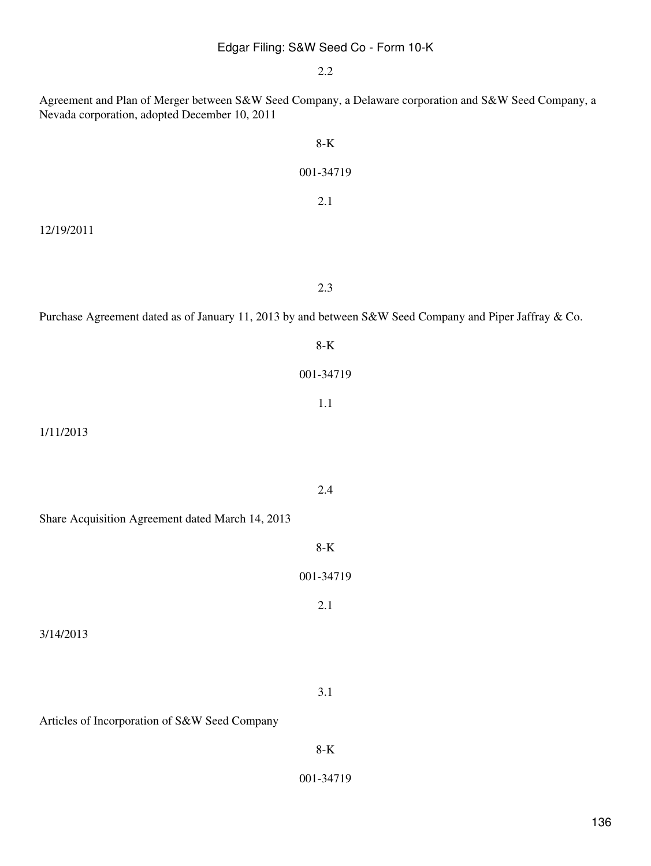2.2

Agreement and Plan of Merger between S&W Seed Company, a Delaware corporation and S&W Seed Company, a

Nevada corporation, adopted December 10, 2011

| $8 - K$                                                                                                 |
|---------------------------------------------------------------------------------------------------------|
| 001-34719                                                                                               |
| $2.1\,$                                                                                                 |
| 12/19/2011                                                                                              |
|                                                                                                         |
| $2.3\,$                                                                                                 |
| Purchase Agreement dated as of January 11, 2013 by and between S&W Seed Company and Piper Jaffray & Co. |
| $8\mbox{-}\mathrm{K}$                                                                                   |
| 001-34719                                                                                               |
| 1.1                                                                                                     |
| 1/11/2013                                                                                               |
|                                                                                                         |
| $2.4\,$                                                                                                 |
| Share Acquisition Agreement dated March 14, 2013                                                        |
| $8 - K$                                                                                                 |
| 001-34719                                                                                               |
| 2.1                                                                                                     |
| 3/14/2013                                                                                               |
|                                                                                                         |
| $3.1\,$                                                                                                 |
| Articles of Incorporation of S&W Seed Company                                                           |

8-K

001-34719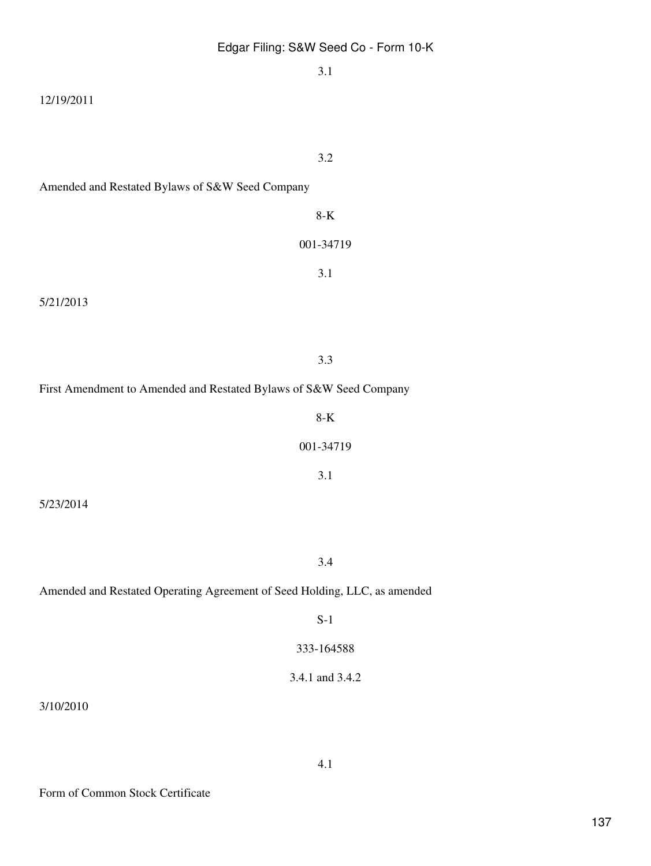|                                                                           | 3.1             |
|---------------------------------------------------------------------------|-----------------|
| 12/19/2011                                                                |                 |
|                                                                           |                 |
|                                                                           | 3.2             |
| Amended and Restated Bylaws of S&W Seed Company                           |                 |
|                                                                           | $8-K$           |
|                                                                           | 001-34719       |
|                                                                           | 3.1             |
| 5/21/2013                                                                 |                 |
|                                                                           |                 |
|                                                                           | 3.3             |
| First Amendment to Amended and Restated Bylaws of S&W Seed Company        |                 |
|                                                                           | $8-K$           |
|                                                                           |                 |
|                                                                           | 001-34719       |
|                                                                           | 3.1             |
| 5/23/2014                                                                 |                 |
|                                                                           |                 |
|                                                                           | 3.4             |
| Amended and Restated Operating Agreement of Seed Holding, LLC, as amended |                 |
|                                                                           | $S-1$           |
|                                                                           | 333-164588      |
|                                                                           | 3.4.1 and 3.4.2 |
| 3/10/2010                                                                 |                 |

 $3/$ 

4.1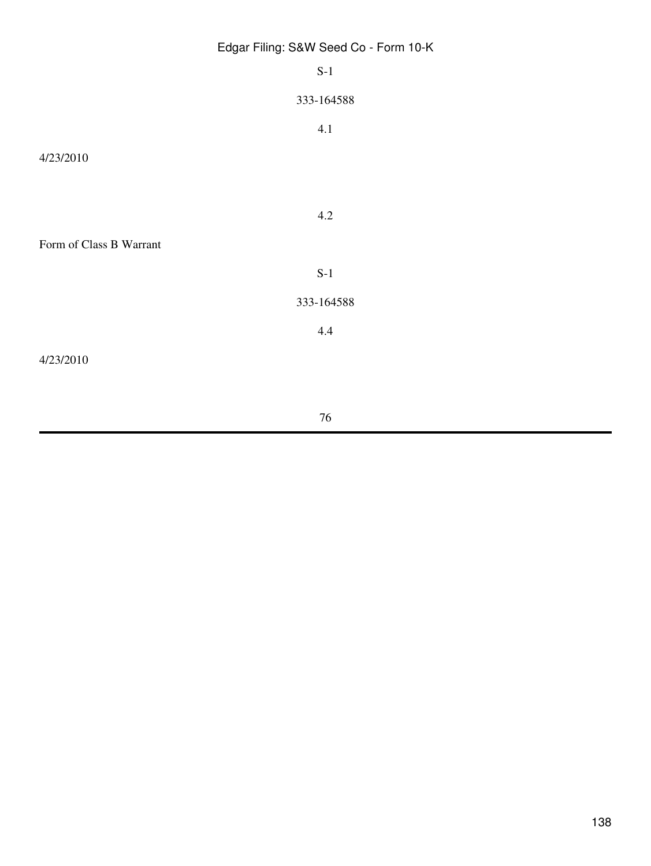|                         | Edgar Filing: S&W Seed Co - Form 10-K |
|-------------------------|---------------------------------------|
|                         | $S-1$                                 |
|                         | 333-164588                            |
|                         | 4.1                                   |
| 4/23/2010               |                                       |
|                         |                                       |
|                         | $4.2\,$                               |
| Form of Class B Warrant |                                       |
|                         | $S-1$                                 |
|                         | 333-164588                            |
|                         | 4.4                                   |
| 4/23/2010               |                                       |
|                         |                                       |

76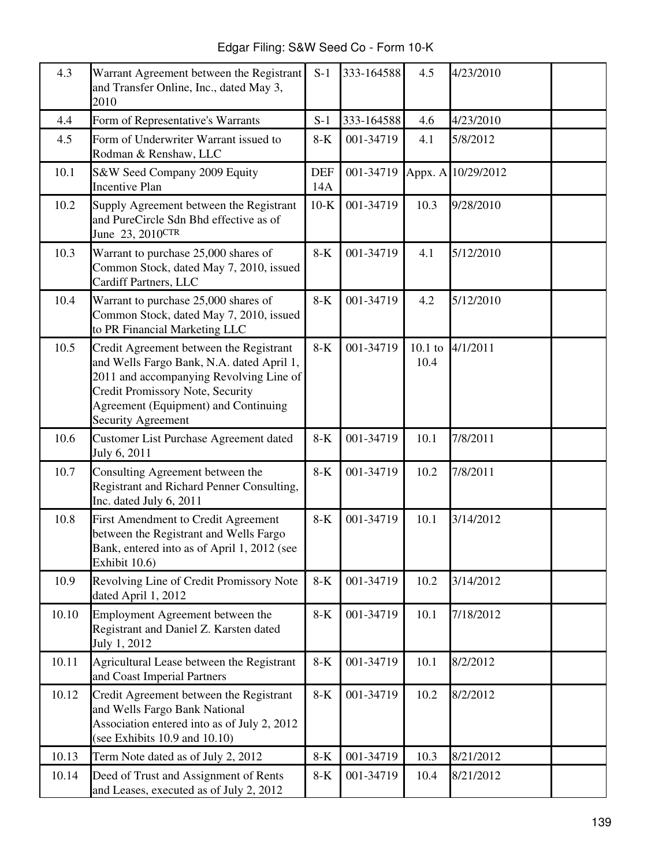Edgar Filing: S&W Seed Co - Form 10-K

| 4.3   | Warrant Agreement between the Registrant<br>and Transfer Online, Inc., dated May 3,<br>2010                                                                                                                                              | $S-1$             | 333-164588 | 4.5               | 4/23/2010          |  |
|-------|------------------------------------------------------------------------------------------------------------------------------------------------------------------------------------------------------------------------------------------|-------------------|------------|-------------------|--------------------|--|
| 4.4   | Form of Representative's Warrants                                                                                                                                                                                                        | $S-1$             | 333-164588 | 4.6               | 4/23/2010          |  |
| 4.5   | Form of Underwriter Warrant issued to<br>Rodman & Renshaw, LLC                                                                                                                                                                           | $8-K$             | 001-34719  | 4.1               | 5/8/2012           |  |
| 10.1  | S&W Seed Company 2009 Equity<br><b>Incentive Plan</b>                                                                                                                                                                                    | <b>DEF</b><br>14A | 001-34719  |                   | Appx. A 10/29/2012 |  |
| 10.2  | Supply Agreement between the Registrant<br>and PureCircle Sdn Bhd effective as of<br>June 23, 2010CTR                                                                                                                                    | $10-K$            | 001-34719  | 10.3              | 9/28/2010          |  |
| 10.3  | Warrant to purchase 25,000 shares of<br>Common Stock, dated May 7, 2010, issued<br>Cardiff Partners, LLC                                                                                                                                 | $8-K$             | 001-34719  | 4.1               | 5/12/2010          |  |
| 10.4  | Warrant to purchase 25,000 shares of<br>Common Stock, dated May 7, 2010, issued<br>to PR Financial Marketing LLC                                                                                                                         | $8-K$             | 001-34719  | 4.2               | 5/12/2010          |  |
| 10.5  | Credit Agreement between the Registrant<br>and Wells Fargo Bank, N.A. dated April 1,<br>2011 and accompanying Revolving Line of<br>Credit Promissory Note, Security<br>Agreement (Equipment) and Continuing<br><b>Security Agreement</b> | $8-K$             | 001-34719  | $10.1$ to<br>10.4 | 4/1/2011           |  |
| 10.6  | <b>Customer List Purchase Agreement dated</b><br>July 6, 2011                                                                                                                                                                            | $8-K$             | 001-34719  | 10.1              | 7/8/2011           |  |
| 10.7  | Consulting Agreement between the<br>Registrant and Richard Penner Consulting,<br>Inc. dated July 6, 2011                                                                                                                                 | $8-K$             | 001-34719  | 10.2              | 7/8/2011           |  |
| 10.8  | First Amendment to Credit Agreement<br>between the Registrant and Wells Fargo<br>Bank, entered into as of April 1, 2012 (see<br>Exhibit 10.6)                                                                                            | $8-K$             | 001-34719  | 10.1              | 3/14/2012          |  |
| 10.9  | Revolving Line of Credit Promissory Note<br>dated April 1, 2012                                                                                                                                                                          | $8-K$             | 001-34719  | 10.2              | 3/14/2012          |  |
| 10.10 | Employment Agreement between the<br>Registrant and Daniel Z. Karsten dated<br>July 1, 2012                                                                                                                                               | $8-K$             | 001-34719  | 10.1              | 7/18/2012          |  |
| 10.11 | Agricultural Lease between the Registrant<br>and Coast Imperial Partners                                                                                                                                                                 | $8-K$             | 001-34719  | 10.1              | 8/2/2012           |  |
| 10.12 | Credit Agreement between the Registrant<br>and Wells Fargo Bank National<br>Association entered into as of July 2, 2012<br>(see Exhibits $10.9$ and $10.10$ )                                                                            | $8-K$             | 001-34719  | 10.2              | 8/2/2012           |  |
| 10.13 | Term Note dated as of July 2, 2012                                                                                                                                                                                                       | $8-K$             | 001-34719  | 10.3              | 8/21/2012          |  |
| 10.14 | Deed of Trust and Assignment of Rents<br>and Leases, executed as of July 2, 2012                                                                                                                                                         | 8-K               | 001-34719  | 10.4              | 8/21/2012          |  |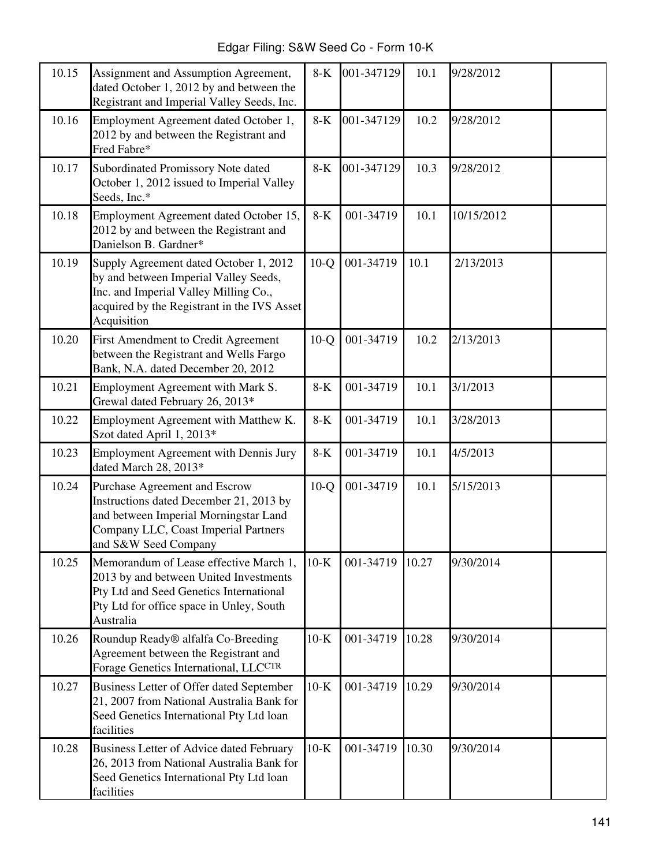Edgar Filing: S&W Seed Co - Form 10-K

| 10.15 | Assignment and Assumption Agreement,<br>dated October 1, 2012 by and between the<br>Registrant and Imperial Valley Seeds, Inc.                                                         | $8-K$  | 001-347129 | 10.1  | 9/28/2012  |  |
|-------|----------------------------------------------------------------------------------------------------------------------------------------------------------------------------------------|--------|------------|-------|------------|--|
| 10.16 | Employment Agreement dated October 1,<br>2012 by and between the Registrant and<br>Fred Fabre*                                                                                         | $8-K$  | 001-347129 | 10.2  | 9/28/2012  |  |
| 10.17 | Subordinated Promissory Note dated<br>October 1, 2012 issued to Imperial Valley<br>Seeds, Inc.*                                                                                        | $8-K$  | 001-347129 | 10.3  | 9/28/2012  |  |
| 10.18 | Employment Agreement dated October 15,<br>2012 by and between the Registrant and<br>Danielson B. Gardner*                                                                              | $8-K$  | 001-34719  | 10.1  | 10/15/2012 |  |
| 10.19 | Supply Agreement dated October 1, 2012<br>by and between Imperial Valley Seeds,<br>Inc. and Imperial Valley Milling Co.,<br>acquired by the Registrant in the IVS Asset<br>Acquisition | $10-Q$ | 001-34719  | 10.1  | 2/13/2013  |  |
| 10.20 | First Amendment to Credit Agreement<br>between the Registrant and Wells Fargo<br>Bank, N.A. dated December 20, 2012                                                                    | $10-Q$ | 001-34719  | 10.2  | 2/13/2013  |  |
| 10.21 | Employment Agreement with Mark S.<br>Grewal dated February 26, 2013*                                                                                                                   | $8-K$  | 001-34719  | 10.1  | 3/1/2013   |  |
| 10.22 | Employment Agreement with Matthew K.<br>Szot dated April 1, 2013*                                                                                                                      | $8-K$  | 001-34719  | 10.1  | 3/28/2013  |  |
| 10.23 | <b>Employment Agreement with Dennis Jury</b><br>dated March 28, 2013*                                                                                                                  | $8-K$  | 001-34719  | 10.1  | 4/5/2013   |  |
| 10.24 | Purchase Agreement and Escrow<br>Instructions dated December 21, 2013 by<br>and between Imperial Morningstar Land<br>Company LLC, Coast Imperial Partners<br>and S&W Seed Company      | $10-Q$ | 001-34719  | 10.1  | 5/15/2013  |  |
| 10.25 | Memorandum of Lease effective March 1,<br>2013 by and between United Investments<br>Pty Ltd and Seed Genetics International<br>Pty Ltd for office space in Unley, South<br>Australia   | $10-K$ | 001-34719  | 10.27 | 9/30/2014  |  |
| 10.26 | Roundup Ready® alfalfa Co-Breeding<br>Agreement between the Registrant and<br>Forage Genetics International, LLCCTR                                                                    | $10-K$ | 001-34719  | 10.28 | 9/30/2014  |  |
| 10.27 | Business Letter of Offer dated September<br>21, 2007 from National Australia Bank for<br>Seed Genetics International Pty Ltd loan<br>facilities                                        | $10-K$ | 001-34719  | 10.29 | 9/30/2014  |  |
| 10.28 | Business Letter of Advice dated February<br>26, 2013 from National Australia Bank for<br>Seed Genetics International Pty Ltd loan<br>facilities                                        | $10-K$ | 001-34719  | 10.30 | 9/30/2014  |  |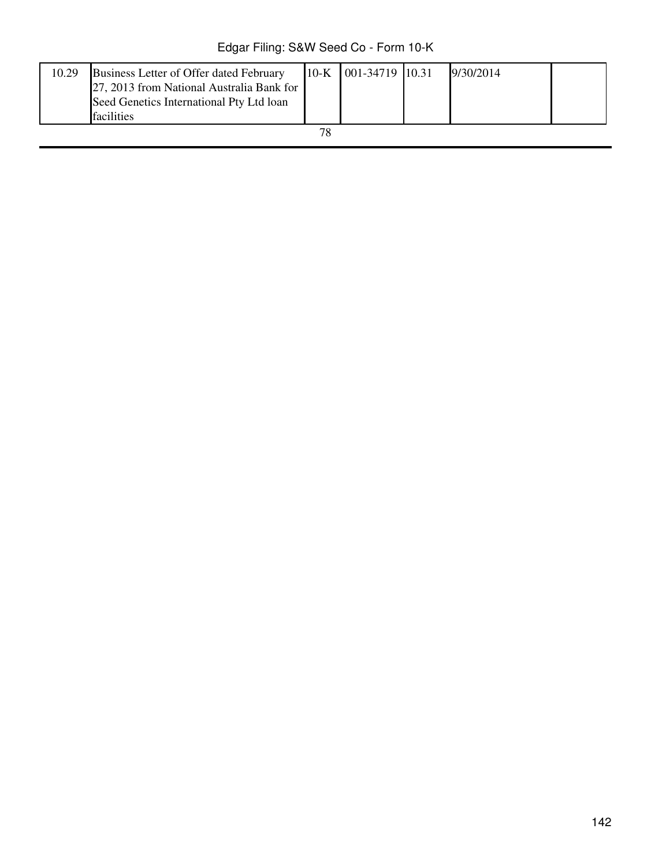Edgar Filing: S&W Seed Co - Form 10-K

| 10.29 | Business Letter of Offer dated February<br>27, 2013 from National Australia Bank for<br>Seed Genetics International Pty Ltd loan<br>facilities |  | 10-K 001-34719 10.31 |  | 9/30/2014 |  |
|-------|------------------------------------------------------------------------------------------------------------------------------------------------|--|----------------------|--|-----------|--|
| 70    |                                                                                                                                                |  |                      |  |           |  |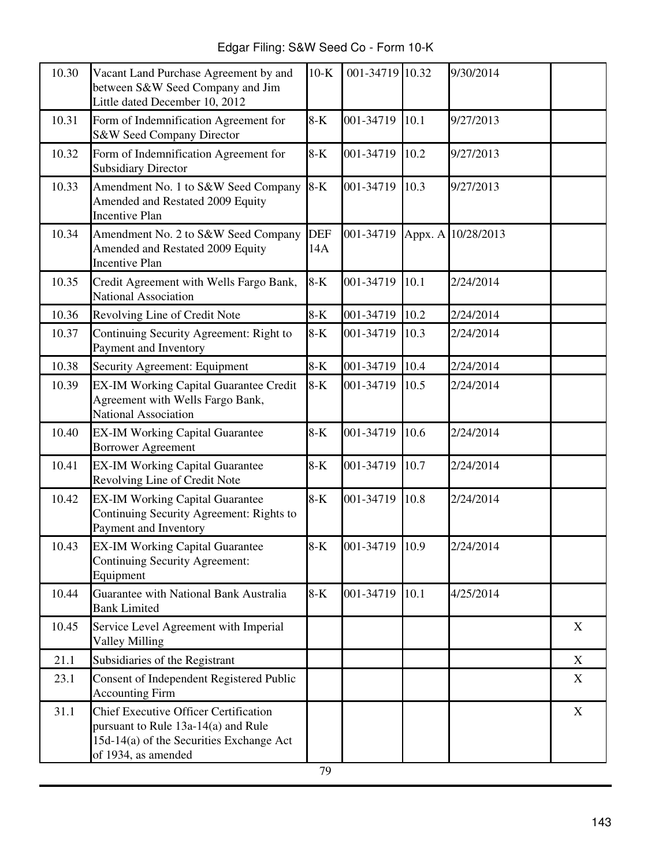Edgar Filing: S&W Seed Co - Form 10-K

| 10.30 | Vacant Land Purchase Agreement by and<br>between S&W Seed Company and Jim<br>Little dated December 10, 2012                                            | $10-K$     | 001-34719 10.32 |      | 9/30/2014          |   |
|-------|--------------------------------------------------------------------------------------------------------------------------------------------------------|------------|-----------------|------|--------------------|---|
| 10.31 | Form of Indemnification Agreement for<br>S&W Seed Company Director                                                                                     | $8-K$      | 001-34719       | 10.1 | 9/27/2013          |   |
| 10.32 | Form of Indemnification Agreement for<br><b>Subsidiary Director</b>                                                                                    | $8-K$      | 001-34719       | 10.2 | 9/27/2013          |   |
| 10.33 | Amendment No. 1 to S&W Seed Company<br>Amended and Restated 2009 Equity<br><b>Incentive Plan</b>                                                       | $8-K$      | 001-34719       | 10.3 | 9/27/2013          |   |
| 10.34 | Amendment No. 2 to S&W Seed Company<br>Amended and Restated 2009 Equity<br><b>Incentive Plan</b>                                                       | DEF<br>14A | 001-34719       |      | Appx. A 10/28/2013 |   |
| 10.35 | Credit Agreement with Wells Fargo Bank,<br><b>National Association</b>                                                                                 | $8-K$      | 001-34719       | 10.1 | 2/24/2014          |   |
| 10.36 | Revolving Line of Credit Note                                                                                                                          | $8-K$      | 001-34719       | 10.2 | 2/24/2014          |   |
| 10.37 | Continuing Security Agreement: Right to<br>Payment and Inventory                                                                                       | $8-K$      | 001-34719       | 10.3 | 2/24/2014          |   |
| 10.38 | Security Agreement: Equipment                                                                                                                          | $8-K$      | 001-34719       | 10.4 | 2/24/2014          |   |
| 10.39 | <b>EX-IM Working Capital Guarantee Credit</b><br>Agreement with Wells Fargo Bank,<br><b>National Association</b>                                       | $8-K$      | 001-34719       | 10.5 | 2/24/2014          |   |
| 10.40 | <b>EX-IM Working Capital Guarantee</b><br><b>Borrower Agreement</b>                                                                                    | $8-K$      | 001-34719       | 10.6 | 2/24/2014          |   |
| 10.41 | <b>EX-IM Working Capital Guarantee</b><br>Revolving Line of Credit Note                                                                                | $8-K$      | 001-34719       | 10.7 | 2/24/2014          |   |
| 10.42 | <b>EX-IM Working Capital Guarantee</b><br>Continuing Security Agreement: Rights to<br>Payment and Inventory                                            | $8-K$      | 001-34719       | 10.8 | 2/24/2014          |   |
| 10.43 | <b>EX-IM Working Capital Guarantee</b><br><b>Continuing Security Agreement:</b><br>Equipment                                                           | $8-K$      | 001-34719 10.9  |      | 2/24/2014          |   |
| 10.44 | Guarantee with National Bank Australia<br><b>Bank Limited</b>                                                                                          | $8-K$      | 001-34719       | 10.1 | 4/25/2014          |   |
| 10.45 | Service Level Agreement with Imperial<br><b>Valley Milling</b>                                                                                         |            |                 |      |                    | X |
| 21.1  | Subsidiaries of the Registrant                                                                                                                         |            |                 |      |                    | X |
| 23.1  | Consent of Independent Registered Public<br><b>Accounting Firm</b>                                                                                     |            |                 |      |                    | X |
| 31.1  | <b>Chief Executive Officer Certification</b><br>pursuant to Rule 13a-14(a) and Rule<br>15d-14(a) of the Securities Exchange Act<br>of 1934, as amended |            |                 |      |                    | X |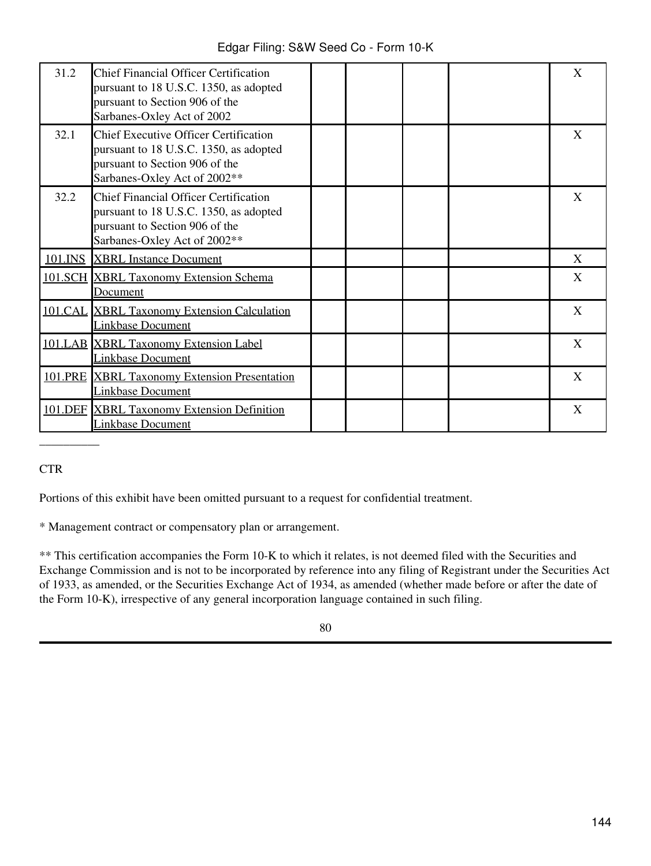| 31.2 | <b>Chief Financial Officer Certification</b><br>pursuant to 18 U.S.C. 1350, as adopted<br>pursuant to Section 906 of the<br>Sarbanes-Oxley Act of 2002   |  |  | X            |
|------|----------------------------------------------------------------------------------------------------------------------------------------------------------|--|--|--------------|
| 32.1 | <b>Chief Executive Officer Certification</b><br>pursuant to 18 U.S.C. 1350, as adopted<br>pursuant to Section 906 of the<br>Sarbanes-Oxley Act of 2002** |  |  | $\mathbf{X}$ |
| 32.2 | <b>Chief Financial Officer Certification</b><br>pursuant to 18 U.S.C. 1350, as adopted<br>pursuant to Section 906 of the<br>Sarbanes-Oxley Act of 2002** |  |  | X            |
|      | 101.INS XBRL Instance Document                                                                                                                           |  |  | X            |
|      | 101.SCH XBRL Taxonomy Extension Schema<br><u>Document</u>                                                                                                |  |  | X            |
|      | 101.CAL XBRL Taxonomy Extension Calculation<br><b>Linkbase Document</b>                                                                                  |  |  | X            |
|      | 101.LAB XBRL Taxonomy Extension Label<br><b>Linkbase Document</b>                                                                                        |  |  | X            |
|      | 101.PRE XBRL Taxonomy Extension Presentation<br><b>Linkbase Document</b>                                                                                 |  |  | X            |
|      | 101.DEF XBRL Taxonomy Extension Definition<br><b>Linkbase Document</b>                                                                                   |  |  | X            |

### **CTR**

\_\_\_\_\_\_\_\_\_\_

Portions of this exhibit have been omitted pursuant to a request for confidential treatment.

\* Management contract or compensatory plan or arrangement.

\*\* This certification accompanies the Form 10-K to which it relates, is not deemed filed with the Securities and Exchange Commission and is not to be incorporated by reference into any filing of Registrant under the Securities Act of 1933, as amended, or the Securities Exchange Act of 1934, as amended (whether made before or after the date of the Form 10-K), irrespective of any general incorporation language contained in such filing.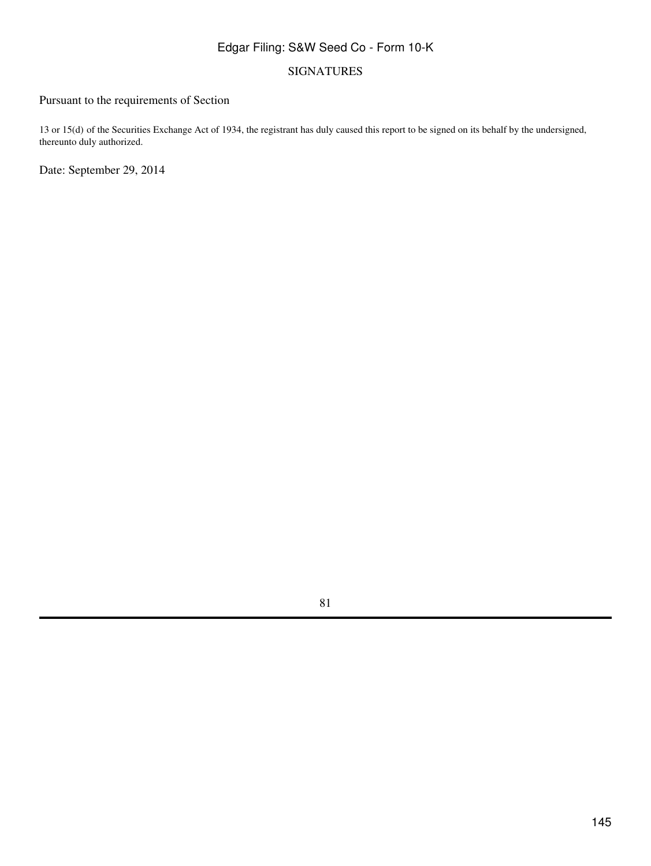#### SIGNATURES

## Pursuant to the requirements of Section

13 or 15(d) of the Securities Exchange Act of 1934, the registrant has duly caused this report to be signed on its behalf by the undersigned, thereunto duly authorized.

Date: September 29, 2014

81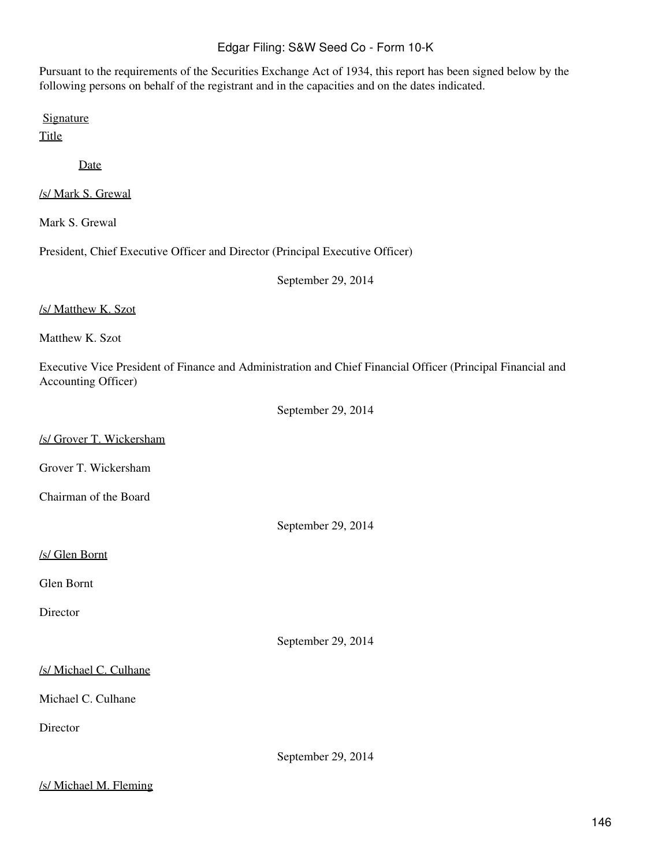Pursuant to the requirements of the Securities Exchange Act of 1934, this report has been signed below by the following persons on behalf of the registrant and in the capacities and on the dates indicated.

**Signature** 

**Title** 

Date

/s/ Mark S. Grewal

Mark S. Grewal

President, Chief Executive Officer and Director (Principal Executive Officer)

September 29, 2014

#### /s/ Matthew K. Szot

Matthew K. Szot

Executive Vice President of Finance and Administration and Chief Financial Officer (Principal Financial and Accounting Officer)

September 29, 2014

#### /s/ Grover T. Wickersham

Grover T. Wickersham

Chairman of the Board

September 29, 2014

#### /s/ Glen Bornt

Glen Bornt

Director

September 29, 2014

#### /s/ Michael C. Culhane

Michael C. Culhane

Director

September 29, 2014

#### /s/ Michael M. Fleming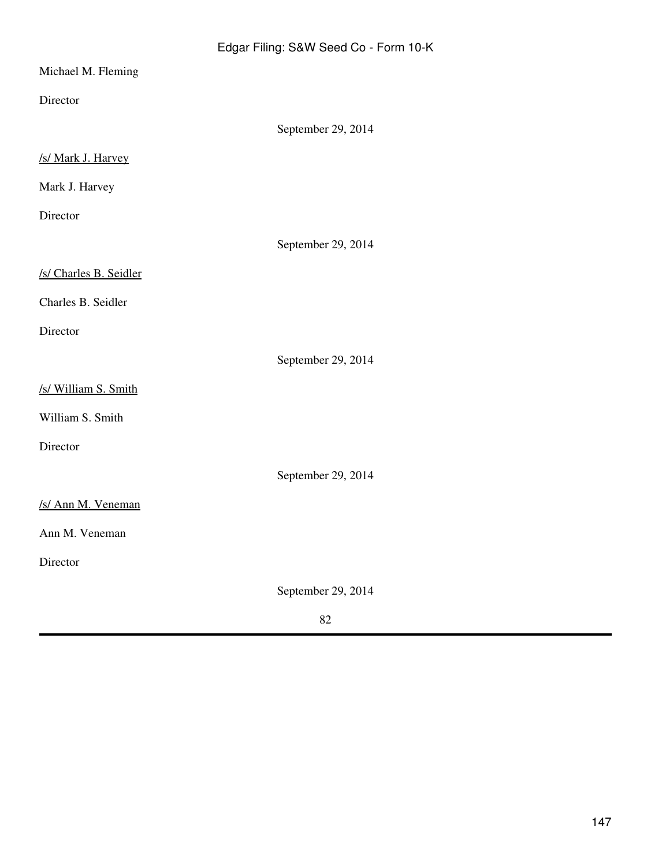| Michael M. Fleming     |                    |
|------------------------|--------------------|
| Director               |                    |
|                        | September 29, 2014 |
| /s/ Mark J. Harvey     |                    |
| Mark J. Harvey         |                    |
| Director               |                    |
|                        | September 29, 2014 |
| /s/ Charles B. Seidler |                    |
| Charles B. Seidler     |                    |
| Director               |                    |
|                        | September 29, 2014 |
| /s/ William S. Smith   |                    |
| William S. Smith       |                    |
| Director               |                    |
|                        | September 29, 2014 |
| /s/ Ann M. Veneman     |                    |
| Ann M. Veneman         |                    |
| Director               |                    |
|                        | September 29, 2014 |

### 82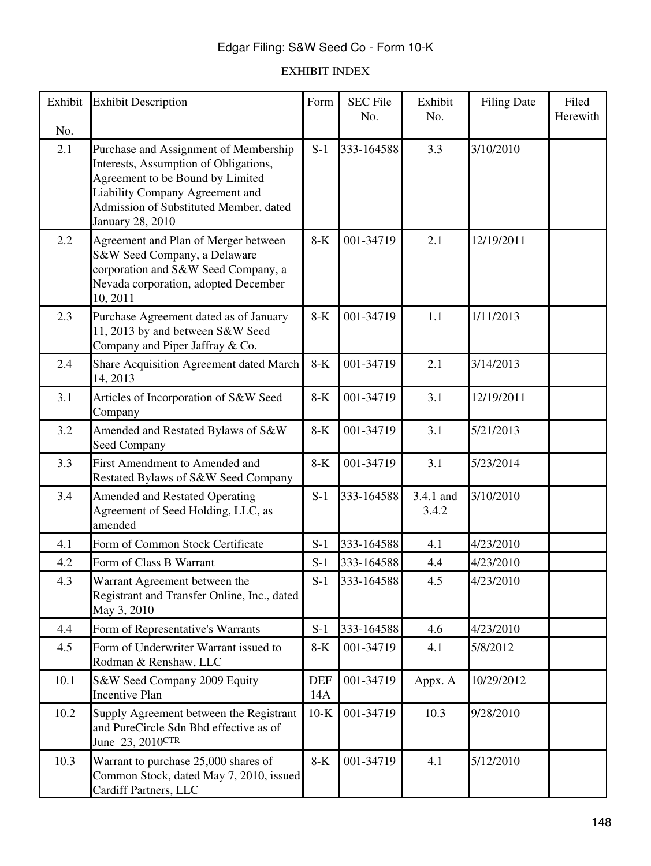## EXHIBIT INDEX

| Exhibit    | <b>Exhibit Description</b>                                                                                                                                                                      | Form              | <b>SEC File</b><br>No. | Exhibit<br>No.     | <b>Filing Date</b> | Filed<br>Herewith |
|------------|-------------------------------------------------------------------------------------------------------------------------------------------------------------------------------------------------|-------------------|------------------------|--------------------|--------------------|-------------------|
| No.<br>2.1 | Purchase and Assignment of Membership<br>Interests, Assumption of Obligations,<br>Agreement to be Bound by Limited<br>Liability Company Agreement and<br>Admission of Substituted Member, dated | $S-1$             | 333-164588             | 3.3                | 3/10/2010          |                   |
|            | <b>January 28, 2010</b>                                                                                                                                                                         |                   |                        |                    |                    |                   |
| 2.2        | Agreement and Plan of Merger between<br>S&W Seed Company, a Delaware<br>corporation and S&W Seed Company, a<br>Nevada corporation, adopted December<br>10, 2011                                 | $8-K$             | 001-34719              | 2.1                | 12/19/2011         |                   |
| 2.3        | Purchase Agreement dated as of January<br>11, 2013 by and between S&W Seed<br>Company and Piper Jaffray & Co.                                                                                   | $8-K$             | 001-34719              | 1.1                | 1/11/2013          |                   |
| 2.4        | Share Acquisition Agreement dated March<br>14, 2013                                                                                                                                             | $8-K$             | 001-34719              | 2.1                | 3/14/2013          |                   |
| 3.1        | Articles of Incorporation of S&W Seed<br>Company                                                                                                                                                | $8-K$             | 001-34719              | 3.1                | 12/19/2011         |                   |
| 3.2        | Amended and Restated Bylaws of S&W<br>Seed Company                                                                                                                                              | $8-K$             | 001-34719              | 3.1                | 5/21/2013          |                   |
| 3.3        | First Amendment to Amended and<br>Restated Bylaws of S&W Seed Company                                                                                                                           | $8-K$             | 001-34719              | 3.1                | 5/23/2014          |                   |
| 3.4        | <b>Amended and Restated Operating</b><br>Agreement of Seed Holding, LLC, as<br>amended                                                                                                          | $S-1$             | 333-164588             | 3.4.1 and<br>3.4.2 | 3/10/2010          |                   |
| 4.1        | Form of Common Stock Certificate                                                                                                                                                                | $S-1$             | 333-164588             | 4.1                | 4/23/2010          |                   |
| 4.2        | Form of Class B Warrant                                                                                                                                                                         | $S-1$             | 333-164588             | 4.4                | 4/23/2010          |                   |
| 4.3        | Warrant Agreement between the<br>Registrant and Transfer Online, Inc., dated<br>May 3, 2010                                                                                                     | $S-1$             | 333-164588             | 4.5                | 4/23/2010          |                   |
| 4.4        | Form of Representative's Warrants                                                                                                                                                               | $S-1$             | 333-164588             | 4.6                | 4/23/2010          |                   |
| 4.5        | Form of Underwriter Warrant issued to<br>Rodman & Renshaw, LLC                                                                                                                                  | $8-K$             | 001-34719              | 4.1                | 5/8/2012           |                   |
| 10.1       | S&W Seed Company 2009 Equity<br><b>Incentive Plan</b>                                                                                                                                           | <b>DEF</b><br>14A | 001-34719              | Appx. A            | 10/29/2012         |                   |
| 10.2       | Supply Agreement between the Registrant<br>and PureCircle Sdn Bhd effective as of<br>June 23, 2010CTR                                                                                           | $10-K$            | 001-34719              | 10.3               | 9/28/2010          |                   |
| 10.3       | Warrant to purchase 25,000 shares of<br>Common Stock, dated May 7, 2010, issued<br>Cardiff Partners, LLC                                                                                        | $8-K$             | 001-34719              | 4.1                | 5/12/2010          |                   |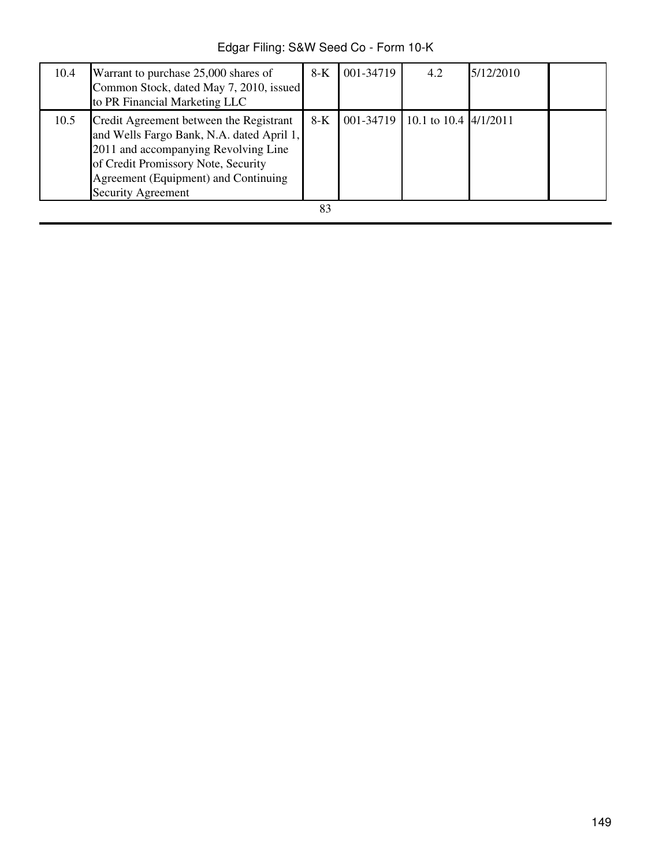Edgar Filing: S&W Seed Co - Form 10-K

| 10.4 | Warrant to purchase 25,000 shares of<br>Common Stock, dated May 7, 2010, issued<br>to PR Financial Marketing LLC                                                                                                                         | $8-K$ | 001-34719 | 4.2                             | 5/12/2010 |  |
|------|------------------------------------------------------------------------------------------------------------------------------------------------------------------------------------------------------------------------------------------|-------|-----------|---------------------------------|-----------|--|
| 10.5 | Credit Agreement between the Registrant<br>and Wells Fargo Bank, N.A. dated April 1,<br>2011 and accompanying Revolving Line<br>of Credit Promissory Note, Security<br>Agreement (Equipment) and Continuing<br><b>Security Agreement</b> | $8-K$ |           | 001-34719 10.1 to 10.4 4/1/2011 |           |  |
|      |                                                                                                                                                                                                                                          | 83    |           |                                 |           |  |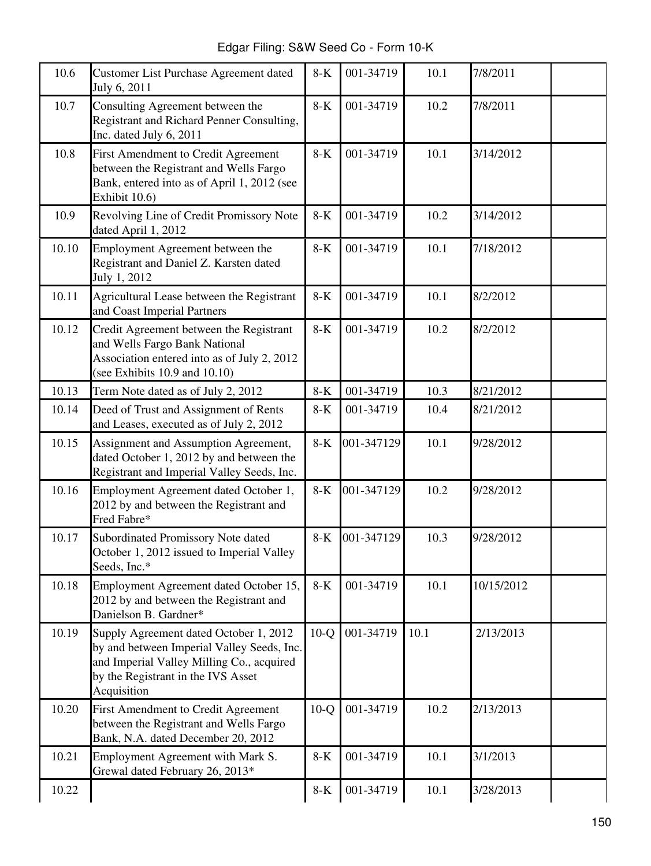Edgar Filing: S&W Seed Co - Form 10-K

| 10.6  | Customer List Purchase Agreement dated<br>July 6, 2011                                                                                                                                 | $8-K$  | 001-34719  | 10.1 | 7/8/2011   |  |
|-------|----------------------------------------------------------------------------------------------------------------------------------------------------------------------------------------|--------|------------|------|------------|--|
| 10.7  | Consulting Agreement between the<br><b>Registrant and Richard Penner Consulting,</b><br>Inc. dated July 6, 2011                                                                        | $8-K$  | 001-34719  | 10.2 | 7/8/2011   |  |
| 10.8  | First Amendment to Credit Agreement<br>between the Registrant and Wells Fargo<br>Bank, entered into as of April 1, 2012 (see<br>Exhibit 10.6)                                          | $8-K$  | 001-34719  | 10.1 | 3/14/2012  |  |
| 10.9  | Revolving Line of Credit Promissory Note<br>dated April 1, 2012                                                                                                                        | $8-K$  | 001-34719  | 10.2 | 3/14/2012  |  |
| 10.10 | Employment Agreement between the<br>Registrant and Daniel Z. Karsten dated<br>July 1, 2012                                                                                             | $8-K$  | 001-34719  | 10.1 | 7/18/2012  |  |
| 10.11 | Agricultural Lease between the Registrant<br>and Coast Imperial Partners                                                                                                               | $8-K$  | 001-34719  | 10.1 | 8/2/2012   |  |
| 10.12 | Credit Agreement between the Registrant<br>and Wells Fargo Bank National<br>Association entered into as of July 2, 2012<br>(see Exhibits $10.9$ and $10.10$ )                          | $8-K$  | 001-34719  | 10.2 | 8/2/2012   |  |
| 10.13 | Term Note dated as of July 2, 2012                                                                                                                                                     | $8-K$  | 001-34719  | 10.3 | 8/21/2012  |  |
| 10.14 | Deed of Trust and Assignment of Rents<br>and Leases, executed as of July 2, 2012                                                                                                       | $8-K$  | 001-34719  | 10.4 | 8/21/2012  |  |
| 10.15 | Assignment and Assumption Agreement,<br>dated October 1, 2012 by and between the<br>Registrant and Imperial Valley Seeds, Inc.                                                         | $8-K$  | 001-347129 | 10.1 | 9/28/2012  |  |
| 10.16 | Employment Agreement dated October 1,<br>2012 by and between the Registrant and<br>Fred Fabre*                                                                                         | $8-K$  | 001-347129 | 10.2 | 9/28/2012  |  |
| 10.17 | Subordinated Promissory Note dated<br>October 1, 2012 issued to Imperial Valley<br>Seeds, Inc.*                                                                                        | $8-K$  | 001-347129 | 10.3 | 9/28/2012  |  |
| 10.18 | Employment Agreement dated October 15,<br>2012 by and between the Registrant and<br>Danielson B. Gardner*                                                                              | $8-K$  | 001-34719  | 10.1 | 10/15/2012 |  |
| 10.19 | Supply Agreement dated October 1, 2012<br>by and between Imperial Valley Seeds, Inc.<br>and Imperial Valley Milling Co., acquired<br>by the Registrant in the IVS Asset<br>Acquisition | $10-Q$ | 001-34719  | 10.1 | 2/13/2013  |  |
| 10.20 | First Amendment to Credit Agreement<br>between the Registrant and Wells Fargo<br>Bank, N.A. dated December 20, 2012                                                                    | $10-Q$ | 001-34719  | 10.2 | 2/13/2013  |  |
| 10.21 | Employment Agreement with Mark S.<br>Grewal dated February 26, 2013*                                                                                                                   | $8-K$  | 001-34719  | 10.1 | 3/1/2013   |  |
| 10.22 |                                                                                                                                                                                        | $8-K$  | 001-34719  | 10.1 | 3/28/2013  |  |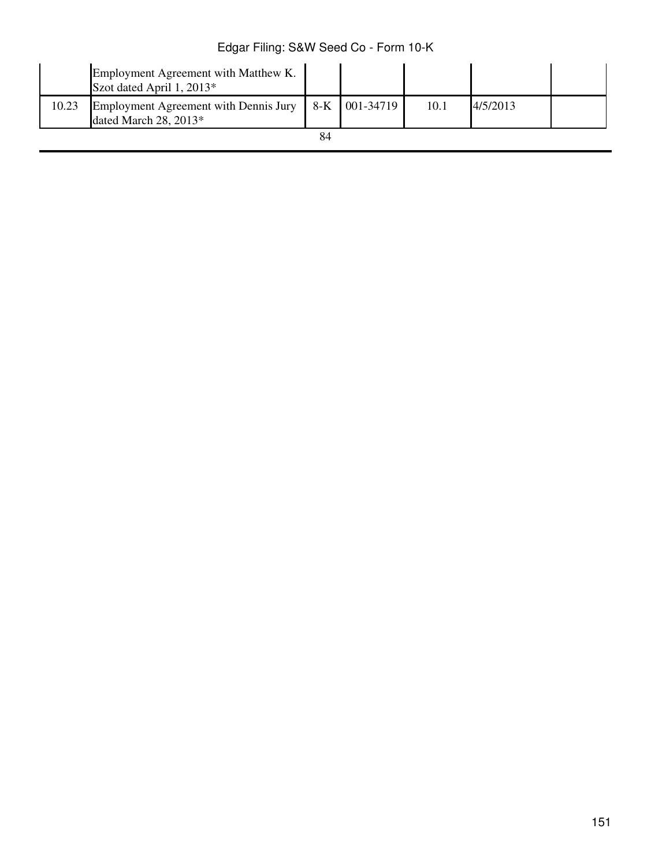|       | Employment Agreement with Matthew K.<br>Szot dated April 1, 2013* |                 |      |          |  |
|-------|-------------------------------------------------------------------|-----------------|------|----------|--|
| 10.23 | Employment Agreement with Dennis Jury<br>dated March $28, 2013*$  | $8-K$ 001-34719 | 10.1 | 4/5/2013 |  |
|       |                                                                   |                 |      |          |  |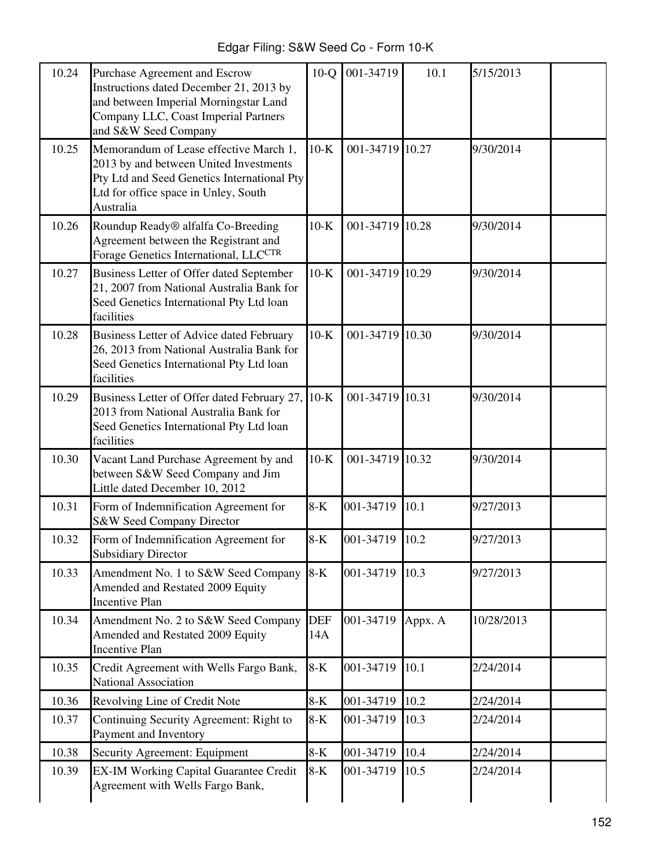| Edgar Filing: S&W Seed Co - Form 10-K |  |  |  |  |  |
|---------------------------------------|--|--|--|--|--|
|---------------------------------------|--|--|--|--|--|

| 10.24 | Purchase Agreement and Escrow<br>Instructions dated December 21, 2013 by<br>and between Imperial Morningstar Land<br>Company LLC, Coast Imperial Partners<br>and S&W Seed Company    | $10-Q$     | 001-34719 | 10.1    | 5/15/2013  |
|-------|--------------------------------------------------------------------------------------------------------------------------------------------------------------------------------------|------------|-----------|---------|------------|
| 10.25 | Memorandum of Lease effective March 1,<br>2013 by and between United Investments<br>Pty Ltd and Seed Genetics International Pty<br>Ltd for office space in Unley, South<br>Australia | $10-K$     | 001-34719 | 10.27   | 9/30/2014  |
| 10.26 | Roundup Ready® alfalfa Co-Breeding<br>Agreement between the Registrant and<br>Forage Genetics International, LLCCTR                                                                  | $10-K$     | 001-34719 | 10.28   | 9/30/2014  |
| 10.27 | Business Letter of Offer dated September<br>21, 2007 from National Australia Bank for<br>Seed Genetics International Pty Ltd loan<br>facilities                                      | $10-K$     | 001-34719 | 10.29   | 9/30/2014  |
| 10.28 | Business Letter of Advice dated February<br>26, 2013 from National Australia Bank for<br>Seed Genetics International Pty Ltd loan<br>facilities                                      | $10-K$     | 001-34719 | 10.30   | 9/30/2014  |
| 10.29 | Business Letter of Offer dated February 27,<br>2013 from National Australia Bank for<br>Seed Genetics International Pty Ltd loan<br>facilities                                       | $10-K$     | 001-34719 | 10.31   | 9/30/2014  |
| 10.30 | Vacant Land Purchase Agreement by and<br>between S&W Seed Company and Jim<br>Little dated December 10, 2012                                                                          | $10-K$     | 001-34719 | 10.32   | 9/30/2014  |
| 10.31 | Form of Indemnification Agreement for<br>S&W Seed Company Director                                                                                                                   | $8-K$      | 001-34719 | 10.1    | 9/27/2013  |
| 10.32 | Form of Indemnification Agreement for<br><b>Subsidiary Director</b>                                                                                                                  | $8-K$      | 001-34719 | 10.2    | 9/27/2013  |
| 10.33 | Amendment No. 1 to S&W Seed Company<br>Amended and Restated 2009 Equity<br><b>Incentive Plan</b>                                                                                     | $8-K$      | 001-34719 | 10.3    | 9/27/2013  |
| 10.34 | Amendment No. 2 to S&W Seed Company<br>Amended and Restated 2009 Equity<br><b>Incentive Plan</b>                                                                                     | DEF<br>14A | 001-34719 | Appx. A | 10/28/2013 |
| 10.35 | Credit Agreement with Wells Fargo Bank,<br>National Association                                                                                                                      | $8-K$      | 001-34719 | 10.1    | 2/24/2014  |
| 10.36 | Revolving Line of Credit Note                                                                                                                                                        | $8-K$      | 001-34719 | 10.2    | 2/24/2014  |
| 10.37 | Continuing Security Agreement: Right to<br>Payment and Inventory                                                                                                                     | $8-K$      | 001-34719 | 10.3    | 2/24/2014  |
| 10.38 | Security Agreement: Equipment                                                                                                                                                        | $8-K$      | 001-34719 | 10.4    | 2/24/2014  |
| 10.39 | <b>EX-IM Working Capital Guarantee Credit</b><br>Agreement with Wells Fargo Bank,                                                                                                    | $8-K$      | 001-34719 | 10.5    | 2/24/2014  |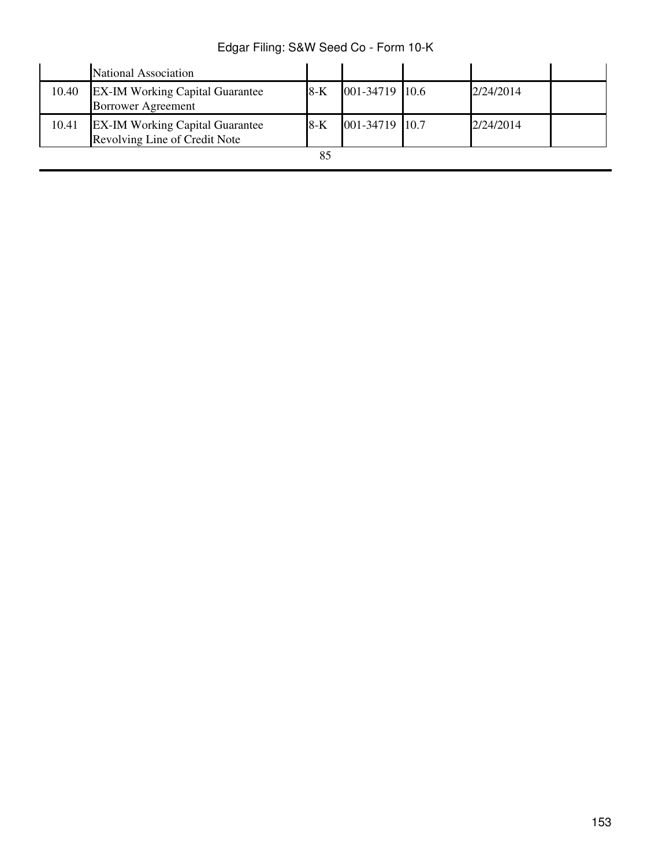|       | National Association                                                    |       |                |           |  |
|-------|-------------------------------------------------------------------------|-------|----------------|-----------|--|
| 10.40 | <b>EX-IM Working Capital Guarantee</b><br><b>Borrower Agreement</b>     | 8-K   | 001-34719 10.6 | 2/24/2014 |  |
| 10.41 | <b>EX-IM Working Capital Guarantee</b><br>Revolving Line of Credit Note | $8-K$ | 001-34719 10.7 | 2/24/2014 |  |
|       |                                                                         |       |                |           |  |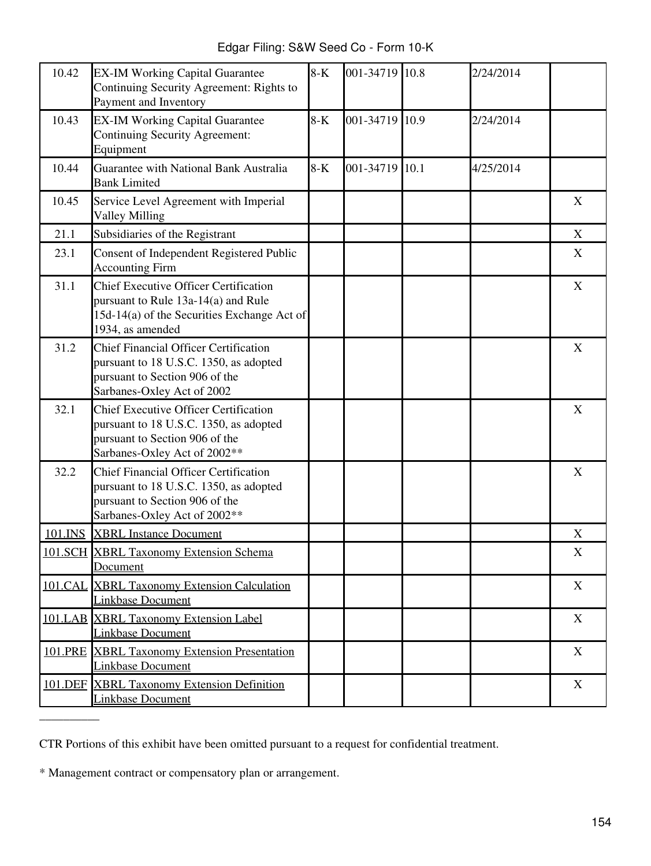Edgar Filing: S&W Seed Co - Form 10-K

| 10.42   | <b>EX-IM Working Capital Guarantee</b><br>Continuing Security Agreement: Rights to<br>Payment and Inventory                                              | $8-K$ | 001-34719 10.8 | 2/24/2014 |   |
|---------|----------------------------------------------------------------------------------------------------------------------------------------------------------|-------|----------------|-----------|---|
| 10.43   | <b>EX-IM Working Capital Guarantee</b><br><b>Continuing Security Agreement:</b><br>Equipment                                                             | $8-K$ | 001-34719 10.9 | 2/24/2014 |   |
| 10.44   | Guarantee with National Bank Australia<br><b>Bank Limited</b>                                                                                            | $8-K$ | 001-34719 10.1 | 4/25/2014 |   |
| 10.45   | Service Level Agreement with Imperial<br><b>Valley Milling</b>                                                                                           |       |                |           | X |
| 21.1    | Subsidiaries of the Registrant                                                                                                                           |       |                |           | X |
| 23.1    | Consent of Independent Registered Public<br><b>Accounting Firm</b>                                                                                       |       |                |           | X |
| 31.1    | <b>Chief Executive Officer Certification</b><br>pursuant to Rule 13a-14(a) and Rule<br>15d-14(a) of the Securities Exchange Act of<br>1934, as amended   |       |                |           | X |
| 31.2    | <b>Chief Financial Officer Certification</b><br>pursuant to 18 U.S.C. 1350, as adopted<br>pursuant to Section 906 of the<br>Sarbanes-Oxley Act of 2002   |       |                |           | X |
| 32.1    | <b>Chief Executive Officer Certification</b><br>pursuant to 18 U.S.C. 1350, as adopted<br>pursuant to Section 906 of the<br>Sarbanes-Oxley Act of 2002** |       |                |           | X |
| 32.2    | <b>Chief Financial Officer Certification</b><br>pursuant to 18 U.S.C. 1350, as adopted<br>pursuant to Section 906 of the<br>Sarbanes-Oxley Act of 2002** |       |                |           | X |
| 101.INS | <b>XBRL</b> Instance Document                                                                                                                            |       |                |           | X |
|         | 101.SCH XBRL Taxonomy Extension Schema<br>Document                                                                                                       |       |                |           | X |
|         | <b>101.CAL XBRL Taxonomy Extension Calculation</b><br><b>Linkbase Document</b>                                                                           |       |                |           | X |
|         | 101.LAB XBRL Taxonomy Extension Label<br><b>Linkbase Document</b>                                                                                        |       |                |           | X |
| 101.PRE | <b>XBRL Taxonomy Extension Presentation</b><br><b>Linkbase Document</b>                                                                                  |       |                |           | X |
|         | 101.DEF XBRL Taxonomy Extension Definition<br>Linkbase Document                                                                                          |       |                |           | X |

CTR Portions of this exhibit have been omitted pursuant to a request for confidential treatment.

\* Management contract or compensatory plan or arrangement.

 $\bar{a}$